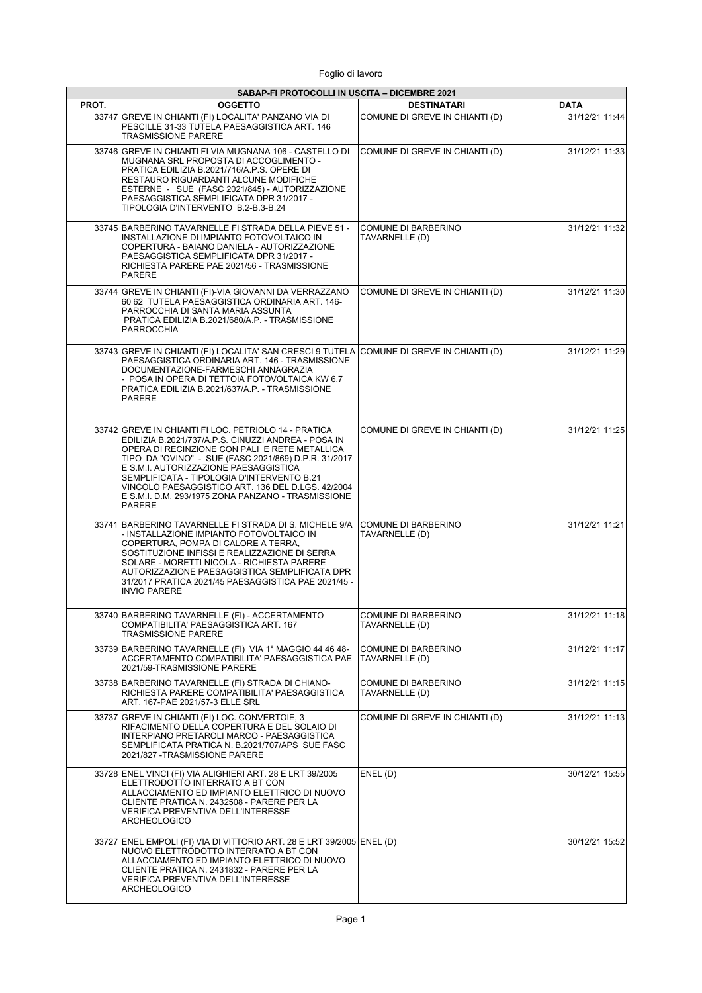Foglio di lavoro

|       | SABAP-FI PROTOCOLLI IN USCITA - DICEMBRE 2021                                                                                                                                                                                                                                                                                                                                                                                    |                                       |                |
|-------|----------------------------------------------------------------------------------------------------------------------------------------------------------------------------------------------------------------------------------------------------------------------------------------------------------------------------------------------------------------------------------------------------------------------------------|---------------------------------------|----------------|
| PROT. | <b>OGGETTO</b>                                                                                                                                                                                                                                                                                                                                                                                                                   | <b>DESTINATARI</b>                    | <b>DATA</b>    |
|       | 33747 GREVE IN CHIANTI (FI) LOCALITA' PANZANO VIA DI<br>PESCILLE 31-33 TUTELA PAESAGGISTICA ART. 146<br><b>TRASMISSIONE PARERE</b>                                                                                                                                                                                                                                                                                               | COMUNE DI GREVE IN CHIANTI (D)        | 31/12/21 11:44 |
|       | 33746 GREVE IN CHIANTI FI VIA MUGNANA 106 - CASTELLO DI<br>MUGNANA SRL PROPOSTA DI ACCOGLIMENTO -<br>PRATICA EDILIZIA B.2021/716/A.P.S. OPERE DI<br>RESTAURO RIGUARDANTI ALCUNE MODIFICHE<br>ESTERNE - SUE (FASC 2021/845) - AUTORIZZAZIONE<br>PAESAGGISTICA SEMPLIFICATA DPR 31/2017 -<br>TIPOLOGIA D'INTERVENTO B.2-B.3-B.24                                                                                                   | COMUNE DI GREVE IN CHIANTI (D)        | 31/12/21 11:33 |
|       | 33745 BARBERINO TAVARNELLE FI STRADA DELLA PIEVE 51 -<br>INSTALLAZIONE DI IMPIANTO FOTOVOLTAICO IN<br>COPERTURA - BAIANO DANIELA - AUTORIZZAZIONE<br>PAESAGGISTICA SEMPLIFICATA DPR 31/2017 -<br>RICHIESTA PARERE PAE 2021/56 - TRASMISSIONE<br>PARERE                                                                                                                                                                           | COMUNE DI BARBERINO<br>TAVARNELLE (D) | 31/12/21 11:32 |
|       | 33744 GREVE IN CHIANTI (FI)-VIA GIOVANNI DA VERRAZZANO<br>60 62  TUTELA PAESAGGISTICA ORDINARIA ART. 146-<br>PARROCCHIA DI SANTA MARIA ASSUNTA<br>PRATICA EDILIZIA B.2021/680/A.P. - TRASMISSIONE<br>PARROCCHIA                                                                                                                                                                                                                  | COMUNE DI GREVE IN CHIANTI (D)        | 31/12/21 11:30 |
|       | 33743 GREVE IN CHIANTI (FI) LOCALITA' SAN CRESCI 9 TUTELA COMUNE DI GREVE IN CHIANTI (D)<br>PAESAGGISTICA ORDINARIA ART. 146 - TRASMISSIONE<br>DOCUMENTAZIONE-FARMESCHI ANNAGRAZIA<br>- POSA IN OPERA DI TETTOIA FOTOVOLTAICA KW 6.7<br>PRATICA EDILIZIA B.2021/637/A.P. - TRASMISSIONE<br>PARERE                                                                                                                                |                                       | 31/12/21 11:29 |
|       | 33742 GREVE IN CHIANTI FI LOC. PETRIOLO 14 - PRATICA<br>EDILIZIA B.2021/737/A.P.S. CINUZZI ANDREA - POSA IN<br>OPERA DI RECINZIONE CON PALI E RETE METALLICA<br>TIPO DA "OVINO" - SUE (FASC 2021/869) D.P.R. 31/2017<br>E S.M.I. AUTORIZZAZIONE PAESAGGISTICA<br>SEMPLIFICATA - TIPOLOGIA D'INTERVENTO B.21<br>VINCOLO PAESAGGISTICO ART. 136 DEL D.LGS. 42/2004<br>E S.M.I. D.M. 293/1975 ZONA PANZANO - TRASMISSIONE<br>PARERE | COMUNE DI GREVE IN CHIANTI (D)        | 31/12/21 11:25 |
|       | 33741 BARBERINO TAVARNELLE FI STRADA DI S. MICHELE 9/A<br>- INSTALLAZIONE IMPIANTO FOTOVOLTAICO IN<br>COPERTURA. POMPA DI CALORE A TERRA.<br>SOSTITUZIONE INFISSI E REALIZZAZIONE DI SERRA<br>SOLARE - MORETTI NICOLA - RICHIESTA PARERE<br>AUTORIZZAZIONE PAESAGGISTICA SEMPLIFICATA DPR<br>31/2017 PRATICA 2021/45 PAESAGGISTICA PAE 2021/45 -<br><b>INVIO PARERE</b>                                                          | COMUNE DI BARBERINO<br>TAVARNELLE (D) | 31/12/21 11:21 |
|       | 33740 BARBERINO TAVARNELLE (FI) - ACCERTAMENTO<br>COMPATIBILITA' PAESAGGISTICA ART. 167<br><b>TRASMISSIONE PARERE</b>                                                                                                                                                                                                                                                                                                            | COMUNE DI BARBERINO<br>TAVARNELLE (D) | 31/12/21 11:18 |
|       | 33739 BARBERINO TAVARNELLE (FI) VIA 1° MAGGIO 44 46 48-<br>ACCERTAMENTO COMPATIBILITA' PAESAGGISTICA PAE<br>2021/59-TRASMISSIONE PARERE                                                                                                                                                                                                                                                                                          | COMUNE DI BARBERINO<br>TAVARNELLE (D) | 31/12/21 11:17 |
|       | 33738 BARBERINO TAVARNELLE (FI) STRADA DI CHIANO-<br>RICHIESTA PARERE COMPATIBILITA' PAESAGGISTICA<br>ART. 167-PAE 2021/57-3 ELLE SRL                                                                                                                                                                                                                                                                                            | COMUNE DI BARBERINO<br>TAVARNELLE (D) | 31/12/21 11:15 |
|       | 33737 GREVE IN CHIANTI (FI) LOC. CONVERTOIE, 3<br>RIFACIMENTO DELLA COPERTURA E DEL SOLAIO DI<br>INTERPIANO PRETAROLI MARCO - PAESAGGISTICA<br>SEMPLIFICATA PRATICA N. B.2021/707/APS_SUE FASC<br>2021/827 - TRASMISSIONE PARERE                                                                                                                                                                                                 | COMUNE DI GREVE IN CHIANTI (D)        | 31/12/21 11:13 |
|       | 33728 ENEL VINCI (FI) VIA ALIGHIERI ART. 28 E LRT 39/2005<br>ELETTRODOTTO INTERRATO A BT CON<br>ALLACCIAMENTO ED IMPIANTO ELETTRICO DI NUOVO<br>CLIENTE PRATICA N. 2432508 - PARERE PER LA<br>VERIFICA PREVENTIVA DELL'INTERESSE<br>ARCHEOLOGICO                                                                                                                                                                                 | ENEL(D)                               | 30/12/21 15:55 |
|       | 33727 ENEL EMPOLI (FI) VIA DI VITTORIO ART. 28 E LRT 39/2005 ENEL (D)<br>NUOVO ELETTRODOTTO INTERRATO A BT CON<br>ALLACCIAMENTO ED IMPIANTO ELETTRICO DI NUOVO<br>CLIENTE PRATICA N. 2431832 - PARERE PER LA<br>VERIFICA PREVENTIVA DELL'INTERESSE<br>ARCHEOLOGICO                                                                                                                                                               |                                       | 30/12/21 15:52 |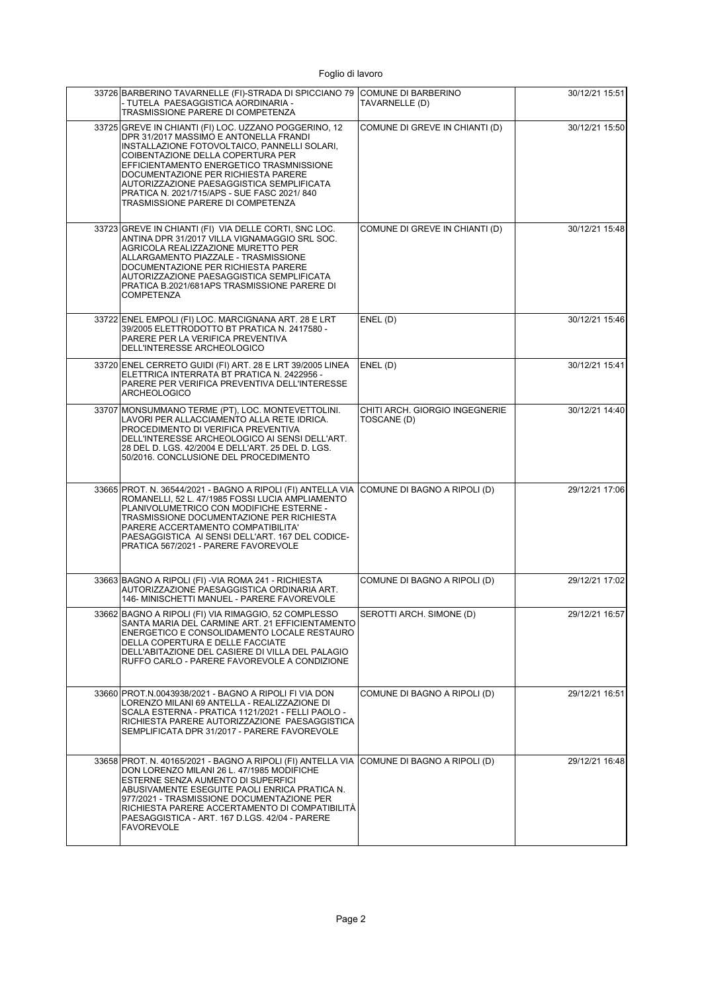| 33726 BARBERINO TAVARNELLE (FI)-STRADA DI SPICCIANO 79 COMUNE DI BARBERINO<br>- TUTELA PAESAGGISTICA AORDINARIA -<br>TRASMISSIONE PARERE DI COMPETENZA                                                                                                                                                                                                                                                   | TAVARNELLE (D)                                | 30/12/21 15:51 |
|----------------------------------------------------------------------------------------------------------------------------------------------------------------------------------------------------------------------------------------------------------------------------------------------------------------------------------------------------------------------------------------------------------|-----------------------------------------------|----------------|
| 33725 GREVE IN CHIANTI (FI) LOC. UZZANO POGGERINO. 12<br>DPR 31/2017 MASSIMO E ANTONELLA FRANDI<br>INSTALLAZIONE FOTOVOLTAICO, PANNELLI SOLARI,<br>COIBENTAZIONE DELLA COPERTURA PER<br>EFFICIENTAMENTO ENERGETICO TRASMNISSIONE<br>DOCUMENTAZIONE PER RICHIESTA PARERE<br>AUTORIZZAZIONE PAESAGGISTICA SEMPLIFICATA<br>PRATICA N. 2021/715/APS - SUE FASC 2021/840<br>TRASMISSIONE PARERE DI COMPETENZA | COMUNE DI GREVE IN CHIANTI (D)                | 30/12/21 15:50 |
| 33723 GREVE IN CHIANTI (FI) VIA DELLE CORTI, SNC LOC.<br>ANTINA DPR 31/2017 VILLA VIGNAMAGGIO SRL SOC.<br>AGRICOLA REALIZZAZIONE MURETTO PER<br>ALLARGAMENTO PIAZZALE - TRASMISSIONE<br>DOCUMENTAZIONE PER RICHIESTA PARERE<br>AUTORIZZAZIONE PAESAGGISTICA SEMPLIFICATA<br>PRATICA B.2021/681APS TRASMISSIONE PARERE DI<br><b>COMPETENZA</b>                                                            | COMUNE DI GREVE IN CHIANTI (D)                | 30/12/21 15:48 |
| 33722 ENEL EMPOLI (FI) LOC. MARCIGNANA ART. 28 E LRT<br>39/2005 ELETTRODOTTO BT PRATICA N. 2417580 -<br>PARERE PER LA VERIFICA PREVENTIVA<br>DELL'INTERESSE ARCHEOLOGICO                                                                                                                                                                                                                                 | ENEL(D)                                       | 30/12/21 15:46 |
| 33720 ENEL CERRETO GUIDI (FI) ART. 28 E LRT 39/2005 LINEA<br>ELETTRICA INTERRATA BT PRATICA N. 2422956 -<br>PARERE PER VERIFICA PREVENTIVA DELL'INTERESSE<br><b>ARCHEOLOGICO</b>                                                                                                                                                                                                                         | ENEL(D)                                       | 30/12/21 15:41 |
| 33707 MONSUMMANO TERME (PT), LOC. MONTEVETTOLINI.<br>LAVORI PER ALLACCIAMENTO ALLA RETE IDRICA.<br>PROCEDIMENTO DI VERIFICA PREVENTIVA<br>DELL'INTERESSE ARCHEOLOGICO AI SENSI DELL'ART.<br>28 DEL D. LGS. 42/2004 E DELL'ART. 25 DEL D. LGS.<br>50/2016. CONCLUSIONE DEL PROCEDIMENTO                                                                                                                   | CHITI ARCH. GIORGIO INGEGNERIE<br>TOSCANE (D) | 30/12/21 14:40 |
| 33665 PROT. N. 36544/2021 - BAGNO A RIPOLI (FI) ANTELLA VIA COMUNE DI BAGNO A RIPOLI (D)<br>ROMANELLI, 52 L. 47/1985 FOSSI LUCIA AMPLIAMENTO<br>PLANIVOLUMETRICO CON MODIFICHE ESTERNE -<br>TRASMISSIONE DOCUMENTAZIONE PER RICHIESTA<br>PARERE ACCERTAMENTO COMPATIBILITA'<br>PAESAGGISTICA AI SENSI DELL'ART. 167 DEL CODICE-<br>PRATICA 567/2021 - PARERE FAVOREVOLE                                  |                                               | 29/12/21 17:06 |
| 33663 BAGNO A RIPOLI (FI) - VIA ROMA 241 - RICHIESTA<br>AUTORIZZAZIONE PAESAGGISTICA ORDINARIA ART.<br>146- MINISCHETTI MANUEL - PARERE FAVOREVOLE                                                                                                                                                                                                                                                       | COMUNE DI BAGNO A RIPOLI (D)                  | 29/12/21 17:02 |
| 33662 BAGNO A RIPOLI (FI) VIA RIMAGGIO, 52 COMPLESSO<br>SANTA MARIA DEL CARMINE ART. 21 EFFICIENTAMENTO<br>ENERGETICO E CONSOLIDAMENTO LOCALE RESTAURO<br>DELLA COPERTURA E DELLE FACCIATE<br>DELL'ABITAZIONE DEL CASIERE DI VILLA DEL PALAGIO<br>RUFFO CARLO - PARERE FAVOREVOLE A CONDIZIONE                                                                                                           | SEROTTI ARCH. SIMONE (D)                      | 29/12/21 16:57 |
| 33660 PROT.N.0043938/2021 - BAGNO A RIPOLI FI VIA DON<br>LORENZO MILANI 69 ANTELLA - REALIZZAZIONE DI<br>SCALA ESTERNA - PRATICA 1121/2021 - FELLI PAOLO -<br>RICHIESTA PARERE AUTORIZZAZIONE PAESAGGISTICA<br>SEMPLIFICATA DPR 31/2017 - PARERE FAVOREVOLE                                                                                                                                              | COMUNE DI BAGNO A RIPOLI (D)                  | 29/12/21 16:51 |
| 33658 PROT. N. 40165/2021 - BAGNO A RIPOLI (FI) ANTELLA VIA<br>DON LORENZO MILANI 26 L. 47/1985 MODIFICHE<br>ESTERNE SENZA AUMENTO DI SUPERFICI<br>ABUSIVAMENTE ESEGUITE PAOLI ENRICA PRATICA N.<br>977/2021 - TRASMISSIONE DOCUMENTAZIONE PER<br>RICHIESTA PARERE ACCERTAMENTO DI COMPATIBILITA<br>PAESAGGISTICA - ART. 167 D.LGS. 42/04 - PARERE<br><b>FAVOREVOLE</b>                                  | COMUNE DI BAGNO A RIPOLI (D)                  | 29/12/21 16:48 |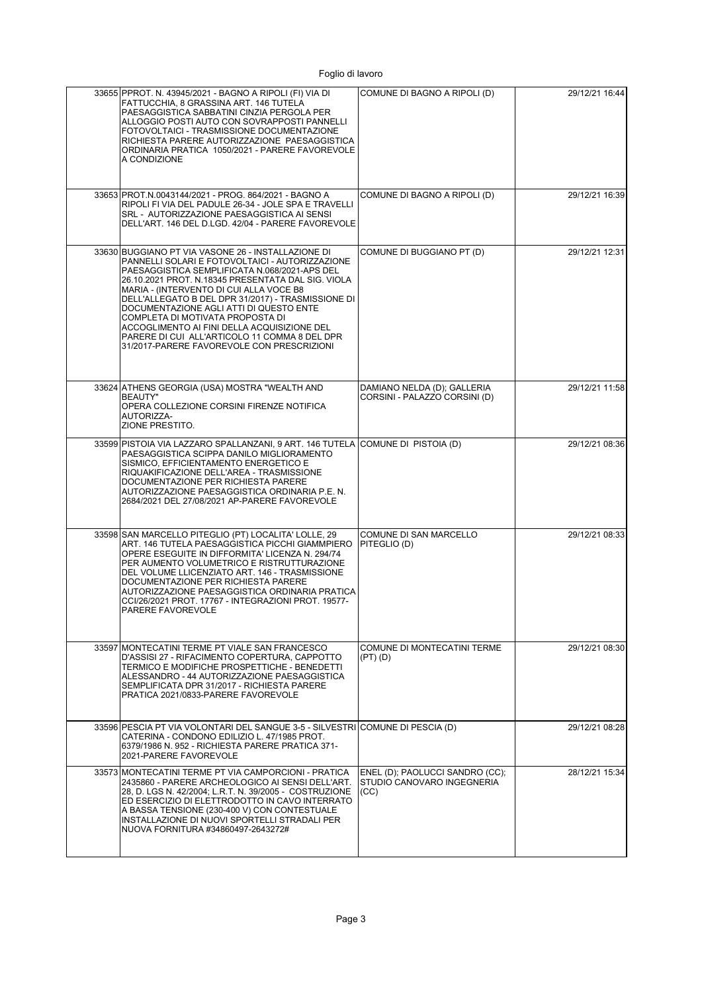| 33655 PPROT. N. 43945/2021 - BAGNO A RIPOLI (FI) VIA DI<br>FATTUCCHIA. 8 GRASSINA ART. 146 TUTELA<br>PAESAGGISTICA SABBATINI CINZIA PERGOLA PER<br>ALLOGGIO POSTI AUTO CON SOVRAPPOSTI PANNELLI<br>FOTOVOLTAICI - TRASMISSIONE DOCUMENTAZIONE<br>RICHIESTA PARERE AUTORIZZAZIONE PAESAGGISTICA<br>ORDINARIA PRATICA 1050/2021 - PARERE FAVOREVOLE<br>A CONDIZIONE                                                                                                                                                                          | COMUNE DI BAGNO A RIPOLI (D)                                          | 29/12/21 16:44 |
|--------------------------------------------------------------------------------------------------------------------------------------------------------------------------------------------------------------------------------------------------------------------------------------------------------------------------------------------------------------------------------------------------------------------------------------------------------------------------------------------------------------------------------------------|-----------------------------------------------------------------------|----------------|
| 33653 PROT.N.0043144/2021 - PROG. 864/2021 - BAGNO A<br>RIPOLI FI VIA DEL PADULE 26-34 - JOLE SPA E TRAVELLI<br>SRL - AUTORIZZAZIONE PAESAGGISTICA AI SENSI<br>DELL'ART. 146 DEL D.LGD. 42/04 - PARERE FAVOREVOLE                                                                                                                                                                                                                                                                                                                          | COMUNE DI BAGNO A RIPOLI (D)                                          | 29/12/21 16:39 |
| 33630 BUGGIANO PT VIA VASONE 26 - INSTALLAZIONE DI<br>PANNELLI SOLARI E FOTOVOLTAICI - AUTORIZZAZIONE<br>PAESAGGISTICA SEMPLIFICATA N.068/2021-APS DEL<br>26.10.2021 PROT. N.18345 PRESENTATA DAL SIG. VIOLA<br>MARIA - (INTERVENTO DI CUI ALLA VOCE B8<br>DELL'ALLEGATO B DEL DPR 31/2017) - TRASMISSIONE DI<br>DOCUMENTAZIONE AGLI ATTI DI QUESTO ENTE<br>COMPLETA DI MOTIVATA PROPOSTA DI<br>ACCOGLIMENTO AI FINI DELLA ACQUISIZIONE DEL<br>PARERE DI CUI ALL'ARTICOLO 11 COMMA 8 DEL DPR<br>31/2017-PARERE FAVOREVOLE CON PRESCRIZIONI | COMUNE DI BUGGIANO PT (D)                                             | 29/12/21 12:31 |
| 33624 ATHENS GEORGIA (USA) MOSTRA "WEALTH AND<br><b>BEAUTY"</b><br>OPERA COLLEZIONE CORSINI FIRENZE NOTIFICA<br>AUTORIZZA-<br>ZIONE PRESTITO.                                                                                                                                                                                                                                                                                                                                                                                              | DAMIANO NELDA (D); GALLERIA<br>CORSINI - PALAZZO CORSINI (D)          | 29/12/21 11:58 |
| 33599 PISTOIA VIA LAZZARO SPALLANZANI, 9 ART. 146 TUTELA COMUNE DI PISTOIA (D)<br>PAESAGGISTICA SCIPPA DANILO MIGLIORAMENTO<br>SISMICO, EFFICIENTAMENTO ENERGETICO E<br>RIQUAKIFICAZIONE DELL'AREA - TRASMISSIONE<br>DOCUMENTAZIONE PER RICHIESTA PARERE<br>AUTORIZZAZIONE PAESAGGISTICA ORDINARIA P.E. N.<br>2684/2021 DEL 27/08/2021 AP-PARERE FAVOREVOLE                                                                                                                                                                                |                                                                       | 29/12/21 08:36 |
| 33598 SAN MARCELLO PITEGLIO (PT) LOCALITA' LOLLE, 29<br>ART. 146 TUTELA PAESAGGISTICA PICCHI GIAMMPIERO<br>OPERE ESEGUITE IN DIFFORMITA' LICENZA N. 294/74<br>PER AUMENTO VOLUMETRICO E RISTRUTTURAZIONE<br>DEL VOLUME LLICENZIATO ART. 146 - TRASMISSIONE<br>DOCUMENTAZIONE PER RICHIESTA PARERE<br>AUTORIZZAZIONE PAESAGGISTICA ORDINARIA PRATICA<br>CCI/26/2021 PROT. 17767 - INTEGRAZIONI PROT. 19577-<br>PARERE FAVOREVOLE                                                                                                            | COMUNE DI SAN MARCELLO<br>PITEGLIO (D)                                | 29/12/21 08:33 |
| 33597 MONTECATINI TERME PT VIALE SAN FRANCESCO<br>D'ASSISI 27 - RIFACIMENTO COPERTURA, CAPPOTTO<br>TERMICO E MODIFICHE PROSPETTICHE - BENEDETTI<br>ALESSANDRO - 44 AUTORIZZAZIONE PAESAGGISTICA<br>SEMPLIFICATA DPR 31/2017 - RICHIESTA PARERE<br>PRATICA 2021/0833-PARERE FAVOREVOLE                                                                                                                                                                                                                                                      | COMUNE DI MONTECATINI TERME<br>$(PT)$ $(D)$                           | 29/12/21 08:30 |
| 33596 PESCIA PT VIA VOLONTARI DEL SANGUE 3-5 - SILVESTRI COMUNE DI PESCIA (D)<br>CATERINA - CONDONO EDILIZIO L. 47/1985 PROT.<br>6379/1986 N. 952 - RICHIESTA PARERE PRATICA 371-<br>2021-PARERE FAVOREVOLE                                                                                                                                                                                                                                                                                                                                |                                                                       | 29/12/21 08:28 |
| 33573 MONTECATINI TERME PT VIA CAMPORCIONI - PRATICA<br>2435860 - PARERE ARCHEOLOGICO AI SENSI DELL'ART.<br>28, D. LGS N. 42/2004; L.R.T. N. 39/2005 - COSTRUZIONE<br>ED ESERCIZIO DI ELETTRODOTTO IN CAVO INTERRATO<br>A BASSA TENSIONE (230-400 V) CON CONTESTUALE<br>INSTALLAZIONE DI NUOVI SPORTELLI STRADALI PER<br>NUOVA FORNITURA #34860497-2643272#                                                                                                                                                                                | ENEL (D); PAOLUCCI SANDRO (CC);<br>STUDIO CANOVARO INGEGNERIA<br>(CC) | 28/12/21 15:34 |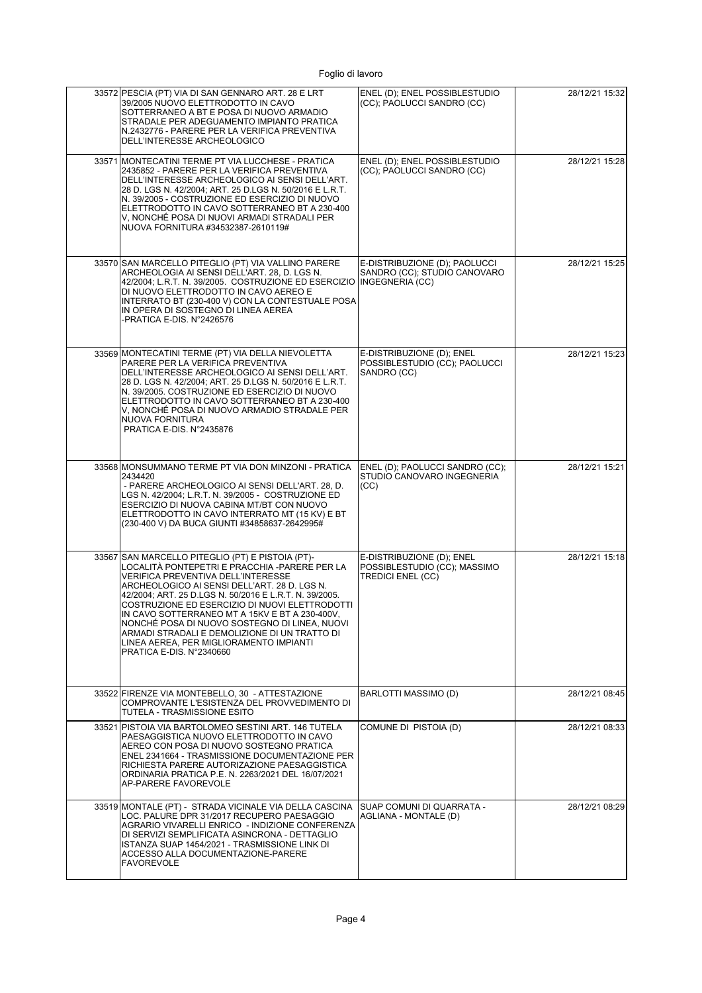| 33572 PESCIA (PT) VIA DI SAN GENNARO ART. 28 E LRT<br>39/2005 NUOVO ELETTRODOTTO IN CAVO<br>SOTTERRANEO A BT E POSA DI NUOVO ARMADIO<br>STRADALE PER ADEGUAMENTO IMPIANTO PRATICA<br>N.2432776 - PARERE PER LA VERIFICA PREVENTIVA<br>DELL'INTERESSE ARCHEOLOGICO                                                                                                                                                                                                                                                              | ENEL (D); ENEL POSSIBLESTUDIO<br>(CC); PAOLUCCI SANDRO (CC)                           | 28/12/21 15:32 |
|--------------------------------------------------------------------------------------------------------------------------------------------------------------------------------------------------------------------------------------------------------------------------------------------------------------------------------------------------------------------------------------------------------------------------------------------------------------------------------------------------------------------------------|---------------------------------------------------------------------------------------|----------------|
| 33571 MONTECATINI TERME PT VIA LUCCHESE - PRATICA<br>2435852 - PARERE PER LA VERIFICA PREVENTIVA<br>DELL'INTERESSE ARCHEOLOGICO AI SENSI DELL'ART.<br>28 D. LGS N. 42/2004; ART. 25 D.LGS N. 50/2016 E L.R.T.<br>N. 39/2005 - COSTRUZIONE ED ESERCIZIO DI NUOVO<br>ELETTRODOTTO IN CAVO SOTTERRANEO BT A 230-400<br>V, NONCHÉ POSA DI NUOVI ARMADI STRADALI PER<br>NUOVA FORNITURA #34532387-2610119#                                                                                                                          | ENEL (D): ENEL POSSIBLESTUDIO<br>(CC); PAOLUCCI SANDRO (CC)                           | 28/12/21 15:28 |
| 33570 SAN MARCELLO PITEGLIO (PT) VIA VALLINO PARERE<br>ARCHEOLOGIA AI SENSI DELL'ART. 28, D. LGS N.<br>42/2004; L.R.T. N. 39/2005.  COSTRUZIONE ED ESERCIZIO  INGEGNERIA (CC)<br>DI NUOVO ELETTRODOTTO IN CAVO AEREO E<br>INTERRATO BT (230-400 V) CON LA CONTESTUALE POSA<br>IN OPERA DI SOSTEGNO DI LINEA AEREA<br>-PRATICA E-DIS. N°2426576                                                                                                                                                                                 | E-DISTRIBUZIONE (D); PAOLUCCI<br>SANDRO (CC); STUDIO CANOVARO                         | 28/12/21 15:25 |
| 33569 MONTECATINI TERME (PT) VIA DELLA NIEVOLETTA<br>PARERE PER LA VERIFICA PREVENTIVA<br>DELL'INTERESSE ARCHEOLOGICO AI SENSI DELL'ART.<br>28 D. LGS N. 42/2004; ART. 25 D.LGS N. 50/2016 E L.R.T.<br>N. 39/2005. COSTRUZIONE ED ESERCIZIO DI NUOVO<br>ELETTRODOTTO IN CAVO SOTTERRANEO BT A 230-400<br>V, NONCHÉ POSA DI NUOVO ARMADIO STRADALE PER<br>NUOVA FORNITURA<br>PRATICA E-DIS. N°2435876                                                                                                                           | E-DISTRIBUZIONE (D); ENEL<br>POSSIBLESTUDIO (CC); PAOLUCCI<br>SANDRO (CC)             | 28/12/21 15:23 |
| 33568 MONSUMMANO TERME PT VIA DON MINZONI - PRATICA<br>2434420<br>- PARERE ARCHEOLOGICO AI SENSI DELL'ART. 28, D.<br>LGS N. 42/2004; L.R.T. N. 39/2005 - COSTRUZIONE ED<br>ESERCIZIO DI NUOVA CABINA MT/BT CON NUOVO<br>ELETTRODOTTO IN CAVO INTERRATO MT (15 KV) E BT<br>(230-400 V) DA BUCA GIUNTI #34858637-2642995#                                                                                                                                                                                                        | ENEL (D); PAOLUCCI SANDRO (CC);<br>STUDIO CANOVARO INGEGNERIA<br>(CC)                 | 28/12/21 15:21 |
| 33567 SAN MARCELLO PITEGLIO (PT) E PISTOIA (PT)-<br>LOCALITÀ PONTEPETRI E PRACCHIA -PARERE PER LA<br>VERIFICA PREVENTIVA DELL'INTERESSE<br>ARCHEOLOGICO AI SENSI DELL'ART. 28 D. LGS N.<br>42/2004; ART. 25 D.LGS N. 50/2016 E L.R.T. N. 39/2005.<br>COSTRUZIONE ED ESERCIZIO DI NUOVI ELETTRODOTTI<br>IN CAVO SOTTERRANEO MT A 15KV E BT A 230-400V,<br>NONCHÉ POSA DI NUOVO SOSTEGNO DI LINEA, NUOVI<br>ARMADI STRADALI E DEMOLIZIONE DI UN TRATTO DI<br>LINEA AEREA, PER MIGLIORAMENTO IMPIANTI<br>PRATICA E-DIS. N°2340660 | E-DISTRIBUZIONE (D): ENEL<br>POSSIBLESTUDIO (CC); MASSIMO<br><b>TREDICI ENEL (CC)</b> | 28/12/21 15:18 |
| 33522 FIRENZE VIA MONTEBELLO, 30 - ATTESTAZIONE<br>COMPROVANTE L'ESISTENZA DEL PROVVEDIMENTO DI<br>TUTELA - TRASMISSIONE ESITO                                                                                                                                                                                                                                                                                                                                                                                                 | BARLOTTI MASSIMO (D)                                                                  | 28/12/21 08:45 |
| 33521 PISTOIA VIA BARTOLOMEO SESTINI ART. 146 TUTELA<br>PAESAGGISTICA NUOVO ELETTRODOTTO IN CAVO<br>AEREO CON POSA DI NUOVO SOSTEGNO PRATICA<br>ENEL 2341664 - TRASMISSIONE DOCUMENTAZIONE PER<br>RICHIESTA PARERE AUTORIZAZIONE PAESAGGISTICA<br>ORDINARIA PRATICA P.E. N. 2263/2021 DEL 16/07/2021<br>AP-PARERE FAVOREVOLE                                                                                                                                                                                                   | COMUNE DI PISTOIA (D)                                                                 | 28/12/21 08:33 |
| 33519 MONTALE (PT) - STRADA VICINALE VIA DELLA CASCINA<br>LOC. PALURE DPR 31/2017 RECUPERO PAESAGGIO<br>AGRARIO VIVARELLI ENRICO - INDIZIONE CONFERENZA<br>DI SERVIZI SEMPLIFICATA ASINCRONA - DETTAGLIO<br>ISTANZA SUAP 1454/2021 - TRASMISSIONE LINK DI<br>ACCESSO ALLA DOCUMENTAZIONE-PARERE<br><b>FAVOREVOLE</b>                                                                                                                                                                                                           | SUAP COMUNI DI QUARRATA -<br>AGLIANA - MONTALE (D)                                    | 28/12/21 08:29 |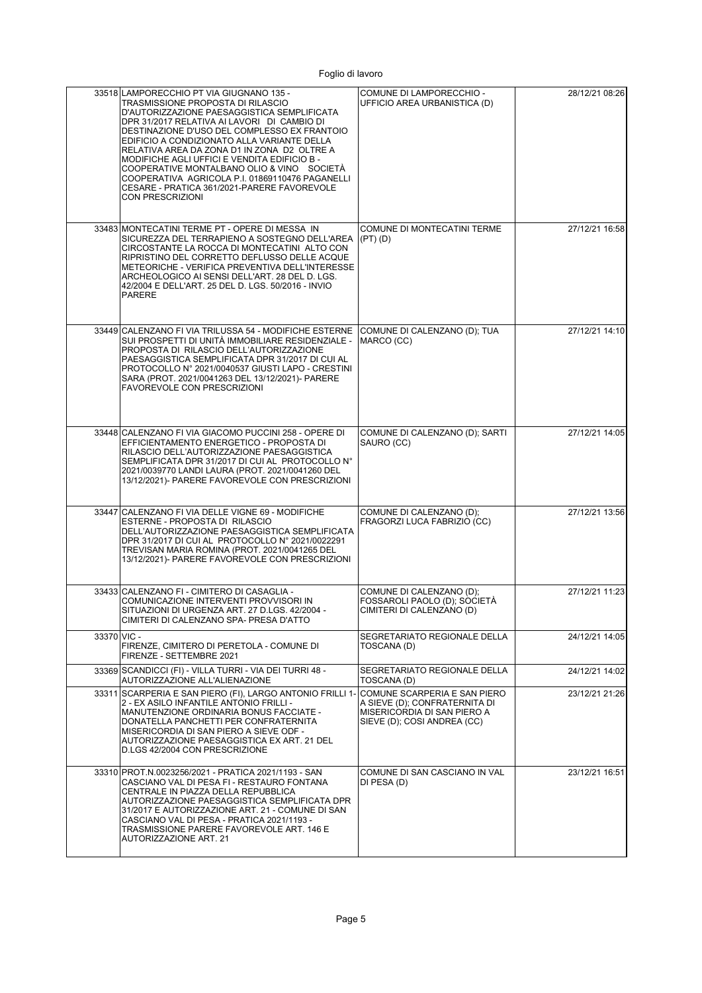|             | 33518 LAMPORECCHIO PT VIA GIUGNANO 135 -<br>TRASMISSIONE PROPOSTA DI RILASCIO<br>D'AUTORIZZAZIONE PAESAGGISTICA SEMPLIFICATA<br>DPR 31/2017 RELATIVA AI LAVORI DI CAMBIO DI<br>DESTINAZIONE D'USO DEL COMPLESSO EX FRANTOIO<br>EDIFICIO A CONDIZIONATO ALLA VARIANTE DELLA<br>RELATIVA AREA DA ZONA D1 IN ZONA D2 OLTRE A<br>MODIFICHE AGLI UFFICI E VENDITA EDIFICIO B -<br>COOPERATIVE MONTALBANO OLIO & VINO SOCIETA<br>COOPERATIVA AGRICOLA P.I. 01869110476 PAGANELLI<br>CESARE - PRATICA 361/2021-PARERE FAVOREVOLE<br><b>CON PRESCRIZIONI</b> | COMUNE DI LAMPORECCHIO -<br>UFFICIO AREA URBANISTICA (D)                                                                    | 28/12/21 08:26 |
|-------------|------------------------------------------------------------------------------------------------------------------------------------------------------------------------------------------------------------------------------------------------------------------------------------------------------------------------------------------------------------------------------------------------------------------------------------------------------------------------------------------------------------------------------------------------------|-----------------------------------------------------------------------------------------------------------------------------|----------------|
|             | 33483 MONTECATINI TERME PT - OPERE DI MESSA IN<br>SICUREZZA DEL TERRAPIENO A SOSTEGNO DELL'AREA<br>CIRCOSTANTE LA ROCCA DI MONTECATINI ALTO CON<br>RIPRISTINO DEL CORRETTO DEFLUSSO DELLE ACQUE<br>METEORICHE - VERIFICA PREVENTIVA DELL'INTERESSE<br>ARCHEOLOGICO AI SENSI DELL'ART. 28 DEL D. LGS.<br>42/2004 E DELL'ART. 25 DEL D. LGS. 50/2016 - INVIO<br><b>PARERE</b>                                                                                                                                                                          | COMUNE DI MONTECATINI TERME<br>$(PT)$ $(D)$                                                                                 | 27/12/21 16:58 |
|             | 33449 CALENZANO FI VIA TRILUSSA 54 - MODIFICHE ESTERNE<br>SUI PROSPETTI DI UNITÀ IMMOBILIARE RESIDENZIALE -<br>PROPOSTA DI RILASCIO DELL'AUTORIZZAZIONE<br>PAESAGGISTICA SEMPLIFICATA DPR 31/2017 DI CUI AL<br>PROTOCOLLO Nº 2021/0040537 GIUSTI LAPO - CRESTINI<br>SARA (PROT. 2021/0041263 DEL 13/12/2021)- PARERE<br><b>FAVOREVOLE CON PRESCRIZIONI</b>                                                                                                                                                                                           | COMUNE DI CALENZANO (D); TUA<br>MARCO (CC)                                                                                  | 27/12/21 14:10 |
|             | 33448 CALENZANO FI VIA GIACOMO PUCCINI 258 - OPERE DI<br>EFFICIENTAMENTO ENERGETICO - PROPOSTA DI<br>RILASCIO DELL'AUTORIZZAZIONE PAESAGGISTICA<br>SEMPLIFICATA DPR 31/2017 DI CUI AL PROTOCOLLO N°<br>2021/0039770 LANDI LAURA (PROT. 2021/0041260 DEL<br>13/12/2021)- PARERE FAVOREVOLE CON PRESCRIZIONI                                                                                                                                                                                                                                           | COMUNE DI CALENZANO (D); SARTI<br>SAURO (CC)                                                                                | 27/12/21 14:05 |
|             | 33447 CALENZANO FI VIA DELLE VIGNE 69 - MODIFICHE<br>ESTERNE - PROPOSTA DI RILASCIO<br>DELL'AUTORIZZAZIONE PAESAGGISTICA SEMPLIFICATA<br>DPR 31/2017 DI CUI AL PROTOCOLLO Nº 2021/0022291<br>TREVISAN MARIA ROMINA (PROT. 2021/0041265 DEL<br>13/12/2021)- PARERE FAVOREVOLE CON PRESCRIZIONI                                                                                                                                                                                                                                                        | COMUNE DI CALENZANO (D);<br>FRAGORZI LUCA FABRIZIO (CC)                                                                     | 27/12/21 13:56 |
|             | 33433 CALENZANO FI - CIMITERO DI CASAGLIA -<br>COMUNICAZIONE INTERVENTI PROVVISORI IN<br>SITUAZIONI DI URGENZA ART. 27 D.LGS. 42/2004 -<br>CIMITERI DI CALENZANO SPA- PRESA D'ATTO                                                                                                                                                                                                                                                                                                                                                                   | COMUNE DI CALENZANO (D);<br>FOSSAROLI PAOLO (D); SOCIETÀ<br>CIMITERI DI CALENZANO (D)                                       | 27/12/21 11:23 |
| 33370 VIC - | FIRENZE, CIMITERO DI PERETOLA - COMUNE DI<br>FIRENZE - SETTEMBRE 2021                                                                                                                                                                                                                                                                                                                                                                                                                                                                                | SEGRETARIATO REGIONALE DELLA<br>TOSCANA (D)                                                                                 | 24/12/21 14:05 |
|             | 33369 SCANDICCI (FI) - VILLA TURRI - VIA DEI TURRI 48 -<br>AUTORIZZAZIONE ALL'ALIENAZIONE                                                                                                                                                                                                                                                                                                                                                                                                                                                            | SEGRETARIATO REGIONALE DELLA<br>TOSCANA (D)                                                                                 | 24/12/21 14:02 |
|             | 33311 SCARPERIA E SAN PIERO (FI), LARGO ANTONIO FRILLI 1<br>2 - EX ASILO INFANTILE ANTONIO FRILLI -<br>MANUTENZIONE ORDINARIA BONUS FACCIATE -<br>DONATELLA PANCHETTI PER CONFRATERNITA<br>MISERICORDIA DI SAN PIERO A SIEVE ODF -<br>AUTORIZZAZIONE PAESAGGISTICA EX ART. 21 DEL<br>D.LGS 42/2004 CON PRESCRIZIONE                                                                                                                                                                                                                                  | COMUNE SCARPERIA E SAN PIERO<br>A SIEVE (D); CONFRATERNITA DI<br>MISERICORDIA DI SAN PIERO A<br>SIEVE (D); COSI ANDREA (CC) | 23/12/21 21:26 |
|             | 33310 PROT.N.0023256/2021 - PRATICA 2021/1193 - SAN<br>CASCIANO VAL DI PESA FI - RESTAURO FONTANA<br>CENTRALE IN PIAZZA DELLA REPUBBLICA<br>AUTORIZZAZIONE PAESAGGISTICA SEMPLIFICATA DPR<br>31/2017 E AUTORIZZAZIONE ART. 21 - COMUNE DI SAN<br>CASCIANO VAL DI PESA - PRATICA 2021/1193 -<br>TRASMISSIONE PARERE FAVOREVOLE ART. 146 E<br>AUTORIZZAZIONE ART. 21                                                                                                                                                                                   | COMUNE DI SAN CASCIANO IN VAL<br>DI PESA (D)                                                                                | 23/12/21 16:51 |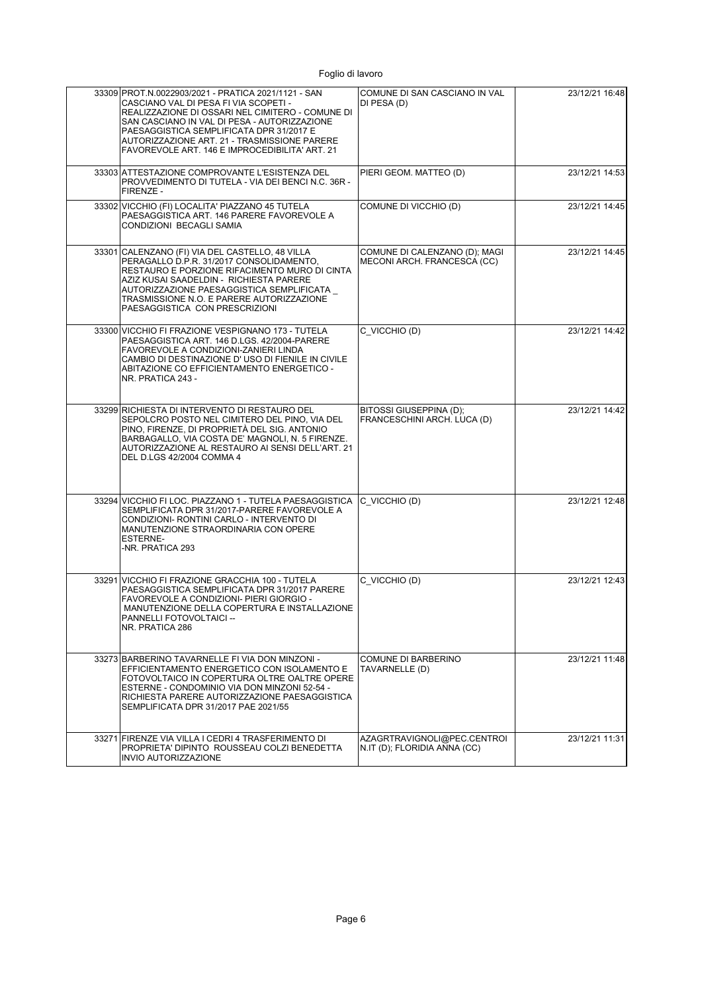| 33309 PROT.N.0022903/2021 - PRATICA 2021/1121 - SAN<br>CASCIANO VAL DI PESA FI VIA SCOPETI -<br>REALIZZAZIONE DI OSSARI NEL CIMITERO - COMUNE DI<br>SAN CASCIANO IN VAL DI PESA - AUTORIZZAZIONE<br>PAESAGGISTICA SEMPLIFICATA DPR 31/2017 E<br>AUTORIZZAZIONE ART. 21 - TRASMISSIONE PARERE<br>FAVOREVOLE ART. 146 E IMPROCEDIBILITA' ART. 21 | COMUNE DI SAN CASCIANO IN VAL<br>DI PESA (D)                 | 23/12/21 16:48 |
|------------------------------------------------------------------------------------------------------------------------------------------------------------------------------------------------------------------------------------------------------------------------------------------------------------------------------------------------|--------------------------------------------------------------|----------------|
| 33303 ATTESTAZIONE COMPROVANTE L'ESISTENZA DEL<br>PROVVEDIMENTO DI TUTELA - VIA DEI BENCI N.C. 36R -<br>FIRENZE -                                                                                                                                                                                                                              | PIERI GEOM. MATTEO (D)                                       | 23/12/21 14:53 |
| 33302 VICCHIO (FI) LOCALITA' PIAZZANO 45 TUTELA<br>PAESAGGISTICA ART. 146 PARERE FAVOREVOLE A<br>CONDIZIONI BECAGLI SAMIA                                                                                                                                                                                                                      | COMUNE DI VICCHIO (D)                                        | 23/12/21 14:45 |
| 33301 CALENZANO (FI) VIA DEL CASTELLO, 48 VILLA<br>PERAGALLO D.P.R. 31/2017 CONSOLIDAMENTO,<br>RESTAURO E PORZIONE RIFACIMENTO MURO DI CINTA<br>AZIZ KUSAI SAADELDIN - RICHIESTA PARERE<br>AUTORIZZAZIONE PAESAGGISTICA SEMPLIFICATA<br>TRASMISSIONE N.O. E PARERE AUTORIZZAZIONE<br>PAESAGGISTICA CON PRESCRIZIONI                            | COMUNE DI CALENZANO (D); MAGI<br>MECONI ARCH. FRANCESCA (CC) | 23/12/21 14:45 |
| 33300 VICCHIO FI FRAZIONE VESPIGNANO 173 - TUTELA<br>PAESAGGISTICA ART. 146 D.LGS. 42/2004-PARERE<br>FAVOREVOLE A CONDIZIONI-ZANIERI LINDA<br>CAMBIO DI DESTINAZIONE D'USO DI FIENILE IN CIVILE<br>ABITAZIONE CO EFFICIENTAMENTO ENERGETICO -<br>NR. PRATICA 243 -                                                                             | C VICCHIO (D)                                                | 23/12/21 14:42 |
| 33299 RICHIESTA DI INTERVENTO DI RESTAURO DEL<br>SEPOLCRO POSTO NEL CIMITERO DEL PINO, VIA DEL<br>PINO, FIRENZE, DI PROPRIETÀ DEL SIG. ANTONIO<br>BARBAGALLO, VIA COSTA DE' MAGNOLI, N. 5 FIRENZE.<br>AUTORIZZAZIONE AL RESTAURO AI SENSI DELL'ART. 21<br>DEL D.LGS 42/2004 COMMA 4                                                            | BITOSSI GIUSEPPINA (D);<br>FRANCESCHINI ARCH. LUCA (D)       | 23/12/21 14:42 |
| 33294 VICCHIO FI LOC. PIAZZANO 1 - TUTELA PAESAGGISTICA<br>SEMPLIFICATA DPR 31/2017-PARERE FAVOREVOLE A<br>CONDIZIONI- RONTINI CARLO - INTERVENTO DI<br>MANUTENZIONE STRAORDINARIA CON OPERE<br><b>ESTERNE-</b><br>-NR. PRATICA 293                                                                                                            | C VICCHIO (D)                                                | 23/12/21 12:48 |
| 33291 VICCHIO FI FRAZIONE GRACCHIA 100 - TUTELA<br>PAESAGGISTICA SEMPLIFICATA DPR 31/2017 PARERE<br>FAVOREVOLE A CONDIZIONI- PIERI GIORGIO -<br>MANUTENZIONE DELLA COPERTURA E INSTALLAZIONE<br>PANNELLI FOTOVOLTAICI --<br>NR. PRATICA 286                                                                                                    | C VICCHIO (D)                                                | 23/12/21 12:43 |
| 33273 BARBERINO TAVARNELLE FI VIA DON MINZONI -<br>EFFICIENTAMENTO ENERGETICO CON ISOLAMENTO E<br>FOTOVOLTAICO IN COPERTURA OLTRE OALTRE OPERE<br>ESTERNE - CONDOMINIO VIA DON MINZONI 52-54 -<br>RICHIESTA PARERE AUTORIZZAZIONE PAESAGGISTICA<br>SEMPLIFICATA DPR 31/2017 PAE 2021/55                                                        | <b>COMUNE DI BARBERINO</b><br>TAVARNELLE (D)                 | 23/12/21 11:48 |
| 33271 FIRENZE VIA VILLA I CEDRI 4 TRASFERIMENTO DI<br>PROPRIETA' DIPINTO ROUSSEAU COLZI BENEDETTA<br>INVIO AUTORIZZAZIONE                                                                                                                                                                                                                      | AZAGRTRAVIGNOLI@PEC.CENTROI<br>N.IT (D); FLORIDIA ANNA (CC)  | 23/12/21 11:31 |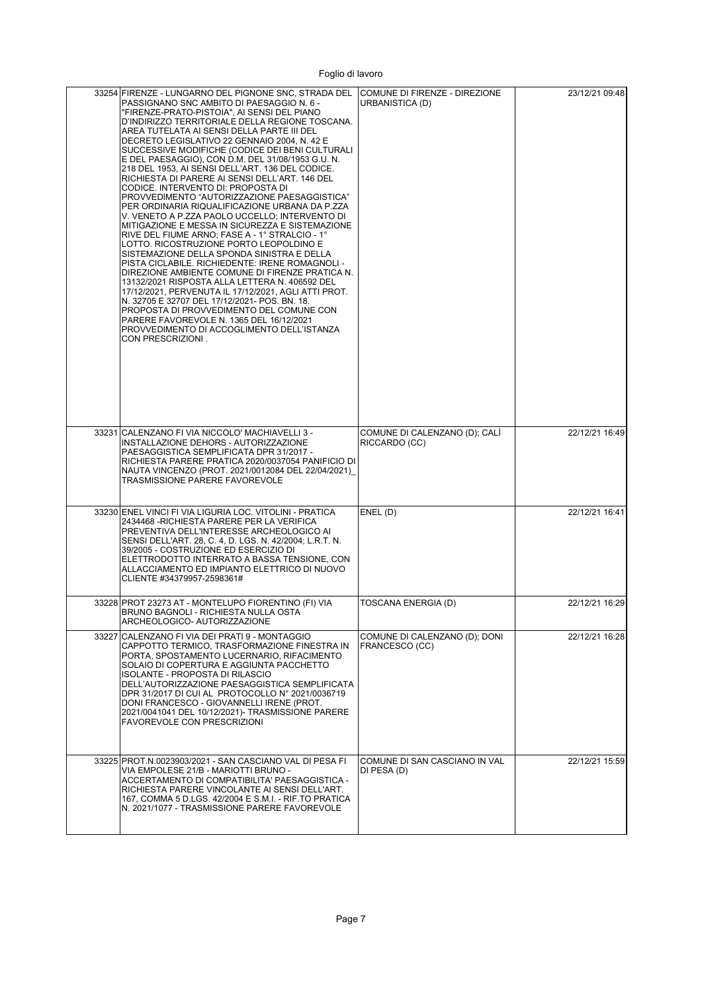| 33254 FIRENZE - LUNGARNO DEL PIGNONE SNC, STRADA DEL<br>PASSIGNANO SNC AMBITO DI PAESAGGIO N. 6 -<br>"FIRENZE-PRATO-PISTOIA", AI SENSI DEL PIANO<br>D'INDIRIZZO TERRITORIALE DELLA REGIONE TOSCANA.<br>AREA TUTELATA AI SENSI DELLA PARTE III DEL<br>DECRETO LEGISLATIVO 22 GENNAIO 2004, N. 42 E<br>SUCCESSIVE MODIFICHE (CODICE DEI BENI CULTURALI<br>E DEL PAESAGGIO), CON D.M. DEL 31/08/1953 G.U. N.<br>218 DEL 1953, AI SENSI DELL'ART. 136 DEL CODICE.<br>RICHIESTA DI PARERE AI SENSI DELL'ART. 146 DEL<br>CODICE. INTERVENTO DI: PROPOSTA DI<br>PROVVEDIMENTO "AUTORIZZAZIONE PAESAGGISTICA"<br>PER ORDINARIA RIQUALIFICAZIONE URBANA DA P.ZZA<br>V. VENETO A P.ZZA PAOLO UCCELLO: INTERVENTO DI<br>MITIGAZIONE E MESSA IN SICUREZZA E SISTEMAZIONE<br>RIVE DEL FIUME ARNO; FASE A - 1° STRALCIO - 1°<br>LOTTO. RICOSTRUZIONE PORTO LEOPOLDINO E<br>SISTEMAZIONE DELLA SPONDA SINISTRA E DELLA<br>PISTA CICLABILE. RICHIEDENTE: IRENE ROMAGNOLI -<br>DIREZIONE AMBIENTE COMUNE DI FIRENZE PRATICA N.<br>13132/2021 RISPOSTA ALLA LETTERA N. 406592 DEL<br>17/12/2021, PERVENUTA IL 17/12/2021, AGLI ATTI PROT.<br>N. 32705 E 32707 DEL 17/12/2021- POS. BN. 18.<br>PROPOSTA DI PROVVEDIMENTO DEL COMUNE CON<br>PARERE FAVOREVOLE N. 1365 DEL 16/12/2021<br>PROVVEDIMENTO DI ACCOGLIMENTO DELL'ISTANZA<br>CON PRESCRIZIONI. | COMUNE DI FIRENZE - DIREZIONE<br><b>URBANISTICA (D)</b> | 23/12/21 09:48 |
|-------------------------------------------------------------------------------------------------------------------------------------------------------------------------------------------------------------------------------------------------------------------------------------------------------------------------------------------------------------------------------------------------------------------------------------------------------------------------------------------------------------------------------------------------------------------------------------------------------------------------------------------------------------------------------------------------------------------------------------------------------------------------------------------------------------------------------------------------------------------------------------------------------------------------------------------------------------------------------------------------------------------------------------------------------------------------------------------------------------------------------------------------------------------------------------------------------------------------------------------------------------------------------------------------------------------------------------|---------------------------------------------------------|----------------|
| 33231 CALENZANO FI VIA NICCOLO' MACHIAVELLI 3 -<br>INSTALLAZIONE DEHORS - AUTORIZZAZIONE<br>PAESAGGISTICA SEMPLIFICATA DPR 31/2017 -<br>RICHIESTA PARERE PRATICA 2020/0037054 PANIFICIO DI<br>NAUTA VINCENZO (PROT. 2021/0012084 DEL 22/04/2021)<br>TRASMISSIONE PARERE FAVOREVOLE                                                                                                                                                                                                                                                                                                                                                                                                                                                                                                                                                                                                                                                                                                                                                                                                                                                                                                                                                                                                                                                  | COMUNE DI CALENZANO (D); CALI<br>RICCARDO (CC)          | 22/12/21 16:49 |
| 33230 ENEL VINCI FI VIA LIGURIA LOC. VITOLINI - PRATICA<br>2434468 - RICHIESTA PARERE PER LA VERIFICA<br>PREVENTIVA DELL'INTERESSE ARCHEOLOGICO AI<br>SENSI DELL'ART. 28, C. 4, D. LGS. N. 42/2004; L.R.T. N.<br>39/2005 - COSTRUZIONE ED ESERCIZIO DI<br>ELETTRODOTTO INTERRATO A BASSA TENSIONE, CON<br>ALLACCIAMENTO ED IMPIANTO ELETTRICO DI NUOVO<br>CLIENTE #34379957-2598361#                                                                                                                                                                                                                                                                                                                                                                                                                                                                                                                                                                                                                                                                                                                                                                                                                                                                                                                                                | ENEL (D)                                                | 22/12/21 16:41 |
| 33228 PROT 23273 AT - MONTELUPO FIORENTINO (FI) VIA<br>BRUNO BAGNOLI - RICHIES I A NULLA OSTA<br>ARCHEOLOGICO- AUTORIZZAZIONE                                                                                                                                                                                                                                                                                                                                                                                                                                                                                                                                                                                                                                                                                                                                                                                                                                                                                                                                                                                                                                                                                                                                                                                                       | TOSCANA ENERGIA (D)                                     | 22/12/21 16:29 |
| 33227 CALENZANO FI VIA DEI PRATI 9 - MONTAGGIO<br>CAPPOTTO TERMICO. TRASFORMAZIONE FINESTRA IN<br>PORTA, SPOSTAMENTO LUCERNARIO, RIFACIMENTO<br>SOLAIO DI COPERTURA E AGGIUNTA PACCHETTO<br><b>ISOLANTE - PROPOSTA DI RILASCIO</b><br>DELL'AUTORIZZAZIONE PAESAGGISTICA SEMPLIFICATA<br>DPR 31/2017 DI CUI AL PROTOCOLLO N° 2021/0036719<br>DONI FRANCESCO - GIOVANNELLI IRENE (PROT.<br>2021/0041041 DEL 10/12/2021)- TRASMISSIONE PARERE<br><b>FAVOREVOLE CON PRESCRIZIONI</b>                                                                                                                                                                                                                                                                                                                                                                                                                                                                                                                                                                                                                                                                                                                                                                                                                                                    | COMUNE DI CALENZANO (D); DONI<br>FRANCESCO (CC)         | 22/12/21 16:28 |
| 33225 PROT.N.0023903/2021 - SAN CASCIANO VAL DI PESA FI<br>VIA EMPOLESE 21/B - MARIOTTI BRUNO -<br>ACCERTAMENTO DI COMPATIBILITA' PAESAGGISTICA -<br>RICHIESTA PARERE VINCOLANTE AI SENSI DELL'ART.<br>167, COMMA 5 D.LGS. 42/2004 E S.M.I. - RIF.TO PRATICA<br>N. 2021/1077 - TRASMISSIONE PARERE FAVOREVOLE                                                                                                                                                                                                                                                                                                                                                                                                                                                                                                                                                                                                                                                                                                                                                                                                                                                                                                                                                                                                                       | COMUNE DI SAN CASCIANO IN VAL<br>DI PESA (D)            | 22/12/21 15:59 |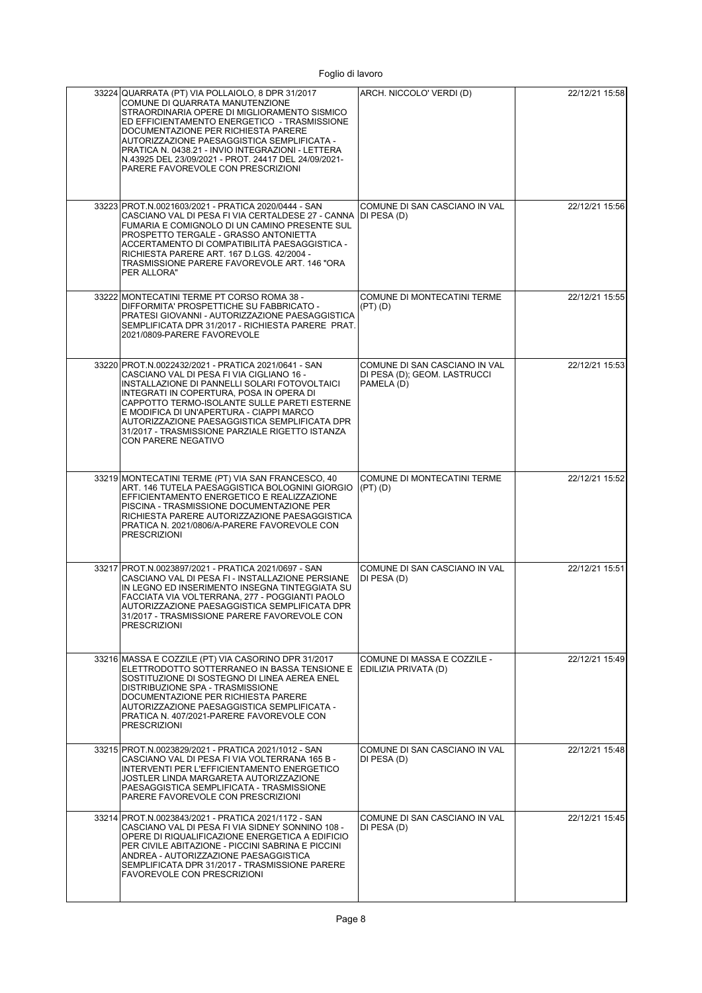| 33224 QUARRATA (PT) VIA POLLAIOLO, 8 DPR 31/2017<br>COMUNE DI QUARRATA MANUTENZIONE<br>STRAORDINARIA OPERE DI MIGLIORAMENTO SISMICO<br>ED EFFICIENTAMENTO ENERGETICO - TRASMISSIONE<br>DOCUMENTAZIONE PER RICHIESTA PARERE<br>AUTORIZZAZIONE PAESAGGISTICA SEMPLIFICATA -<br>PRATICA N. 0438.21 - INVIO INTEGRAZIONI - LETTERA<br>N.43925 DEL 23/09/2021 - PROT. 24417 DEL 24/09/2021-<br>PARERE FAVOREVOLE CON PRESCRIZIONI | ARCH. NICCOLO' VERDI (D)                                                    | 22/12/21 15:58 |
|------------------------------------------------------------------------------------------------------------------------------------------------------------------------------------------------------------------------------------------------------------------------------------------------------------------------------------------------------------------------------------------------------------------------------|-----------------------------------------------------------------------------|----------------|
| 33223 PROT.N.0021603/2021 - PRATICA 2020/0444 - SAN<br>CASCIANO VAL DI PESA FI VIA CERTALDESE 27 - CANNA DI PESA (D)<br>FUMARIA E COMIGNOLO DI UN CAMINO PRESENTE SUL<br>PROSPETTO TERGALE - GRASSO ANTONIETTA<br>ACCERTAMENTO DI COMPATIBILITÀ PAESAGGISTICA -<br>RICHIESTA PARERE ART. 167 D.LGS. 42/2004 -<br>TRASMISSIONE PARERE FAVOREVOLE ART. 146 "ORA<br>PER ALLORA"                                                 | COMUNE DI SAN CASCIANO IN VAL                                               | 22/12/21 15:56 |
| 33222 MONTECATINI TERME PT CORSO ROMA 38 -<br>DIFFORMITA' PROSPETTICHE SU FABBRICATO -<br>PRATESI GIOVANNI - AUTORIZZAZIONE PAESAGGISTICA<br>SEMPLIFICATA DPR 31/2017 - RICHIESTA PARERE PRAT.<br>2021/0809-PARERE FAVOREVOLE                                                                                                                                                                                                | COMUNE DI MONTECATINI TERME<br>(PT) (D)                                     | 22/12/21 15:55 |
| 33220 PROT.N.0022432/2021 - PRATICA 2021/0641 - SAN<br>CASCIANO VAL DI PESA FI VIA CIGLIANO 16 -<br>INSTALLAZIONE DI PANNELLI SOLARI FOTOVOLTAICI<br>INTEGRATI IN COPERTURA, POSA IN OPERA DI<br>CAPPOTTO TERMO-ISOLANTE SULLE PARETI ESTERNE<br>E MODIFICA DI UN'APERTURA - CIAPPI MARCO<br>AUTORIZZAZIONE PAESAGGISTICA SEMPLIFICATA DPR<br>31/2017 - TRASMISSIONE PARZIALE RIGETTO ISTANZA<br><b>CON PARERE NEGATIVO</b>  | COMUNE DI SAN CASCIANO IN VAL<br>DI PESA (D); GEOM. LASTRUCCI<br>PAMELA (D) | 22/12/21 15:53 |
| 33219 MONTECATINI TERME (PT) VIA SAN FRANCESCO, 40<br>ART. 146 TUTELA PAESAGGISTICA BOLOGNINI GIORGIO<br>EFFICIENTAMENTO ENERGETICO E REALIZZAZIONE<br>PISCINA - TRASMISSIONE DOCUMENTAZIONE PER<br>RICHIESTA PARERE AUTORIZZAZIONE PAESAGGISTICA<br>PRATICA N. 2021/0806/A-PARERE FAVOREVOLE CON<br><b>PRESCRIZIONI</b>                                                                                                     | COMUNE DI MONTECATINI TERME<br>$(PT)$ $(D)$                                 | 22/12/21 15:52 |
| 33217 PROT.N.0023897/2021 - PRATICA 2021/0697 - SAN<br>CASCIANO VAL DI PESA FI - INSTALLAZIONE PERSIANE<br>IN LEGNO ED INSERIMENTO INSEGNA TINTEGGIATA SU<br>FACCIATA VIA VOLTERRANA, 277 - POGGIANTI PAOLO<br>AUTORIZZAZIONE PAESAGGISTICA SEMPLIFICATA DPR<br>31/2017 - TRASMISSIONE PARERE FAVOREVOLE CON<br><b>PRESCRIZIONI</b>                                                                                          | COMUNE DI SAN CASCIANO IN VAL<br>DI PESA (D)                                | 22/12/21 15:51 |
| 33216 MASSA E COZZILE (PT) VIA CASORINO DPR 31/2017<br>ELETTRODOTTO SOTTERRANEO IN BASSA TENSIONE E<br>SOSTITUZIONE DI SOSTEGNO DI LINEA AEREA ENEL<br>DISTRIBUZIONE SPA - TRASMISSIONE<br>DOCUMENTAZIONE PER RICHIESTA PARERE<br>AUTORIZZAZIONE PAESAGGISTICA SEMPLIFICATA -<br>PRATICA N. 407/2021-PARERE FAVOREVOLE CON<br><b>PRESCRIZIONI</b>                                                                            | COMUNE DI MASSA E COZZILE -<br>EDILIZIA PRIVATA (D)                         | 22/12/21 15:49 |
| 33215 PROT.N.0023829/2021 - PRATICA 2021/1012 - SAN<br>CASCIANO VAL DI PESA FI VIA VOLTERRANA 165 B -<br>INTERVENTI PER L'EFFICIENTAMENTO ENERGETICO<br>JOSTLER LINDA MARGARETA AUTORIZZAZIONE<br>PAESAGGISTICA SEMPLIFICATA - TRASMISSIONE<br>PARERE FAVOREVOLE CON PRESCRIZIONI                                                                                                                                            | COMUNE DI SAN CASCIANO IN VAL<br>DI PESA (D)                                | 22/12/21 15:48 |
| 33214 PROT.N.0023843/2021 - PRATICA 2021/1172 - SAN<br>CASCIANO VAL DI PESA FI VIA SIDNEY SONNINO 108 -<br>OPERE DI RIQUALIFICAZIONE ENERGETICA A EDIFICIO<br>PER CIVILE ABITAZIONE - PICCINI SABRINA E PICCINI<br>ANDREA - AUTORIZZAZIONE PAESAGGISTICA<br>SEMPLIFICATA DPR 31/2017 - TRASMISSIONE PARERE<br><b>FAVOREVOLE CON PRESCRIZIONI</b>                                                                             | COMUNE DI SAN CASCIANO IN VAL<br>DI PESA (D)                                | 22/12/21 15:45 |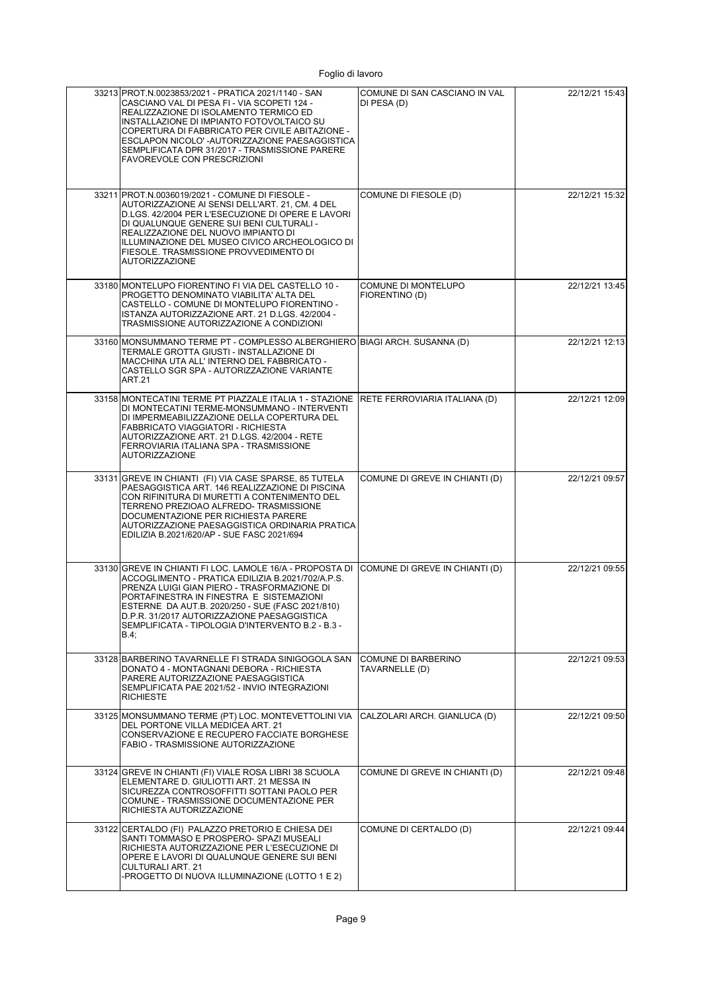| 33213 PROT.N.0023853/2021 - PRATICA 2021/1140 - SAN<br>CASCIANO VAL DI PESA FI - VIA SCOPETI 124 -<br>REALIZZAZIONE DI ISOLAMENTO TERMICO ED<br>INSTALLAZIONE DI IMPIANTO FOTOVOLTAICO SU<br>COPERTURA DI FABBRICATO PER CIVILE ABITAZIONE -<br>ESCLAPON NICOLO' -AUTORIZZAZIONE PAESAGGISTICA<br>SEMPLIFICATA DPR 31/2017 - TRASMISSIONE PARERE<br><b>FAVOREVOLE CON PRESCRIZIONI</b> | COMUNE DI SAN CASCIANO IN VAL<br>DI PESA (D) | 22/12/21 15:43 |
|----------------------------------------------------------------------------------------------------------------------------------------------------------------------------------------------------------------------------------------------------------------------------------------------------------------------------------------------------------------------------------------|----------------------------------------------|----------------|
| 33211 PROT.N.0036019/2021 - COMUNE DI FIESOLE -<br>AUTORIZZAZIONE AI SENSI DELL'ART. 21, CM. 4 DEL<br>D.LGS. 42/2004 PER L'ESECUZIONE DI OPERE E LAVORI<br>DI QUALUNQUE GENERE SUI BENI CULTURALI -<br>REALIZZAZIONE DEL NUOVO IMPIANTO DI<br>ILLUMINAZIONE DEL MUSEO CIVICO ARCHEOLOGICO DI<br>FIESOLE. TRASMISSIONE PROVVEDIMENTO DI<br><b>AUTORIZZAZIONE</b>                        | COMUNE DI FIESOLE (D)                        | 22/12/21 15:32 |
| 33180 MONTELUPO FIORENTINO FI VIA DEL CASTELLO 10 -<br>PROGETTO DENOMINATO VIABILITA' ALTA DEL<br>CASTELLO - COMUNE DI MONTELUPO FIORENTINO -<br>ISTANZA AUTORIZZAZIONE ART. 21 D.LGS. 42/2004 -<br>TRASMISSIONE AUTORIZZAZIONE A CONDIZIONI                                                                                                                                           | COMUNE DI MONTELUPO<br>FIORENTINO (D)        | 22/12/21 13:45 |
| 33160 MONSUMMANO TERME PT - COMPLESSO ALBERGHIERO BIAGI ARCH. SUSANNA (D)<br>TERMALE GROTTA GIUSTI - INSTALLAZIONE DI<br>MACCHINA UTA ALL'INTERNO DEL FABBRICATO -<br>CASTELLO SGR SPA - AUTORIZZAZIONE VARIANTE<br>ART.21                                                                                                                                                             |                                              | 22/12/21 12:13 |
| 33158 MONTECATINI TERME PT PIAZZALE ITALIA 1 - STAZIONE RETE FERROVIARIA ITALIANA (D)<br>DI MONTECATINI TERME-MONSUMMANO - INTERVENTI<br>DI IMPERMEABILIZZAZIONE DELLA COPERTURA DEL<br>FABBRICATO VIAGGIATORI - RICHIESTA<br>AUTORIZZAZIONE ART. 21 D.LGS. 42/2004 - RETE<br>FERROVIARIA ITALIANA SPA - TRASMISSIONE<br><b>AUTORIZZAZIONE</b>                                         |                                              | 22/12/21 12:09 |
| 33131 GREVE IN CHIANTI (FI) VIA CASE SPARSE, 85 TUTELA<br>PAESAGGISTICA ART. 146 REALIZZAZIONE DI PISCINA<br>CON RIFINITURA DI MURETTI A CONTENIMENTO DEL<br>TERRENO PREZIOAO ALFREDO- TRASMISSIONE<br>DOCUMENTAZIONE PER RICHIESTA PARERE<br>AUTORIZZAZIONE PAESAGGISTICA ORDINARIA PRATICA<br>EDILIZIA B.2021/620/AP - SUE FASC 2021/694                                             | COMUNE DI GREVE IN CHIANTI (D)               | 22/12/21 09:57 |
| 33130 GREVE IN CHIANTI FI LOC. LAMOLE 16/A - PROPOSTA DI<br>ACCOGLIMENTO - PRATICA EDILIZIA B.2021/702/A.P.S.<br>PRENZA LUIGI GIAN PIERO - TRASFORMAZIONE DI<br>PORTAFINESTRA IN FINESTRA E SISTEMAZIONI<br>ESTERNE DA AUT.B. 2020/250 - SUE (FASC 2021/810)<br>D.P.R. 31/2017 AUTORIZZAZIONE PAESAGGISTICA<br>SEMPLIFICATA - TIPOLOGIA D'INTERVENTO B.2 - B.3 -<br>B.4;               | COMUNE DI GREVE IN CHIANTI (D)               | 22/12/21 09:55 |
| 33128 BARBERINO TAVARNELLE FI STRADA SINIGOGOLA SAN<br>DONATO 4 - MONTAGNANI DEBORA - RICHIESTA<br>PARERE AUTORIZZAZIONE PAESAGGISTICA<br>SEMPLIFICATA PAE 2021/52 - INVIO INTEGRAZIONI<br><b>RICHIESTE</b>                                                                                                                                                                            | COMUNE DI BARBERINO<br>TAVARNELLE (D)        | 22/12/21 09:53 |
| 33125 MONSUMMANO TERME (PT) LOC. MONTEVETTOLINI VIA<br>DEL PORTONE VILLA MEDICEA ART. 21<br>CONSERVAZIONE E RECUPERO FACCIATE BORGHESE<br>FABIO - TRASMISSIONE AUTORIZZAZIONE                                                                                                                                                                                                          | CALZOLARI ARCH. GIANLUCA (D)                 | 22/12/21 09:50 |
| 33124 GREVE IN CHIANTI (FI) VIALE ROSA LIBRI 38 SCUOLA<br>ELEMENTARE D. GIULIOTTI ART. 21 MESSA IN<br>SICUREZZA CONTROSOFFITTI SOTTANI PAOLO PER<br>COMUNE - TRASMISSIONE DOCUMENTAZIONE PER<br>RICHIESTA AUTORIZZAZIONE                                                                                                                                                               | COMUNE DI GREVE IN CHIANTI (D)               | 22/12/21 09:48 |
| 33122 CERTALDO (FI) PALAZZO PRETORIO E CHIESA DEI<br>SANTI TOMMASO E PROSPERO- SPAZI MUSEALI<br>RICHIESTA AUTORIZZAZIONE PER L'ESECUZIONE DI<br>OPERE E LAVORI DI QUALUNQUE GENERE SUI BENI<br>CULTURALI ART. 21<br>-PROGETTO DI NUOVA ILLUMINAZIONE (LOTTO 1 E 2)                                                                                                                     | COMUNE DI CERTALDO (D)                       | 22/12/21 09:44 |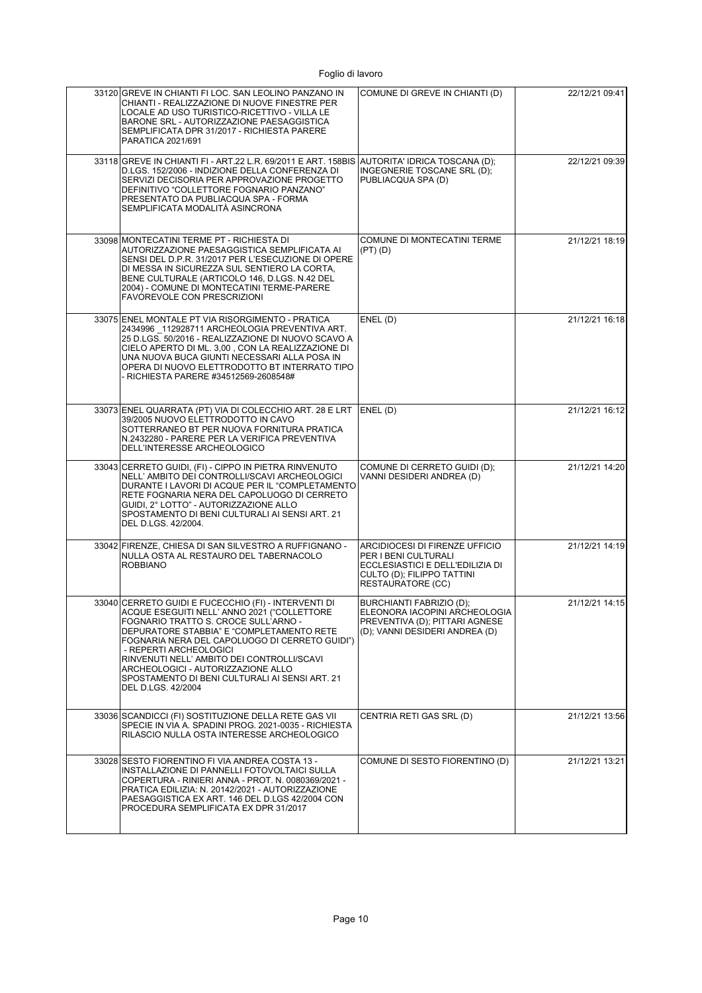| 33120 GREVE IN CHIANTI FI LOC. SAN LEOLINO PANZANO IN<br>CHIANTI - REALIZZAZIONE DI NUOVE FINESTRE PER<br>LOCALE AD USO TURISTICO-RICETTIVO - VILLA LE<br>BARONE SRL - AUTORIZZAZIONE PAESAGGISTICA<br>SEMPLIFICATA DPR 31/2017 - RICHIESTA PARERE<br>PARATICA 2021/691                                                                                                                                                          | COMUNE DI GREVE IN CHIANTI (D)                                                                                                                | 22/12/21 09:41 |
|----------------------------------------------------------------------------------------------------------------------------------------------------------------------------------------------------------------------------------------------------------------------------------------------------------------------------------------------------------------------------------------------------------------------------------|-----------------------------------------------------------------------------------------------------------------------------------------------|----------------|
| 33118 GREVE IN CHIANTI FI - ART.22 L.R. 69/2011 E ART. 158BIS AUTORITA' IDRICA TOSCANA (D);<br>D.LGS. 152/2006 - INDIZIONE DELLA CONFERENZA DI<br>SERVIZI DECISORIA PER APPROVAZIONE PROGETTO<br>DEFINITIVO "COLLETTORE FOGNARIO PANZANO"<br>PRESENTATO DA PUBLIACQUA SPA - FORMA<br>SEMPLIFICATA MODALITÀ ASINCRONA                                                                                                             | INGEGNERIE TOSCANE SRL (D);<br>PUBLIACQUA SPA (D)                                                                                             | 22/12/21 09:39 |
| 33098 MONTECATINI TERME PT - RICHIESTA DI<br>AUTORIZZAZIONE PAESAGGISTICA SEMPLIFICATA AI<br>SENSI DEL D.P.R. 31/2017 PER L'ESECUZIONE DI OPERE<br>DI MESSA IN SICUREZZA SUL SENTIERO LA CORTA,<br>BENE CULTURALE (ARTICOLO 146, D.LGS. N.42 DEL<br>2004) - COMUNE DI MONTECATINI TERME-PARERE<br><b>FAVOREVOLE CON PRESCRIZIONI</b>                                                                                             | COMUNE DI MONTECATINI TERME<br>$(PT)$ $(D)$                                                                                                   | 21/12/21 18:19 |
| 33075 ENEL MONTALE PT VIA RISORGIMENTO - PRATICA<br>2434996 112928711 ARCHEOLOGIA PREVENTIVA ART.<br>25 D.LGS. 50/2016 - REALIZZAZIONE DI NUOVO SCAVO A<br>CIELO APERTO DI ML. 3,00, CON LA REALIZZAZIONE DI<br>UNA NUOVA BUCA GIUNTI NECESSARI ALLA POSA IN<br>OPERA DI NUOVO ELETTRODOTTO BT INTERRATO TIPO<br>- RICHIESTA PARERE #34512569-2608548#                                                                           | ENEL(D)                                                                                                                                       | 21/12/21 16:18 |
| 33073 ENEL QUARRATA (PT) VIA DI COLECCHIO ART. 28 E LRT<br>39/2005 NUOVO ELETTRODOTTO IN CAVO<br>SOTTERRANEO BT PER NUOVA FORNITURA PRATICA<br>N.2432280 - PARERE PER LA VERIFICA PREVENTIVA<br>DELL'INTERESSE ARCHEOLOGICO                                                                                                                                                                                                      | ENEL(D)                                                                                                                                       | 21/12/21 16:12 |
| 33043 CERRETO GUIDI, (FI) - CIPPO IN PIETRA RINVENUTO<br>NELL' AMBITO DEI CONTROLLI/SCAVI ARCHEOLOGICI<br>DURANTE I LAVORI DI ACQUE PER IL "COMPLETAMENTO<br>RETE FOGNARIA NERA DEL CAPOLUOGO DI CERRETO<br>GUIDI, 2° LOTTO" - AUTORIZZAZIONE ALLO<br>SPOSTAMENTO DI BENI CULTURALI AI SENSI ART. 21<br>DEL D.LGS. 42/2004.                                                                                                      | COMUNE DI CERRETO GUIDI (D);<br>VANNI DESIDERI ANDREA (D)                                                                                     | 21/12/21 14:20 |
| 33042 FIRENZE, CHIESA DI SAN SILVESTRO A RUFFIGNANO -<br>NULLA OSTA AL RESTAURO DEL TABERNACOLO<br><b>ROBBIANO</b>                                                                                                                                                                                                                                                                                                               | ARCIDIOCESI DI FIRENZE UFFICIO<br>PER I BENI CULTURALI<br>ECCLESIASTICI E DELL'EDILIZIA DI<br>CULTO (D); FILIPPO TATTINI<br>RESTAURATORE (CC) | 21/12/21 14:19 |
| 33040 CERRETO GUIDI E FUCECCHIO (FI) - INTERVENTI DI<br>ACQUE ESEGUITI NELL' ANNO 2021 ("COLLETTORE<br>FOGNARIO TRATTO S. CROCE SULL'ARNO -<br>DEPURATORE STABBIA" E "COMPLETAMENTO RETE<br>FOGNARIA NERA DEL CAPOLUOGO DI CERRETO GUIDI")<br>- REPERTI ARCHEOLOGICI<br>RINVENUTI NELL' AMBITO DEI CONTROLLI/SCAVI<br>ARCHEOLOGICI - AUTORIZZAZIONE ALLO<br>SPOSTAMENTO DI BENI CULTURALI AI SENSI ART. 21<br>DEL D.LGS. 42/2004 | BURCHIANTI FABRIZIO (D);<br>ELEONORA IACOPINI ARCHEOLOGIA<br>PREVENTIVA (D); PITTARI AGNESE<br>(D); VANNI DESIDERI ANDREA (D)                 | 21/12/21 14:15 |
| 33036 SCANDICCI (FI) SOSTITUZIONE DELLA RETE GAS VII<br>SPECIE IN VIA A. SPADINI PROG. 2021-0035 - RICHIESTA<br>RILASCIO NULLA OSTA INTERESSE ARCHEOLOGICO                                                                                                                                                                                                                                                                       | CENTRIA RETI GAS SRL (D)                                                                                                                      | 21/12/21 13:56 |
| 33028 SESTO FIORENTINO FI VIA ANDREA COSTA 13 -<br>INSTALLAZIONE DI PANNELLI FOTOVOLTAICI SULLA<br>COPERTURA - RINIERI ANNA - PROT. N. 0080369/2021 -<br>PRATICA EDILIZIA: N. 20142/2021 - AUTORIZZAZIONE<br>PAESAGGISTICA EX ART. 146 DEL D.LGS 42/2004 CON<br>PROCEDURA SEMPLIFICATA EX DPR 31/2017                                                                                                                            | COMUNE DI SESTO FIORENTINO (D)                                                                                                                | 21/12/21 13:21 |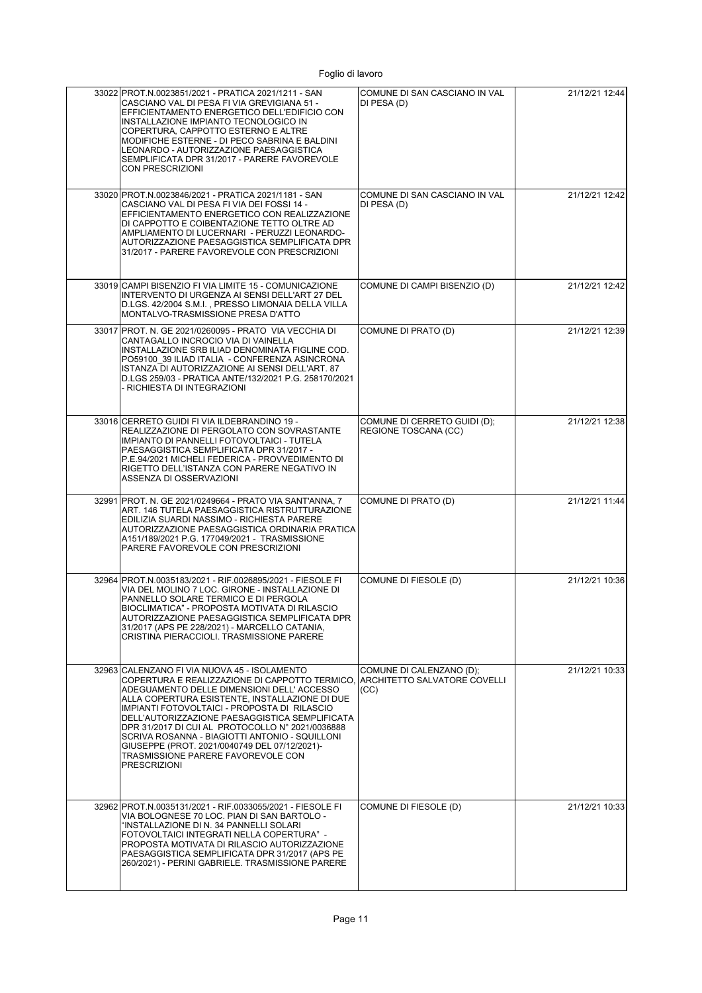| 33022 PROT.N.0023851/2021 - PRATICA 2021/1211 - SAN<br>CASCIANO VAL DI PESA FI VIA GREVIGIANA 51 -<br>EFFICIENTAMENTO ENERGETICO DELL'EDIFICIO CON<br>INSTALLAZIONE IMPIANTO TECNOLOGICO IN<br>COPERTURA, CAPPOTTO ESTERNO E ALTRE<br>MODIFICHE ESTERNE - DI PECO SABRINA E BALDINI<br>LEONARDO - AUTORIZZAZIONE PAESAGGISTICA<br>SEMPLIFICATA DPR 31/2017 - PARERE FAVOREVOLE<br><b>CON PRESCRIZIONI</b>                                                                                                                                         | COMUNE DI SAN CASCIANO IN VAL<br>DI PESA (D)         | 21/12/21 12:44 |
|---------------------------------------------------------------------------------------------------------------------------------------------------------------------------------------------------------------------------------------------------------------------------------------------------------------------------------------------------------------------------------------------------------------------------------------------------------------------------------------------------------------------------------------------------|------------------------------------------------------|----------------|
| 33020 PROT.N.0023846/2021 - PRATICA 2021/1181 - SAN<br>CASCIANO VAL DI PESA FI VIA DEI FOSSI 14 -<br>EFFICIENTAMENTO ENERGETICO CON REALIZZAZIONE<br>DI CAPPOTTO E COIBENTAZIONE TETTO OLTRE AD<br>AMPLIAMENTO DI LUCERNARI - PERUZZI LEONARDO-<br>AUTORIZZAZIONE PAESAGGISTICA SEMPLIFICATA DPR<br>31/2017 - PARERE FAVOREVOLE CON PRESCRIZIONI                                                                                                                                                                                                  | COMUNE DI SAN CASCIANO IN VAL<br>DI PESA (D)         | 21/12/21 12:42 |
| 33019 CAMPI BISENZIO FI VIA LIMITE 15 - COMUNICAZIONE<br>INTERVENTO DI URGENZA AI SENSI DELL'ART 27 DEL<br>D.LGS. 42/2004 S.M.I., PRESSO LIMONAIA DELLA VILLA<br>MONTALVO-TRASMISSIONE PRESA D'ATTO                                                                                                                                                                                                                                                                                                                                               | COMUNE DI CAMPI BISENZIO (D)                         | 21/12/21 12:42 |
| 33017 PROT. N. GE 2021/0260095 - PRATO VIA VECCHIA DI<br>CANTAGALLO INCROCIO VIA DI VAINELLA<br>INSTALLAZIONE SRB ILIAD DENOMINATA FIGLINE COD.<br>PO59100 39 ILIAD ITALIA - CONFERENZA ASINCRONA<br>ISTANZA DI AUTORIZZAZIONE AI SENSI DELL'ART. 87<br>D.LGS 259/03 - PRATICA ANTE/132/2021 P.G. 258170/2021<br>- RICHIESTA DI INTEGRAZIONI                                                                                                                                                                                                      | COMUNE DI PRATO (D)                                  | 21/12/21 12:39 |
| 33016 CERRETO GUIDI FI VIA ILDEBRANDINO 19 -<br>REALIZZAZIONE DI PERGOLATO CON SOVRASTANTE<br>IMPIANTO DI PANNELLI FOTOVOLTAICI - TUTELA<br>PAESAGGISTICA SEMPLIFICATA DPR 31/2017 -<br>P.E.94/2021 MICHELI FEDERICA - PROVVEDIMENTO DI<br>RIGETTO DELL'ISTANZA CON PARERE NEGATIVO IN<br>ASSENZA DI OSSERVAZIONI                                                                                                                                                                                                                                 | COMUNE DI CERRETO GUIDI (D);<br>REGIONE TOSCANA (CC) | 21/12/21 12:38 |
| 32991 PROT. N. GE 2021/0249664 - PRATO VIA SANT'ANNA, 7<br>ART. 146 TUTELA PAESAGGISTICA RISTRUTTURAZIONE<br>EDILIZIA SUARDI NASSIMO - RICHIESTA PARERE<br>AUTORIZZAZIONE PAESAGGISTICA ORDINARIA PRATICA<br>A151/189/2021 P.G. 177049/2021 - TRASMISSIONE<br>PARERE FAVOREVOLE CON PRESCRIZIONI                                                                                                                                                                                                                                                  | COMUNE DI PRATO (D)                                  | 21/12/21 11:44 |
| 32964 PROT.N.0035183/2021 - RIF.0026895/2021 - FIESOLE FI<br>VIA DEL MOLINO 7 LOC. GIRONE - INSTALLAZIONE DI<br>PANNELLO SOLARE TERMICO E DI PERGOLA<br>BIOCLIMATICA" - PROPOSTA MOTIVATA DI RILASCIO<br>AUTORIZZAZIONE PAESAGGISTICA SEMPLIFICATA DPR<br>31/2017 (APS PE 228/2021) - MARCELLO CATANIA,<br>CRISTINA PIERACCIOLI. TRASMISSIONE PARERE                                                                                                                                                                                              | COMUNE DI FIESOLE (D)                                | 21/12/21 10:36 |
| 32963 CALENZANO FI VIA NUOVA 45 - ISOLAMENTO<br>COPERTURA E REALIZZAZIONE DI CAPPOTTO TERMICO, ARCHITETTO SALVATORE COVELLI<br>ADEGUAMENTO DELLE DIMENSIONI DELL' ACCESSO<br>ALLA COPERTURA ESISTENTE. INSTALLAZIONE DI DUE<br>IMPIANTI FOTOVOLTAICI - PROPOSTA DI RILASCIO<br>DELL'AUTORIZZAZIONE PAESAGGISTICA SEMPLIFICATA<br>DPR 31/2017 DI CUI AL PROTOCOLLO N° 2021/0036888<br>SCRIVA ROSANNA - BIAGIOTTI ANTONIO - SQUILLONI<br>GIUSEPPE (PROT. 2021/0040749 DEL 07/12/2021)-<br>TRASMISSIONE PARERE FAVOREVOLE CON<br><b>PRESCRIZIONI</b> | COMUNE DI CALENZANO (D);<br>(CC)                     | 21/12/21 10:33 |
| 32962 PROT.N.0035131/2021 - RIF.0033055/2021 - FIESOLE FI<br>VIA BOLOGNESE 70 LOC. PIAN DI SAN BARTOLO -<br>"INSTALLAZIONE DI N. 34 PANNELLI SOLARI<br>FOTOVOLTAICI INTEGRATI NELLA COPERTURA" -<br>PROPOSTA MOTIVATA DI RILASCIO AUTORIZZAZIONE<br>PAESAGGISTICA SEMPLIFICATA DPR 31/2017 (APS PE<br>260/2021) - PERINI GABRIELE. TRASMISSIONE PARERE                                                                                                                                                                                            | COMUNE DI FIESOLE (D)                                | 21/12/21 10:33 |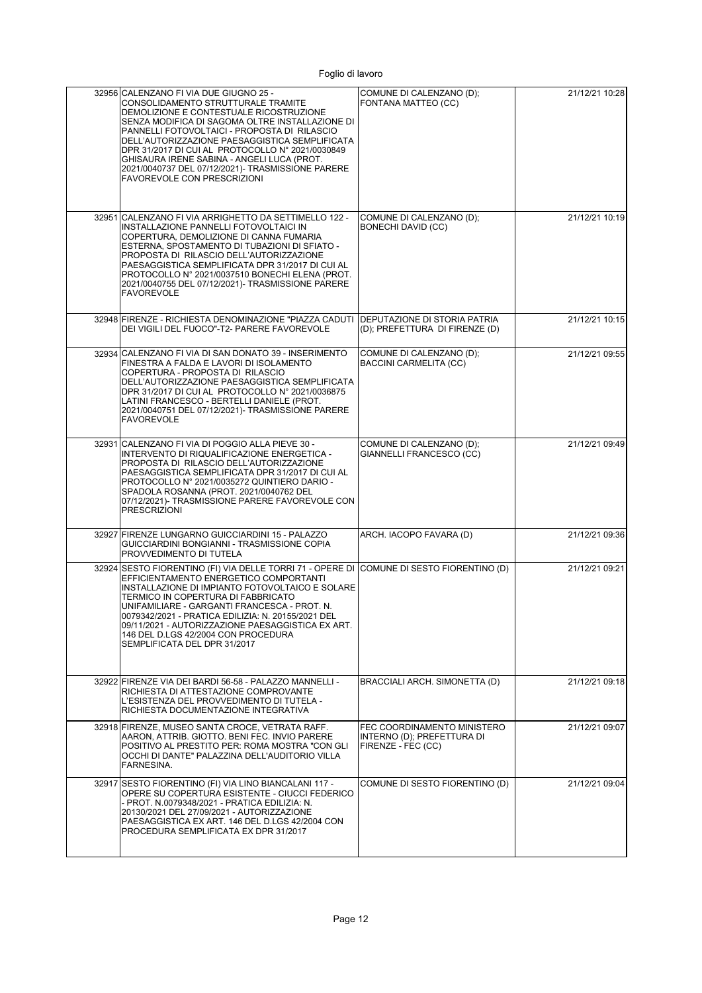| 32956 CALENZANO FI VIA DUE GIUGNO 25 -<br>CONSOLIDAMENTO STRUTTURALE TRAMITE<br>DEMOLIZIONE E CONTESTUALE RICOSTRUZIONE<br>SENZA MODIFICA DI SAGOMA OLTRE INSTALLAZIONE DI<br>PANNELLI FOTOVOLTAICI - PROPOSTA DI RILASCIO<br>DELL'AUTORIZZAZIONE PAESAGGISTICA SEMPLIFICATA<br>DPR 31/2017 DI CUI AL PROTOCOLLO N° 2021/0030849<br>GHISAURA IRENE SABINA - ANGELI LUCA (PROT.<br>2021/0040737 DEL 07/12/2021)- TRASMISSIONE PARERE<br><b>FAVOREVOLE CON PRESCRIZIONI</b> | COMUNE DI CALENZANO (D);<br>FONTANA MATTEO (CC)                                 | 21/12/21 10:28 |
|---------------------------------------------------------------------------------------------------------------------------------------------------------------------------------------------------------------------------------------------------------------------------------------------------------------------------------------------------------------------------------------------------------------------------------------------------------------------------|---------------------------------------------------------------------------------|----------------|
| 32951 CALENZANO FI VIA ARRIGHETTO DA SETTIMELLO 122 -<br>INSTALLAZIONE PANNELLI FOTOVOLTAICI IN<br>COPERTURA, DEMOLIZIONE DI CANNA FUMARIA<br>ESTERNA, SPOSTAMENTO DI TUBAZIONI DI SFIATO -<br>PROPOSTA DI RILASCIO DELL'AUTORIZZAZIONE<br>PAESAGGISTICA SEMPLIFICATA DPR 31/2017 DI CUI AL<br>PROTOCOLLO Nº 2021/0037510 BONECHI ELENA (PROT.<br>2021/0040755 DEL 07/12/2021)- TRASMISSIONE PARERE<br><b>FAVOREVOLE</b>                                                  | COMUNE DI CALENZANO (D);<br><b>BONECHI DAVID (CC)</b>                           | 21/12/21 10:19 |
| 32948 FIRENZE - RICHIESTA DENOMINAZIONE "PIAZZA CADUTI<br>DEI VIGILI DEL FUOCO"-T2- PARERE FAVOREVOLE                                                                                                                                                                                                                                                                                                                                                                     | DEPUTAZIONE DI STORIA PATRIA                                                    | 21/12/21 10:15 |
| 32934 CALENZANO FI VIA DI SAN DONATO 39 - INSERIMENTO<br>FINESTRA A FALDA E LAVORI DI ISOLAMENTO<br>COPERTURA - PROPOSTA DI RILASCIO<br>DELL'AUTORIZZAZIONE PAESAGGISTICA SEMPLIFICATA<br>DPR 31/2017 DI CUI AL PROTOCOLLO N° 2021/0036875<br>LATINI FRANCESCO - BERTELLI DANIELE (PROT.<br>2021/0040751 DEL 07/12/2021)- TRASMISSIONE PARERE<br><b>FAVOREVOLE</b>                                                                                                        | COMUNE DI CALENZANO (D);<br><b>BACCINI CARMELITA (CC)</b>                       | 21/12/21 09:55 |
| 32931 CALENZANO FI VIA DI POGGIO ALLA PIEVE 30 -<br>INTERVENTO DI RIQUALIFICAZIONE ENERGETICA -<br>PROPOSTA DI RILASCIO DELL'AUTORIZZAZIONE<br>PAESAGGISTICA SEMPLIFICATA DPR 31/2017 DI CUI AL<br>PROTOCOLLO Nº 2021/0035272 QUINTIERO DARIO -<br>SPADOLA ROSANNA (PROT. 2021/0040762 DEL<br>07/12/2021)- TRASMISSIONE PARERE FAVOREVOLE CON<br><b>PRESCRIZIONI</b>                                                                                                      | COMUNE DI CALENZANO (D);<br>GIANNELLI FRANCESCO (CC)                            | 21/12/21 09:49 |
| 32927 FIRENZE LUNGARNO GUICCIARDINI 15 - PALAZZO<br>GUICCIARDINI BONGIANNI - TRASMISSIONE COPIA<br>PROVVEDIMENTO DI TUTELA                                                                                                                                                                                                                                                                                                                                                | ARCH. IACOPO FAVARA (D)                                                         | 21/12/21 09:36 |
| 32924 SESTO FIORENTINO (FI) VIA DELLE TORRI 71 - OPERE DI COMUNE DI SESTO FIORENTINO (D)<br>EFFICIENTAMENTO ENERGETICO COMPORTANTI<br>INSTALLAZIONE DI IMPIANTO FOTOVOLTAICO E SOLARE<br>TERMICO IN COPERTURA DI FABBRICATO<br>UNIFAMILIARE - GARGANTI FRANCESCA - PROT. N.<br>0079342/2021 - PRATICA EDILIZIA: N. 20155/2021 DEL<br>09/11/2021 - AUTORIZZAZIONE PAESAGGISTICA EX ART.<br>146 DEL D.LGS 42/2004 CON PROCEDURA<br>SEMPLIFICATA DEL DPR 31/2017             |                                                                                 | 21/12/21 09:21 |
| 32922 FIRENZE VIA DEI BARDI 56-58 - PALAZZO MANNELLI -<br>RICHIESTA DI ATTESTAZIONE COMPROVANTE<br>L'ESISTENZA DEL PROVVEDIMENTO DI TUTELA -<br>RICHIESTA DOCUMENTAZIONE INTEGRATIVA                                                                                                                                                                                                                                                                                      | BRACCIALI ARCH. SIMONETTA (D)                                                   | 21/12/21 09:18 |
| 32918 FIRENZE, MUSEO SANTA CROCE, VETRATA RAFF.<br>AARON, ATTRIB. GIOTTO. BENI FEC. INVIO PARERE<br>POSITIVO AL PRESTITO PER: ROMA MOSTRA "CON GLI<br>OCCHI DI DANTE" PALAZZINA DELL'AUDITORIO VILLA<br>FARNESINA.                                                                                                                                                                                                                                                        | FEC COORDINAMENTO MINISTERO<br>INTERNO (D); PREFETTURA DI<br>FIRENZE - FEC (CC) | 21/12/21 09:07 |
| 32917 SESTO FIORENTINO (FI) VIA LINO BIANCALANI 117 -<br>OPERE SU COPERTURA ESISTENTE - CIUCCI FEDERICO<br>- PROT. N.0079348/2021 - PRATICA EDILIZIA: N.<br>20130/2021 DEL 27/09/2021 - AUTORIZZAZIONE<br>PAESAGGISTICA EX ART. 146 DEL D.LGS 42/2004 CON<br>PROCEDURA SEMPLIFICATA EX DPR 31/2017                                                                                                                                                                        | COMUNE DI SESTO FIORENTINO (D)                                                  | 21/12/21 09:04 |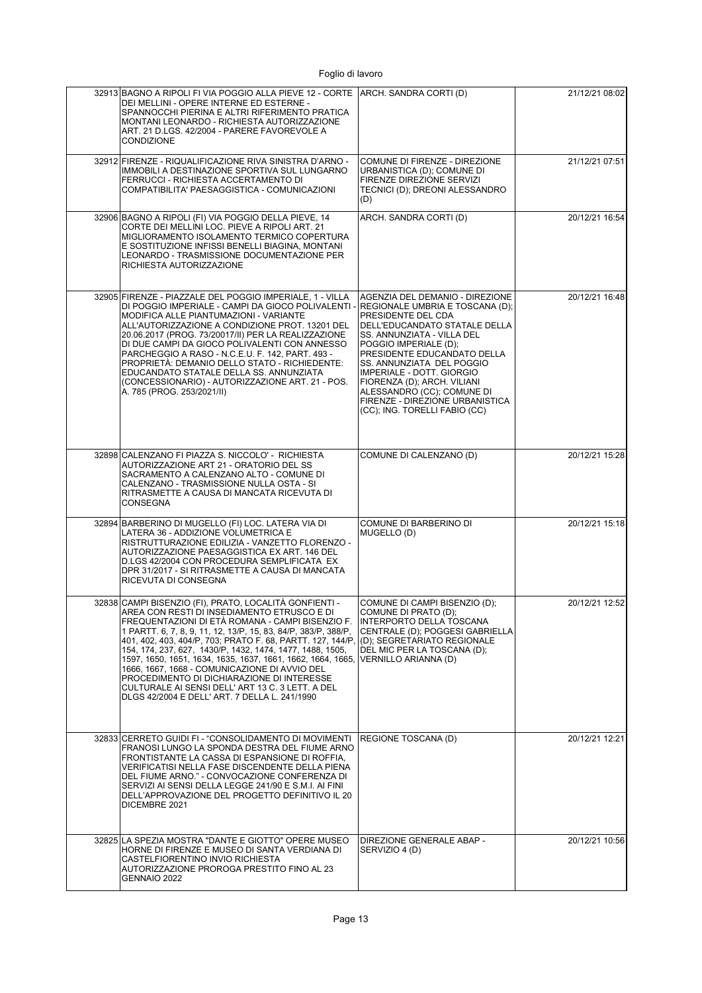| 32913 BAGNO A RIPOLI FI VIA POGGIO ALLA PIEVE 12 - CORTE   ARCH. SANDRA CORTI (D)<br>DEI MELLINI - OPERE INTERNE ED ESTERNE -<br>SPANNOCCHI PIERINA E ALTRI RIFERIMENTO PRATICA<br>MONTANI LEONARDO - RICHIESTA AUTORIZZAZIONE<br>ART. 21 D.LGS. 42/2004 - PARERE FAVOREVOLE A<br><b>CONDIZIONE</b>                                                                                                                                                                                                                                                                                                                      |                                                                                                                                                                                                                                                                                                                                                                                                            | 21/12/21 08:02 |
|--------------------------------------------------------------------------------------------------------------------------------------------------------------------------------------------------------------------------------------------------------------------------------------------------------------------------------------------------------------------------------------------------------------------------------------------------------------------------------------------------------------------------------------------------------------------------------------------------------------------------|------------------------------------------------------------------------------------------------------------------------------------------------------------------------------------------------------------------------------------------------------------------------------------------------------------------------------------------------------------------------------------------------------------|----------------|
| 32912 FIRENZE - RIQUALIFICAZIONE RIVA SINISTRA D'ARNO -<br>IMMOBILI A DESTINAZIONE SPORTIVA SUL LUNGARNO<br>FERRUCCI - RICHIESTA ACCERTAMENTO DI<br>COMPATIBILITA' PAESAGGISTICA - COMUNICAZIONI                                                                                                                                                                                                                                                                                                                                                                                                                         | COMUNE DI FIRENZE - DIREZIONE<br>URBANISTICA (D); COMUNE DI<br>FIRENZE DIREZIONE SERVIZI<br>TECNICI (D); DREONI ALESSANDRO<br>(D)                                                                                                                                                                                                                                                                          | 21/12/21 07:51 |
| 32906 BAGNO A RIPOLI (FI) VIA POGGIO DELLA PIEVE, 14<br>CORTE DEI MELLINI LOC. PIEVE A RIPOLI ART. 21<br>MIGLIORAMENTO ISOLAMENTO TERMICO COPERTURA<br>E SOSTITUZIONE INFISSI BENELLI BIAGINA, MONTANI<br>LEONARDO - TRASMISSIONE DOCUMENTAZIONE PER<br>RICHIESTA AUTORIZZAZIONE                                                                                                                                                                                                                                                                                                                                         | ARCH. SANDRA CORTI (D)                                                                                                                                                                                                                                                                                                                                                                                     | 20/12/21 16:54 |
| 32905 FIRENZE - PIAZZALE DEL POGGIO IMPERIALE, 1 - VILLA<br>DI POGGIO IMPERIALE - CAMPI DA GIOCO POLIVALENTI<br>MODIFICA ALLE PIANTUMAZIONI - VARIANTE<br>ALL'AUTORIZZAZIONE A CONDIZIONE PROT. 13201 DEL<br>20.06.2017 (PROG. 73/20017/II) PER LA REALIZZAZIONE<br>DI DUE CAMPI DA GIOCO POLIVALENTI CON ANNESSO<br>PARCHEGGIO A RASO - N.C.E.U. F. 142. PART. 493 -<br>PROPRIETÀ: DEMANIO DELLO STATO - RICHIEDENTE:<br>EDUCANDATO STATALE DELLA SS. ANNUNZIATA<br>(CONCESSIONARIO) - AUTORIZZAZIONE ART. 21 - POS.<br>A. 785 (PROG. 253/2021/II)                                                                      | AGENZIA DEL DEMANIO - DIREZIONE<br>REGIONALE UMBRIA E TOSCANA (D);<br>PRESIDENTE DEL CDA<br>DELL'EDUCANDATO STATALE DELLA<br>SS. ANNUNZIATA - VILLA DEL<br>POGGIO IMPERIALE (D);<br>PRESIDENTE EDUCANDATO DELLA<br>SS. ANNUNZIATA DEL POGGIO<br>IMPERIALE - DOTT. GIORGIO<br>FIORENZA (D); ARCH. VILIANI<br>ALESSANDRO (CC); COMUNE DI<br>FIRENZE - DIREZIONE URBANISTICA<br>(CC); ING. TORELLI FABIO (CC) | 20/12/21 16:48 |
| 32898 CALENZANO FI PIAZZA S. NICCOLO' - RICHIESTA<br>AUTORIZZAZIONE ART 21 - ORATORIO DEL SS<br>SACRAMENTO A CALENZANO ALTO - COMUNE DI<br>CALENZANO - TRASMISSIONE NULLA OSTA - SI<br>RITRASMETTE A CAUSA DI MANCATA RICEVUTA DI<br><b>CONSEGNA</b>                                                                                                                                                                                                                                                                                                                                                                     | COMUNE DI CALENZANO (D)                                                                                                                                                                                                                                                                                                                                                                                    | 20/12/21 15:28 |
| 32894 BARBERINO DI MUGELLO (FI) LOC. LATERA VIA DI<br>LATERA 36 - ADDIZIONE VOLUMETRICA E<br>RISTRUTTURAZIONE EDILIZIA - VANZETTO FLORENZO -<br>AUTORIZZAZIONE PAESAGGISTICA EX ART. 146 DEL<br>D.LGS 42/2004 CON PROCEDURA SEMPLIFICATA EX<br>DPR 31/2017 - SI RITRASMETTE A CAUSA DI MANCATA<br>RICEVUTA DI CONSEGNA                                                                                                                                                                                                                                                                                                   | COMUNE DI BARBERINO DI<br>MUGELLO (D)                                                                                                                                                                                                                                                                                                                                                                      | 20/12/21 15:18 |
| 32838 CAMPI BISENZIO (FI), PRATO, LOCALITÀ GONFIENTI -<br>AREA CON RESTI DI INSEDIAMENTO ETRUSCO E DI<br>FREQUENTAZIONI DI ETÀ ROMANA - CAMPI BISENZIO F.<br>1 PARTT. 6, 7, 8, 9, 11, 12, 13/P, 15, 83, 84/P, 383/P, 388/P,<br>401, 402, 403, 404/P, 703; PRATO F. 68, PARTT. 127, 144/P,<br>154, 174, 237, 627, 1430/P, 1432, 1474, 1477, 1488, 1505,<br>1597, 1650, 1651, 1634, 1635, 1637, 1661, 1662, 1664, 1665,<br>1666, 1667, 1668 - COMUNICAZIONE DI AVVIO DEL<br>PROCEDIMENTO DI DICHIARAZIONE DI INTERESSE<br>CULTURALE AI SENSI DELL'ART 13 C. 3 LETT. A DEL<br>DLGS 42/2004 E DELL' ART. 7 DELLA L. 241/1990 | COMUNE DI CAMPI BISENZIO (D);<br>COMUNE DI PRATO (D);<br>INTERPORTO DELLA TOSCANA<br>CENTRALE (D); POGGESI GABRIELLA<br>(D): SEGRETARIATO REGIONALE<br>DEL MIC PER LA TOSCANA (D);<br>VERNILLO ARIANNA (D)                                                                                                                                                                                                 | 20/12/21 12:52 |
| 32833 CERRETO GUIDI FI - "CONSOLIDAMENTO DI MOVIMENTI<br>FRANOSI LUNGO LA SPONDA DESTRA DEL FIUME ARNO<br>FRONTISTANTE LA CASSA DI ESPANSIONE DI ROFFIA,<br>VERIFICATISI NELLA FASE DISCENDENTE DELLA PIENA<br>DEL FIUME ARNO." - CONVOCAZIONE CONFERENZA DI<br>SERVIZI AI SENSI DELLA LEGGE 241/90 E S.M.I. AI FINI<br>DELL'APPROVAZIONE DEL PROGETTO DEFINITIVO IL 20<br>DICEMBRE 2021                                                                                                                                                                                                                                 | REGIONE TOSCANA (D)                                                                                                                                                                                                                                                                                                                                                                                        | 20/12/21 12:21 |
| 32825 LA SPEZIA MOSTRA "DANTE E GIOTTO" OPERE MUSEO<br>HORNE DI FIRENZE E MUSEO DI SANTA VERDIANA DI<br>CASTELFIORENTINO INVIO RICHIESTA<br>AUTORIZZAZIONE PROROGA PRESTITO FINO AL 23<br>GENNAIO 2022                                                                                                                                                                                                                                                                                                                                                                                                                   | DIREZIONE GENERALE ABAP -<br>SERVIZIO 4 (D)                                                                                                                                                                                                                                                                                                                                                                | 20/12/21 10:56 |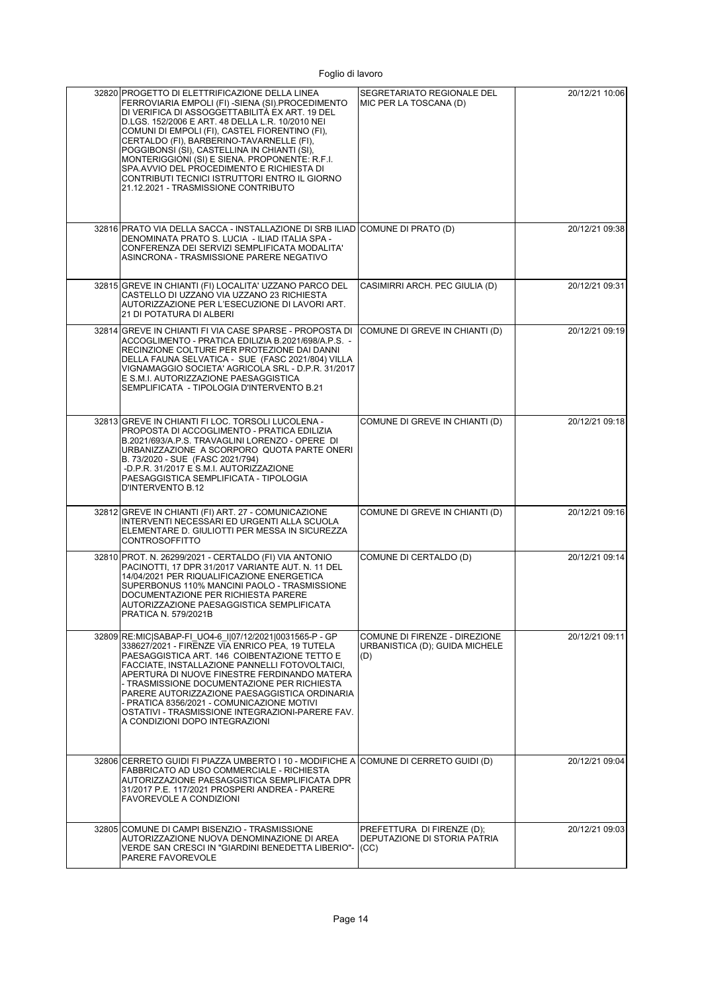| 32820 PROGETTO DI ELETTRIFICAZIONE DELLA LINEA<br>FERROVIARIA EMPOLI (FI) -SIENA (SI).PROCEDIMENTO<br>DI VERIFICA DI ASSOGGETTABILITÀ EX ART. 19 DEL<br>D.LGS. 152/2006 E ART. 48 DELLA L.R. 10/2010 NEI<br>COMUNI DI EMPOLI (FI), CASTEL FIORENTINO (FI),<br>CERTALDO (FI), BARBERINO-TAVARNELLE (FI),<br>POGGIBONSI (SI), CASTELLINA IN CHIANTI (SI),<br>MONTERIGGIONI (SI) E SIENA. PROPONENTE: R.F.I.<br>SPA.AVVIO DEL PROCEDIMENTO E RICHIESTA DI<br>CONTRIBUTI TECNICI ISTRUTTORI ENTRO IL GIORNO<br>21.12.2021 - TRASMISSIONE CONTRIBUTO | SEGRETARIATO REGIONALE DEL<br>MIC PER LA TOSCANA (D)                   | 20/12/21 10:06 |
|-------------------------------------------------------------------------------------------------------------------------------------------------------------------------------------------------------------------------------------------------------------------------------------------------------------------------------------------------------------------------------------------------------------------------------------------------------------------------------------------------------------------------------------------------|------------------------------------------------------------------------|----------------|
| 32816 PRATO VIA DELLA SACCA - INSTALLAZIONE DI SRB ILIAD COMUNE DI PRATO (D)<br>DENOMINATA PRATO S. LUCIA - ILIAD ITALIA SPA -<br>CONFERENZA DEI SERVIZI SEMPLIFICATA MODALITA'<br>ASINCRONA - TRASMISSIONE PARERE NEGATIVO                                                                                                                                                                                                                                                                                                                     |                                                                        | 20/12/21 09:38 |
| 32815 GREVE IN CHIANTI (FI) LOCALITA' UZZANO PARCO DEL<br>CASTELLO DI UZZANO VIA UZZANO 23 RICHIESTA<br>AUTORIZZAZIONE PER L'ESECUZIONE DI LAVORI ART.<br>21 DI POTATURA DI ALBERI                                                                                                                                                                                                                                                                                                                                                              | CASIMIRRI ARCH. PEC GIULIA (D)                                         | 20/12/21 09:31 |
| 32814 GREVE IN CHIANTI FI VIA CASE SPARSE - PROPOSTA DI<br>ACCOGLIMENTO - PRATICA EDILIZIA B.2021/698/A.P.S. -<br>RECINZIONE COLTURE PER PROTEZIONE DAI DANNI<br>DELLA FAUNA SELVATICA - SUE (FASC 2021/804) VILLA<br>VIGNAMAGGIO SOCIETA' AGRICOLA SRL - D.P.R. 31/2017<br>E S.M.I. AUTORIZZAZIONE PAESAGGISTICA<br>SEMPLIFICATA - TIPOLOGIA D'INTERVENTO B.21                                                                                                                                                                                 | COMUNE DI GREVE IN CHIANTI (D)                                         | 20/12/21 09:19 |
| 32813 GREVE IN CHIANTI FI LOC. TORSOLI LUCOLENA -<br>PROPOSTA DI ACCOGLIMENTO - PRATICA EDILIZIA<br>B.2021/693/A.P.S. TRAVAGLINI LORENZO - OPERE DI<br>URBANIZZAZIONE A SCORPORO QUOTA PARTE ONERI<br>B. 73/2020 - SUE (FASC 2021/794)<br>-D.P.R. 31/2017 E S.M.I. AUTORIZZAZIONE<br>PAESAGGISTICA SEMPLIFICATA - TIPOLOGIA<br>D'INTERVENTO B.12                                                                                                                                                                                                | COMUNE DI GREVE IN CHIANTI (D)                                         | 20/12/21 09:18 |
| 32812 GREVE IN CHIANTI (FI) ART. 27 - COMUNICAZIONE<br>INTERVENTI NECESSARI ED URGENTI ALLA SCUOLA<br>ELEMENTARE D. GIULIOTTI PER MESSA IN SICUREZZA<br><b>CONTROSOFFITTO</b>                                                                                                                                                                                                                                                                                                                                                                   | COMUNE DI GREVE IN CHIANTI (D)                                         | 20/12/21 09:16 |
| 32810 PROT. N. 26299/2021 - CERTALDO (FI) VIA ANTONIO<br>PACINOTTI, 17 DPR 31/2017 VARIANTE AUT. N. 11 DEL<br>14/04/2021 PER RIQUALIFICAZIONE ENERGETICA<br>SUPERBONUS 110% MANCINI PAOLO - TRASMISSIONE<br>DOCUMENTAZIONE PER RICHIESTA PARERE<br>AUTORIZZAZIONE PAESAGGISTICA SEMPLIFICATA<br>PRATICA N. 579/2021B                                                                                                                                                                                                                            | COMUNE DI CERTALDO (D)                                                 | 20/12/21 09:14 |
| 32809 RE: MIC SABAP-FI UO4-6_I 07/12/2021 0031565-P - GP<br>338627/2021 - FIRENZE VIA ENRICO PEA, 19 TUTELA<br>PAESAGGISTICA ART. 146 COIBENTAZIONE TETTO E<br>FACCIATE, INSTALLAZIONE PANNELLI FOTOVOLTAICI,<br>APERTURA DI NUOVE FINESTRE FERDINANDO MATERA<br>- TRASMISSIONE DOCUMENTAZIONE PER RICHIESTA<br>PARERE AUTORIZZAZIONE PAESAGGISTICA ORDINARIA<br>- PRATICA 8356/2021 - COMUNICAZIONE MOTIVI<br>OSTATIVI - TRASMISSIONE INTEGRAZIONI-PARERE FAV.<br>A CONDIZIONI DOPO INTEGRAZIONI                                               | COMUNE DI FIRENZE - DIREZIONE<br>URBANISTICA (D): GUIDA MICHELE<br>(D) | 20/12/21 09:11 |
| 32806 CERRETO GUIDI FI PIAZZA UMBERTO I 10 - MODIFICHE A COMUNE DI CERRETO GUIDI (D)<br>FABBRICATO AD USO COMMERCIALE - RICHIESTA<br>AUTORIZZAZIONE PAESAGGISTICA SEMPLIFICATA DPR<br>31/2017 P.E. 117/2021 PROSPERI ANDREA - PARERE<br>FAVOREVOLE A CONDIZIONI                                                                                                                                                                                                                                                                                 |                                                                        | 20/12/21 09:04 |
| 32805 COMUNE DI CAMPI BISENZIO - TRASMISSIONE<br>AUTORIZZAZIONE NUOVA DENOMINAZIONE DI AREA<br>VERDE SAN CRESCI IN "GIARDINI BENEDETTA LIBERIO"-<br>PARERE FAVOREVOLE                                                                                                                                                                                                                                                                                                                                                                           | PREFETTURA DI FIRENZE (D);<br>DEPUTAZIONE DI STORIA PATRIA<br>(CC)     | 20/12/21 09:03 |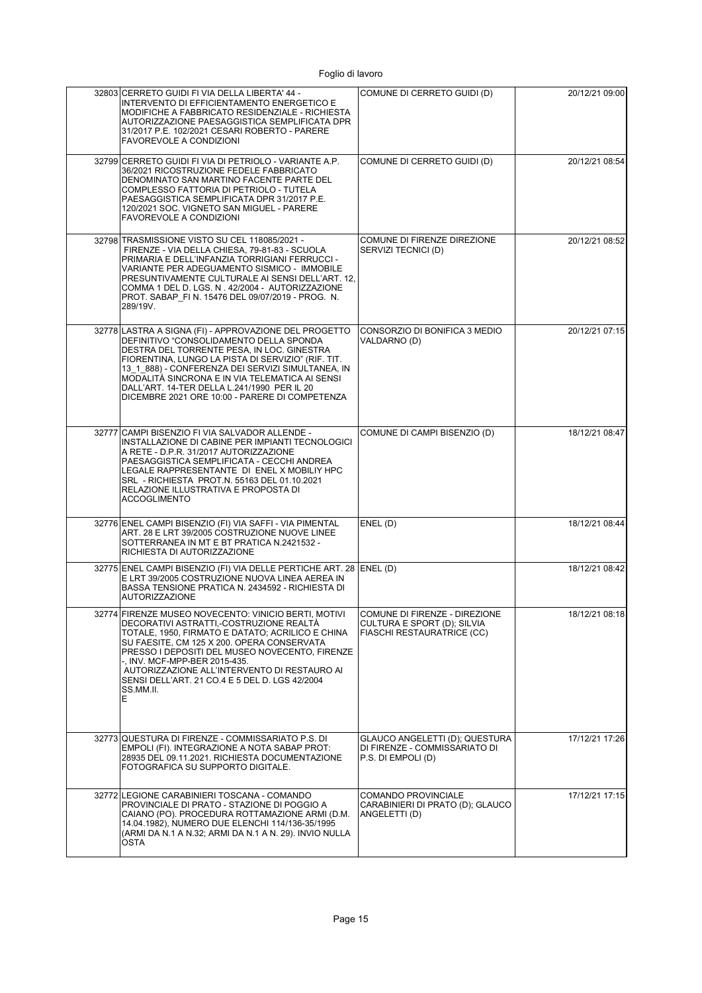| 32803 CERRETO GUIDI FI VIA DELLA LIBERTA' 44 -<br>INTERVENTO DI EFFICIENTAMENTO ENERGETICO E<br>MODIFICHE A FABBRICATO RESIDENZIALE - RICHIESTA<br>AUTORIZZAZIONE PAESAGGISTICA SEMPLIFICATA DPR<br>31/2017 P.E. 102/2021 CESARI ROBERTO - PARERE<br><b>FAVOREVOLE A CONDIZIONI</b>                                                                                                                          | COMUNE DI CERRETO GUIDI (D)                                                                | 20/12/21 09:00 |
|--------------------------------------------------------------------------------------------------------------------------------------------------------------------------------------------------------------------------------------------------------------------------------------------------------------------------------------------------------------------------------------------------------------|--------------------------------------------------------------------------------------------|----------------|
| 32799 CERRETO GUIDI FI VIA DI PETRIOLO - VARIANTE A.P.<br>36/2021 RICOSTRUZIONE FEDELE FABBRICATO<br>DENOMINATO SAN MARTINO FACENTE PARTE DEL<br>COMPLESSO FATTORIA DI PETRIOLO - TUTELA<br>PAESAGGISTICA SEMPLIFICATA DPR 31/2017 P.E.<br>120/2021 SOC. VIGNETO SAN MIGUEL - PARERE<br><b>FAVOREVOLE A CONDIZIONI</b>                                                                                       | COMUNE DI CERRETO GUIDI (D)                                                                | 20/12/21 08:54 |
| 32798 TRASMISSIONE VISTO SU CEL 118085/2021 -<br>FIRENZE - VIA DELLA CHIESA, 79-81-83 - SCUOLA<br>PRIMARIA E DELL'INFANZIA TORRIGIANI FERRUCCI -<br>VARIANTE PER ADEGUAMENTO SISMICO - IMMOBILE<br>PRESUNTIVAMENTE CULTURALE AI SENSI DELL'ART. 12,<br>COMMA 1 DEL D. LGS. N. 42/2004 - AUTORIZZAZIONE<br>PROT. SABAP_FI N. 15476 DEL 09/07/2019 - PROG. N.<br>289/19V.                                      | COMUNE DI FIRENZE DIREZIONE<br>SERVIZI TECNICI (D)                                         | 20/12/21 08:52 |
| 32778 LASTRA A SIGNA (FI) - APPROVAZIONE DEL PROGETTO<br>DEFINITIVO "CONSOLIDAMENTO DELLA SPONDA<br>DESTRA DEL TORRENTE PESA, IN LOC. GINESTRA<br>FIORENTINA, LUNGO LA PISTA DI SERVIZIO" (RIF. TIT.<br>13 1 888) - CONFERENZA DEI SERVIZI SIMULTANEA, IN<br>MODALITÀ SINCRONA E IN VIA TELEMATICA AI SENSI<br>DALL'ART. 14-TER DELLA L.241/1990 PER IL 20<br>DICEMBRE 2021 ORE 10:00 - PARERE DI COMPETENZA | CONSORZIO DI BONIFICA 3 MEDIO<br>VALDARNO (D)                                              | 20/12/21 07:15 |
| 32777 CAMPI BISENZIO FI VIA SALVADOR ALLENDE -<br>INSTALLAZIONE DI CABINE PER IMPIANTI TECNOLOGICI<br>A RETE - D.P.R. 31/2017 AUTORIZZAZIONE<br>PAESAGGISTICA SEMPLIFICATA - CECCHI ANDREA<br>LEGALE RAPPRESENTANTE DI ENEL X MOBILIY HPC<br>SRL - RICHIESTA PROT.N. 55163 DEL 01.10.2021<br>RELAZIONE ILLUSTRATIVA E PROPOSTA DI<br><b>ACCOGLIMENTO</b>                                                     | COMUNE DI CAMPI BISENZIO (D)                                                               | 18/12/21 08:47 |
| 32776 ENEL CAMPI BISENZIO (FI) VIA SAFFI - VIA PIMENTAL<br>ART. 28 E LRT 39/2005 COSTRUZIONE NUOVE LINEE<br>SOTTERRANEA IN MT E BT PRATICA N.2421532 -<br>RICHIESTA DI AUTORIZZAZIONE                                                                                                                                                                                                                        | ENEL(D)                                                                                    | 18/12/21 08:44 |
| 32775 ENEL CAMPI BISENZIO (FI) VIA DELLE PERTICHE ART. 28 ENEL (D)<br>E LRT 39/2005 COSTRUZIONE NUOVA LINEA AEREA IN<br>BASSA TENSIONE PRATICA N. 2434592 - RICHIESTA DI<br><b>AUTORIZZAZIONE</b>                                                                                                                                                                                                            |                                                                                            | 18/12/21 08:42 |
| 32774 FIRENZE MUSEO NOVECENTO: VINICIO BERTI, MOTIVI<br>DECORATIVI ASTRATTI,-COSTRUZIONE REALTA<br>TOTALE, 1950, FIRMATO E DATATO; ACRILICO E CHINA<br>SU FAESITE, CM 125 X 200. OPERA CONSERVATA<br>PRESSO I DEPOSITI DEL MUSEO NOVECENTO, FIRENZE<br>-, INV. MCF-MPP-BER 2015-435.<br>AUTORIZZAZIONE ALL'INTERVENTO DI RESTAURO AI<br>SENSI DELL'ART. 21 CO.4 E 5 DEL D. LGS 42/2004<br>SS.MM.II.<br>Е     | COMUNE DI FIRENZE - DIREZIONE<br>CULTURA E SPORT (D); SILVIA<br>FIASCHI RESTAURATRICE (CC) | 18/12/21 08:18 |
| 32773 QUESTURA DI FIRENZE - COMMISSARIATO P.S. DI<br>EMPOLI (FI). INTEGRAZIONE A NOTA SABAP PROT:<br>28935 DEL 09.11.2021. RICHIESTA DOCUMENTAZIONE<br>FOTOGRAFICA SU SUPPORTO DIGITALE.                                                                                                                                                                                                                     | GLAUCO ANGELETTI (D); QUESTURA<br>DI FIRENZE - COMMISSARIATO DI<br>P.S. DI EMPOLI (D)      | 17/12/21 17:26 |
| 32772 LEGIONE CARABINIERI TOSCANA - COMANDO<br>PROVINCIALE DI PRATO - STAZIONE DI POGGIO A<br>CAIANO (PO). PROCEDURA ROTTAMAZIONE ARMI (D.M.<br>14.04.1982), NUMERO DUE ELENCHI 114/136-35/1995<br>(ARMI DA N.1 A N.32; ARMI DA N.1 A N. 29). INVIO NULLA<br>OSTA                                                                                                                                            | COMANDO PROVINCIALE<br>CARABINIERI DI PRATO (D); GLAUCO<br>ANGELETTI (D)                   | 17/12/21 17:15 |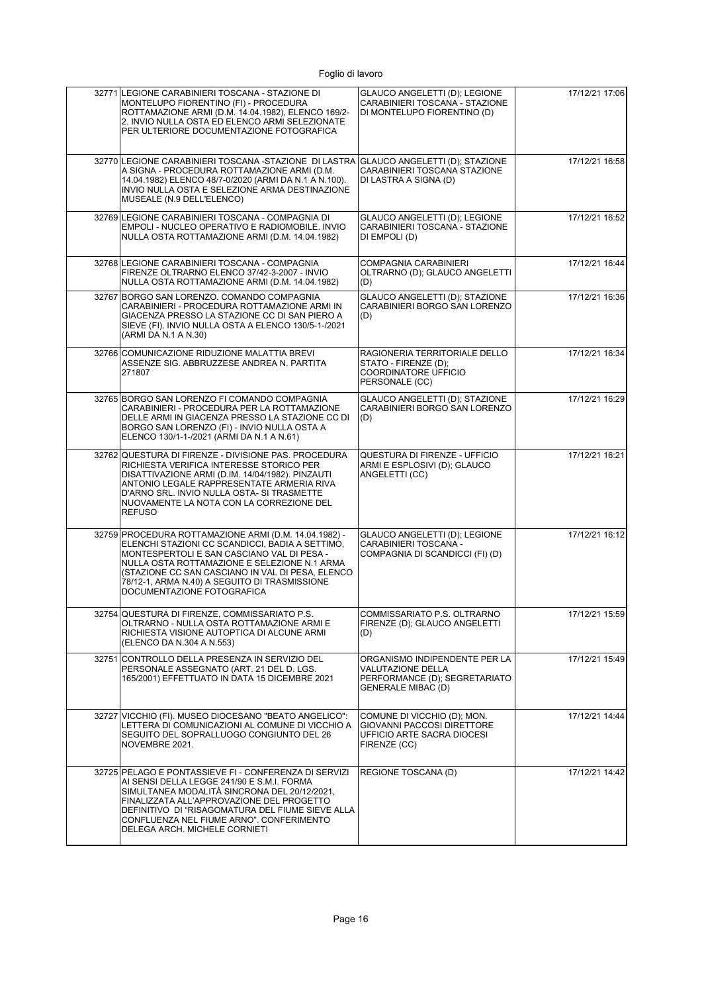| 32771 LEGIONE CARABINIERI TOSCANA - STAZIONE DI<br>MONTELUPO FIORENTINO (FI) - PROCEDURA<br>ROTTAMAZIONE ARMI (D.M. 14.04.1982), ELENCO 169/2-<br>2. INVIO NULLA OSTA ED ELENCO ARMI SELEZIONATE<br>PER ULTERIORE DOCUMENTAZIONE FOTOGRAFICA                                                                                              | GLAUCO ANGELETTI (D); LEGIONE<br>CARABINIERI TOSCANA - STAZIONE<br>DI MONTELUPO FIORENTINO (D)                   | 17/12/21 17:06 |
|-------------------------------------------------------------------------------------------------------------------------------------------------------------------------------------------------------------------------------------------------------------------------------------------------------------------------------------------|------------------------------------------------------------------------------------------------------------------|----------------|
| 32770 LEGIONE CARABINIERI TOSCANA -STAZIONE DI LASTRA<br>A SIGNA - PROCEDURA ROTTAMAZIONE ARMI (D.M.<br>14.04.1982) ELENCO 48/7-0/2020 (ARMI DA N.1 A N.100).<br>INVIO NULLA OSTA E SELEZIONE ARMA DESTINAZIONE<br>MUSEALE (N.9 DELL'ELENCO)                                                                                              | GLAUCO ANGELETTI (D); STAZIONE<br>CARABINIERI TOSCANA STAZIONE<br>DI LASTRA A SIGNA (D)                          | 17/12/21 16:58 |
| 32769 LEGIONE CARABINIERI TOSCANA - COMPAGNIA DI<br>EMPOLI - NUCLEO OPERATIVO E RADIOMOBILE. INVIO<br>NULLA OSTA ROTTAMAZIONE ARMI (D.M. 14.04.1982)                                                                                                                                                                                      | GLAUCO ANGELETTI (D); LEGIONE<br>CARABINIERI TOSCANA - STAZIONE<br>DI EMPOLI (D)                                 | 17/12/21 16:52 |
| 32768 LEGIONE CARABINIERI TOSCANA - COMPAGNIA<br>FIRENZE OLTRARNO ELENCO 37/42-3-2007 - INVIO<br>NULLA OSTA ROTTAMAZIONE ARMI (D.M. 14.04.1982)                                                                                                                                                                                           | <b>COMPAGNIA CARABINIERI</b><br>OLTRARNO (D); GLAUCO ANGELETTI<br>(D)                                            | 17/12/21 16:44 |
| 32767 BORGO SAN LORENZO. COMANDO COMPAGNIA<br>CARABINIERI - PROCEDURA ROTTAMAZIONE ARMI IN<br>GIACENZA PRESSO LA STAZIONE CC DI SAN PIERO A<br>SIEVE (FI). INVIO NULLA OSTA A ELENCO 130/5-1-/2021<br>(ARMI DA N.1 A N.30)                                                                                                                | GLAUCO ANGELETTI (D); STAZIONE<br>CARABINIERI BORGO SAN LORENZO<br>(D)                                           | 17/12/21 16:36 |
| 32766 COMUNICAZIONE RIDUZIONE MALATTIA BREVI<br>ASSENZE SIG. ABBRUZZESE ANDREA N. PARTITA<br>271807                                                                                                                                                                                                                                       | RAGIONERIA TERRITORIALE DELLO<br>STATO - FIRENZE (D);<br><b>COORDINATORE UFFICIO</b><br>PERSONALE (CC)           | 17/12/21 16:34 |
| 32765 BORGO SAN LORENZO FI COMANDO COMPAGNIA<br>CARABINIERI - PROCEDURA PER LA ROTTAMAZIONE<br>DELLE ARMI IN GIACENZA PRESSO LA STAZIONE CC DI<br>BORGO SAN LORENZO (FI) - INVIO NULLA OSTA A<br>ELENCO 130/1-1-/2021 (ARMI DA N.1 A N.61)                                                                                                | GLAUCO ANGELETTI (D); STAZIONE<br>CARABINIERI BORGO SAN LORENZO<br>(D)                                           | 17/12/21 16:29 |
| 32762 QUESTURA DI FIRENZE - DIVISIONE PAS. PROCEDURA<br>RICHIESTA VERIFICA INTERESSE STORICO PER<br>DISATTIVAZIONE ARMI (D.IM. 14/04/1982). PINZAUTI<br>ANTONIO LEGALE RAPPRESENTATE ARMERIA RIVA<br>D'ARNO SRL. INVIO NULLA OSTA- SI TRASMETTE<br>NUOVAMENTE LA NOTA CON LA CORREZIONE DEL<br><b>REFUSO</b>                              | QUESTURA DI FIRENZE - UFFICIO<br>ARMI E ESPLOSIVI (D); GLAUCO<br>ANGELETTI (CC)                                  | 17/12/21 16:21 |
| 32759 PROCEDURA ROTTAMAZIONE ARMI (D.M. 14.04.1982) -<br>ELENCHI STAZIONI CC SCANDICCI, BADIA A SETTIMO,<br>MONTESPERTOLI E SAN CASCIANO VAL DI PESA -<br>NULLA OSTA ROTTAMAZIONE E SELEZIONE N.1 ARMA<br>(STAZIONE CC SAN CASCIANO IN VAL DI PESA, ELENCO<br>78/12-1, ARMA N.40) A SEGUITO DI TRASMISSIONE<br>DOCUMENTAZIONE FOTOGRAFICA | GLAUCO ANGELETTI (D); LEGIONE<br>CARABINIERI TOSCANA -<br>COMPAGNIA DI SCANDICCI (FI) (D)                        | 17/12/21 16:12 |
| 32754 QUESTURA DI FIRENZE, COMMISSARIATO P.S.<br>OLTRARNO - NULLA OSTA ROTTAMAZIONE ARMI E<br>RICHIESTA VISIONE AUTOPTICA DI ALCUNE ARMI<br>(ELENCO DA N.304 A N.553)                                                                                                                                                                     | COMMISSARIATO P.S. OLTRARNO<br>FIRENZE (D); GLAUCO ANGELETTI<br>(D)                                              | 17/12/21 15:59 |
| 32751 CONTROLLO DELLA PRESENZA IN SERVIZIO DEL<br>PERSONALE ASSEGNATO (ART. 21 DEL D. LGS.<br>165/2001) EFFETTUATO IN DATA 15 DICEMBRE 2021                                                                                                                                                                                               | ORGANISMO INDIPENDENTE PER LA<br>VALUTAZIONE DELLA<br>PERFORMANCE (D); SEGRETARIATO<br><b>GENERALE MIBAC (D)</b> | 17/12/21 15:49 |
| 32727 VICCHIO (FI). MUSEO DIOCESANO "BEATO ANGELICO":<br>LETTERA DI COMUNICAZIONI AL COMUNE DI VICCHIO A<br>SEGUITO DEL SOPRALLUOGO CONGIUNTO DEL 26<br>NOVEMBRE 2021.                                                                                                                                                                    | COMUNE DI VICCHIO (D); MON.<br>GIOVANNI PACCOSI DIRETTORE<br>UFFICIO ARTE SACRA DIOCESI<br>FIRENZE (CC)          | 17/12/21 14:44 |
| 32725 PELAGO E PONTASSIEVE FI - CONFERENZA DI SERVIZI<br>AI SENSI DELLA LEGGE 241/90 E S.M.I. FORMA<br>SIMULTANEA MODALITÀ SINCRONA DEL 20/12/2021,<br>FINALIZZATA ALL'APPROVAZIONE DEL PROGETTO<br>DEFINITIVO DI "RISAGOMATURA DEL FIUME SIEVE ALLA<br>CONFLUENZA NEL FIUME ARNO". CONFERIMENTO<br>DELEGA ARCH. MICHELE CORNIETI         | REGIONE TOSCANA (D)                                                                                              | 17/12/21 14:42 |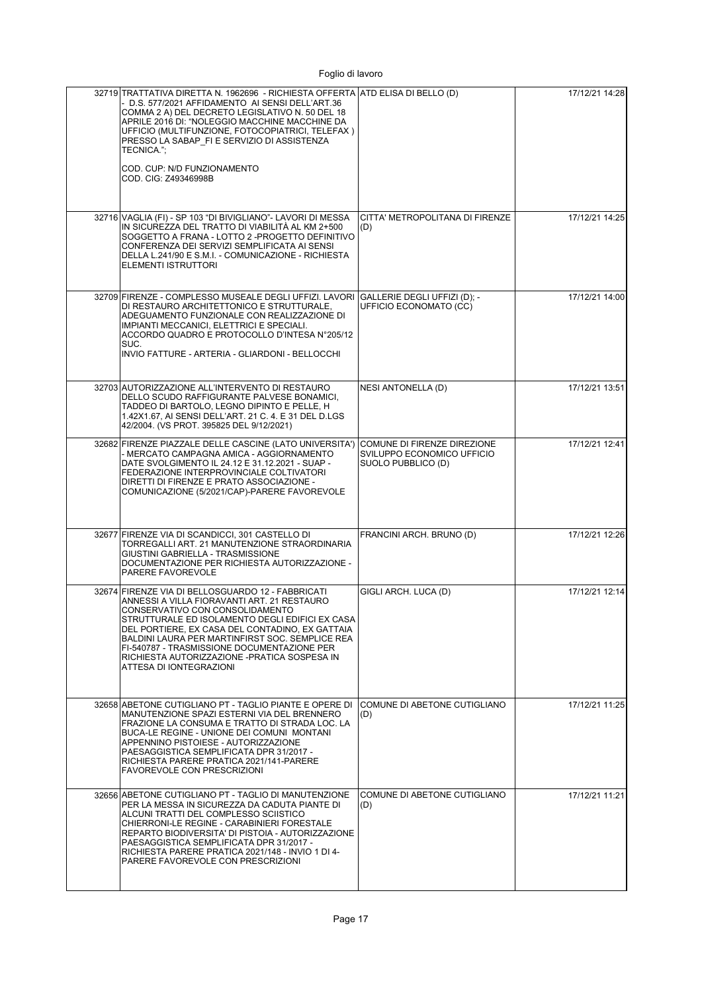| 32719 TRATTATIVA DIRETTA N. 1962696 - RICHIESTA OFFERTA ATD ELISA DI BELLO (D)<br>- D.S. 577/2021 AFFIDAMENTO AI SENSI DELL'ART.36<br>COMMA 2 A) DEL DECRETO LEGISLATIVO N. 50 DEL 18<br>APRILE 2016 DI: "NOLEGGIO MACCHINE MACCHINE DA<br>UFFICIO (MULTIFUNZIONE, FOTOCOPIATRICI, TELEFAX)<br>PRESSO LA SABAP FI E SERVIZIO DI ASSISTENZA<br>TECNICA.";<br>COD. CUP: N/D FUNZIONAMENTO<br>COD. CIG: Z49346998B        |                                                                                 | 17/12/21 14:28 |
|------------------------------------------------------------------------------------------------------------------------------------------------------------------------------------------------------------------------------------------------------------------------------------------------------------------------------------------------------------------------------------------------------------------------|---------------------------------------------------------------------------------|----------------|
| 32716 VAGLIA (FI) - SP 103 "DI BIVIGLIANO" - LAVORI DI MESSA<br>IN SICUREZZA DEL TRATTO DI VIABILITA AL KM 2+500<br>SOGGETTO A FRANA - LOTTO 2 -PROGETTO DEFINITIVO<br>CONFERENZA DEI SERVIZI SEMPLIFICATA AI SENSI<br>DELLA L.241/90 E S.M.I. - COMUNICAZIONE - RICHIESTA<br>ELEMENTI ISTRUTTORI                                                                                                                      | CITTA' METROPOLITANA DI FIRENZE<br>(D)                                          | 17/12/21 14:25 |
| 32709 FIRENZE - COMPLESSO MUSEALE DEGLI UFFIZI. LAVORI<br>DI RESTAURO ARCHITETTONICO E STRUTTURALE,<br>ADEGUAMENTO FUNZIONALE CON REALIZZAZIONE DI<br>IMPIANTI MECCANICI, ELETTRICI E SPECIALI.<br>ACCORDO QUADRO E PROTOCOLLO D'INTESA N°205/12<br>SUC.<br>INVIO FATTURE - ARTERIA - GLIARDONI - BELLOCCHI                                                                                                            | GALLERIE DEGLI UFFIZI (D); -<br>UFFICIO ECONOMATO (CC)                          | 17/12/21 14:00 |
| 32703 AUTORIZZAZIONE ALL'INTERVENTO DI RESTAURO<br>DELLO SCUDO RAFFIGURANTE PALVESE BONAMICI,<br>TADDEO DI BARTOLO, LEGNO DIPINTO E PELLE, H<br>1.42X1.67, AI SENSI DELL'ART. 21 C. 4. E 31 DEL D.LGS<br>42/2004. (VS PROT. 395825 DEL 9/12/2021)                                                                                                                                                                      | <b>NESI ANTONELLA (D)</b>                                                       | 17/12/21 13:51 |
| 32682 FIRENZE PIAZZALE DELLE CASCINE (LATO UNIVERSITA')<br>- MERCATO CAMPAGNA AMICA - AGGIORNAMENTO<br>DATE SVOLGIMENTO IL 24.12 E 31.12.2021 - SUAP -<br>FEDERAZIONE INTERPROVINCIALE COLTIVATORI<br>DIRETTI DI FIRENZE E PRATO ASSOCIAZIONE -<br>COMUNICAZIONE (5/2021/CAP)-PARERE FAVOREVOLE                                                                                                                        | COMUNE DI FIRENZE DIREZIONE<br>SVILUPPO ECONOMICO UFFICIO<br>SUOLO PUBBLICO (D) | 17/12/21 12:41 |
| 32677 FIRENZE VIA DI SCANDICCI, 301 CASTELLO DI<br>TORREGALLI ART. 21 MANUTENZIONE STRAORDINARIA<br>GIUSTINI GABRIELLA - TRASMISSIONE<br>DOCUMENTAZIONE PER RICHIESTA AUTORIZZAZIONE -<br>PARERE FAVOREVOLE                                                                                                                                                                                                            | FRANCINI ARCH. BRUNO (D)                                                        | 17/12/21 12:26 |
| 32674 FIRENZE VIA DI BELLOSGUARDO 12 - FABBRICATI<br>ANNESSI A VILLA FIORAVANTI ART. 21 RESTAURO<br>CONSERVATIVO CON CONSOLIDAMENTO<br>STRUTTURALE ED ISOLAMENTO DEGLI EDIFICI EX CASA<br>DEL PORTIERE, EX CASA DEL CONTADINO, EX GATTAIA<br>BALDINI LAURA PER MARTINFIRST SOC. SEMPLICE REA<br>FI-540787 - TRASMISSIONE DOCUMENTAZIONE PER<br>RICHIESTA AUTORIZZAZIONE -PRATICA SOSPESA IN<br>ATTESA DI IONTEGRAZIONI | GIGLI ARCH. LUCA (D)                                                            | 17/12/21 12:14 |
| 32658 ABETONE CUTIGLIANO PT - TAGLIO PIANTE E OPERE DI<br>MANUTENZIONE SPAZI ESTERNI VIA DEL BRENNERO<br>FRAZIONE LA CONSUMA E TRATTO DI STRADA LOC. LA<br>BUCA-LE REGINE - UNIONE DEI COMUNI MONTANI<br>APPENNINO PISTOIESE - AUTORIZZAZIONE<br>PAESAGGISTICA SEMPLIFICATA DPR 31/2017 -<br>RICHIESTA PARERE PRATICA 2021/141-PARERE<br><b>FAVOREVOLE CON PRESCRIZIONI</b>                                            | COMUNE DI ABETONE CUTIGLIANO<br>(D)                                             | 17/12/21 11:25 |
| 32656 ABETONE CUTIGLIANO PT - TAGLIO DI MANUTENZIONE<br>PER LA MESSA IN SICUREZZA DA CADUTA PIANTE DI<br>ALCUNI TRATTI DEL COMPLESSO SCIISTICO<br>CHIERRONI-LE REGINE - CARABINIERI FORESTALE<br>REPARTO BIODIVERSITA' DI PISTOIA - AUTORIZZAZIONE<br>PAESAGGISTICA SEMPLIFICATA DPR 31/2017 -<br>RICHIESTA PARERE PRATICA 2021/148 - INVIO 1 DI 4-<br>PARERE FAVOREVOLE CON PRESCRIZIONI                              | COMUNE DI ABETONE CUTIGLIANO<br>(D)                                             | 17/12/21 11:21 |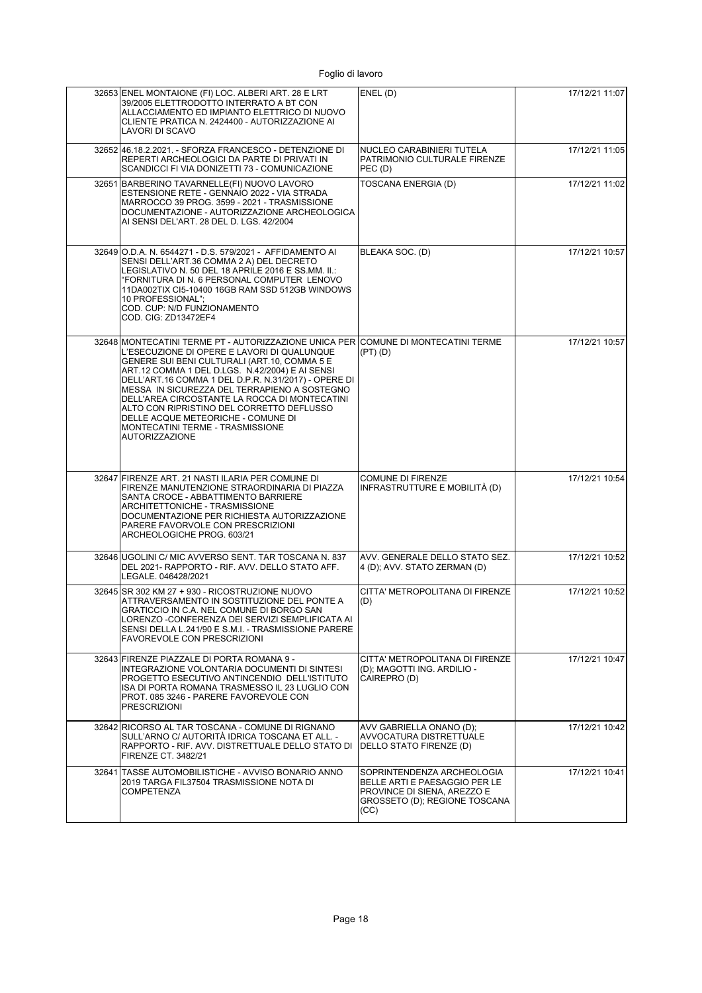| 32653 ENEL MONTAIONE (FI) LOC. ALBERI ART. 28 E LRT<br>39/2005 ELETTRODOTTO INTERRATO A BT CON<br>ALLACCIAMENTO ED IMPIANTO ELETTRICO DI NUOVO<br>CLIENTE PRATICA N. 2424400 - AUTORIZZAZIONE AI<br>LAVORI DI SCAVO                                                                                                                                                                                                                                                                                                                          | ENEL(D)                                                                                                                             | 17/12/21 11:07 |
|----------------------------------------------------------------------------------------------------------------------------------------------------------------------------------------------------------------------------------------------------------------------------------------------------------------------------------------------------------------------------------------------------------------------------------------------------------------------------------------------------------------------------------------------|-------------------------------------------------------------------------------------------------------------------------------------|----------------|
| 32652 46.18.2.2021. - SFORZA FRANCESCO - DETENZIONE DI<br>REPERTI ARCHEOLOGICI DA PARTE DI PRIVATI IN<br>SCANDICCI FI VIA DONIZETTI 73 - COMUNICAZIONE                                                                                                                                                                                                                                                                                                                                                                                       | NUCLEO CARABINIERI TUTELA<br>PATRIMONIO CULTURALE FIRENZE<br>PEC(D)                                                                 | 17/12/21 11:05 |
| 32651 BARBERINO TAVARNELLE(FI) NUOVO LAVORO<br>ESTENSIONE RETE - GENNAIO 2022 - VIA STRADA<br>MARROCCO 39 PROG. 3599 - 2021 - TRASMISSIONE<br>DOCUMENTAZIONE - AUTORIZZAZIONE ARCHEOLOGICA<br>AI SENSI DEL'ART. 28 DEL D. LGS. 42/2004                                                                                                                                                                                                                                                                                                       | TOSCANA ENERGIA (D)                                                                                                                 | 17/12/21 11:02 |
| 32649 O.D.A. N. 6544271 - D.S. 579/2021 - AFFIDAMENTO AI<br>SENSI DELL'ART.36 COMMA 2 A) DEL DECRETO<br>LEGISLATIVO N. 50 DEL 18 APRILE 2016 E SS.MM. II.:<br>"FORNITURA DI N. 6 PERSONAL COMPUTER LENOVO<br>11DA002TIX CI5-10400 16GB RAM SSD 512GB WINDOWS<br>10 PROFESSIONAL";<br>COD. CUP: N/D FUNZIONAMENTO<br>COD. CIG: ZD13472EF4                                                                                                                                                                                                     | BLEAKA SOC. (D)                                                                                                                     | 17/12/21 10:57 |
| 32648 MONTECATINI TERME PT - AUTORIZZAZIONE UNICA PER COMUNE DI MONTECATINI TERME<br>L'ESECUZIONE DI OPERE E LAVORI DI QUALUNQUE<br>GENERE SUI BENI CULTURALI (ART.10, COMMA 5 E<br>ART.12 COMMA 1 DEL D.LGS. N.42/2004) E AI SENSI<br>DELL'ART.16 COMMA 1 DEL D.P.R. N.31/2017) - OPERE DI<br>MESSA IN SICUREZZA DEL TERRAPIENO A SOSTEGNO<br>DELL'AREA CIRCOSTANTE LA ROCCA DI MONTECATINI<br>ALTO CON RIPRISTINO DEL CORRETTO DEFLUSSO<br>DELLE ACQUE METEORICHE - COMUNE DI<br>MONTECATINI TERME - TRASMISSIONE<br><b>AUTORIZZAZIONE</b> | (PT) (D)                                                                                                                            | 17/12/21 10:57 |
| 32647 FIRENZE ART. 21 NASTI ILARIA PER COMUNE DI<br>FIRENZE MANUTENZIONE STRAORDINARIA DI PIAZZA<br>SANTA CROCE - ABBATTIMENTO BARRIERE<br>ARCHITETTONICHE - TRASMISSIONE<br>DOCUMENTAZIONE PER RICHIESTA AUTORIZZAZIONE<br>PARERE FAVORVOLE CON PRESCRIZIONI<br>ARCHEOLOGICHE PROG. 603/21                                                                                                                                                                                                                                                  | COMUNE DI FIRENZE<br>INFRASTRUTTURE E MOBILITÀ (D)                                                                                  | 17/12/21 10:54 |
| 32646 UGOLINI C/ MIC AVVERSO SENT. TAR TOSCANA N. 837<br>DEL 2021- RAPPORTO - RIF. AVV. DELLO STATO AFF.<br>LEGALE. 046428/2021                                                                                                                                                                                                                                                                                                                                                                                                              | AVV. GENERALE DELLO STATO SEZ.<br>4 (D); AVV. STATO ZERMAN (D)                                                                      | 17/12/21 10:52 |
| 32645 SR 302 KM 27 + 930 - RICOSTRUZIONE NUOVO<br>ATTRAVERSAMENTO IN SOSTITUZIONE DEL PONTE A<br>GRATICCIO IN C.A. NEL COMUNE DI BORGO SAN<br>LORENZO - CONFERENZA DEI SERVIZI SEMPLIFICATA AI<br>SENSI DELLA L.241/90 E S.M.I. - TRASMISSIONE PARERE<br><b>FAVOREVOLE CON PRESCRIZIONI</b>                                                                                                                                                                                                                                                  | CITTA' METROPOLITANA DI FIRENZE<br>(D)                                                                                              | 17/12/21 10:52 |
| 32643 FIRENZE PIAZZALE DI PORTA ROMANA 9 -<br>INTEGRAZIONE VOLONTARIA DOCUMENTI DI SINTESI<br>PROGETTO ESECUTIVO ANTINCENDIO DELL'ISTITUTO<br>ISA DI PORTA ROMANA TRASMESSO IL 23 LUGLIO CON<br>PROT. 085 3246 - PARERE FAVOREVOLE CON<br><b>PRESCRIZIONI</b>                                                                                                                                                                                                                                                                                | CITTA' METROPOLITANA DI FIRENZE<br>(D); MAGOTTI ING. ARDILIO -<br>CAIREPRO (D)                                                      | 17/12/21 10:47 |
| 32642 RICORSO AL TAR TOSCANA - COMUNE DI RIGNANO<br>SULL'ARNO C/ AUTORITÀ IDRICA TOSCANA ET ALL. -<br>RAPPORTO - RIF. AVV. DISTRETTUALE DELLO STATO DI<br>FIRENZE CT. 3482/21                                                                                                                                                                                                                                                                                                                                                                | AVV GABRIELLA ONANO (D);<br>AVVOCATURA DISTRETTUALE<br>(DELLO STATO FIRENZE (D)                                                     | 17/12/21 10:42 |
| 32641 TASSE AUTOMOBILISTICHE - AVVISO BONARIO ANNO<br>2019 TARGA FIL37504 TRASMISSIONE NOTA DI<br>COMPETENZA                                                                                                                                                                                                                                                                                                                                                                                                                                 | SOPRINTENDENZA ARCHEOLOGIA<br>BELLE ARTI E PAESAGGIO PER LE<br>PROVINCE DI SIENA, AREZZO E<br>GROSSETO (D); REGIONE TOSCANA<br>(CC) | 17/12/21 10:41 |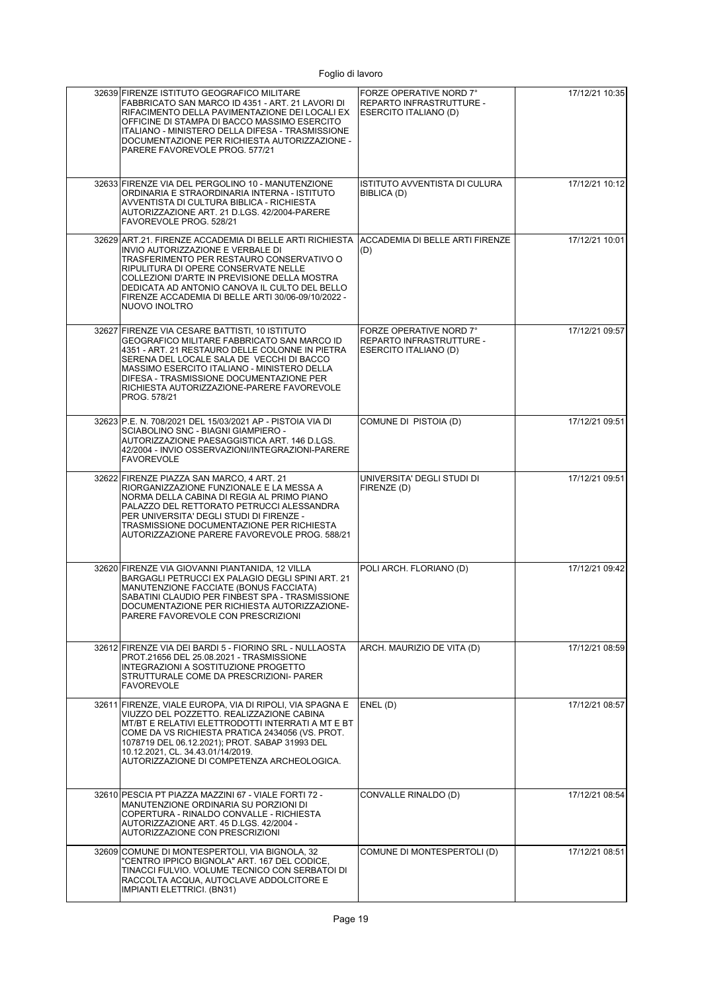| 32639 FIRENZE ISTITUTO GEOGRAFICO MILITARE<br>FABBRICATO SAN MARCO ID 4351 - ART. 21 LAVORI DI<br>RIFACIMENTO DELLA PAVIMENTAZIONE DEI LOCALI EX<br>OFFICINE DI STAMPA DI BACCO MASSIMO ESERCITO<br>ITALIANO - MINISTERO DELLA DIFESA - TRASMISSIONE<br>DOCUMENTAZIONE PER RICHIESTA AUTORIZZAZIONE -<br>PARERE FAVOREVOLE PROG. 577/21                   | FORZE OPERATIVE NORD 7°<br>REPARTO INFRASTRUTTURE -<br>ESERCITO ITALIANO (D)        | 17/12/21 10:35 |
|-----------------------------------------------------------------------------------------------------------------------------------------------------------------------------------------------------------------------------------------------------------------------------------------------------------------------------------------------------------|-------------------------------------------------------------------------------------|----------------|
| 32633 FIRENZE VIA DEL PERGOLINO 10 - MANUTENZIONE<br>ORDINARIA E STRAORDINARIA INTERNA - ISTITUTO<br>AVVENTISTA DI CULTURA BIBLICA - RICHIESTA<br>AUTORIZZAZIONE ART. 21 D.LGS. 42/2004-PARERE<br>FAVOREVOLE PROG. 528/21                                                                                                                                 | ISTITUTO AVVENTISTA DI CULURA<br>BIBLICA (D)                                        | 17/12/21 10:12 |
| 32629 ART.21. FIRENZE ACCADEMIA DI BELLE ARTI RICHIESTA<br>INVIO AUTORIZZAZIONE E VERBALE DI<br>TRASFERIMENTO PER RESTAURO CONSERVATIVO O<br>RIPULITURA DI OPERE CONSERVATE NELLE<br>COLLEZIONI D'ARTE IN PREVISIONE DELLA MOSTRA<br>DEDICATA AD ANTONIO CANOVA IL CULTO DEL BELLO<br>FIRENZE ACCADEMIA DI BELLE ARTI 30/06-09/10/2022 -<br>NUOVO INOLTRO | <b>ACCADEMIA DI BELLE ARTI FIRENZE</b><br>(D)                                       | 17/12/21 10:01 |
| 32627 FIRENZE VIA CESARE BATTISTI, 10 ISTITUTO<br>GEOGRAFICO MILITARE FABBRICATO SAN MARCO ID<br>4351 - ART. 21 RESTAURO DELLE COLONNE IN PIETRA<br>SERENA DEL LOCALE SALA DE VECCHI DI BACCO<br>MASSIMO ESERCITO ITALIANO - MINISTERO DELLA<br>DIFESA - TRASMISSIONE DOCUMENTAZIONE PER<br>RICHIESTA AUTORIZZAZIONE-PARERE FAVOREVOLE<br>PROG. 578/21    | FORZE OPERATIVE NORD 7°<br><b>REPARTO INFRASTRUTTURE -</b><br>ESERCITO ITALIANO (D) | 17/12/21 09:57 |
| 32623 P.E. N. 708/2021 DEL 15/03/2021 AP - PISTOIA VIA DI<br>SCIABOLINO SNC - BIAGNI GIAMPIERO -<br>AUTORIZZAZIONE PAESAGGISTICA ART. 146 D.LGS.<br>42/2004 - INVIO OSSERVAZIONI/INTEGRAZIONI-PARERE<br><b>FAVOREVOLE</b>                                                                                                                                 | COMUNE DI PISTOIA (D)                                                               | 17/12/21 09:51 |
| 32622 FIRENZE PIAZZA SAN MARCO, 4 ART. 21<br>RIORGANIZZAZIONE FUNZIONALE E LA MESSA A<br>NORMA DELLA CABINA DI REGIA AL PRIMO PIANO<br>PALAZZO DEL RETTORATO PETRUCCI ALESSANDRA<br>PER UNIVERSITA' DEGLI STUDI DI FIRENZE -<br>TRASMISSIONE DOCUMENTAZIONE PER RICHIESTA<br>AUTORIZZAZIONE PARERE FAVOREVOLE PROG. 588/21                                | UNIVERSITA' DEGLI STUDI DI<br>FIRENZE (D)                                           | 17/12/21 09:51 |
| 32620 FIRENZE VIA GIOVANNI PIANTANIDA, 12 VILLA<br>BARGAGLI PETRUCCI EX PALAGIO DEGLI SPINI ART. 21<br>MANUTENZIONE FACCIATE (BONUS FACCIATA)<br>SABATINI CLAUDIO PER FINBEST SPA - TRASMISSIONE<br>DOCUMENTAZIONE PER RICHIESTA AUTORIZZAZIONE-<br>PARERE FAVOREVOLE CON PRESCRIZIONI                                                                    | POLI ARCH. FLORIANO (D)                                                             | 17/12/21 09:42 |
| 32612 FIRENZE VIA DEI BARDI 5 - FIORINO SRL - NULLAOSTA<br>PROT.21656 DEL 25.08.2021 - TRASMISSIONE<br>INTEGRAZIONI A SOSTITUZIONE PROGETTO<br>STRUTTURALE COME DA PRESCRIZIONI- PARER<br><b>FAVOREVOLE</b>                                                                                                                                               | ARCH. MAURIZIO DE VITA (D)                                                          | 17/12/21 08:59 |
| 32611 FIRENZE, VIALE EUROPA, VIA DI RIPOLI, VIA SPAGNA E<br>VIUZZO DEL POZZETTO. REALIZZAZIONE CABINA<br>MT/BT E RELATIVI ELETTRODOTTI INTERRATI A MT E BT<br>COME DA VS RICHIESTA PRATICA 2434056 (VS. PROT.<br>1078719 DEL 06.12.2021); PROT. SABAP 31993 DEL<br>10.12.2021, CL. 34.43.01/14/2019.<br>AUTORIZZAZIONE DI COMPETENZA ARCHEOLOGICA.        | ENEL (D)                                                                            | 17/12/21 08:57 |
| 32610 PESCIA PT PIAZZA MAZZINI 67 - VIALE FORTI 72 -<br>MANUTENZIONE ORDINARIA SU PORZIONI DI<br>COPERTURA - RINALDO CONVALLE - RICHIESTA<br>AUTORIZZAZIONE ART. 45 D.LGS. 42/2004 -<br>AUTORIZZAZIONE CON PRESCRIZIONI                                                                                                                                   | CONVALLE RINALDO (D)                                                                | 17/12/21 08:54 |
| 32609 COMUNE DI MONTESPERTOLI, VIA BIGNOLA, 32<br>'CENTRO IPPICO BIGNOLA" ART. 167 DEL CODICE,<br>TINACCI FULVIO. VOLUME TECNICO CON SERBATOI DI<br>RACCOLTA ACQUA, AUTOCLAVE ADDOLCITORE E<br>IMPIANTI ELETTRICI. (BN31)                                                                                                                                 | COMUNE DI MONTESPERTOLI (D)                                                         | 17/12/21 08:51 |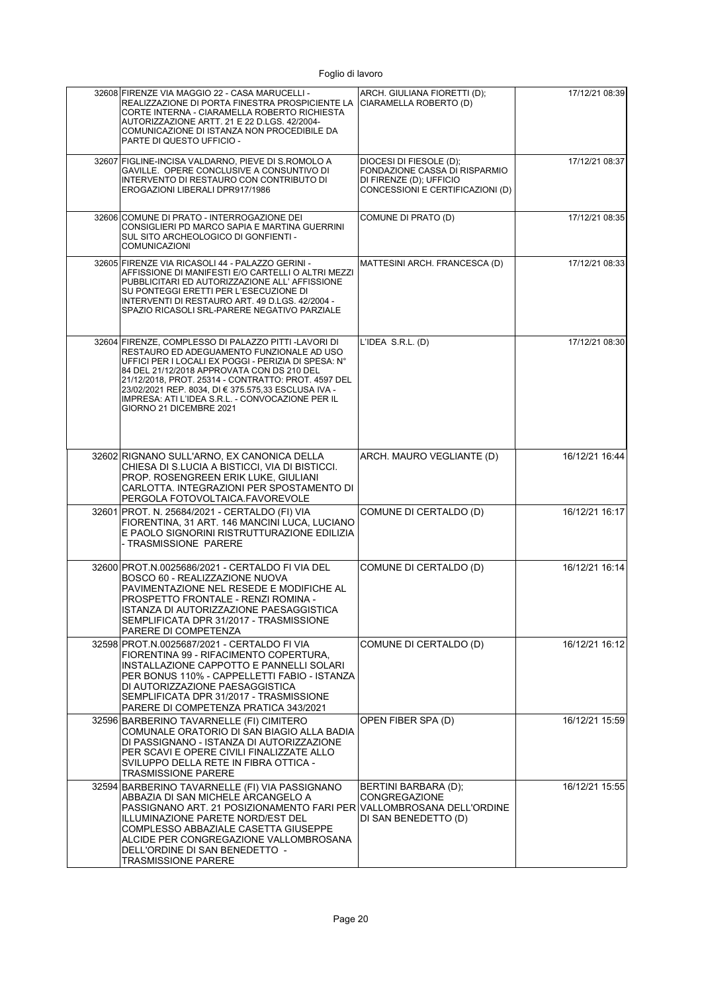| 32608 FIRENZE VIA MAGGIO 22 - CASA MARUCELLI -<br>REALIZZAZIONE DI PORTA FINESTRA PROSPICIENTE LA<br>CORTE INTERNA - CIARAMELLA ROBERTO RICHIESTA<br>AUTORIZZAZIONE ARTT. 21 E 22 D.LGS. 42/2004-<br>COMUNICAZIONE DI ISTANZA NON PROCEDIBILE DA<br>PARTE DI QUESTO UFFICIO -                                                                                                                      | ARCH. GIULIANA FIORETTI (D);<br>CIARAMELLA ROBERTO (D)                                                                  | 17/12/21 08:39 |
|----------------------------------------------------------------------------------------------------------------------------------------------------------------------------------------------------------------------------------------------------------------------------------------------------------------------------------------------------------------------------------------------------|-------------------------------------------------------------------------------------------------------------------------|----------------|
| 32607 FIGLINE-INCISA VALDARNO. PIEVE DI S.ROMOLO A<br>GAVILLE. OPERE CONCLUSIVE A CONSUNTIVO DI<br>INTERVENTO DI RESTAURO CON CONTRIBUTO DI<br>EROGAZIONI LIBERALI DPR917/1986                                                                                                                                                                                                                     | DIOCESI DI FIESOLE (D);<br>FONDAZIONE CASSA DI RISPARMIO<br>DI FIRENZE (D); UFFICIO<br>CONCESSIONI E CERTIFICAZIONI (D) | 17/12/21 08:37 |
| 32606 COMUNE DI PRATO - INTERROGAZIONE DEI<br>CONSIGLIERI PD MARCO SAPIA E MARTINA GUERRINI<br>SUL SITO ARCHEOLOGICO DI GONFIENTI -<br><b>COMUNICAZIONI</b>                                                                                                                                                                                                                                        | COMUNE DI PRATO (D)                                                                                                     | 17/12/21 08:35 |
| 32605 FIRENZE VIA RICASOLI 44 - PALAZZO GERINI -<br>AFFISSIONE DI MANIFESTI E/O CARTELLI O ALTRI MEZZI<br>PUBBLICITARI ED AUTORIZZAZIONE ALL' AFFISSIONE<br>SU PONTEGGI ERETTI PER L'ESECUZIONE DI<br>INTERVENTI DI RESTAURO ART. 49 D.LGS. 42/2004 -<br>SPAZIO RICASOLI SRL-PARERE NEGATIVO PARZIALE                                                                                              | MATTESINI ARCH. FRANCESCA (D)                                                                                           | 17/12/21 08:33 |
| 32604 FIRENZE, COMPLESSO DI PALAZZO PITTI-LAVORI DI<br>RESTAURO ED ADEGUAMENTO FUNZIONALE AD USO<br>UFFICI PER I LOCALI EX POGGI - PERIZIA DI SPESA: N°<br>84 DEL 21/12/2018 APPROVATA CON DS 210 DEL<br>21/12/2018, PROT. 25314 - CONTRATTO: PROT. 4597 DEL<br>23/02/2021 REP. 8034, DI € 375.575,33 ESCLUSA IVA -<br>IMPRESA: ATI L'IDEA S.R.L. - CONVOCAZIONE PER IL<br>GIORNO 21 DICEMBRE 2021 | L'IDEA S.R.L. (D)                                                                                                       | 17/12/21 08:30 |
| 32602 RIGNANO SULL'ARNO, EX CANONICA DELLA<br>CHIESA DI S.LUCIA A BISTICCI, VIA DI BISTICCI.<br>PROP. ROSENGREEN ERIK LUKE, GIULIANI<br>CARLOTTA. INTEGRAZIONI PER SPOSTAMENTO DI<br>PERGOLA FOTOVOLTAICA.FAVOREVOLE                                                                                                                                                                               | ARCH. MAURO VEGLIANTE (D)                                                                                               | 16/12/21 16:44 |
| 32601 PROT. N. 25684/2021 - CERTALDO (FI) VIA<br>FIORENTINA, 31 ART. 146 MANCINI LUCA, LUCIANO<br>E PAOLO SIGNORINI RISTRUTTURAZIONE EDILIZIA<br>- TRASMISSIONE PARERE                                                                                                                                                                                                                             | COMUNE DI CERTALDO (D)                                                                                                  | 16/12/21 16:17 |
| 32600 PROT.N.0025686/2021 - CERTALDO FI VIA DEL<br>BOSCO 60 - REALIZZAZIONE NUOVA<br>PAVIMENTAZIONE NEL RESEDE E MODIFICHE AL<br>PROSPETTO FRONTALE - RENZI ROMINA -<br>ISTANZA DI AUTORIZZAZIONE PAESAGGISTICA<br>SEMPLIFICATA DPR 31/2017 - TRASMISSIONE<br>PARERE DI COMPETENZA                                                                                                                 | COMUNE DI CERTALDO (D)                                                                                                  | 16/12/21 16:14 |
| 32598 PROT.N.0025687/2021 - CERTALDO FI VIA<br>FIORENTINA 99 - RIFACIMENTO COPERTURA,<br>INSTALLAZIONE CAPPOTTO E PANNELLI SOLARI<br>PER BONUS 110% - CAPPELLETTI FABIO - ISTANZA<br>DI AUTORIZZAZIONE PAESAGGISTICA<br>SEMPLIFICATA DPR 31/2017 - TRASMISSIONE<br>PARERE DI COMPETENZA PRATICA 343/2021                                                                                           | COMUNE DI CERTALDO (D)                                                                                                  | 16/12/21 16:12 |
| 32596 BARBERINO TAVARNELLE (FI) CIMITERO<br>COMUNALE ORATORIO DI SAN BIAGIO ALLA BADIA<br>DI PASSIGNANO - ISTANZA DI AUTORIZZAZIONE<br>PER SCAVI E OPERE CIVILI FINALIZZATE ALLO<br>SVILUPPO DELLA RETE IN FIBRA OTTICA -<br><b>TRASMISSIONE PARERE</b>                                                                                                                                            | OPEN FIBER SPA (D)                                                                                                      | 16/12/21 15:59 |
| 32594 BARBERINO TAVARNELLE (FI) VIA PASSIGNANO<br>ABBAZIA DI SAN MICHELE ARCANGELO A<br>PASSIGNANO ART. 21 POSIZIONAMENTO FARI PER VALLOMBROSANA DELL'ORDINE<br>ILLUMINAZIONE PARETE NORD/EST DEL<br>COMPLESSO ABBAZIALE CASETTA GIUSEPPE<br>ALCIDE PER CONGREGAZIONE VALLOMBROSANA<br>DELL'ORDINE DI SAN BENEDETTO -<br><b>TRASMISSIONE PARERE</b>                                                | BERTINI BARBARA (D);<br><b>CONGREGAZIONE</b><br>DI SAN BENEDETTO (D)                                                    | 16/12/21 15:55 |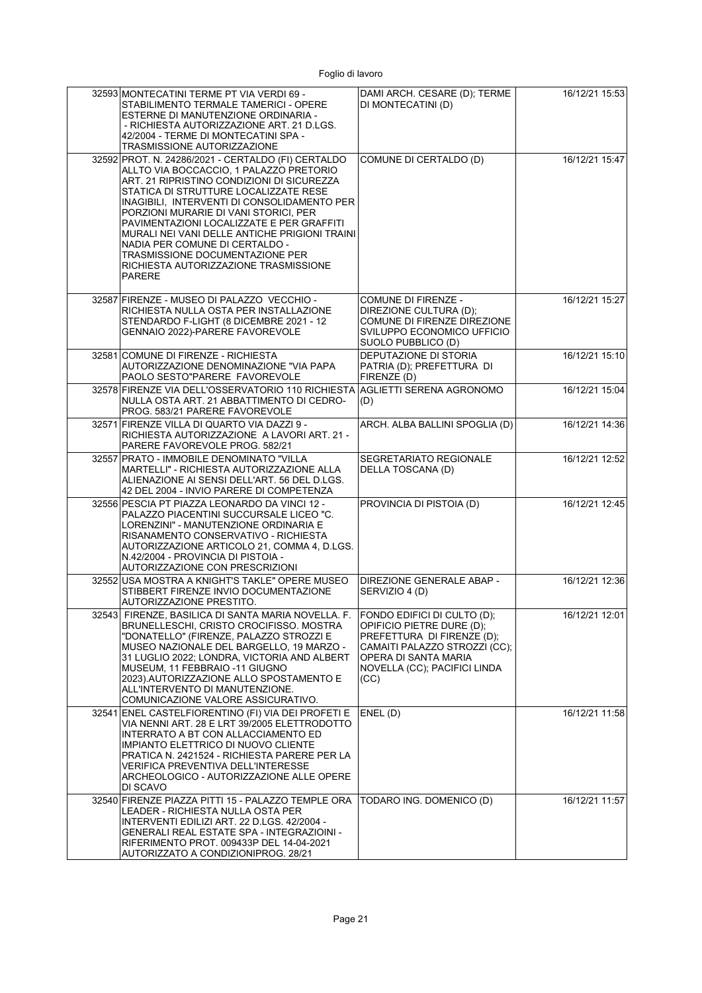| 32593 MONTECATINI TERME PT VIA VERDI 69 -<br>STABILIMENTO TERMALE TAMERICI - OPERE<br>ESTERNE DI MANUTENZIONE ORDINARIA -<br>- RICHIESTA AUTORIZZAZIONE ART. 21 D.LGS.<br>42/2004 - TERME DI MONTECATINI SPA -<br>TRASMISSIONE AUTORIZZAZIONE                                                                                                                                                                                                                                                             | DAMI ARCH. CESARE (D); TERME<br>DI MONTECATINI (D)                                                                                                                                      | 16/12/21 15:53 |
|-----------------------------------------------------------------------------------------------------------------------------------------------------------------------------------------------------------------------------------------------------------------------------------------------------------------------------------------------------------------------------------------------------------------------------------------------------------------------------------------------------------|-----------------------------------------------------------------------------------------------------------------------------------------------------------------------------------------|----------------|
| 32592 PROT. N. 24286/2021 - CERTALDO (FI) CERTALDO<br>ALLTO VIA BOCCACCIO, 1 PALAZZO PRETORIO<br>ART. 21 RIPRISTINO CONDIZIONI DI SICUREZZA<br>STATICA DI STRUTTURE LOCALIZZATE RESE<br>INAGIBILI. INTERVENTI DI CONSOLIDAMENTO PER<br>PORZIONI MURARIE DI VANI STORICI, PER<br>PAVIMENTAZIONI LOCALIZZATE E PER GRAFFITI<br>MURALI NEI VANI DELLE ANTICHE PRIGIONI TRAINI<br>NADIA PER COMUNE DI CERTALDO -<br>TRASMISSIONE DOCUMENTAZIONE PER<br>RICHIESTA AUTORIZZAZIONE TRASMISSIONE<br><b>PARERE</b> | COMUNE DI CERTALDO (D)                                                                                                                                                                  | 16/12/21 15:47 |
| 32587 FIRENZE - MUSEO DI PALAZZO VECCHIO -<br>RICHIESTA NULLA OSTA PER INSTALLAZIONE<br>STENDARDO F-LIGHT (8 DICEMBRE 2021 - 12<br>GENNAIO 2022)-PARERE FAVOREVOLE                                                                                                                                                                                                                                                                                                                                        | COMUNE DI FIRENZE -<br>DIREZIONE CULTURA (D);<br>COMUNE DI FIRENZE DIREZIONE<br>SVILUPPO ECONOMICO UFFICIO<br>SUOLO PUBBLICO (D)                                                        | 16/12/21 15:27 |
| 32581 COMUNE DI FIRENZE - RICHIESTA<br>AUTORIZZAZIONE DENOMINAZIONE "VIA PAPA<br>PAOLO SESTO"PARERE FAVOREVOLE                                                                                                                                                                                                                                                                                                                                                                                            | DEPUTAZIONE DI STORIA<br>PATRIA (D); PREFETTURA DI<br>FIRENZE (D)                                                                                                                       | 16/12/21 15:10 |
| 32578 FIRENZE VIA DELL'OSSERVATORIO 110 RICHIESTA<br>NULLA OSTA ART. 21 ABBATTIMENTO DI CEDRO-<br>PROG. 583/21 PARERE FAVOREVOLE                                                                                                                                                                                                                                                                                                                                                                          | AGLIETTI SERENA AGRONOMO<br>(D)                                                                                                                                                         | 16/12/21 15:04 |
| 32571 FIRENZE VILLA DI QUARTO VIA DAZZI 9 -<br>RICHIESTA AUTORIZZAZIONE A LAVORI ART. 21 -<br>PARERE FAVOREVOLE PROG. 582/21                                                                                                                                                                                                                                                                                                                                                                              | ARCH. ALBA BALLINI SPOGLIA (D)                                                                                                                                                          | 16/12/21 14:36 |
| 32557 PRATO - IMMOBILE DENOMINATO "VILLA<br>MARTELLI" - RICHIESTA AUTORIZZAZIONE ALLA<br>ALIENAZIONE AI SENSI DELL'ART. 56 DEL D.LGS.<br>42 DEL 2004 - INVIO PARERE DI COMPETENZA                                                                                                                                                                                                                                                                                                                         | SEGRETARIATO REGIONALE<br>DELLA TOSCANA (D)                                                                                                                                             | 16/12/21 12:52 |
| 32556 PESCIA PT PIAZZA LEONARDO DA VINCI 12 -<br>PALAZZO PIACENTINI SUCCURSALE LICEO "C.<br>LORENZINI" - MANUTENZIONE ORDINARIA E<br>RISANAMENTO CONSERVATIVO - RICHIESTA<br>AUTORIZZAZIONE ARTICOLO 21, COMMA 4, D.LGS.<br>N.42/2004 - PROVINCIA DI PISTOIA -<br><b>AUTORIZZAZIONE CON PRESCRIZIONI</b>                                                                                                                                                                                                  | PROVINCIA DI PISTOIA (D)                                                                                                                                                                | 16/12/21 12:45 |
| 32552 USA MOSTRA A KNIGHT'S TAKLE" OPERE MUSEO<br>STIBBERT FIRENZE INVIO DOCUMENTAZIONE<br>AUTORIZZAZIONE PRESTITO.                                                                                                                                                                                                                                                                                                                                                                                       | DIREZIONE GENERALE ABAP -<br>SERVIZIO 4 (D)                                                                                                                                             | 16/12/21 12:36 |
| 32543 FIRENZE, BASILICA DI SANTA MARIA NOVELLA. F.<br>BRUNELLESCHI, CRISTO CROCIFISSO. MOSTRA<br>"DONATELLO" (FIRENZE, PALAZZO STROZZI E<br>MUSEO NAZIONALE DEL BARGELLO, 19 MARZO -<br>31 LUGLIO 2022; LONDRA, VICTORIA AND ALBERT<br>MUSEUM, 11 FEBBRAIO -11 GIUGNO<br>2023). AUTORIZZAZIONE ALLO SPOSTAMENTO E<br>ALL'INTERVENTO DI MANUTENZIONE.<br>COMUNICAZIONE VALORE ASSICURATIVO.                                                                                                                | FONDO EDIFICI DI CULTO (D);<br>OPIFICIO PIETRE DURE (D);<br>PREFETTURA DI FIRENZE (D);<br>CAMAITI PALAZZO STROZZI (CC);<br>OPERA DI SANTA MARIA<br>NOVELLA (CC); PACIFICI LINDA<br>(CC) | 16/12/21 12:01 |
| 32541 ENEL CASTELFIORENTINO (FI) VIA DEI PROFETI E<br>VIA NENNI ART. 28 E LRT 39/2005 ELETTRODOTTO<br>INTERRATO A BT CON ALLACCIAMENTO ED<br>IMPIANTO ELETTRICO DI NUOVO CLIENTE<br>PRATICA N. 2421524 - RICHIESTA PARERE PER LA<br>VERIFICA PREVENTIVA DELL'INTERESSE<br>ARCHEOLOGICO - AUTORIZZAZIONE ALLE OPERE<br>DI SCAVO                                                                                                                                                                            | ENEL(D)                                                                                                                                                                                 | 16/12/21 11:58 |
| 32540 FIRENZE PIAZZA PITTI 15 - PALAZZO TEMPLE ORA<br>LEADER - RICHIESTA NULLA OSTA PER<br>INTERVENTI EDILIZI ART. 22 D.LGS. 42/2004 -<br>GENERALI REAL ESTATE SPA - INTEGRAZIOINI -<br>RIFERIMENTO PROT. 009433P DEL 14-04-2021<br>AUTORIZZATO A CONDIZIONIPROG. 28/21                                                                                                                                                                                                                                   | TODARO ING. DOMENICO (D)                                                                                                                                                                | 16/12/21 11:57 |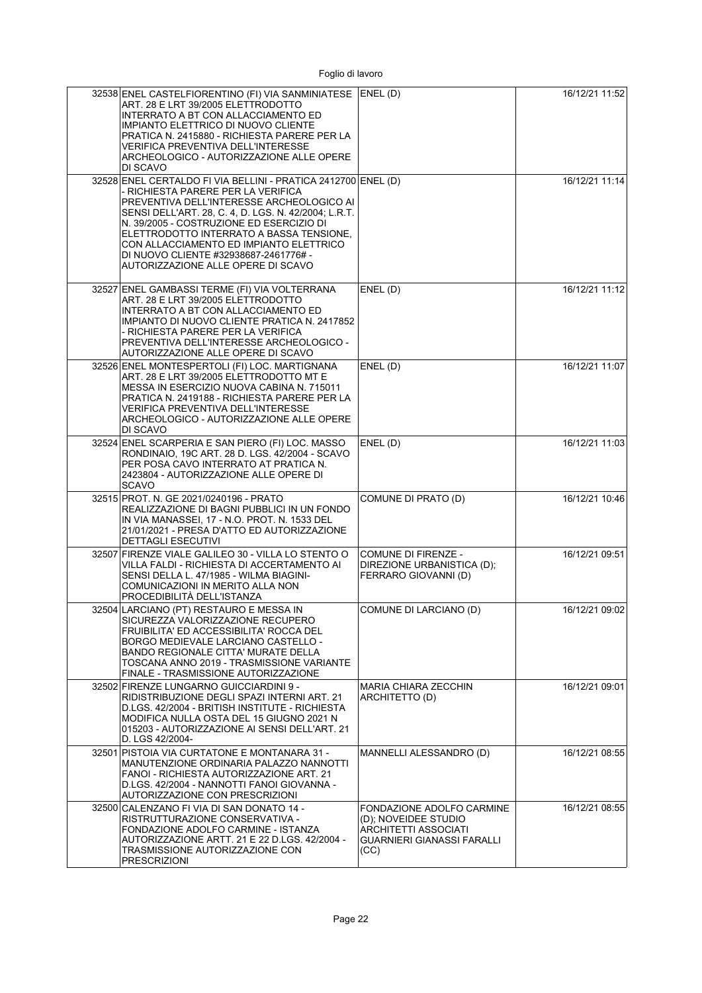| 32538 ENEL CASTELFIORENTINO (FI) VIA SANMINIATESE ENEL (D)<br>ART. 28 E LRT 39/2005 ELETTRODOTTO<br>INTERRATO A BT CON ALLACCIAMENTO ED<br><b>IMPIANTO ELETTRICO DI NUOVO CLIENTE</b><br>PRATICA N. 2415880 - RICHIESTA PARERE PER LA<br><b>VERIFICA PREVENTIVA DELL'INTERESSE</b><br>ARCHEOLOGICO - AUTORIZZAZIONE ALLE OPERE<br>DI SCAVO                                                                                 |                                                                                                                        | 16/12/21 11:52 |
|----------------------------------------------------------------------------------------------------------------------------------------------------------------------------------------------------------------------------------------------------------------------------------------------------------------------------------------------------------------------------------------------------------------------------|------------------------------------------------------------------------------------------------------------------------|----------------|
| 32528 ENEL CERTALDO FI VIA BELLINI - PRATICA 2412700 ENEL (D)<br>- RICHIESTA PARERE PER LA VERIFICA<br>PREVENTIVA DELL'INTERESSE ARCHEOLOGICO AI<br>SENSI DELL'ART. 28, C. 4, D. LGS. N. 42/2004; L.R.T.<br>N. 39/2005 - COSTRUZIONE ED ESERCIZIO DI<br>ELETTRODOTTO INTERRATO A BASSA TENSIONE,<br>CON ALLACCIAMENTO ED IMPIANTO ELETTRICO<br>DI NUOVO CLIENTE #32938687-2461776# -<br>AUTORIZZAZIONE ALLE OPERE DI SCAVO |                                                                                                                        | 16/12/21 11:14 |
| 32527 ENEL GAMBASSI TERME (FI) VIA VOLTERRANA<br>ART. 28 E LRT 39/2005 ELETTRODOTTO<br>INTERRATO A BT CON ALLACCIAMENTO ED<br>IMPIANTO DI NUOVO CLIENTE PRATICA N. 2417852<br>- RICHIESTA PARERE PER LA VERIFICA<br>PREVENTIVA DELL'INTERESSE ARCHEOLOGICO -<br>AUTORIZZAZIONE ALLE OPERE DI SCAVO                                                                                                                         | ENEL(D)                                                                                                                | 16/12/21 11:12 |
| 32526 ENEL MONTESPERTOLI (FI) LOC. MARTIGNANA<br>ART. 28 E LRT 39/2005 ELETTRODOTTO MT E<br>MESSA IN ESERCIZIO NUOVA CABINA N. 715011<br>PRATICA N. 2419188 - RICHIESTA PARERE PER LA<br><b>VERIFICA PREVENTIVA DELL'INTERESSE</b><br>ARCHEOLOGICO - AUTORIZZAZIONE ALLE OPERE<br>DI SCAVO                                                                                                                                 | ENEL(D)                                                                                                                | 16/12/21 11:07 |
| 32524 ENEL SCARPERIA E SAN PIERO (FI) LOC. MASSO<br>RONDINAIO, 19C ART. 28 D. LGS. 42/2004 - SCAVO<br>PER POSA CAVO INTERRATO AT PRATICA N.<br>2423804 - AUTORIZZAZIONE ALLE OPERE DI<br><b>SCAVO</b>                                                                                                                                                                                                                      | ENEL(D)                                                                                                                | 16/12/21 11:03 |
| 32515 PROT. N. GE 2021/0240196 - PRATO<br>REALIZZAZIONE DI BAGNI PUBBLICI IN UN FONDO<br>IN VIA MANASSEI, 17 - N.O. PROT. N. 1533 DEL<br>21/01/2021 - PRESA D'ATTO ED AUTORIZZAZIONE<br><b>DETTAGLI ESECUTIVI</b>                                                                                                                                                                                                          | COMUNE DI PRATO (D)                                                                                                    | 16/12/21 10:46 |
| 32507 FIRENZE VIALE GALILEO 30 - VILLA LO STENTO O<br>VILLA FALDI - RICHIESTA DI ACCERTAMENTO AI<br>SENSI DELLA L. 47/1985 - WILMA BIAGINI-<br>COMUNICAZIONI IN MERITO ALLA NON<br>PROCEDIBILITÀ DELL'ISTANZA                                                                                                                                                                                                              | <b>COMUNE DI FIRENZE -</b><br>DIREZIONE URBANISTICA (D);<br>FERRARO GIOVANNI (D)                                       | 16/12/21 09:51 |
| 32504 LARCIANO (PT) RESTAURO E MESSA IN<br>SICUREZZA VALORIZZAZIONE RECUPERO<br>FRUIBILITA' ED ACCESSIBILITA' ROCCA DEL<br>BORGO MEDIEVALE LARCIANO CASTELLO -<br><b>BANDO REGIONALE CITTA' MURATE DELLA</b><br>TOSCANA ANNO 2019 - TRASMISSIONE VARIANTE<br>FINALE - TRASMISSIONE AUTORIZZAZIONE                                                                                                                          | COMUNE DI LARCIANO (D)                                                                                                 | 16/12/21 09:02 |
| 32502 FIRENZE LUNGARNO GUICCIARDINI 9 -<br>RIDISTRIBUZIONE DEGLI SPAZI INTERNI ART. 21<br>D.LGS. 42/2004 - BRITISH INSTITUTE - RICHIESTA<br>MODIFICA NULLA OSTA DEL 15 GIUGNO 2021 N<br>015203 - AUTORIZZAZIONE AI SENSI DELL'ART. 21<br>D. LGS 42/2004-                                                                                                                                                                   | <b>MARIA CHIARA ZECCHIN</b><br>ARCHITETTO (D)                                                                          | 16/12/21 09:01 |
| 32501 PISTOIA VIA CURTATONE E MONTANARA 31 -<br>MANUTENZIONE ORDINARIA PALAZZO NANNOTTI<br>FANOI - RICHIESTA AUTORIZZAZIONE ART. 21<br>D.LGS. 42/2004 - NANNOTTI FANOI GIOVANNA -<br>AUTORIZZAZIONE CON PRESCRIZIONI                                                                                                                                                                                                       | MANNELLI ALESSANDRO (D)                                                                                                | 16/12/21 08:55 |
| 32500 CALENZANO FI VIA DI SAN DONATO 14 -<br>RISTRUTTURAZIONE CONSERVATIVA -<br>FONDAZIONE ADOLFO CARMINE - ISTANZA<br>AUTORIZZAZIONE ARTT. 21 E 22 D.LGS. 42/2004 -<br>TRASMISSIONE AUTORIZZAZIONE CON<br><b>PRESCRIZIONI</b>                                                                                                                                                                                             | FONDAZIONE ADOLFO CARMINE<br>(D); NOVEIDEE STUDIO<br>ARCHITETTI ASSOCIATI<br><b>GUARNIERI GIANASSI FARALLI</b><br>(CC) | 16/12/21 08:55 |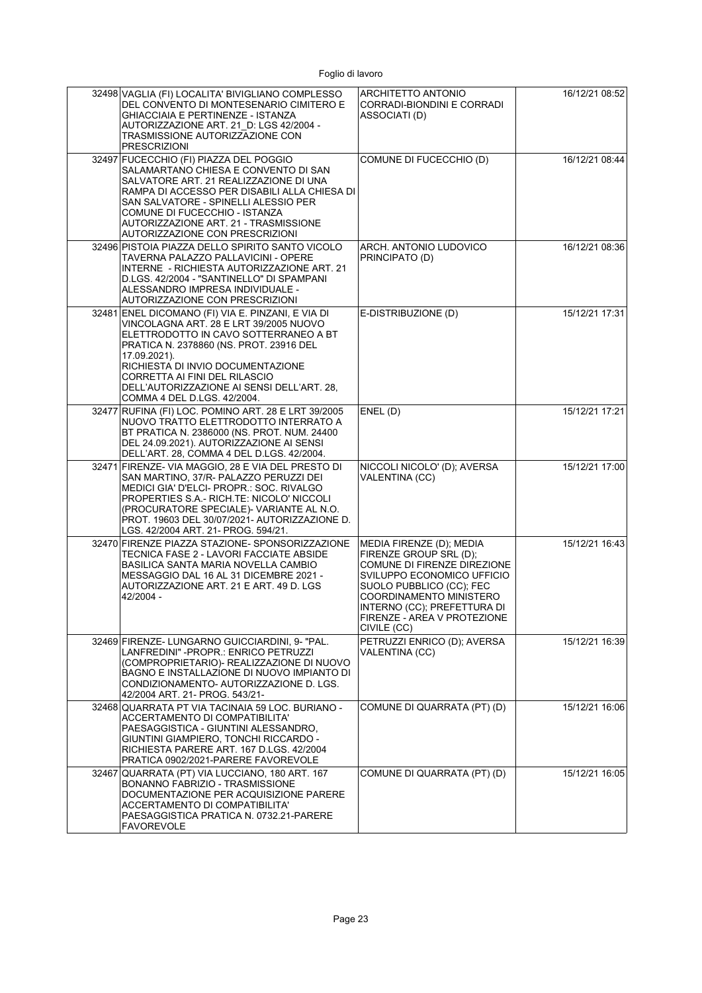| 32498 VAGLIA (FI) LOCALITA' BIVIGLIANO COMPLESSO<br>DEL CONVENTO DI MONTESENARIO CIMITERO E<br>GHIACCIAIA E PERTINENZE - ISTANZA<br>AUTORIZZAZIONE ART. 21 D. LGS 42/2004 -<br>TRASMISSIONE AUTORIZZAZIONE CON<br>PRESCRIZIONI                                                                                                                     | ARCHITETTO ANTONIO<br>CORRADI-BIONDINI E CORRADI<br>ASSOCIATI (D)                                                                                                                                                                                   | 16/12/21 08:52 |
|----------------------------------------------------------------------------------------------------------------------------------------------------------------------------------------------------------------------------------------------------------------------------------------------------------------------------------------------------|-----------------------------------------------------------------------------------------------------------------------------------------------------------------------------------------------------------------------------------------------------|----------------|
| 32497 FUCECCHIO (FI) PIAZZA DEL POGGIO<br>SALAMARTANO CHIESA E CONVENTO DI SAN<br>SALVATORE ART. 21 REALIZZAZIONE DI UNA<br>RAMPA DI ACCESSO PER DISABILI ALLA CHIESA DI<br>SAN SALVATORE - SPINELLI ALESSIO PER<br>COMUNE DI FUCECCHIO - ISTANZA<br>AUTORIZZAZIONE ART. 21 - TRASMISSIONE<br>AUTORIZZAZIONE CON PRESCRIZIONI                      | COMUNE DI FUCECCHIO (D)                                                                                                                                                                                                                             | 16/12/21 08:44 |
| 32496 PISTOIA PIAZZA DELLO SPIRITO SANTO VICOLO<br>TAVERNA PALAZZO PALLAVICINI - OPERE<br>INTERNE - RICHIESTA AUTORIZZAZIONE ART. 21<br>D.LGS. 42/2004 - "SANTINELLO" DI SPAMPANI<br>ALESSANDRO IMPRESA INDIVIDUALE -<br>AUTORIZZAZIONE CON PRESCRIZIONI                                                                                           | ARCH. ANTONIO LUDOVICO<br>PRINCIPATO (D)                                                                                                                                                                                                            | 16/12/21 08:36 |
| 32481 ENEL DICOMANO (FI) VIA E. PINZANI, E VIA DI<br>VINCOLAGNA ART. 28 E LRT 39/2005 NUOVO<br>ELETTRODOTTO IN CAVO SOTTERRANEO A BT<br>PRATICA N. 2378860 (NS. PROT. 23916 DEL<br>17.09.2021).<br>RICHIESTA DI INVIO DOCUMENTAZIONE<br>CORRETTA AI FINI DEL RILASCIO<br>DELL'AUTORIZZAZIONE AI SENSI DELL'ART. 28,<br>COMMA 4 DEL D.LGS. 42/2004. | E-DISTRIBUZIONE (D)                                                                                                                                                                                                                                 | 15/12/21 17:31 |
| 32477 RUFINA (FI) LOC. POMINO ART. 28 E LRT 39/2005<br>NUOVO TRATTO ELETTRODOTTO INTERRATO A<br>BT PRATICA N. 2386000 (NS. PROT. NUM. 24400<br>DEL 24.09.2021). AUTORIZZAZIONE AI SENSI<br>DELL'ART. 28, COMMA 4 DEL D.LGS. 42/2004.                                                                                                               | ENEL(D)                                                                                                                                                                                                                                             | 15/12/21 17:21 |
| 32471 FIRENZE- VIA MAGGIO, 28 E VIA DEL PRESTO DI<br>SAN MARTINO, 37/R- PALAZZO PERUZZI DEI<br>MEDICI GIA' D'ELCI- PROPR.: SOC. RIVALGO<br>PROPERTIES S.A.- RICH.TE: NICOLO' NICCOLI<br>(PROCURATORE SPECIALE)- VARIANTE AL N.O.<br>PROT. 19603 DEL 30/07/2021- AUTORIZZAZIONE D.<br>LGS. 42/2004 ART. 21- PROG. 594/21.                           | NICCOLI NICOLO' (D); AVERSA<br><b>VALENTINA (CC)</b>                                                                                                                                                                                                | 15/12/21 17:00 |
| 32470 FIRENZE PIAZZA STAZIONE- SPONSORIZZAZIONE<br>TECNICA FASE 2 - LAVORI FACCIATE ABSIDE<br>BASILICA SANTA MARIA NOVELLA CAMBIO<br>MESSAGGIO DAL 16 AL 31 DICEMBRE 2021 -<br>AUTORIZZAZIONE ART. 21 E ART. 49 D. LGS<br>42/2004 -                                                                                                                | MEDIA FIRENZE (D); MEDIA<br>FIRENZE GROUP SRL (D);<br>COMUNE DI FIRENZE DIREZIONE<br>SVILUPPO ECONOMICO UFFICIO<br>SUOLO PUBBLICO (CC); FEC<br>COORDINAMENTO MINISTERO<br>INTERNO (CC); PREFETTURA DI<br>FIRENZE - AREA V PROTEZIONE<br>CIVILE (CC) | 15/12/21 16:43 |
| 32469 FIRENZE- LUNGARNO GUICCIARDINI, 9- "PAL.<br>LANFREDINI" -PROPR.: ENRICO PETRUZZI<br>(COMPROPRIETARIO)- REALIZZAZIONE DI NUOVO<br>BAGNO E INSTALLAZIONE DI NUOVO IMPIANTO DI<br>CONDIZIONAMENTO- AUTORIZZAZIONE D. LGS.<br>42/2004 ART. 21- PROG. 543/21-                                                                                     | PETRUZZI ENRICO (D); AVERSA<br>VALENTINA (CC)                                                                                                                                                                                                       | 15/12/21 16:39 |
| 32468 QUARRATA PT VIA TACINAIA 59 LOC. BURIANO -<br>ACCERTAMENTO DI COMPATIBILITA'<br>PAESAGGISTICA - GIUNTINI ALESSANDRO.<br>GIUNTINI GIAMPIERO, TONCHI RICCARDO -<br>RICHIESTA PARERE ART. 167 D.LGS. 42/2004<br>PRATICA 0902/2021-PARERE FAVOREVOLE                                                                                             | COMUNE DI QUARRATA (PT) (D)                                                                                                                                                                                                                         | 15/12/21 16:06 |
| 32467 QUARRATA (PT) VIA LUCCIANO, 180 ART. 167<br>BONANNO FABRIZIO - TRASMISSIONE<br>DOCUMENTAZIONE PER ACQUISIZIONE PARERE<br>ACCERTAMENTO DI COMPATIBILITA'<br>PAESAGGISTICA PRATICA N. 0732.21-PARERE<br>FAVOREVOLE                                                                                                                             | COMUNE DI QUARRATA (PT) (D)                                                                                                                                                                                                                         | 15/12/21 16:05 |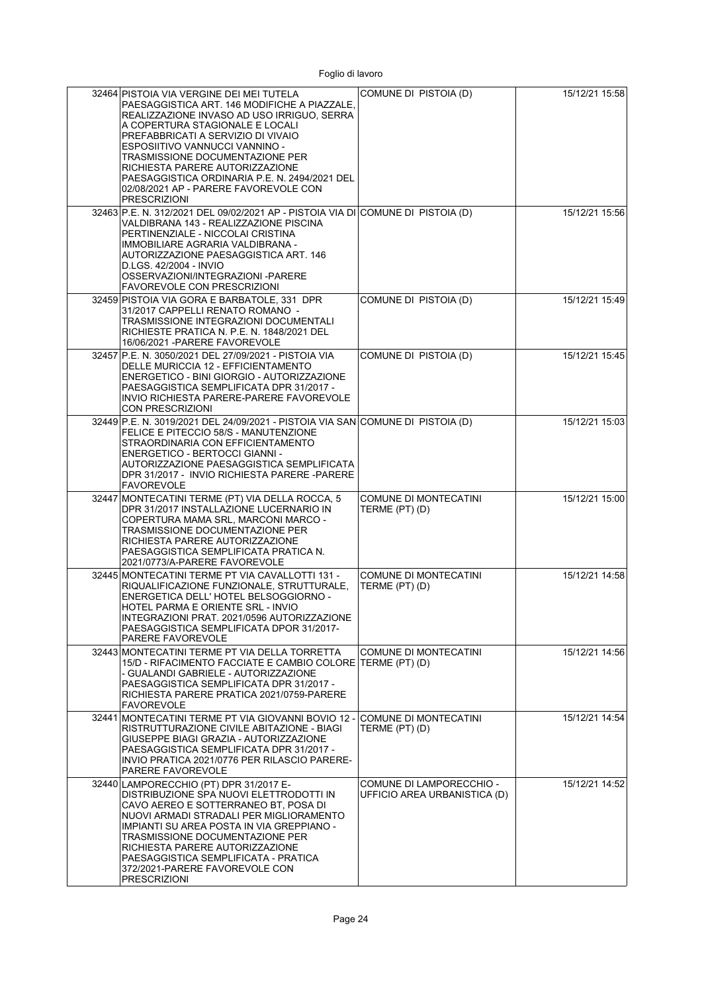| 32464 PISTOIA VIA VERGINE DEI MEI TUTELA<br>PAESAGGISTICA ART. 146 MODIFICHE A PIAZZALE.<br>REALIZZAZIONE INVASO AD USO IRRIGUO, SERRA<br>A COPERTURA STAGIONALE E LOCALI<br>PREFABBRICATI A SERVIZIO DI VIVAIO<br>ESPOSIITIVO VANNUCCI VANNINO -<br>TRASMISSIONE DOCUMENTAZIONE PER<br>RICHIESTA PARERE AUTORIZZAZIONE<br>PAESAGGISTICA ORDINARIA P.E. N. 2494/2021 DEL<br>02/08/2021 AP - PARERE FAVOREVOLE CON<br><b>PRESCRIZIONI</b> | COMUNE DI PISTOIA (D)                                    | 15/12/21 15:58 |
|------------------------------------------------------------------------------------------------------------------------------------------------------------------------------------------------------------------------------------------------------------------------------------------------------------------------------------------------------------------------------------------------------------------------------------------|----------------------------------------------------------|----------------|
| 32463 P.E. N. 312/2021 DEL 09/02/2021 AP - PISTOIA VIA DI COMUNE DI PISTOIA (D)<br>VALDIBRANA 143 - REALIZZAZIONE PISCINA<br>PERTINENZIALE - NICCOLAI CRISTINA<br>IMMOBILIARE AGRARIA VALDIBRANA -<br>AUTORIZZAZIONE PAESAGGISTICA ART. 146<br>D.LGS. 42/2004 - INVIO<br>OSSERVAZIONI/INTEGRAZIONI -PARERE<br>FAVOREVOLE CON PRESCRIZIONI                                                                                                |                                                          | 15/12/21 15:56 |
| 32459 PISTOIA VIA GORA E BARBATOLE, 331 DPR<br>31/2017 CAPPELLI RENATO ROMANO -<br>TRASMISSIONE INTEGRAZIONI DOCUMENTALI<br>RICHIESTE PRATICA N. P.E. N. 1848/2021 DEL<br>16/06/2021 - PARERE FAVOREVOLE                                                                                                                                                                                                                                 | COMUNE DI PISTOIA (D)                                    | 15/12/21 15:49 |
| 32457 P.E. N. 3050/2021 DEL 27/09/2021 - PISTOIA VIA<br>DELLE MURICCIA 12 - EFFICIENTAMENTO<br>ENERGETICO - BINI GIORGIO - AUTORIZZAZIONE<br>PAESAGGISTICA SEMPLIFICATA DPR 31/2017 -<br>INVIO RICHIESTA PARERE-PARERE FAVOREVOLE<br>CON PRESCRIZIONI                                                                                                                                                                                    | COMUNE DI PISTOIA (D)                                    | 15/12/21 15:45 |
| 32449 P.E. N. 3019/2021 DEL 24/09/2021 - PISTOIA VIA SAN COMUNE DI PISTOIA (D)<br>FELICE E PITECCIO 58/S - MANUTENZIONE<br>STRAORDINARIA CON EFFICIENTAMENTO<br>ENERGETICO - BERTOCCI GIANNI -<br>AUTORIZZAZIONE PAESAGGISTICA SEMPLIFICATA<br>DPR 31/2017 - INVIO RICHIESTA PARERE -PARERE<br><b>FAVOREVOLE</b>                                                                                                                         |                                                          | 15/12/21 15:03 |
| 32447 MONTECATINI TERME (PT) VIA DELLA ROCCA, 5<br>DPR 31/2017 INSTALLAZIONE LUCERNARIO IN<br>COPERTURA MAMA SRL, MARCONI MARCO -<br>TRASMISSIONE DOCUMENTAZIONE PER<br>RICHIESTA PARERE AUTORIZZAZIONE<br>PAESAGGISTICA SEMPLIFICATA PRATICA N.<br>2021/0773/A-PARERE FAVOREVOLE                                                                                                                                                        | COMUNE DI MONTECATINI<br>TERME (PT) (D)                  | 15/12/21 15:00 |
| 32445 MONTECATINI TERME PT VIA CAVALLOTTI 131 -<br>RIQUALIFICAZIONE FUNZIONALE, STRUTTURALE,<br>ENERGETICA DELL' HOTEL BELSOGGIORNO -<br>HOTEL PARMA E ORIENTE SRL - INVIO<br>INTEGRAZIONI PRAT. 2021/0596 AUTORIZZAZIONE<br>PAESAGGISTICA SEMPLIFICATA DPOR 31/2017-<br>PARERE FAVOREVOLE                                                                                                                                               | <b>COMUNE DI MONTECATINI</b><br>TERME (PT) (D)           | 15/12/21 14:58 |
| 32443 MONTECATINI TERME PT VIA DELLA TORRETTA<br>15/D - RIFACIMENTO FACCIATE E CAMBIO COLORE TERME (PT) (D)<br>- GUALANDI GABRIELE - AUTORIZZAZIONE<br>PAESAGGISTICA SEMPLIFICATA DPR 31/2017 -<br>RICHIESTA PARERE PRATICA 2021/0759-PARERE<br>FAVOREVOLE                                                                                                                                                                               | COMUNE DI MONTECATINI                                    | 15/12/21 14:56 |
| 32441 MONTECATINI TERME PT VIA GIOVANNI BOVIO 12 - COMUNE DI MONTECATINI<br>RISTRUTTURAZIONE CIVILE ABITAZIONE - BIAGI<br>GIUSEPPE BIAGI GRAZIA - AUTORIZZAZIONE<br>PAESAGGISTICA SEMPLIFICATA DPR 31/2017 -<br>INVIO PRATICA 2021/0776 PER RILASCIO PARERE-<br>PARERE FAVOREVOLE                                                                                                                                                        | TERME (PT) (D)                                           | 15/12/21 14:54 |
| 32440 LAMPORECCHIO (PT) DPR 31/2017 E-<br>DISTRIBUZIONE SPA NUOVI ELETTRODOTTI IN<br>CAVO AEREO E SOTTERRANEO BT. POSA DI<br>NUOVI ARMADI STRADALI PER MIGLIORAMENTO<br>IMPIANTI SU AREA POSTA IN VIA GREPPIANO -<br>TRASMISSIONE DOCUMENTAZIONE PER<br>RICHIESTA PARERE AUTORIZZAZIONE<br>PAESAGGISTICA SEMPLIFICATA - PRATICA<br>372/2021-PARERE FAVOREVOLE CON<br>PRESCRIZIONI                                                        | COMUNE DI LAMPORECCHIO -<br>UFFICIO AREA URBANISTICA (D) | 15/12/21 14:52 |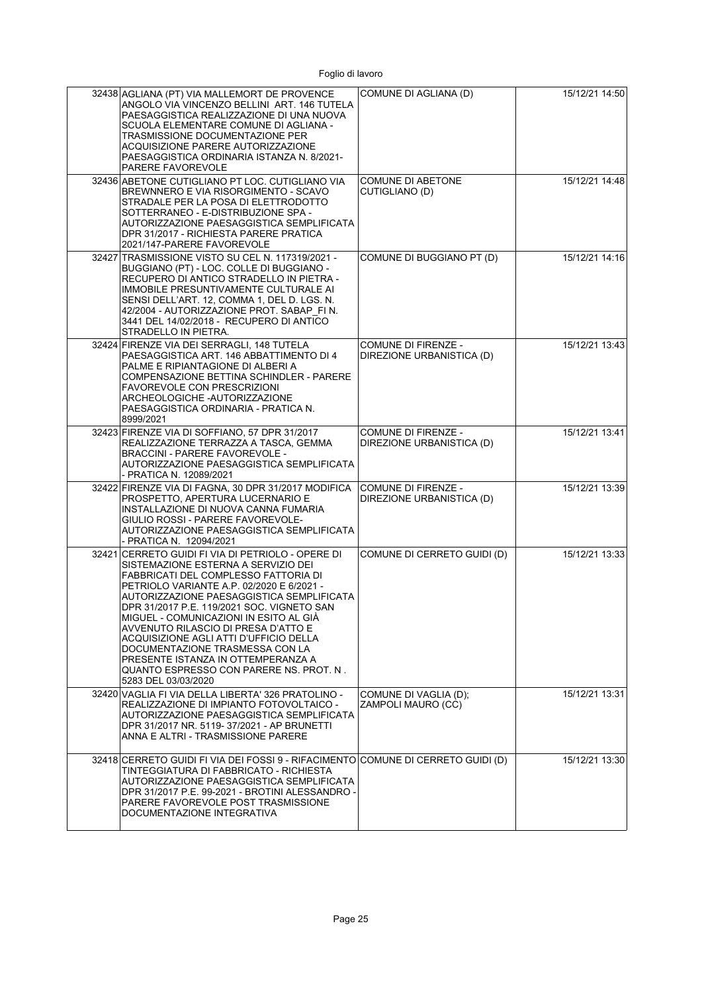| 32438 AGLIANA (PT) VIA MALLEMORT DE PROVENCE<br>ANGOLO VIA VINCENZO BELLINI ART. 146 TUTELA<br>PAESAGGISTICA REALIZZAZIONE DI UNA NUOVA<br>SCUOLA ELEMENTARE COMUNE DI AGLIANA -<br>TRASMISSIONE DOCUMENTAZIONE PER<br>ACQUISIZIONE PARERE AUTORIZZAZIONE<br>PAESAGGISTICA ORDINARIA ISTANZA N. 8/2021-<br>PARERE FAVOREVOLE                                                                                                                                                                                                                   | COMUNE DI AGLIANA (D)                            | 15/12/21 14:50 |
|------------------------------------------------------------------------------------------------------------------------------------------------------------------------------------------------------------------------------------------------------------------------------------------------------------------------------------------------------------------------------------------------------------------------------------------------------------------------------------------------------------------------------------------------|--------------------------------------------------|----------------|
| 32436 ABETONE CUTIGLIANO PT LOC. CUTIGLIANO VIA<br>BREWNNERO E VIA RISORGIMENTO - SCAVO<br>STRADALE PER LA POSA DI ELETTRODOTTO<br>SOTTERRANEO - E-DISTRIBUZIONE SPA -<br>AUTORIZZAZIONE PAESAGGISTICA SEMPLIFICATA<br>DPR 31/2017 - RICHIESTA PARERE PRATICA<br>2021/147-PARERE FAVOREVOLE                                                                                                                                                                                                                                                    | COMUNE DI ABETONE<br>CUTIGLIANO (D)              | 15/12/21 14:48 |
| 32427 TRASMISSIONE VISTO SU CEL N. 117319/2021 -<br>BUGGIANO (PT) - LOC. COLLE DI BUGGIANO -<br>RECUPERO DI ANTICO STRADELLO IN PIETRA -<br>IMMOBILE PRESUNTIVAMENTE CULTURALE AI<br>SENSI DELL'ART. 12, COMMA 1, DEL D. LGS. N.<br>42/2004 - AUTORIZZAZIONE PROT. SABAP FIN.<br>3441 DEL 14/02/2018 - RECUPERO DI ANTICO<br>STRADELLO IN PIETRA.                                                                                                                                                                                              | COMUNE DI BUGGIANO PT (D)                        | 15/12/21 14:16 |
| 32424 FIRENZE VIA DEI SERRAGLI. 148 TUTELA<br>PAESAGGISTICA ART. 146 ABBATTIMENTO DI 4<br>PALME E RIPIANTAGIONE DI ALBERI A<br>COMPENSAZIONE BETTINA SCHINDLER - PARERE<br><b>FAVOREVOLE CON PRESCRIZIONI</b><br>ARCHEOLOGICHE - AUTORIZZAZIONE<br>PAESAGGISTICA ORDINARIA - PRATICA N.<br>8999/2021                                                                                                                                                                                                                                           | COMUNE DI FIRENZE -<br>DIREZIONE URBANISTICA (D) | 15/12/21 13:43 |
| 32423 FIRENZE VIA DI SOFFIANO, 57 DPR 31/2017<br>REALIZZAZIONE TERRAZZA A TASCA, GEMMA<br><b>BRACCINI - PARERE FAVOREVOLE -</b><br>AUTORIZZAZIONE PAESAGGISTICA SEMPLIFICATA<br>- PRATICA N. 12089/2021                                                                                                                                                                                                                                                                                                                                        | COMUNE DI FIRENZE -<br>DIREZIONE URBANISTICA (D) | 15/12/21 13:41 |
| 32422 FIRENZE VIA DI FAGNA, 30 DPR 31/2017 MODIFICA<br>PROSPETTO, APERTURA LUCERNARIO E<br>INSTALLAZIONE DI NUOVA CANNA FUMARIA<br>GIULIO ROSSI - PARERE FAVOREVOLE-<br>AUTORIZZAZIONE PAESAGGISTICA SEMPLIFICATA<br>- PRATICA N. 12094/2021                                                                                                                                                                                                                                                                                                   | COMUNE DI FIRENZE -<br>DIREZIONE URBANISTICA (D) | 15/12/21 13:39 |
| 32421 CERRETO GUIDI FI VIA DI PETRIOLO - OPERE DI<br>SISTEMAZIONE ESTERNA A SERVIZIO DEI<br>FABBRICATI DEL COMPLESSO FATTORIA DI<br>PETRIOLO VARIANTE A.P. 02/2020 E 6/2021 -<br>AUTORIZZAZIONE PAESAGGISTICA SEMPLIFICATA<br>DPR 31/2017 P.E. 119/2021 SOC. VIGNETO SAN<br>MIGUEL - COMUNICAZIONI IN ESITO AL GIÀ<br>AVVENUTO RILASCIO DI PRESA D'ATTO E<br>ACQUISIZIONE AGLI ATTI D'UFFICIO DELLA<br>DOCUMENTAZIONE TRASMESSA CON LA<br>PRESENTE ISTANZA IN OTTEMPERANZA A<br>QUANTO ESPRESSO CON PARERE NS. PROT. N.<br>5283 DEL 03/03/2020 | COMUNE DI CERRETO GUIDI (D)                      | 15/12/21 13:33 |
| 32420 VAGLIA FI VIA DELLA LIBERTA' 326 PRATOLINO -<br>REALIZZAZIONE DI IMPIANTO FOTOVOLTAICO -<br>AUTORIZZAZIONE PAESAGGISTICA SEMPLIFICATA<br>DPR 31/2017 NR. 5119-37/2021 - AP BRUNETTI<br>ANNA E ALTRI - TRASMISSIONE PARERE                                                                                                                                                                                                                                                                                                                | COMUNE DI VAGLIA (D);<br>ZAMPOLI MAURO (CC)      | 15/12/21 13:31 |
| 32418 CERRETO GUIDI FI VIA DEI FOSSI 9 - RIFACIMENTO COMUNE DI CERRETO GUIDI (D)<br>TINTEGGIATURA DI FABBRICATO - RICHIESTA<br>AUTORIZZAZIONE PAESAGGISTICA SEMPLIFICATA<br>DPR 31/2017 P.E. 99-2021 - BROTINI ALESSANDRO -<br>PARERE FAVOREVOLE POST TRASMISSIONE<br>DOCUMENTAZIONE INTEGRATIVA                                                                                                                                                                                                                                               |                                                  | 15/12/21 13:30 |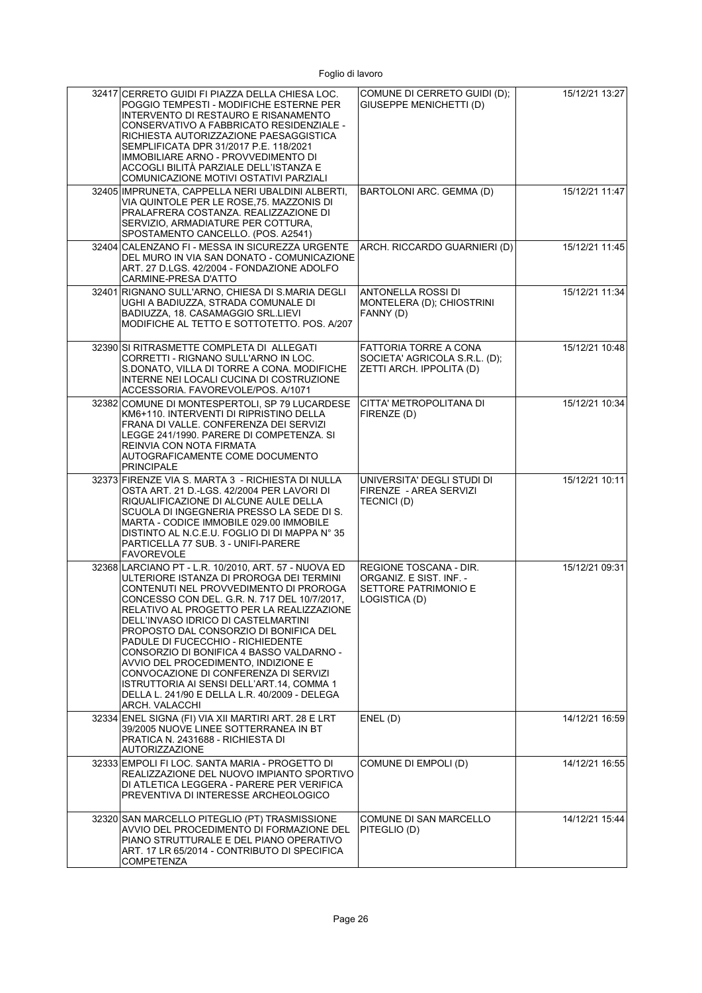| 32417 CERRETO GUIDI FI PIAZZA DELLA CHIESA LOC.<br>POGGIO TEMPESTI - MODIFICHE ESTERNE PER<br>INTERVENTO DI RESTAURO E RISANAMENTO                                                                                                                                                                                                                                                                                                                                                                                                                                                                        | COMUNE DI CERRETO GUIDI (D);<br>GIUSEPPE MENICHETTI (D)                                   | 15/12/21 13:27 |
|-----------------------------------------------------------------------------------------------------------------------------------------------------------------------------------------------------------------------------------------------------------------------------------------------------------------------------------------------------------------------------------------------------------------------------------------------------------------------------------------------------------------------------------------------------------------------------------------------------------|-------------------------------------------------------------------------------------------|----------------|
| CONSERVATIVO A FABBRICATO RESIDENZIALE -<br>RICHIESTA AUTORIZZAZIONE PAESAGGISTICA<br>SEMPLIFICATA DPR 31/2017 P.E. 118/2021<br>IMMOBILIARE ARNO - PROVVEDIMENTO DI<br>ACCOGLI BILITÀ PARZIALE DELL'ISTANZA E<br>COMUNICAZIONE MOTIVI OSTATIVI PARZIALI                                                                                                                                                                                                                                                                                                                                                   |                                                                                           |                |
| 32405 IMPRUNETA, CAPPELLA NERI UBALDINI ALBERTI,<br>VIA QUINTOLE PER LE ROSE, 75. MAZZONIS DI<br>PRALAFRERA COSTANZA. REALIZZAZIONE DI<br>SERVIZIO, ARMADIATURE PER COTTURA,<br>SPOSTAMENTO CANCELLO. (POS. A2541)                                                                                                                                                                                                                                                                                                                                                                                        | BARTOLONI ARC. GEMMA (D)                                                                  | 15/12/21 11:47 |
| 32404 CALENZANO FI - MESSA IN SICUREZZA URGENTE<br>DEL MURO IN VIA SAN DONATO - COMUNICAZIONE<br>ART. 27 D.LGS. 42/2004 - FONDAZIONE ADOLFO<br>CARMINE-PRESA D'ATTO                                                                                                                                                                                                                                                                                                                                                                                                                                       | ARCH. RICCARDO GUARNIERI (D)                                                              | 15/12/21 11:45 |
| 32401 RIGNANO SULL'ARNO, CHIESA DI S.MARIA DEGLI<br>UGHI A BADIUZZA, STRADA COMUNALE DI<br>BADIUZZA, 18. CASAMAGGIO SRL.LIEVI<br>MODIFICHE AL TETTO E SOTTOTETTO, POS. A/207                                                                                                                                                                                                                                                                                                                                                                                                                              | ANTONELLA ROSSI DI<br>MONTELERA (D); CHIOSTRINI<br>FANNY (D)                              | 15/12/21 11:34 |
| 32390 SI RITRASMETTE COMPLETA DI ALLEGATI<br>CORRETTI - RIGNANO SULL'ARNO IN LOC.<br>S.DONATO, VILLA DI TORRE A CONA. MODIFICHE<br>INTERNE NEI LOCALI CUCINA DI COSTRUZIONE<br>ACCESSORIA. FAVOREVOLE/POS. A/1071                                                                                                                                                                                                                                                                                                                                                                                         | <b>FATTORIA TORRE A CONA</b><br>SOCIETA' AGRICOLA S.R.L. (D);<br>ZETTI ARCH. IPPOLITA (D) | 15/12/21 10:48 |
| 32382 COMUNE DI MONTESPERTOLI, SP 79 LUCARDESE<br>KM6+110. INTERVENTI DI RIPRISTINO DELLA<br>FRANA DI VALLE, CONFERENZA DEI SERVIZI<br>LEGGE 241/1990. PARERE DI COMPETENZA. SI<br>REINVIA CON NOTA FIRMATA<br>AUTOGRAFICAMENTE COME DOCUMENTO<br><b>PRINCIPALE</b>                                                                                                                                                                                                                                                                                                                                       | CITTA' METROPOLITANA DI<br>FIRENZE (D)                                                    | 15/12/21 10:34 |
| 32373 FIRENZE VIA S. MARTA 3 - RICHIESTA DI NULLA<br>OSTA ART. 21 D.-LGS. 42/2004 PER LAVORI DI<br>RIQUALIFICAZIONE DI ALCUNE AULE DELLA<br>SCUOLA DI INGEGNERIA PRESSO LA SEDE DI S.<br>MARTA - CODICE IMMOBILE 029.00 IMMOBILE<br>DISTINTO AL N.C.E.U. FOGLIO DI DI MAPPA N° 35<br>PARTICELLA 77 SUB. 3 - UNIFI-PARERE<br><b>FAVOREVOLE</b>                                                                                                                                                                                                                                                             | UNIVERSITA' DEGLI STUDI DI<br>FIRENZE - AREA SERVIZI<br>TECNICI (D)                       | 15/12/21 10:11 |
| 32368 LARCIANO PT - L.R. 10/2010, ART. 57 - NUOVA ED<br>ULTERIORE ISTANZA DI PROROGA DEI TERMINI<br>CONTENUTI NEL PROVVEDIMENTO DI PROROGA<br>CONCESSO CON DEL. G.R. N. 717 DEL 10/7/2017,<br>RELATIVO AL PROGETTO PER LA REALIZZAZIONE<br>DELL'INVASO IDRICO DI CASTELMARTINI<br>PROPOSTO DAL CONSORZIO DI BONIFICA DEL<br>PADULE DI FUCECCHIO - RICHIEDENTE<br>CONSORZIO DI BONIFICA 4 BASSO VALDARNO -<br>AVVIO DEL PROCEDIMENTO, INDIZIONE E<br>CONVOCAZIONE DI CONFERENZA DI SERVIZI<br>ISTRUTTORIA AI SENSI DELL'ART.14, COMMA 1<br>DELLA L. 241/90 E DELLA L.R. 40/2009 - DELEGA<br>ARCH. VALACCHI | REGIONE TOSCANA - DIR.<br>ORGANIZ E SIST INF. -<br>SETTORE PATRIMONIO E<br>LOGISTICA (D)  | 15/12/21 09:31 |
| 32334 ENEL SIGNA (FI) VIA XII MARTIRI ART. 28 E LRT<br>39/2005 NUOVE LINEE SOTTERRANEA IN BT<br>PRATICA N. 2431688 - RICHIESTA DI<br><b>AUTORIZZAZIONE</b>                                                                                                                                                                                                                                                                                                                                                                                                                                                | ENEL(D)                                                                                   | 14/12/21 16:59 |
| 32333 EMPOLI FI LOC. SANTA MARIA - PROGETTO DI<br>REALIZZAZIONE DEL NUOVO IMPIANTO SPORTIVO<br>DI ATLETICA LEGGERA - PARERE PER VERIFICA<br>PREVENTIVA DI INTERESSE ARCHEOLOGICO                                                                                                                                                                                                                                                                                                                                                                                                                          | COMUNE DI EMPOLI (D)                                                                      | 14/12/21 16:55 |
| 32320 SAN MARCELLO PITEGLIO (PT) TRASMISSIONE<br>AVVIO DEL PROCEDIMENTO DI FORMAZIONE DEL<br>PIANO STRUTTURALE E DEL PIANO OPERATIVO<br>ART. 17 LR 65/2014 - CONTRIBUTO DI SPECIFICA<br><b>COMPETENZA</b>                                                                                                                                                                                                                                                                                                                                                                                                 | COMUNE DI SAN MARCELLO<br>PITEGLIO (D)                                                    | 14/12/21 15:44 |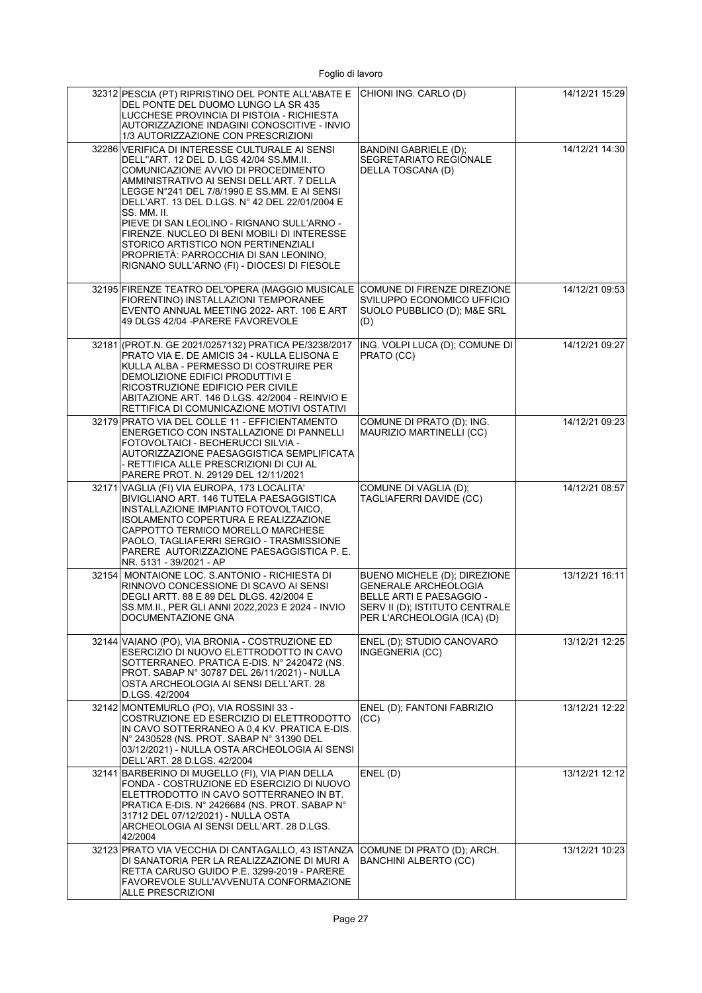|       | 32312 PESCIA (PT) RIPRISTINO DEL PONTE ALL'ABATE E<br>DEL PONTE DEL DUOMO LUNGO LA SR 435<br>LUCCHESE PROVINCIA DI PISTOIA - RICHIESTA<br>AUTORIZZAZIONE INDAGINI CONOSCITIVE - INVIO<br>1/3 AUTORIZZAZIONE CON PRESCRIZIONI                                                                                                                                                                                                                                                                                              | CHIONI ING. CARLO (D)                                                                                                                                    | 14/12/21 15:29 |
|-------|---------------------------------------------------------------------------------------------------------------------------------------------------------------------------------------------------------------------------------------------------------------------------------------------------------------------------------------------------------------------------------------------------------------------------------------------------------------------------------------------------------------------------|----------------------------------------------------------------------------------------------------------------------------------------------------------|----------------|
|       | 32286 VERIFICA DI INTERESSE CULTURALE AI SENSI<br>DELL"ART. 12 DEL D. LGS 42/04 SS.MM.II<br>COMUNICAZIONE AVVIO DI PROCEDIMENTO<br>AMMINISTRATIVO AI SENSI DELL'ART. 7 DELLA<br>LEGGE N°241 DEL 7/8/1990 E SS.MM. E AI SENSI<br>DELL'ART. 13 DEL D.LGS. N° 42 DEL 22/01/2004 E<br>SS. MM. II.<br>PIEVE DI SAN LEOLINO - RIGNANO SULL'ARNO -<br>FIRENZE. NUCLEO DI BENI MOBILI DI INTERESSE<br>STORICO ARTISTICO NON PERTINENZIALI<br>PROPRIETÁ: PARROCCHIA DI SAN LEONINO,<br>RIGNANO SULL'ARNO (FI) - DIOCESI DI FIESOLE | BANDINI GABRIELE (D);<br>SEGRETARIATO REGIONALE<br>DELLA TOSCANA (D)                                                                                     | 14/12/21 14:30 |
|       | 32195 FIRENZE TEATRO DEL'OPERA (MAGGIO MUSICALE<br>FIORENTINO) INSTALLAZIONI TEMPORANEE<br>EVENTO ANNUAL MEETING 2022- ART. 106 E ART<br>49 DLGS 42/04 - PARERE FAVOREVOLE                                                                                                                                                                                                                                                                                                                                                | COMUNE DI FIRENZE DIREZIONE<br>SVILUPPO ECONOMICO UFFICIO<br>SUOLO PUBBLICO (D); M&E SRL<br>(D)                                                          | 14/12/21 09:53 |
|       | 32181 (PROT.N. GE 2021/0257132) PRATICA PE/3238/2017<br>PRATO VIA E. DE AMICIS 34 - KULLA ELISONA E<br>KULLA ALBA - PERMESSO DI COSTRUIRE PER<br>DEMOLIZIONE EDIFICI PRODUTTIVI E<br>RICOSTRUZIONE EDIFICIO PER CIVILE<br>ABITAZIONE ART. 146 D.LGS. 42/2004 - REINVIO E<br>RETTIFICA DI COMUNICAZIONE MOTIVI OSTATIVI                                                                                                                                                                                                    | ING. VOLPI LUCA (D); COMUNE DI<br>PRATO (CC)                                                                                                             | 14/12/21 09:27 |
|       | 32179 PRATO VIA DEL COLLE 11 - EFFICIENTAMENTO<br>ENERGETICO CON INSTALLAZIONE DI PANNELLI<br>FOTOVOLTAICI - BECHERUCCI SILVIA -<br>AUTORIZZAZIONE PAESAGGISTICA SEMPLIFICATA<br>- RETTIFICA ALLE PRESCRIZIONI DI CUI AL<br>PARERE PROT. N. 29129 DEL 12/11/2021                                                                                                                                                                                                                                                          | COMUNE DI PRATO (D); ING.<br>MAURIZIO MARTINELLI (CC)                                                                                                    | 14/12/21 09:23 |
|       | 32171 VAGLIA (FI) VIA EUROPA, 173 LOCALITA'<br>BIVIGLIANO ART. 146 TUTELA PAESAGGISTICA<br>INSTALLAZIONE IMPIANTO FOTOVOLTAICO,<br>ISOLAMENTO COPERTURA E REALIZZAZIONE<br>CAPPOTTO TERMICO MORELLO MARCHESE<br>PAOLO, TAGLIAFERRI SERGIO - TRASMISSIONE<br>PARERE AUTORIZZAZIONE PAESAGGISTICA P. E.<br>NR. 5131 - 39/2021 - AP                                                                                                                                                                                          | COMUNE DI VAGLIA (D);<br>TAGLIAFERRI DAVIDE (CC)                                                                                                         | 14/12/21 08:57 |
| 32154 | MONTAIONE LOC. S.ANTONIO - RICHIESTA DI<br>RINNOVO CONCESSIONE DI SCAVO AI SENSI<br>DEGLI ARTT. 88 E 89 DEL DLGS. 42/2004 E<br>SS.MM.II., PER GLI ANNI 2022,2023 E 2024 - INVIO<br>DOCUMENTAZIONE GNA                                                                                                                                                                                                                                                                                                                     | BUENO MICHELE (D); DIREZIONE<br><b>GENERALE ARCHEOLOGIA</b><br>BELLE ARTI E PAESAGGIO -<br>SERV II (D); ISTITUTO CENTRALE<br>PER L'ARCHEOLOGIA (ICA) (D) | 13/12/21 16:11 |
|       | 32144 VAIANO (PO), VIA BRONIA - COSTRUZIONE ED<br>ESERCIZIO DI NUOVO ELETTRODOTTO IN CAVO<br>SOTTERRANEO. PRATICA E-DIS. N° 2420472 (NS.<br>PROT. SABAP N° 30787 DEL 26/11/2021) - NULLA<br>OSTA ARCHEOLOGIA AI SENSI DELL'ART. 28<br>D.LGS. 42/2004                                                                                                                                                                                                                                                                      | ENEL (D); STUDIO CANOVARO<br>INGEGNERIA (CC)                                                                                                             | 13/12/21 12:25 |
|       | 32142 MONTEMURLO (PO), VIA ROSSINI 33 -<br>COSTRUZIONE ED ESERCIZIO DI ELETTRODOTTO<br>IN CAVO SOTTERRANEO A 0,4 KV. PRATICA E-DIS.<br>N° 2430528 (NS. PROT. SABAP N° 31390 DEL<br>03/12/2021) - NULLA OSTA ARCHEOLOGIA AI SENSI<br>DELL'ART. 28 D.LGS. 42/2004                                                                                                                                                                                                                                                           | ENEL (D); FANTONI FABRIZIO<br>(CC)                                                                                                                       | 13/12/21 12:22 |
|       | 32141 BARBERINO DI MUGELLO (FI), VIA PIAN DELLA<br>FONDA - COSTRUZIONE ED ESERCIZIO DI NUOVO<br>ELETTRODOTTO IN CAVO SOTTERRANEO IN BT.<br>PRATICA E-DIS. N° 2426684 (NS. PROT. SABAP N°<br>31712 DEL 07/12/2021) - NULLA OSTA<br>ARCHEOLOGIA AI SENSI DELL'ART. 28 D.LGS.<br>42/2004                                                                                                                                                                                                                                     | ENEL(D)                                                                                                                                                  | 13/12/21 12:12 |
|       | 32123 PRATO VIA VECCHIA DI CANTAGALLO, 43 ISTANZA<br>DI SANATORIA PER LA REALIZZAZIONE DI MURI A<br>RETTA CARUSO GUIDO P.E. 3299-2019 - PARERE<br>FAVOREVOLE SULL'AVVENUTA CONFORMAZIONE<br>ALLE PRESCRIZIONI                                                                                                                                                                                                                                                                                                             | COMUNE DI PRATO (D); ARCH.<br><b>BANCHINI ALBERTO (CC)</b>                                                                                               | 13/12/21 10:23 |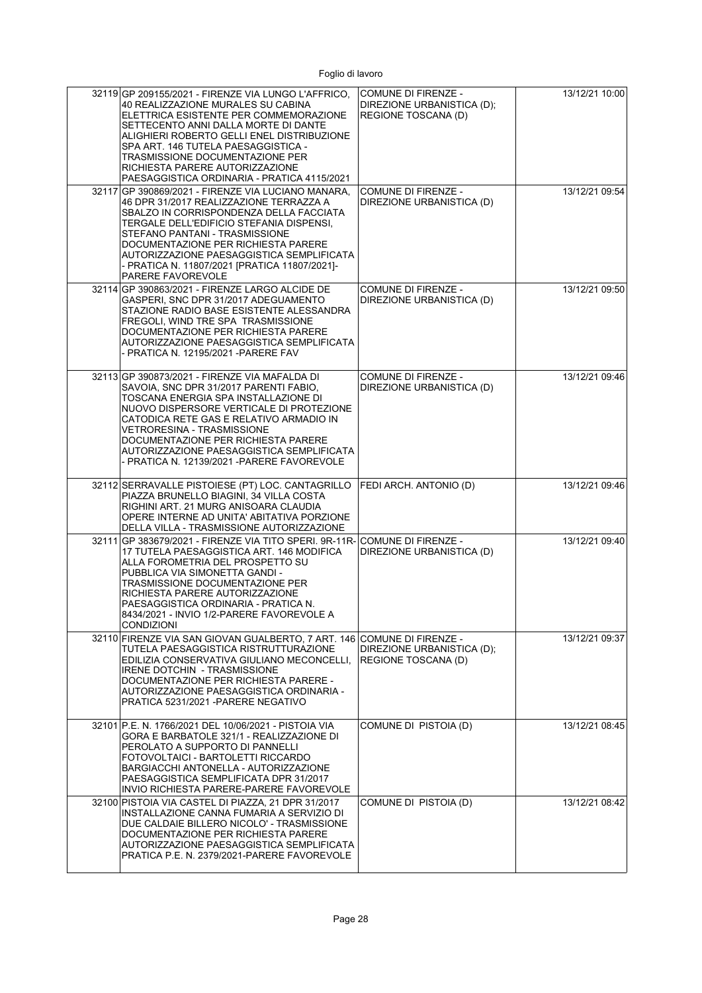| 32119 GP 209155/2021 - FIRENZE VIA LUNGO L'AFFRICO,<br>40 REALIZZAZIONE MURALES SU CABINA<br>ELETTRICA ESISTENTE PER COMMEMORAZIONE<br>SETTECENTO ANNI DALLA MORTE DI DANTE<br>ALIGHIERI ROBERTO GELLI ENEL DISTRIBUZIONE<br>SPA ART. 146 TUTELA PAESAGGISTICA -<br>TRASMISSIONE DOCUMENTAZIONE PER<br>RICHIESTA PARERE AUTORIZZAZIONE<br>PAESAGGISTICA ORDINARIA - PRATICA 4115/2021  | COMUNE DI FIRENZE -<br>DIREZIONE URBANISTICA (D);<br>REGIONE TOSCANA (D) | 13/12/21 10:00 |
|----------------------------------------------------------------------------------------------------------------------------------------------------------------------------------------------------------------------------------------------------------------------------------------------------------------------------------------------------------------------------------------|--------------------------------------------------------------------------|----------------|
| 32117 GP 390869/2021 - FIRENZE VIA LUCIANO MANARA,<br>46 DPR 31/2017 REALIZZAZIONE TERRAZZA A<br>SBALZO IN CORRISPONDENZA DELLA FACCIATA<br>TERGALE DELL'EDIFICIO STEFANIA DISPENSI.<br>STEFANO PANTANI - TRASMISSIONE<br>DOCUMENTAZIONE PER RICHIESTA PARERE<br>AUTORIZZAZIONE PAESAGGISTICA SEMPLIFICATA<br>- PRATICA N. 11807/2021 [PRATICA 11807/2021]-<br>PARERE FAVOREVOLE       | <b>COMUNE DI FIRENZE -</b><br>DIREZIONE URBANISTICA (D)                  | 13/12/21 09:54 |
| 32114 GP 390863/2021 - FIRENZE LARGO ALCIDE DE<br>GASPERI, SNC DPR 31/2017 ADEGUAMENTO<br>STAZIONE RADIO BASE ESISTENTE ALESSANDRA<br>FREGOLI, WIND TRE SPA TRASMISSIONE<br>DOCUMENTAZIONE PER RICHIESTA PARERE<br>AUTORIZZAZIONE PAESAGGISTICA SEMPLIFICATA<br>- PRATICA N. 12195/2021 -PARERE FAV                                                                                    | COMUNE DI FIRENZE -<br>DIREZIONE URBANISTICA (D)                         | 13/12/21 09:50 |
| 32113 GP 390873/2021 - FIRENZE VIA MAFALDA DI<br>SAVOIA, SNC DPR 31/2017 PARENTI FABIO,<br>TOSCANA ENERGIA SPA INSTALLAZIONE DI<br>NUOVO DISPERSORE VERTICALE DI PROTEZIONE<br>CATODICA RETE GAS E RELATIVO ARMADIO IN<br>VETRORESINA - TRASMISSIONE<br>DOCUMENTAZIONE PER RICHIESTA PARERE<br>AUTORIZZAZIONE PAESAGGISTICA SEMPLIFICATA<br>- PRATICA N. 12139/2021 -PARERE FAVOREVOLE | <b>COMUNE DI FIRENZE -</b><br>DIREZIONE URBANISTICA (D)                  | 13/12/21 09:46 |
| 32112 SERRAVALLE PISTOIESE (PT) LOC. CANTAGRILLO<br>PIAZZA BRUNELLO BIAGINI, 34 VILLA COSTA<br>RIGHINI ART. 21 MURG ANISOARA CLAUDIA<br>OPERE INTERNE AD UNITA' ABITATIVA PORZIONE<br>DELLA VILLA - TRASMISSIONE AUTORIZZAZIONE                                                                                                                                                        | FEDI ARCH. ANTONIO (D)                                                   | 13/12/21 09:46 |
| 32111 GP 383679/2021 - FIRENZE VIA TITO SPERI. 9R-11R-<br>17 TUTELA PAESAGGISTICA ART. 146 MODIFICA<br>ALLA FOROMETRIA DEL PROSPETTO SU<br>PUBBLICA VIA SIMONETTA GANDI -<br>TRASMISSIONE DOCUMENTAZIONE PER<br>RICHIESTA PARERE AUTORIZZAZIONE<br>PAESAGGISTICA ORDINARIA - PRATICA N.<br>8434/2021 - INVIO 1/2-PARERE FAVOREVOLE A<br><b>CONDIZIONI</b>                              | COMUNE DI FIRENZE -<br>DIREZIONE URBANISTICA (D)                         | 13/12/21 09:40 |
| 32110 FIRENZE VIA SAN GIOVAN GUALBERTO, 7 ART, 146 COMUNE DI FIRENZE -<br>TUTELA PAESAGGISTICA RISTRUTTURAZIONE<br>EDILIZIA CONSERVATIVA GIULIANO MECONCELLI.<br>IRENE DOTCHIN - TRASMISSIONE<br>DOCUMENTAZIONE PER RICHIESTA PARERE -<br>AUTORIZZAZIONE PAESAGGISTICA ORDINARIA -<br>PRATICA 5231/2021 -PARERE NEGATIVO                                                               | DIREZIONE URBANISTICA (D);<br>REGIONE TOSCANA (D)                        | 13/12/21 09:37 |
| 32101 P.E. N. 1766/2021 DEL 10/06/2021 - PISTOIA VIA<br>GORA E BARBATOLE 321/1 - REALIZZAZIONE DI<br>PEROLATO A SUPPORTO DI PANNELLI<br>FOTOVOLTAICI - BARTOLETTI RICCARDO<br>BARGIACCHI ANTONELLA - AUTORIZZAZIONE<br>PAESAGGISTICA SEMPLIFICATA DPR 31/2017<br>INVIO RICHIESTA PARERE-PARERE FAVOREVOLE                                                                              | COMUNE DI PISTOIA (D)                                                    | 13/12/21 08:45 |
| 32100 PISTOIA VIA CASTEL DI PIAZZA, 21 DPR 31/2017<br>INSTALLAZIONE CANNA FUMARIA A SERVIZIO DI<br>DUE CALDAIE BILLERO NICOLO' - TRASMISSIONE<br>DOCUMENTAZIONE PER RICHIESTA PARERE<br>AUTORIZZAZIONE PAESAGGISTICA SEMPLIFICATA<br>PRATICA P.E. N. 2379/2021-PARERE FAVOREVOLE                                                                                                       | COMUNE DI PISTOIA (D)                                                    | 13/12/21 08:42 |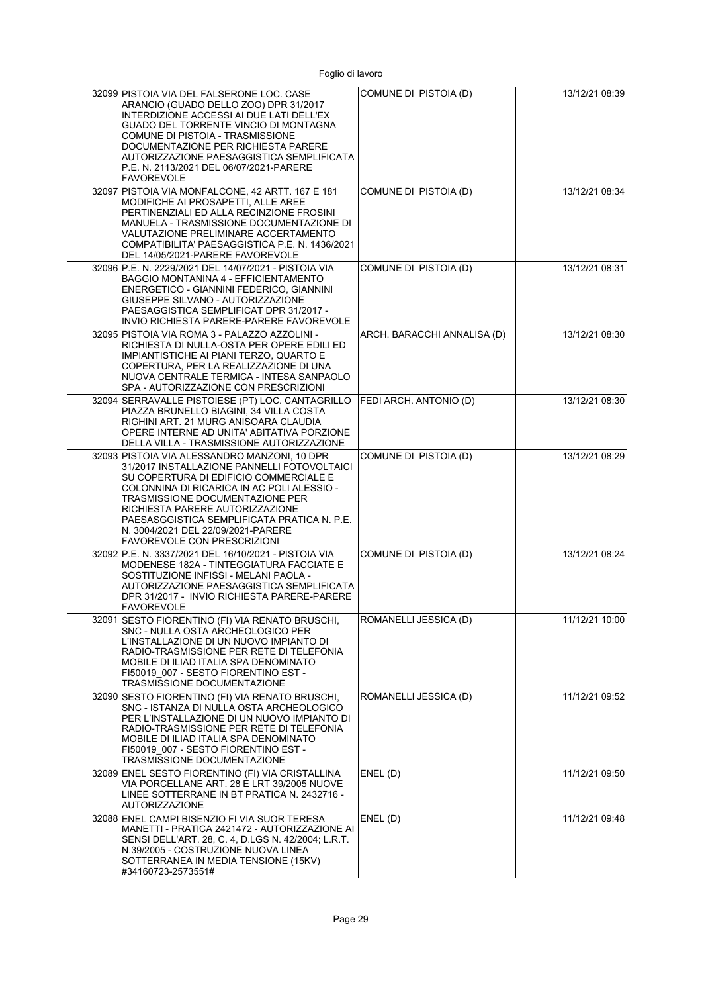| 32099 PISTOIA VIA DEL FALSERONE LOC. CASE<br>ARANCIO (GUADO DELLO ZOO) DPR 31/2017<br>INTERDIZIONE ACCESSI AI DUE LATI DELL'EX<br>GUADO DEL TORRENTE VINCIO DI MONTAGNA<br>COMUNE DI PISTOIA - TRASMISSIONE<br>DOCUMENTAZIONE PER RICHIESTA PARERE<br>AUTORIZZAZIONE PAESAGGISTICA SEMPLIFICATA<br>P.E. N. 2113/2021 DEL 06/07/2021-PARERE<br><b>FAVOREVOLE</b>               | COMUNE DI PISTOIA (D)       | 13/12/21 08:39 |
|-------------------------------------------------------------------------------------------------------------------------------------------------------------------------------------------------------------------------------------------------------------------------------------------------------------------------------------------------------------------------------|-----------------------------|----------------|
| 32097 PISTOIA VIA MONFALCONE, 42 ARTT, 167 E 181<br>MODIFICHE AI PROSAPETTI, ALLE AREE<br>PERTINENZIALI ED ALLA RECINZIONE FROSINI<br>MANUELA - TRASMISSIONE DOCUMENTAZIONE DI<br>VALUTAZIONE PRELIMINARE ACCERTAMENTO<br>COMPATIBILITA' PAESAGGISTICA P.E. N. 1436/2021<br>DEL 14/05/2021-PARERE FAVOREVOLE                                                                  | COMUNE DI PISTOIA (D)       | 13/12/21 08:34 |
| 32096 P.E. N. 2229/2021 DEL 14/07/2021 - PISTOIA VIA<br>BAGGIO MONTANINA 4 - EFFICIENTAMENTO<br>ENERGETICO - GIANNINI FEDERICO, GIANNINI<br>GIUSEPPE SILVANO - AUTORIZZAZIONE<br>PAESAGGISTICA SEMPLIFICAT DPR 31/2017 -<br>INVIO RICHIESTA PARERE-PARERE FAVOREVOLE                                                                                                          | COMUNE DI PISTOIA (D)       | 13/12/21 08:31 |
| 32095 PISTOIA VIA ROMA 3 - PALAZZO AZZOLINI -<br>RICHIESTA DI NULLA-OSTA PER OPERE EDILI ED<br>IMPIANTISTICHE AI PIANI TERZO, QUARTO E<br>COPERTURA, PER LA REALIZZAZIONE DI UNA<br>NUOVA CENTRALE TERMICA - INTESA SANPAOLO<br>SPA - AUTORIZZAZIONE CON PRESCRIZIONI                                                                                                         | ARCH. BARACCHI ANNALISA (D) | 13/12/21 08:30 |
| 32094 SERRAVALLE PISTOIESE (PT) LOC. CANTAGRILLO<br>PIAZZA BRUNELLO BIAGINI. 34 VILLA COSTA<br>RIGHINI ART. 21 MURG ANISOARA CLAUDIA<br>OPERE INTERNE AD UNITA' ABITATIVA PORZIONE<br>DELLA VILLA - TRASMISSIONE AUTORIZZAZIONE                                                                                                                                               | FEDI ARCH. ANTONIO (D)      | 13/12/21 08:30 |
| 32093 PISTOIA VIA ALESSANDRO MANZONI, 10 DPR<br>31/2017 INSTALLAZIONE PANNELLI FOTOVOLTAICI<br>SU COPERTURA DI EDIFICIO COMMERCIALE E<br>COLONNINA DI RICARICA IN AC POLI ALESSIO -<br>TRASMISSIONE DOCUMENTAZIONE PER<br>RICHIESTA PARERE AUTORIZZAZIONE<br>PAESASGGISTICA SEMPLIFICATA PRATICA N. P.E.<br>N. 3004/2021 DEL 22/09/2021-PARERE<br>FAVOREVOLE CON PRESCRIZIONI | COMUNE DI PISTOIA (D)       | 13/12/21 08:29 |
| 32092 P.E. N. 3337/2021 DEL 16/10/2021 - PISTOIA VIA<br>MODENESE 182A - TINTEGGIATURA FACCIATE E<br>SOSTITUZIONE INFISSI - MELANI PAOLA -<br>AUTORIZZAZIONE PAESAGGISTICA SEMPLIFICATA<br>DPR 31/2017 - INVIO RICHIESTA PARERE-PARERE<br><b>FAVOREVOLE</b>                                                                                                                    | COMUNE DI PISTOIA (D)       | 13/12/21 08:24 |
| 32091 SESTO FIORENTINO (FI) VIA RENATO BRUSCHI,<br>SNC - NULLA OSTA ARCHEOLOGICO PER<br>L'INSTALLAZIONE DI UN NUOVO IMPIANTO DI<br>RADIO-TRASMISSIONE PER RETE DI TELEFONIA<br>MOBILE DI ILIAD ITALIA SPA DENOMINATO<br>FI50019 007 - SESTO FIORENTINO EST -<br>TRASMISSIONE DOCUMENTAZIONE                                                                                   | ROMANELLI JESSICA (D)       | 11/12/21 10:00 |
| 32090 SESTO FIORENTINO (FI) VIA RENATO BRUSCHI,<br>SNC - ISTANZA DI NULLA OSTA ARCHEOLOGICO<br>PER L'INSTALLAZIONE DI UN NUOVO IMPIANTO DI<br>RADIO-TRASMISSIONE PER RETE DI TELEFONIA<br>MOBILE DI ILIAD ITALIA SPA DENOMINATO<br>FI50019 007 - SESTO FIORENTINO EST -<br>TRASMISSIONE DOCUMENTAZIONE                                                                        | ROMANELLI JESSICA (D)       | 11/12/21 09:52 |
| 32089 ENEL SESTO FIORENTINO (FI) VIA CRISTALLINA<br>VIA PORCELLANE ART. 28 E LRT 39/2005 NUOVE<br>LINEE SOTTERRANE IN BT PRATICA N. 2432716 -<br><b>AUTORIZZAZIONE</b>                                                                                                                                                                                                        | ENEL(D)                     | 11/12/21 09:50 |
| 32088 ENEL CAMPI BISENZIO FI VIA SUOR TERESA<br>MANETTI - PRATICA 2421472 - AUTORIZZAZIONE AI<br>SENSI DELL'ART. 28, C. 4, D.LGS N. 42/2004; L.R.T.<br>N.39/2005 - COSTRUZIONE NUOVA LINEA<br>SOTTERRANEA IN MEDIA TENSIONE (15KV)<br>#34160723-2573551#                                                                                                                      | ENEL(D)                     | 11/12/21 09:48 |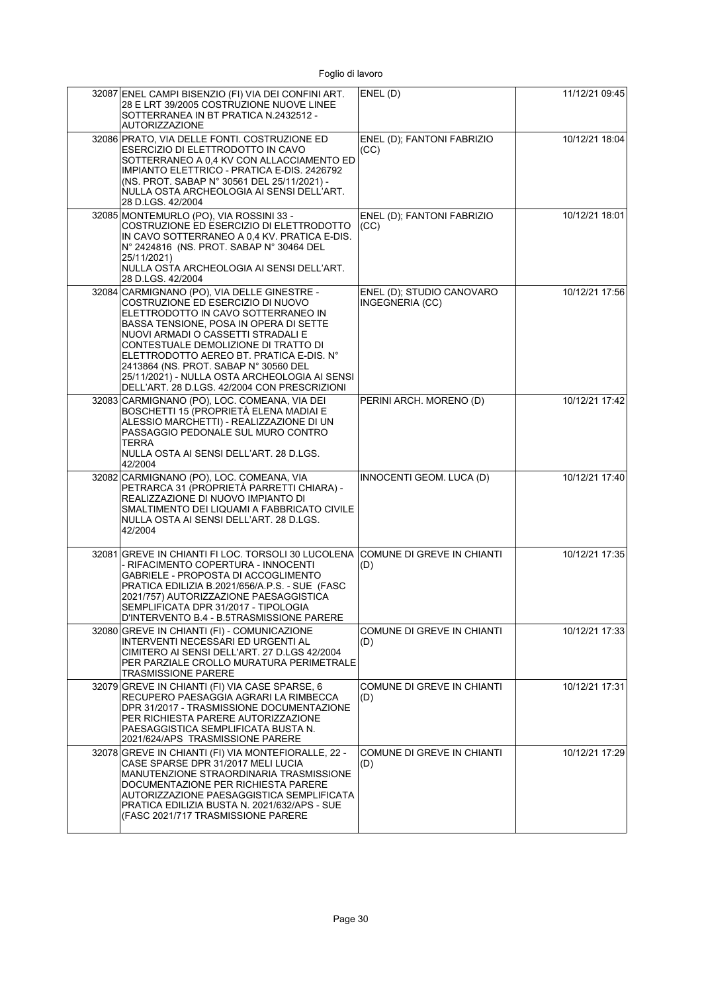| 32087 ENEL CAMPI BISENZIO (FI) VIA DEI CONFINI ART.<br>28 E LRT 39/2005 COSTRUZIONE NUOVE LINEE                                                                                                                                                                                                                                                                                                                                       | ENEL(D)                                      | 11/12/21 09:45 |
|---------------------------------------------------------------------------------------------------------------------------------------------------------------------------------------------------------------------------------------------------------------------------------------------------------------------------------------------------------------------------------------------------------------------------------------|----------------------------------------------|----------------|
| SOTTERRANEA IN BT PRATICA N.2432512 -<br><b>AUTORIZZAZIONE</b>                                                                                                                                                                                                                                                                                                                                                                        |                                              |                |
| 32086 PRATO, VIA DELLE FONTI. COSTRUZIONE ED<br>ESERCIZIO DI ELETTRODOTTO IN CAVO<br>SOTTERRANEO A 0,4 KV CON ALLACCIAMENTO ED<br>IMPIANTO ELETTRICO - PRATICA E-DIS. 2426792<br>(NS. PROT. SABAP N° 30561 DEL 25/11/2021) -<br>NULLA OSTA ARCHEOLOGIA AI SENSI DELL'ART.<br>28 D.LGS, 42/2004                                                                                                                                        | ENEL (D); FANTONI FABRIZIO<br>(CC)           | 10/12/21 18:04 |
| 32085 MONTEMURLO (PO), VIA ROSSINI 33 -<br>COSTRUZIONE ED ESERCIZIO DI ELETTRODOTTO<br>IN CAVO SOTTERRANEO A 0.4 KV. PRATICA E-DIS.<br>N° 2424816 (NS. PROT. SABAP N° 30464 DEL<br>25/11/2021)<br>NULLA OSTA ARCHEOLOGIA AI SENSI DELL'ART.<br>28 D.LGS. 42/2004                                                                                                                                                                      | ENEL (D); FANTONI FABRIZIO<br>(CC)           | 10/12/21 18:01 |
| 32084 CARMIGNANO (PO), VIA DELLE GINESTRE -<br>COSTRUZIONE ED ESERCIZIO DI NUOVO<br>ELETTRODOTTO IN CAVO SOTTERRANEO IN<br>BASSA TENSIONE, POSA IN OPERA DI SETTE<br>NUOVI ARMADI O CASSETTI STRADALI E<br>CONTESTUALE DEMOLIZIONE DI TRATTO DI<br>ELETTRODOTTO AEREO BT. PRATICA E-DIS. N°<br>2413864 (NS. PROT. SABAP N° 30560 DEL<br>25/11/2021) - NULLA OSTA ARCHEOLOGIA AI SENSI<br>DELL'ART. 28 D.LGS. 42/2004 CON PRESCRIZIONI | ENEL (D); STUDIO CANOVARO<br>INGEGNERIA (CC) | 10/12/21 17:56 |
| 32083 CARMIGNANO (PO), LOC. COMEANA, VIA DEI<br>BOSCHETTI 15 (PROPRIETÀ ELENA MADIAI E<br>ALESSIO MARCHETTI) - REALIZZAZIONE DI UN<br>PASSAGGIO PEDONALE SUL MURO CONTRO<br>TERRA<br>NULLA OSTA AI SENSI DELL'ART. 28 D.LGS.<br>42/2004                                                                                                                                                                                               | PERINI ARCH. MORENO (D)                      | 10/12/21 17:42 |
| 32082 CARMIGNANO (PO), LOC. COMEANA, VIA<br>PETRARCA 31 (PROPRIETÀ PARRETTI CHIARA) -<br>REALIZZAZIONE DI NUOVO IMPIANTO DI<br>SMALTIMENTO DEI LIQUAMI A FABBRICATO CIVILE<br>NULLA OSTA AI SENSI DELL'ART. 28 D.LGS.<br>42/2004                                                                                                                                                                                                      | INNOCENTI GEOM. LUCA (D)                     | 10/12/21 17:40 |
| 32081 GREVE IN CHIANTI FI LOC. TORSOLI 30 LUCOLENA<br>- RIFACIMENTO COPERTURA - INNOCENTI<br>GABRIELE - PROPOSTA DI ACCOGLIMENTO<br>PRATICA EDILIZIA B.2021/656/A.P.S. - SUE (FASC<br>2021/757) AUTORIZZAZIONE PAESAGGISTICA<br>SEMPLIFICATA DPR 31/2017 - TIPOLOGIA<br>D'INTERVENTO B.4 - B.5TRASMISSIONE PARERE                                                                                                                     | COMUNE DI GREVE IN CHIANTI<br>(D)            | 10/12/21 17:35 |
| 32080 GREVE IN CHIANTI (FI) - COMUNICAZIONE<br>INTERVENTI NECESSARI ED URGENTI AL<br>CIMITERO AI SENSI DELL'ART. 27 D.LGS 42/2004<br>PER PARZIALE CROLLO MURATURA PERIMETRALE<br>TRASMISSIONE PARERE                                                                                                                                                                                                                                  | <b>COMUNE DI GREVE IN CHIANTI</b><br>(D)     | 10/12/21 17:33 |
| 32079 GREVE IN CHIANTI (FI) VIA CASE SPARSE, 6<br>RECUPERO PAESAGGIA AGRARI LA RIMBECCA<br>DPR 31/2017 - TRASMISSIONE DOCUMENTAZIONE<br>PER RICHIESTA PARERE AUTORIZZAZIONE<br>PAESAGGISTICA SEMPLIFICATA BUSTA N.<br>2021/624/APS TRASMISSIONE PARERE                                                                                                                                                                                | <b>COMUNE DI GREVE IN CHIANTI</b><br>(D)     | 10/12/21 17:31 |
| 32078 GREVE IN CHIANTI (FI) VIA MONTEFIORALLE, 22 -<br>CASE SPARSE DPR 31/2017 MELI LUCIA<br>MANUTENZIONE STRAORDINARIA TRASMISSIONE<br>DOCUMENTAZIONE PER RICHIESTA PARERE<br>AUTORIZZAZIONE PAESAGGISTICA SEMPLIFICATA<br>PRATICA EDILIZIA BUSTA N. 2021/632/APS - SUE<br>(FASC 2021/717 TRASMISSIONE PARERE                                                                                                                        | <b>COMUNE DI GREVE IN CHIANTI</b><br>(D)     | 10/12/21 17:29 |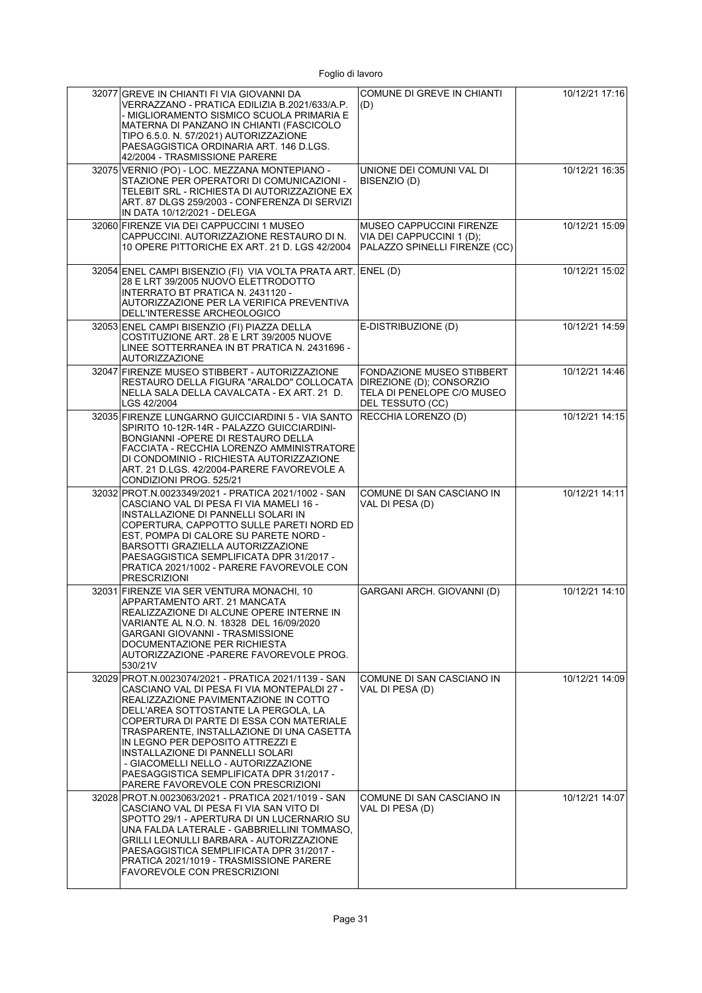| 32077 GREVE IN CHIANTI FI VIA GIOVANNI DA<br>VERRAZZANO - PRATICA EDILIZIA B.2021/633/A.P.<br>- MIGLIORAMENTO SISMICO SCUOLA PRIMARIA E<br>MATERNA DI PANZANO IN CHIANTI (FASCICOLO<br>TIPO 6.5.0. N. 57/2021) AUTORIZZAZIONE<br>PAESAGGISTICA ORDINARIA ART. 146 D.LGS.<br>42/2004 - TRASMISSIONE PARERE                                                                                                                                                                     | COMUNE DI GREVE IN CHIANTI<br>(D)                                                                              | 10/12/21 17:16 |
|-------------------------------------------------------------------------------------------------------------------------------------------------------------------------------------------------------------------------------------------------------------------------------------------------------------------------------------------------------------------------------------------------------------------------------------------------------------------------------|----------------------------------------------------------------------------------------------------------------|----------------|
| 32075 VERNIO (PO) - LOC. MEZZANA MONTEPIANO -<br>STAZIONE PER OPERATORI DI COMUNICAZIONI -<br>TELEBIT SRL - RICHIESTA DI AUTORIZZAZIONE EX<br>ART. 87 DLGS 259/2003 - CONFERENZA DI SERVIZI<br>IN DATA 10/12/2021 - DELEGA                                                                                                                                                                                                                                                    | UNIONE DEI COMUNI VAL DI<br>BISENZIO (D)                                                                       | 10/12/21 16:35 |
| 32060 FIRENZE VIA DEI CAPPUCCINI 1 MUSEO<br>CAPPUCCINI. AUTORIZZAZIONE RESTAURO DI N.<br>10 OPERE PITTORICHE EX ART. 21 D. LGS 42/2004                                                                                                                                                                                                                                                                                                                                        | <b>MUSEO CAPPUCCINI FIRENZE</b><br>VIA DEI CAPPUCCINI 1 (D);<br>PALAZZO SPINELLI FIRENZE (CC)                  | 10/12/21 15:09 |
| 32054 ENEL CAMPI BISENZIO (FI) VIA VOLTA PRATA ART. ENEL (D)<br>28 E LRT 39/2005 NUOVO ELETTRODOTTO<br>INTERRATO BT PRATICA N. 2431120 -<br>AUTORIZZAZIONE PER LA VERIFICA PREVENTIVA<br>DELL'INTERESSE ARCHEOLOGICO                                                                                                                                                                                                                                                          |                                                                                                                | 10/12/21 15:02 |
| 32053 ENEL CAMPI BISENZIO (FI) PIAZZA DELLA<br>COSTITUZIONE ART. 28 E LRT 39/2005 NUOVE<br>LINEE SOTTERRANEA IN BT PRATICA N. 2431696 -<br><b>AUTORIZZAZIONE</b>                                                                                                                                                                                                                                                                                                              | E-DISTRIBUZIONE (D)                                                                                            | 10/12/21 14:59 |
| 32047 FIRENZE MUSEO STIBBERT - AUTORIZZAZIONE<br>RESTAURO DELLA FIGURA "ARALDO" COLLOCATA<br>NELLA SALA DELLA CAVALCATA - EX ART. 21 D.<br>LGS 42/2004                                                                                                                                                                                                                                                                                                                        | <b>FONDAZIONE MUSEO STIBBERT</b><br>DIREZIONE (D); CONSORZIO<br>TELA DI PENELOPE C/O MUSEO<br>DEL TESSUTO (CC) | 10/12/21 14:46 |
| 32035 FIRENZE LUNGARNO GUICCIARDINI 5 - VIA SANTO<br>SPIRITO 10-12R-14R - PALAZZO GUICCIARDINI-<br>BONGIANNI - OPERE DI RESTAURO DELLA<br>FACCIATA - RECCHIA LORENZO AMMINISTRATORE<br>DI CONDOMINIO - RICHIESTA AUTORIZZAZIONE<br>ART. 21 D.LGS. 42/2004-PARERE FAVOREVOLE A<br>CONDIZIONI PROG. 525/21                                                                                                                                                                      | RECCHIA LORENZO (D)                                                                                            | 10/12/21 14:15 |
| 32032 PROT.N.0023349/2021 - PRATICA 2021/1002 - SAN<br>CASCIANO VAL DI PESA FI VIA MAMELI 16 -<br>INSTALLAZIONE DI PANNELLI SOLARI IN<br>COPERTURA, CAPPOTTO SULLE PARETI NORD ED<br>EST, POMPA DI CALORE SU PARETE NORD -<br>BARSOTTI GRAZIELLA AUTORIZZAZIONE<br>PAESAGGISTICA SEMPLIFICATA DPR 31/2017 -<br>PRATICA 2021/1002 - PARERE FAVOREVOLE CON<br><b>PRESCRIZIONI</b>                                                                                               | COMUNE DI SAN CASCIANO IN<br>VAL DI PESA (D)                                                                   | 10/12/21 14:11 |
| 32031 FIRENZE VIA SER VENTURA MONACHI, 10<br>APPARTAMENTO ART. 21 MANCATA<br>REALIZZAZIONE DI ALCUNE OPERE INTERNE IN<br>VARIANTE AL N.O. N. 18328 DEL 16/09/2020<br>GARGANI GIOVANNI - TRASMISSIONE<br>DOCUMENTAZIONE PER RICHIESTA<br>AUTORIZZAZIONE -PARERE FAVOREVOLE PROG.<br>530/21V                                                                                                                                                                                    | GARGANI ARCH. GIOVANNI (D)                                                                                     | 10/12/21 14:10 |
| 32029 PROT.N.0023074/2021 - PRATICA 2021/1139 - SAN<br>CASCIANO VAL DI PESA FI VIA MONTEPALDI 27 -<br>REALIZZAZIONE PAVIMENTAZIONE IN COTTO<br>DELL'AREA SOTTOSTANTE LA PERGOLA, LA<br>COPERTURA DI PARTE DI ESSA CON MATERIALE<br>TRASPARENTE, INSTALLAZIONE DI UNA CASETTA<br>IN LEGNO PER DEPOSITO ATTREZZI E<br>INSTALLAZIONE DI PANNELLI SOLARI<br>- GIACOMELLI NELLO - AUTORIZZAZIONE<br>PAESAGGISTICA SEMPLIFICATA DPR 31/2017 -<br>PARERE FAVOREVOLE CON PRESCRIZIONI | COMUNE DI SAN CASCIANO IN<br>VAL DI PESA (D)                                                                   | 10/12/21 14:09 |
| 32028 PROT.N.0023063/2021 - PRATICA 2021/1019 - SAN<br>CASCIANO VAL DI PESA FI VIA SAN VITO DI<br>SPOTTO 29/1 - APERTURA DI UN LUCERNARIO SU<br>UNA FALDA LATERALE - GABBRIELLINI TOMMASO.<br>GRILLI LEONULLI BARBARA - AUTORIZZAZIONE<br>PAESAGGISTICA SEMPLIFICATA DPR 31/2017 -<br>PRATICA 2021/1019 - TRASMISSIONE PARERE<br><b>FAVOREVOLE CON PRESCRIZIONI</b>                                                                                                           | COMUNE DI SAN CASCIANO IN<br>VAL DI PESA (D)                                                                   | 10/12/21 14:07 |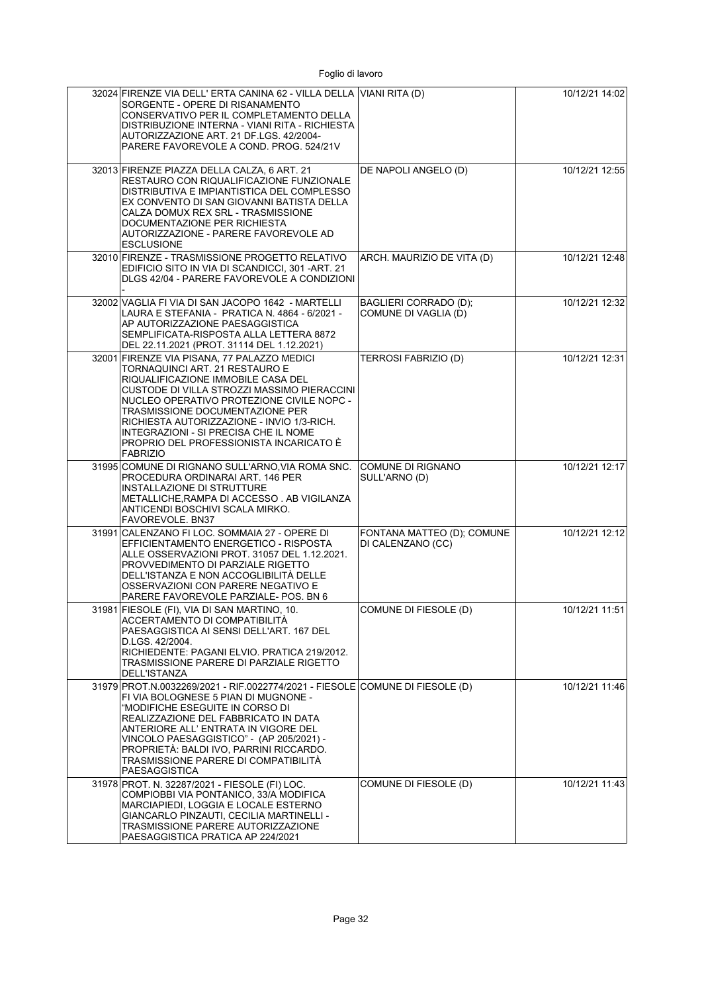| 32024 FIRENZE VIA DELL' ERTA CANINA 62 - VILLA DELLA VIANI RITA (D)<br>SORGENTE - OPERE DI RISANAMENTO<br>CONSERVATIVO PER IL COMPLETAMENTO DELLA<br>DISTRIBUZIONE INTERNA - VIANI RITA - RICHIESTA<br>AUTORIZZAZIONE ART. 21 DF.LGS. 42/2004-<br>PARERE FAVOREVOLE A COND. PROG. 524/21V                                                                                                               |                                                 | 10/12/21 14:02 |
|---------------------------------------------------------------------------------------------------------------------------------------------------------------------------------------------------------------------------------------------------------------------------------------------------------------------------------------------------------------------------------------------------------|-------------------------------------------------|----------------|
| 32013 FIRENZE PIAZZA DELLA CALZA, 6 ART. 21<br>RESTAURO CON RIQUALIFICAZIONE FUNZIONALE<br>DISTRIBUTIVA E IMPIANTISTICA DEL COMPLESSO<br>EX CONVENTO DI SAN GIOVANNI BATISTA DELLA<br>CALZA DOMUX REX SRL - TRASMISSIONE<br>DOCUMENTAZIONE PER RICHIESTA<br>AUTORIZZAZIONE - PARERE FAVOREVOLE AD<br><b>ESCLUSIONE</b>                                                                                  | DE NAPOLI ANGELO (D)                            | 10/12/21 12:55 |
| 32010 FIRENZE - TRASMISSIONE PROGETTO RELATIVO<br>EDIFICIO SITO IN VIA DI SCANDICCI, 301 -ART. 21<br>DLGS 42/04 - PARERE FAVOREVOLE A CONDIZIONI                                                                                                                                                                                                                                                        | ARCH. MAURIZIO DE VITA (D)                      | 10/12/21 12:48 |
| 32002 VAGLIA FI VIA DI SAN JACOPO 1642 - MARTELLI<br>LAURA E STEFANIA - PRATICA N. 4864 - 6/2021 -<br>AP AUTORIZZAZIONE PAESAGGISTICA<br>SEMPLIFICATA-RISPOSTA ALLA LETTERA 8872<br>DEL 22.11.2021 (PROT. 31114 DEL 1.12.2021)                                                                                                                                                                          | BAGLIERI CORRADO (D);<br>COMUNE DI VAGLIA (D)   | 10/12/21 12:32 |
| 32001 FIRENZE VIA PISANA, 77 PALAZZO MEDICI<br>TORNAQUINCI ART. 21 RESTAURO E<br>RIQUALIFICAZIONE IMMOBILE CASA DEL<br>CUSTODE DI VILLA STROZZI MASSIMO PIERACCINI<br>NUCLEO OPERATIVO PROTEZIONE CIVILE NOPC -<br>TRASMISSIONE DOCUMENTAZIONE PER<br>RICHIESTA AUTORIZZAZIONE - INVIO 1/3-RICH.<br>INTEGRAZIONI - SI PRECISA CHE IL NOME<br>PROPRIO DEL PROFESSIONISTA INCARICATO È<br><b>FABRIZIO</b> | TERROSI FABRIZIO (D)                            | 10/12/21 12:31 |
| 31995 COMUNE DI RIGNANO SULL'ARNO, VIA ROMA SNC.<br>PROCEDURA ORDINARAI ART. 146 PER<br>INSTALLAZIONE DI STRUTTURE<br>METALLICHE, RAMPA DI ACCESSO. AB VIGILANZA<br>ANTICENDI BOSCHIVI SCALA MIRKO.<br>FAVOREVOLE. BN37                                                                                                                                                                                 | COMUNE DI RIGNANO<br>SULL'ARNO (D)              | 10/12/21 12:17 |
| 31991 CALENZANO FI LOC. SOMMAIA 27 - OPERE DI<br>EFFICIENTAMENTO ENERGETICO - RISPOSTA<br>ALLE OSSERVAZIONI PROT. 31057 DEL 1.12.2021.<br>PROVVEDIMENTO DI PARZIALE RIGETTO<br>DELL'ISTANZA E NON ACCOGLIBILITÀ DELLE<br>OSSERVAZIONI CON PARERE NEGATIVO E<br>PARERE FAVOREVOLE PARZIALE- POS. BN 6                                                                                                    | FONTANA MATTEO (D); COMUNE<br>DI CALENZANO (CC) | 10/12/21 12:12 |
| 31981 FIESOLE (FI), VIA DI SAN MARTINO, 10.<br>ACCERTAMENTO DI COMPATIBILITÀ<br>PAESAGGISTICA AI SENSI DELL'ART. 167 DEL<br>D.LGS. 42/2004.<br>RICHIEDENTE: PAGANI ELVIO. PRATICA 219/2012.<br>TRASMISSIONE PARERE DI PARZIALE RIGETTO<br>DELL'ISTANZA                                                                                                                                                  | COMUNE DI FIESOLE (D)                           | 10/12/21 11:51 |
| 31979 PROT.N.0032269/2021 - RIF.0022774/2021 - FIESOLE COMUNE DI FIESOLE (D)<br>FI VIA BOLOGNESE 5 PIAN DI MUGNONE -<br>"MODIFICHE ESEGUITE IN CORSO DI<br>REALIZZAZIONE DEL FABBRICATO IN DATA<br>ANTERIORE ALL' ENTRATA IN VIGORE DEL<br>VINCOLO PAESAGGISTICO" - (AP 205/2021) -<br>PROPRIETÁ: BALDI IVO, PARRINI RICCARDO.<br>TRASMISSIONE PARERE DI COMPATIBILITÀ<br>PAESAGGISTICA                 |                                                 | 10/12/21 11:46 |
| 31978 PROT. N. 32287/2021 - FIESOLE (FI) LOC.<br>COMPIOBBI VIA PONTANICO, 33/A MODIFICA<br>MARCIAPIEDI, LOGGIA E LOCALE ESTERNO<br>GIANCARLO PINZAUTI, CECILIA MARTINELLI -<br>TRASMISSIONE PARERE AUTORIZZAZIONE<br>PAESAGGISTICA PRATICA AP 224/2021                                                                                                                                                  | COMUNE DI FIESOLE (D)                           | 10/12/21 11:43 |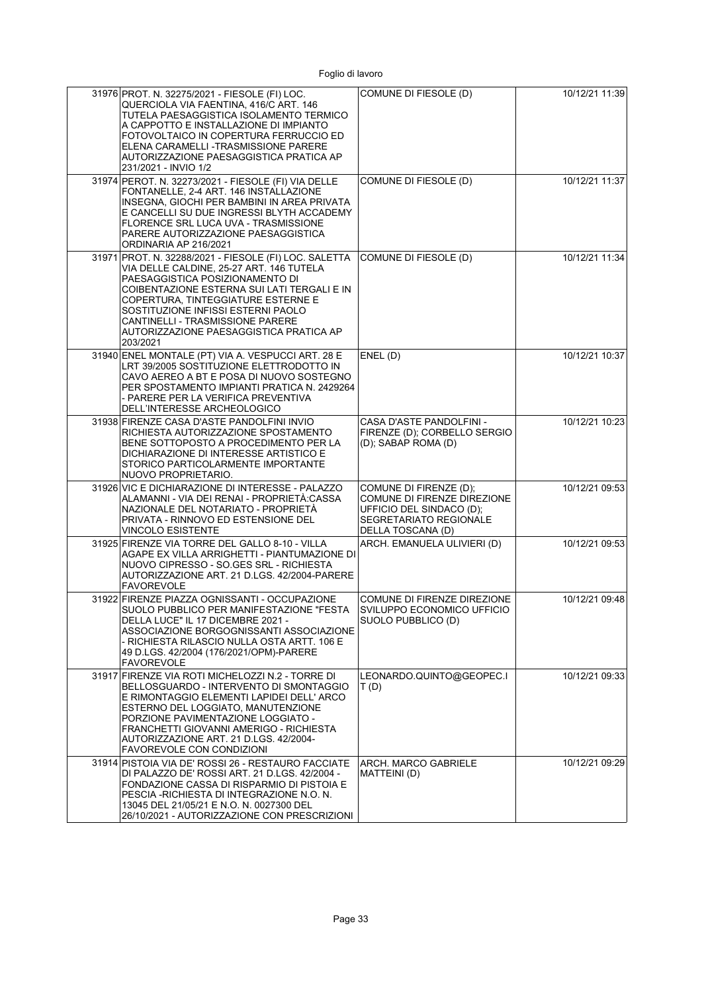| 31976 PROT. N. 32275/2021 - FIESOLE (FI) LOC.<br>QUERCIOLA VIA FAENTINA, 416/C ART, 146<br>TUTELA PAESAGGISTICA ISOLAMENTO TERMICO<br>A CAPPOTTO E INSTALLAZIONE DI IMPIANTO<br>FOTOVOLTAICO IN COPERTURA FERRUCCIO ED<br>ELENA CARAMELLI - TRASMISSIONE PARERE<br>AUTORIZZAZIONE PAESAGGISTICA PRATICA AP<br>231/2021 - INVIO 1/2                         | COMUNE DI FIESOLE (D)                                                                                                            | 10/12/21 11:39 |
|------------------------------------------------------------------------------------------------------------------------------------------------------------------------------------------------------------------------------------------------------------------------------------------------------------------------------------------------------------|----------------------------------------------------------------------------------------------------------------------------------|----------------|
| 31974 PEROT. N. 32273/2021 - FIESOLE (FI) VIA DELLE<br>FONTANELLE, 2-4 ART. 146 INSTALLAZIONE<br>INSEGNA. GIOCHI PER BAMBINI IN AREA PRIVATA<br>E CANCELLI SU DUE INGRESSI BLYTH ACCADEMY<br>FLORENCE SRL LUCA UVA - TRASMISSIONE<br>PARERE AUTORIZZAZIONE PAESAGGISTICA<br>ORDINARIA AP 216/2021                                                          | COMUNE DI FIESOLE (D)                                                                                                            | 10/12/21 11:37 |
| 31971 PROT. N. 32288/2021 - FIESOLE (FI) LOC. SALETTA<br>VIA DELLE CALDINE, 25-27 ART. 146 TUTELA<br>PAESAGGISTICA POSIZIONAMENTO DI<br>COIBENTAZIONE ESTERNA SUI LATI TERGALI E IN<br>COPERTURA, TINTEGGIATURE ESTERNE E<br>SOSTITUZIONE INFISSI ESTERNI PAOLO<br>CANTINELLI - TRASMISSIONE PARERE<br>AUTORIZZAZIONE PAESAGGISTICA PRATICA AP<br>203/2021 | COMUNE DI FIESOLE (D)                                                                                                            | 10/12/21 11:34 |
| 31940 ENEL MONTALE (PT) VIA A. VESPUCCI ART. 28 E<br>LRT 39/2005 SOSTITUZIONE ELETTRODOTTO IN<br>CAVO AEREO A BT E POSA DI NUOVO SOSTEGNO<br>PER SPOSTAMENTO IMPIANTI PRATICA N. 2429264<br>- PARERE PER LA VERIFICA PREVENTIVA<br>DELL'INTERESSE ARCHEOLOGICO                                                                                             | ENEL(D)                                                                                                                          | 10/12/21 10:37 |
| 31938 FIRENZE CASA D'ASTE PANDOLFINI INVIO<br>RICHIESTA AUTORIZZAZIONE SPOSTAMENTO<br>BENE SOTTOPOSTO A PROCEDIMENTO PER LA<br>DICHIARAZIONE DI INTERESSE ARTISTICO E<br>STORICO PARTICOLARMENTE IMPORTANTE<br>NUOVO PROPRIETARIO.                                                                                                                         | CASA D'ASTE PANDOLFINI -<br>FIRENZE (D); CORBELLO SERGIO<br>(D); SABAP ROMA (D)                                                  | 10/12/21 10:23 |
| 31926 VIC E DICHIARAZIONE DI INTERESSE - PALAZZO<br>ALAMANNI - VIA DEI RENAI - PROPRIETA:CASSA<br>NAZIONALE DEL NOTARIATO - PROPRIETÁ<br>PRIVATA - RINNOVO ED ESTENSIONE DEL<br><b>VINCOLO ESISTENTE</b>                                                                                                                                                   | COMUNE DI FIRENZE (D);<br>COMUNE DI FIRENZE DIREZIONE<br>UFFICIO DEL SINDACO (D);<br>SEGRETARIATO REGIONALE<br>DELLA TOSCANA (D) | 10/12/21 09:53 |
| 31925 FIRENZE VIA TORRE DEL GALLO 8-10 - VILLA<br>AGAPE EX VILLA ARRIGHETTI - PIANTUMAZIONE DI<br>NUOVO CIPRESSO - SO.GES SRL - RICHIESTA<br>AUTORIZZAZIONE ART. 21 D.LGS. 42/2004-PARERE<br><b>FAVOREVOLE</b>                                                                                                                                             | ARCH. EMANUELA ULIVIERI (D)                                                                                                      | 10/12/21 09:53 |
| 31922 FIRENZE PIAZZA OGNISSANTI - OCCUPAZIONE<br>SUOLO PUBBLICO PER MANIFESTAZIONE "FESTA<br>DELLA LUCE" IL 17 DICEMBRE 2021 -<br>ASSOCIAZIONE BORGOGNISSANTI ASSOCIAZIONE<br>- RICHIESTA RILASCIO NULLA OSTA ARTT. 106 E<br>49 D.LGS. 42/2004 (176/2021/OPM)-PARERE<br><b>FAVOREVOLE</b>                                                                  | COMUNE DI FIRENZE DIREZIONE<br>SVILUPPO ECONOMICO UFFICIO<br>SUOLO PUBBLICO (D)                                                  | 10/12/21 09:48 |
| 31917 FIRENZE VIA ROTI MICHELOZZI N.2 - TORRE DI<br>BELLOSGUARDO - INTERVENTO DI SMONTAGGIO<br>E RIMONTAGGIO ELEMENTI LAPIDEI DELL' ARCO<br>ESTERNO DEL LOGGIATO, MANUTENZIONE<br>PORZIONE PAVIMENTAZIONE LOGGIATO -<br>FRANCHETTI GIOVANNI AMERIGO - RICHIESTA<br>AUTORIZZAZIONE ART. 21 D.LGS. 42/2004-<br>FAVOREVOLE CON CONDIZIONI                     | LEONARDO.QUINTO@GEOPEC.I<br>T(D)                                                                                                 | 10/12/21 09:33 |
| 31914 PISTOIA VIA DE' ROSSI 26 - RESTAURO FACCIATE<br>DI PALAZZO DE' ROSSI ART. 21 D.LGS. 42/2004 -<br>FONDAZIONE CASSA DI RISPARMIO DI PISTOIA E<br>PESCIA - RICHIESTA DI INTEGRAZIONE N.O. N.<br>13045 DEL 21/05/21 E N.O. N. 0027300 DEL<br>26/10/2021 - AUTORIZZAZIONE CON PRESCRIZIONI                                                                | ARCH. MARCO GABRIELE<br>MATTEINI (D)                                                                                             | 10/12/21 09:29 |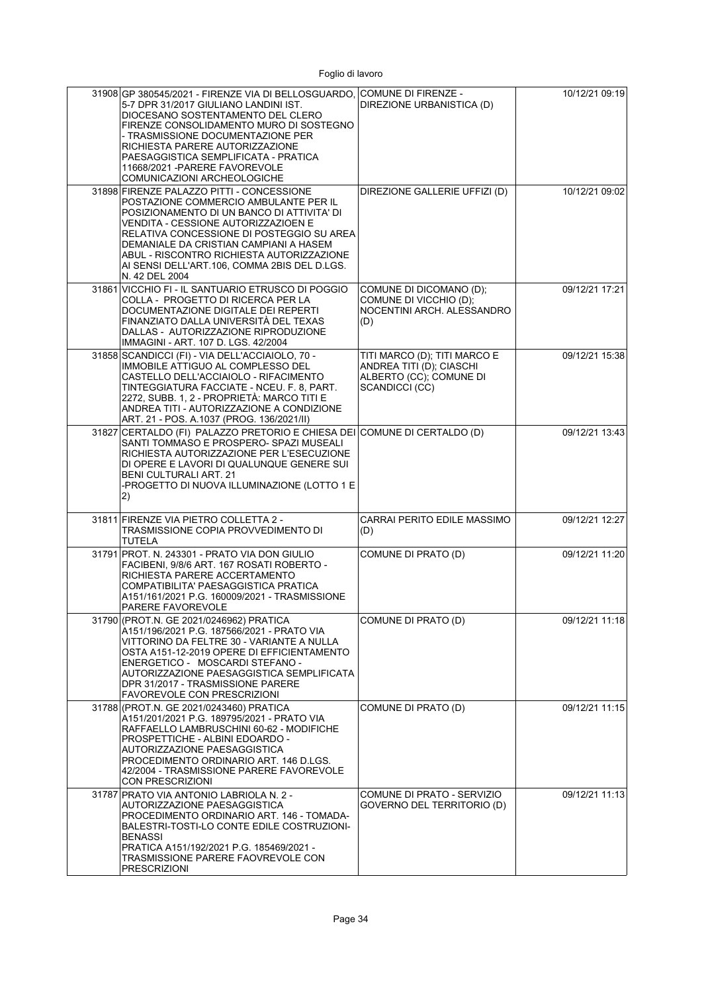| 31908 GP 380545/2021 - FIRENZE VIA DI BELLOSGUARDO, COMUNE DI FIRENZE -<br>5-7 DPR 31/2017 GIULIANO LANDINI IST.<br>DIOCESANO SOSTENTAMENTO DEL CLERO<br>FIRENZE CONSOLIDAMENTO MURO DI SOSTEGNO<br>- TRASMISSIONE DOCUMENTAZIONE PER<br>RICHIESTA PARERE AUTORIZZAZIONE<br>PAESAGGISTICA SEMPLIFICATA - PRATICA<br>11668/2021 - PARERE FAVOREVOLE<br>COMUNICAZIONI ARCHEOLOGICHE | DIREZIONE URBANISTICA (D)                                                                             | 10/12/21 09:19 |
|-----------------------------------------------------------------------------------------------------------------------------------------------------------------------------------------------------------------------------------------------------------------------------------------------------------------------------------------------------------------------------------|-------------------------------------------------------------------------------------------------------|----------------|
| 31898 FIRENZE PALAZZO PITTI - CONCESSIONE<br>POSTAZIONE COMMERCIO AMBULANTE PER IL<br>POSIZIONAMENTO DI UN BANCO DI ATTIVITA' DI<br>VENDITA - CESSIONE AUTORIZZAZIOEN E<br>RELATIVA CONCESSIONE DI POSTEGGIO SU AREA<br>DEMANIALE DA CRISTIAN CAMPIANI A HASEM<br>ABUL - RISCONTRO RICHIESTA AUTORIZZAZIONE<br>AI SENSI DELL'ART.106, COMMA 2BIS DEL D.LGS.<br>N. 42 DEL 2004     | DIREZIONE GALLERIE UFFIZI (D)                                                                         | 10/12/21 09:02 |
| 31861 VICCHIO FI - IL SANTUARIO ETRUSCO DI POGGIO<br>COLLA - PROGETTO DI RICERCA PER LA<br>DOCUMENTAZIONE DIGITALE DEI REPERTI<br>FINANZIATO DALLA UNIVERSITÀ DEL TEXAS<br>DALLAS - AUTORIZZAZIONE RIPRODUZIONE<br>IMMAGINI - ART. 107 D. LGS. 42/2004                                                                                                                            | COMUNE DI DICOMANO (D);<br>COMUNE DI VICCHIO (D);<br>NOCENTINI ARCH. ALESSANDRO<br>(D)                | 09/12/21 17:21 |
| 31858 SCANDICCI (FI) - VIA DELL'ACCIAIOLO, 70 -<br>IMMOBILE ATTIGUO AL COMPLESSO DEL<br>CASTELLO DELL'ACCIAIOLO - RIFACIMENTO<br>TINTEGGIATURA FACCIATE - NCEU. F. 8, PART.<br>2272, SUBB. 1, 2 - PROPRIETÀ: MARCO TITI E<br>ANDREA TITI - AUTORIZZAZIONE A CONDIZIONE<br>ART. 21 - POS. A.1037 (PROG. 136/2021/II)                                                               | TITI MARCO (D); TITI MARCO E<br>ANDREA TITI (D); CIASCHI<br>ALBERTO (CC); COMUNE DI<br>SCANDICCI (CC) | 09/12/21 15:38 |
| 31827 CERTALDO (FI) PALAZZO PRETORIO E CHIESA DEI COMUNE DI CERTALDO (D)<br>SANTI TOMMASO E PROSPERO- SPAZI MUSEALI<br>RICHIESTA AUTORIZZAZIONE PER L'ESECUZIONE<br>DI OPERE E LAVORI DI QUALUNQUE GENERE SUI<br><b>BENI CULTURALI ART. 21</b><br>-PROGETTO DI NUOVA ILLUMINAZIONE (LOTTO 1 E<br> 2)                                                                              |                                                                                                       | 09/12/21 13:43 |
| 31811 FIRENZE VIA PIETRO COLLETTA 2 -<br>TRASMISSIONE COPIA PROVVEDIMENTO DI<br><b>TUTELA</b>                                                                                                                                                                                                                                                                                     | CARRAI PERITO EDILE MASSIMO<br>(D)                                                                    | 09/12/21 12:27 |
| 31791 PROT. N. 243301 - PRATO VIA DON GIULIO<br>FACIBENI, 9/8/6 ART. 167 ROSATI ROBERTO -<br>RICHIESTA PARERE ACCERTAMENTO<br>COMPATIBILITA' PAESAGGISTICA PRATICA<br>A151/161/2021 P.G. 160009/2021 - TRASMISSIONE<br>PARERE FAVOREVOLE                                                                                                                                          | COMUNE DI PRATO (D)                                                                                   | 09/12/21 11:20 |
| 31790 (PROT.N. GE 2021/0246962) PRATICA<br>A151/196/2021 P.G. 187566/2021 - PRATO VIA<br>VITTORINO DA FELTRE 30 - VARIANTE A NULLA<br>OSTA A151-12-2019 OPERE DI EFFICIENTAMENTO<br>ENERGETICO - MOSCARDI STEFANO -<br>AUTORIZZAZIONE PAESAGGISTICA SEMPLIFICATA<br>DPR 31/2017 - TRASMISSIONE PARERE<br><b>FAVOREVOLE CON PRESCRIZIONI</b>                                       | COMUNE DI PRATO (D)                                                                                   | 09/12/21 11:18 |
| 31788 (PROT.N. GE 2021/0243460) PRATICA<br>A151/201/2021 P.G. 189795/2021 - PRATO VIA<br>RAFFAELLO LAMBRUSCHINI 60-62 - MODIFICHE<br>PROSPETTICHE - ALBINI EDOARDO -<br>AUTORIZZAZIONE PAESAGGISTICA<br>PROCEDIMENTO ORDINARIO ART. 146 D.LGS.<br>42/2004 - TRASMISSIONE PARERE FAVOREVOLE<br><b>CON PRESCRIZIONI</b>                                                             | COMUNE DI PRATO (D)                                                                                   | 09/12/21 11:15 |
| 31787 PRATO VIA ANTONIO LABRIOLA N. 2 -<br>AUTORIZZAZIONE PAESAGGISTICA<br>PROCEDIMENTO ORDINARIO ART. 146 - TOMADA-<br>BALESTRI-TOSTI-LO CONTE EDILE COSTRUZIONI-<br><b>BENASSI</b><br>PRATICA A151/192/2021 P.G. 185469/2021 -<br>TRASMISSIONE PARERE FAOVREVOLE CON<br><b>PRESCRIZIONI</b>                                                                                     | COMUNE DI PRATO - SERVIZIO<br>GOVERNO DEL TERRITORIO (D)                                              | 09/12/21 11:13 |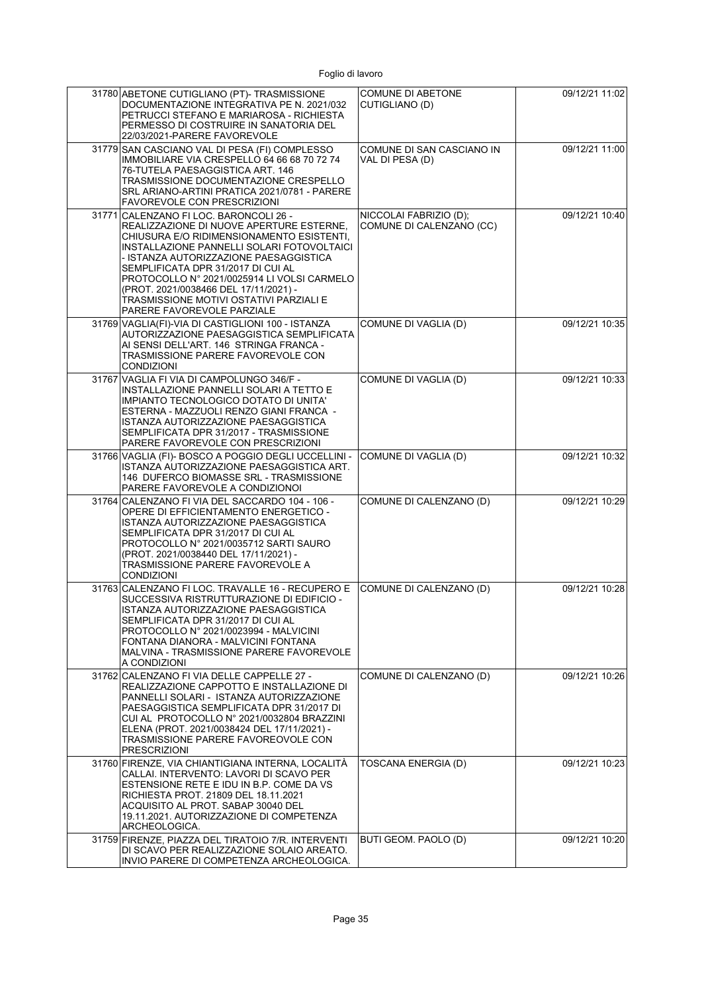| 31780 ABETONE CUTIGLIANO (PT)- TRASMISSIONE<br>DOCUMENTAZIONE INTEGRATIVA PE N. 2021/032<br>PETRUCCI STEFANO E MARIAROSA - RICHIESTA<br>PERMESSO DI COSTRUIRE IN SANATORIA DEL<br>22/03/2021-PARERE FAVOREVOLE                                                                                                                                                                                                                 | <b>COMUNE DI ABETONE</b><br>CUTIGLIANO (D)         | 09/12/21 11:02 |
|--------------------------------------------------------------------------------------------------------------------------------------------------------------------------------------------------------------------------------------------------------------------------------------------------------------------------------------------------------------------------------------------------------------------------------|----------------------------------------------------|----------------|
| 31779 SAN CASCIANO VAL DI PESA (FI) COMPLESSO<br>IMMOBILIARE VIA CRESPELLO 64 66 68 70 72 74<br>76-TUTELA PAESAGGISTICA ART. 146<br>TRASMISSIONE DOCUMENTAZIONE CRESPELLO<br>SRL ARIANO-ARTINI PRATICA 2021/0781 - PARERE<br>FAVOREVOLE CON PRESCRIZIONI                                                                                                                                                                       | COMUNE DI SAN CASCIANO IN<br>VAL DI PESA (D)       | 09/12/21 11:00 |
| 31771 CALENZANO FI LOC. BARONCOLI 26 -<br>REALIZZAZIONE DI NUOVE APERTURE ESTERNE,<br>CHIUSURA E/O RIDIMENSIONAMENTO ESISTENTI,<br>INSTALLAZIONE PANNELLI SOLARI FOTOVOLTAICI<br>- ISTANZA AUTORIZZAZIONE PAESAGGISTICA<br>SEMPLIFICATA DPR 31/2017 DI CUI AL<br>PROTOCOLLO N° 2021/0025914 LI VOLSI CARMELO<br>(PROT. 2021/0038466 DEL 17/11/2021) -<br>TRASMISSIONE MOTIVI OSTATIVI PARZIALI E<br>PARERE FAVOREVOLE PARZIALE | NICCOLAI FABRIZIO (D);<br>COMUNE DI CALENZANO (CC) | 09/12/21 10:40 |
| 31769 VAGLIA(FI)-VIA DI CASTIGLIONI 100 - ISTANZA<br>AUTORIZZAZIONE PAESAGGISTICA SEMPLIFICATA<br>AI SENSI DELL'ART. 146 STRINGA FRANCA -<br>TRASMISSIONE PARERE FAVOREVOLE CON<br><b>CONDIZIONI</b>                                                                                                                                                                                                                           | COMUNE DI VAGLIA (D)                               | 09/12/21 10:35 |
| 31767 VAGLIA FI VIA DI CAMPOLUNGO 346/F -<br>INSTALLAZIONE PANNELLI SOLARI A TETTO E<br>IMPIANTO TECNOLOGICO DOTATO DI UNITA'<br>ESTERNA - MAZZUOLI RENZO GIANI FRANCA -<br>ISTANZA AUTORIZZAZIONE PAESAGGISTICA<br>SEMPLIFICATA DPR 31/2017 - TRASMISSIONE<br>PARERE FAVOREVOLE CON PRESCRIZIONI                                                                                                                              | COMUNE DI VAGLIA (D)                               | 09/12/21 10:33 |
| 31766 VAGLIA (FI)- BOSCO A POGGIO DEGLI UCCELLINI -<br>ISTANZA AUTORIZZAZIONE PAESAGGISTICA ART.<br>146 DUFERCO BIOMASSE SRL - TRASMISSIONE<br>PARERE FAVOREVOLE A CONDIZIONOI                                                                                                                                                                                                                                                 | COMUNE DI VAGLIA (D)                               | 09/12/21 10:32 |
| 31764 CALENZANO FI VIA DEL SACCARDO 104 - 106 -<br>OPERE DI EFFICIENTAMENTO ENERGETICO -<br>ISTANZA AUTORIZZAZIONE PAESAGGISTICA<br>SEMPLIFICATA DPR 31/2017 DI CUI AL<br>PROTOCOLLO N° 2021/0035712 SARTI SAURO<br>(PROT. 2021/0038440 DEL 17/11/2021) -<br>TRASMISSIONE PARERE FAVOREVOLE A<br><b>CONDIZIONI</b>                                                                                                             | COMUNE DI CALENZANO (D)                            | 09/12/21 10:29 |
| 31763 CALENZANO FI LOC. TRAVALLE 16 - RECUPERO E<br>SUCCESSIVA RISTRUTTURAZIONE DI EDIFICIO -<br>ISTANZA AUTORIZZAZIONE PAESAGGISTICA<br>SEMPLIFICATA DPR 31/2017 DI CUI AL<br>PROTOCOLLO N° 2021/0023994 - MALVICINI<br>FONTANA DIANORA - MALVICINI FONTANA<br>MALVINA - TRASMISSIONE PARERE FAVOREVOLE<br>A CONDIZIONI                                                                                                       | COMUNE DI CALENZANO (D)                            | 09/12/21 10:28 |
| 31762 CALENZANO FI VIA DELLE CAPPELLE 27 -<br>REALIZZAZIONE CAPPOTTO E INSTALLAZIONE DI<br>PANNELLI SOLARI - ISTANZA AUTORIZZAZIONE<br>PAESAGGISTICA SEMPLIFICATA DPR 31/2017 DI<br>CUI AL PROTOCOLLO Nº 2021/0032804 BRAZZINI<br>ELENA (PROT. 2021/0038424 DEL 17/11/2021) -<br>TRASMISSIONE PARERE FAVOREOVOLE CON<br><b>PRESCRIZIONI</b>                                                                                    | COMUNE DI CALENZANO (D)                            | 09/12/21 10:26 |
| 31760 FIRENZE, VIA CHIANTIGIANA INTERNA, LOCALITÀ<br>CALLAI. INTERVENTO: LAVORI DI SCAVO PER<br>ESTENSIONE RETE E IDU IN B.P. COME DA VS<br>RICHIESTA PROT. 21809 DEL 18.11.2021<br>ACQUISITO AL PROT. SABAP 30040 DEL<br>19.11.2021. AUTORIZZAZIONE DI COMPETENZA<br>ARCHEOLOGICA.                                                                                                                                            | TOSCANA ENERGIA (D)                                | 09/12/21 10:23 |
| 31759 FIRENZE, PIAZZA DEL TIRATOIO 7/R. INTERVENTI<br>DI SCAVO PER REALIZZAZIONE SOLAIO AREATO.<br>INVIO PARERE DI COMPETENZA ARCHEOLOGICA.                                                                                                                                                                                                                                                                                    | BUTI GEOM. PAOLO (D)                               | 09/12/21 10:20 |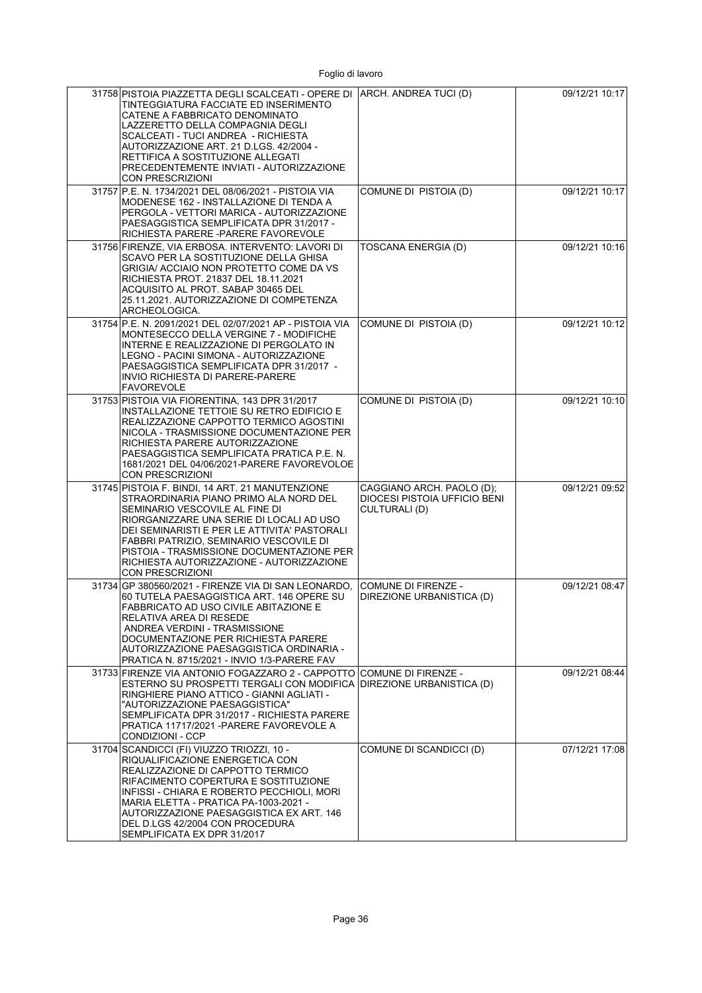| 31758 PISTOIA PIAZZETTA DEGLI SCALCEATI - OPERE DI ARCH. ANDREA TUCI (D)<br>TINTEGGIATURA FACCIATE ED INSERIMENTO<br>CATENE A FABBRICATO DENOMINATO<br>LAZZERETTO DELLA COMPAGNIA DEGLI<br>SCALCEATI - TUCI ANDREA - RICHIESTA<br>AUTORIZZAZIONE ART. 21 D.LGS. 42/2004 -<br>RETTIFICA A SOSTITUZIONE ALLEGATI<br>PRECEDENTEMENTE INVIATI - AUTORIZZAZIONE<br>CON PRESCRIZIONI   |                                                                            | 09/12/21 10:17 |
|----------------------------------------------------------------------------------------------------------------------------------------------------------------------------------------------------------------------------------------------------------------------------------------------------------------------------------------------------------------------------------|----------------------------------------------------------------------------|----------------|
| 31757 P.E. N. 1734/2021 DEL 08/06/2021 - PISTOIA VIA<br>MODENESE 162 - INSTALLAZIONE DI TENDA A<br>PERGOLA - VETTORI MARICA - AUTORIZZAZIONE<br>PAESAGGISTICA SEMPLIFICATA DPR 31/2017 -<br>RICHIESTA PARERE -PARERE FAVOREVOLE                                                                                                                                                  | COMUNE DI PISTOIA (D)                                                      | 09/12/21 10:17 |
| 31756 FIRENZE, VIA ERBOSA. INTERVENTO: LAVORI DI<br>SCAVO PER LA SOSTITUZIONE DELLA GHISA<br>GRIGIA/ ACCIAIO NON PROTETTO COME DA VS<br>RICHIESTA PROT. 21837 DEL 18.11.2021<br>ACQUISITO AL PROT. SABAP 30465 DEL<br>25.11.2021. AUTORIZZAZIONE DI COMPETENZA<br>ARCHEOLOGICA.                                                                                                  | TOSCANA ENERGIA (D)                                                        | 09/12/21 10:16 |
| 31754 P.E. N. 2091/2021 DEL 02/07/2021 AP - PISTOIA VIA<br>MONTESECCO DELLA VERGINE 7 - MODIFICHE<br>INTERNE E REALIZZAZIONE DI PERGOLATO IN<br>LEGNO - PACINI SIMONA - AUTORIZZAZIONE<br>PAESAGGISTICA SEMPLIFICATA DPR 31/2017 -<br>INVIO RICHIESTA DI PARERE-PARERE<br><b>FAVOREVOLE</b>                                                                                      | COMUNE DI PISTOIA (D)                                                      | 09/12/21 10:12 |
| 31753 PISTOIA VIA FIORENTINA, 143 DPR 31/2017<br><b>INSTALLAZIONE TETTOIE SU RETRO EDIFICIO E</b><br>REALIZZAZIONE CAPPOTTO TERMICO AGOSTINI<br>NICOLA - TRASMISSIONE DOCUMENTAZIONE PER<br>RICHIESTA PARERE AUTORIZZAZIONE<br>PAESAGGISTICA SEMPLIFICATA PRATICA P.E. N.<br>1681/2021 DEL 04/06/2021-PARERE FAVOREVOLOE<br><b>CON PRESCRIZIONI</b>                              | COMUNE DI PISTOIA (D)                                                      | 09/12/21 10:10 |
| 31745 PISTOIA F. BINDI, 14 ART. 21 MANUTENZIONE<br>STRAORDINARIA PIANO PRIMO ALA NORD DEL<br>SEMINARIO VESCOVILE AL FINE DI<br>RIORGANIZZARE UNA SERIE DI LOCALI AD USO<br>DEI SEMINARISTI E PER LE ATTIVITA' PASTORALI<br>FABBRI PATRIZIO, SEMINARIO VESCOVILE DI<br>PISTOIA - TRASMISSIONE DOCUMENTAZIONE PER<br>RICHIESTA AUTORIZZAZIONE - AUTORIZZAZIONE<br>CON PRESCRIZIONI | CAGGIANO ARCH. PAOLO (D);<br>DIOCESI PISTOIA UFFICIO BENI<br>CULTURALI (D) | 09/12/21 09:52 |
| 31734 GP 380560/2021 - FIRENZE VIA DI SAN LEONARDO.<br>60 TUTELA PAESAGGISTICA ART. 146 OPERE SU<br>FABBRICATO AD USO CIVILE ABITAZIONE E<br>RELATIVA AREA DI RESEDE<br>ANDREA VERDINI - TRASMISSIONE<br>DOCUMENTAZIONE PER RICHIESTA PARERE<br>AUTORIZZAZIONE PAESAGGISTICA ORDINARIA -<br>PRATICA N. 8715/2021 - INVIO 1/3-PARERE FAV                                          | <b>COMUNE DI FIRENZE -</b><br>DIREZIONE URBANISTICA (D)                    | 09/12/21 08:47 |
| 31733 FIRENZE VIA ANTONIO FOGAZZARO 2 - CAPPOTTO<br>ESTERNO SU PROSPETTI TERGALI CON MODIFICA<br>RINGHIERE PIANO ATTICO - GIANNI AGLIATI -<br>"AUTORIZZAZIONE PAESAGGISTICA"<br>SEMPLIFICATA DPR 31/2017 - RICHIESTA PARERE<br>PRATICA 11717/2021 -PARERE FAVOREVOLE A<br><b>CONDIZIONI - CCP</b>                                                                                | ICOMUNE DI FIRENZE -<br>DIREZIONE URBANISTICA (D)                          | 09/12/21 08:44 |
| 31704 SCANDICCI (FI) VIUZZO TRIOZZI, 10 -<br>RIQUALIFICAZIONE ENERGETICA CON<br>REALIZZAZIONE DI CAPPOTTO TERMICO<br>RIFACIMENTO COPERTURA E SOSTITUZIONE<br>INFISSI - CHIARA E ROBERTO PECCHIOLI, MORI<br>MARIA ELETTA - PRATICA PA-1003-2021 -<br>AUTORIZZAZIONE PAESAGGISTICA EX ART. 146<br>DEL D.LGS 42/2004 CON PROCEDURA<br>SEMPLIFICATA EX DPR 31/2017                   | COMUNE DI SCANDICCI (D)                                                    | 07/12/21 17:08 |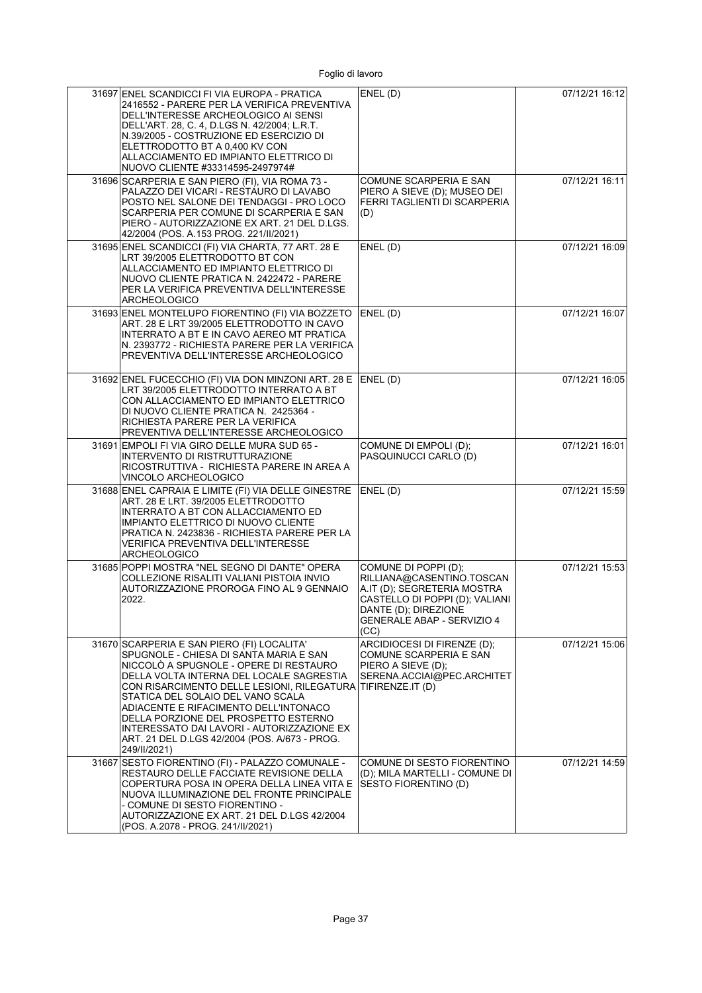| 31697 ENEL SCANDICCI FI VIA EUROPA - PRATICA<br>2416552 - PARERE PER LA VERIFICA PREVENTIVA<br>DELL'INTERESSE ARCHEOLOGICO AI SENSI<br>DELL'ART. 28, C. 4, D.LGS N. 42/2004, L.R.T.<br>N.39/2005 - COSTRUZIONE ED ESERCIZIO DI<br>ELETTRODOTTO BT A 0,400 KV CON<br>ALLACCIAMENTO ED IMPIANTO ELETTRICO DI<br>NUOVO CLIENTE #33314595-2497974#                                                                                                                                 | ENEL(D)                                                                                                                                                                                 | 07/12/21 16:12 |
|--------------------------------------------------------------------------------------------------------------------------------------------------------------------------------------------------------------------------------------------------------------------------------------------------------------------------------------------------------------------------------------------------------------------------------------------------------------------------------|-----------------------------------------------------------------------------------------------------------------------------------------------------------------------------------------|----------------|
| 31696 SCARPERIA E SAN PIERO (FI), VIA ROMA 73 -<br>PALAZZO DEI VICARI - RESTAURO DI LAVABO<br>POSTO NEL SALONE DEI TENDAGGI - PRO LOCO<br>SCARPERIA PER COMUNE DI SCARPERIA E SAN<br>PIERO - AUTORIZZAZIONE EX ART. 21 DEL D.LGS.<br>42/2004 (POS. A.153 PROG. 221/II/2021)                                                                                                                                                                                                    | COMUNE SCARPERIA E SAN<br>PIERO A SIEVE (D); MUSEO DEI<br>FERRI TAGLIENTI DI SCARPERIA<br>(D)                                                                                           | 07/12/21 16:11 |
| 31695 ENEL SCANDICCI (FI) VIA CHARTA, 77 ART. 28 E<br>LRT 39/2005 ELETTRODOTTO BT CON<br>ALLACCIAMENTO ED IMPIANTO ELETTRICO DI<br>NUOVO CLIENTE PRATICA N. 2422472 - PARERE<br>PER LA VERIFICA PREVENTIVA DELL'INTERESSE<br><b>ARCHEOLOGICO</b>                                                                                                                                                                                                                               | ENEL(D)                                                                                                                                                                                 | 07/12/21 16:09 |
| 31693 ENEL MONTELUPO FIORENTINO (FI) VIA BOZZETO<br>ART. 28 E LRT 39/2005 ELETTRODOTTO IN CAVO<br>INTERRATO A BT E IN CAVO AEREO MT PRATICA<br>N. 2393772 - RICHIESTA PARERE PER LA VERIFICA<br>PREVENTIVA DELL'INTERESSE ARCHEOLOGICO                                                                                                                                                                                                                                         | ENEL(D)                                                                                                                                                                                 | 07/12/21 16:07 |
| 31692 ENEL FUCECCHIO (FI) VIA DON MINZONI ART. 28 E<br>LRT 39/2005 ELETTRODOTTO INTERRATO A BT<br>CON ALLACCIAMENTO ED IMPIANTO ELETTRICO<br>DI NUOVO CLIENTE PRATICA N. 2425364 -<br>RICHIESTA PARERE PER LA VERIFICA<br>PREVENTIVA DELL'INTERESSE ARCHEOLOGICO                                                                                                                                                                                                               | ENEL(D)                                                                                                                                                                                 | 07/12/21 16:05 |
| 31691 EMPOLI FI VIA GIRO DELLE MURA SUD 65 -<br>INTERVENTO DI RISTRUTTURAZIONE<br>RICOSTRUTTIVA - RICHIESTA PARERE IN AREA A<br>VINCOLO ARCHEOLOGICO                                                                                                                                                                                                                                                                                                                           | COMUNE DI EMPOLI (D);<br>PASQUINUCCI CARLO (D)                                                                                                                                          | 07/12/21 16:01 |
| 31688 ENEL CAPRAIA E LIMITE (FI) VIA DELLE GINESTRE<br>ART. 28 E LRT. 39/2005 ELETTRODOTTO<br>INTERRATO A BT CON ALLACCIAMENTO ED<br>IMPIANTO ELETTRICO DI NUOVO CLIENTE<br>PRATICA N. 2423836 - RICHIESTA PARERE PER LA<br>VERIFICA PREVENTIVA DELL'INTERESSE<br><b>ARCHEOLOGICO</b>                                                                                                                                                                                          | ENEL(D)                                                                                                                                                                                 | 07/12/21 15:59 |
| 31685 POPPI MOSTRA "NEL SEGNO DI DANTE" OPERA<br>COLLEZIONE RISALITI VALIANI PISTOIA INVIO<br>AUTORIZZAZIONE PROROGA FINO AL 9 GENNAIO<br>2022.                                                                                                                                                                                                                                                                                                                                | COMUNE DI POPPI (D);<br>RILLIANA@CASENTINO.TOSCAN<br>A.IT (D); SEGRETERIA MOSTRA<br>CASTELLO DI POPPI (D); VALIANI<br>DANTE (D); DIREZIONE<br><b>GENERALE ABAP - SERVIZIO 4</b><br>(CC) | 07/12/21 15:53 |
| 31670 SCARPERIA E SAN PIERO (FI) LOCALITA'<br>SPUGNOLE - CHIESA DI SANTA MARIA E SAN<br>NICCOLO A SPUGNOLE - OPERE DI RESTAURO<br>DELLA VOLTA INTERNA DEL LOCALE SAGRESTIA<br>CON RISARCIMENTO DELLE LESIONI, RILEGATURA TIFIRENZE.IT (D)<br>STATICA DEL SOLAIO DEL VANO SCALA<br>ADIACENTE E RIFACIMENTO DELL'INTONACO<br>DELLA PORZIONE DEL PROSPETTO ESTERNO<br>INTERESSATO DAI LAVORI - AUTORIZZAZIONE EX<br>ART. 21 DEL D.LGS 42/2004 (POS. A/673 - PROG.<br>249/II/2021) | ARCIDIOCESI DI FIRENZE (D);<br>COMUNE SCARPERIA E SAN<br>PIERO A SIEVE (D);<br>SERENA.ACCIAI@PEC.ARCHITET                                                                               | 07/12/21 15:06 |
| 31667 SESTO FIORENTINO (FI) - PALAZZO COMUNALE -<br>RESTAURO DELLE FACCIATE REVISIONE DELLA<br>COPERTURA POSA IN OPERA DELLA LINEA VITA E<br>NUOVA ILLUMINAZIONE DEL FRONTE PRINCIPALE<br>- COMUNE DI SESTO FIORENTINO -<br>AUTORIZZAZIONE EX ART. 21 DEL D.LGS 42/2004<br>(POS. A.2078 - PROG. 241/II/2021)                                                                                                                                                                   | COMUNE DI SESTO FIORENTINO<br>(D); MILA MARTELLI - COMUNE DI<br>SESTO FIORENTINO (D)                                                                                                    | 07/12/21 14:59 |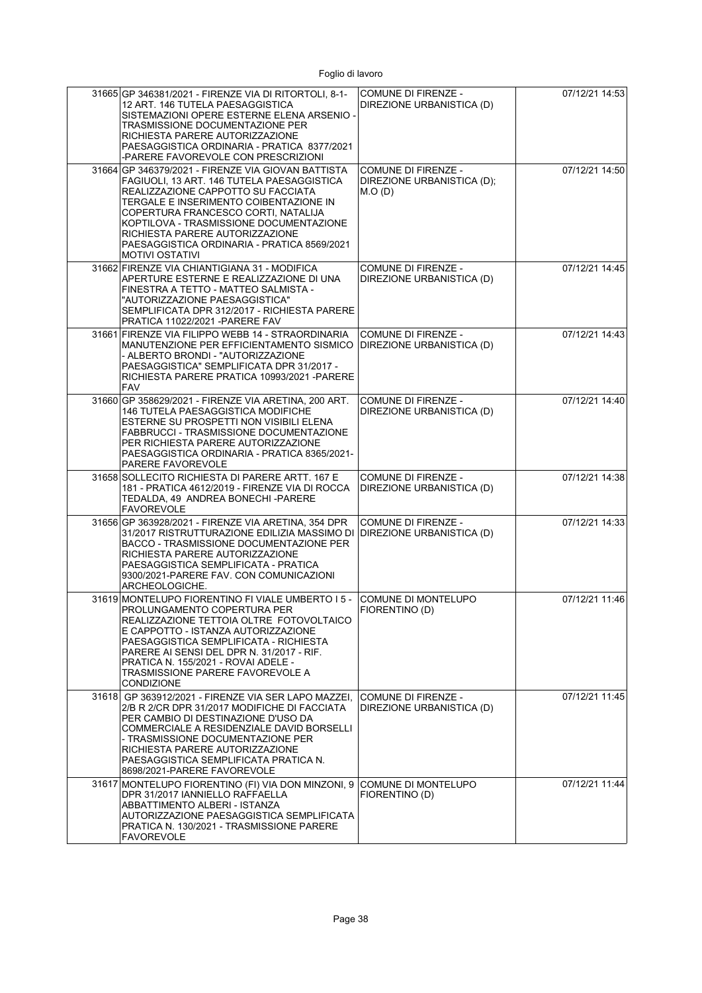| 31665 GP 346381/2021 - FIRENZE VIA DI RITORTOLI, 8-1-<br>12 ART. 146 TUTELA PAESAGGISTICA<br>SISTEMAZIONI OPERE ESTERNE ELENA ARSENIO -<br>TRASMISSIONE DOCUMENTAZIONE PER<br>RICHIESTA PARERE AUTORIZZAZIONE<br>PAESAGGISTICA ORDINARIA - PRATICA 8377/2021<br>-PARERE FAVOREVOLE CON PRESCRIZIONI                                                                            | <b>COMUNE DI FIRENZE -</b><br>DIREZIONE URBANISTICA (D)            | 07/12/21 14:53 |
|--------------------------------------------------------------------------------------------------------------------------------------------------------------------------------------------------------------------------------------------------------------------------------------------------------------------------------------------------------------------------------|--------------------------------------------------------------------|----------------|
| 31664 GP 346379/2021 - FIRENZE VIA GIOVAN BATTISTA<br>FAGIUOLI, 13 ART. 146 TUTELA PAESAGGISTICA<br>REALIZZAZIONE CAPPOTTO SU FACCIATA<br>TERGALE E INSERIMENTO COIBENTAZIONE IN<br>COPERTURA FRANCESCO CORTI, NATALIJA<br>KOPTILOVA - TRASMISSIONE DOCUMENTAZIONE<br>RICHIESTA PARERE AUTORIZZAZIONE<br>PAESAGGISTICA ORDINARIA - PRATICA 8569/2021<br><b>MOTIVI OSTATIVI</b> | <b>COMUNE DI FIRENZE -</b><br>DIREZIONE URBANISTICA (D);<br>M.O(D) | 07/12/21 14:50 |
| 31662 FIRENZE VIA CHIANTIGIANA 31 - MODIFICA<br>APERTURE ESTERNE E REALIZZAZIONE DI UNA<br>FINESTRA A TETTO - MATTEO SALMISTA -<br>"AUTORIZZAZIONE PAESAGGISTICA"<br>SEMPLIFICATA DPR 312/2017 - RICHIESTA PARERE<br>PRATICA 11022/2021 - PARERE FAV                                                                                                                           | <b>COMUNE DI FIRENZE -</b><br>DIREZIONE URBANISTICA (D)            | 07/12/21 14:45 |
| 31661 FIRENZE VIA FILIPPO WEBB 14 - STRAORDINARIA<br>MANUTENZIONE PER EFFICIENTAMENTO SISMICO<br>- ALBERTO BRONDI - "AUTORIZZAZIONE<br>PAESAGGISTICA" SEMPLIFICATA DPR 31/2017 -<br>RICHIESTA PARERE PRATICA 10993/2021 - PARERE<br><b>FAV</b>                                                                                                                                 | <b>COMUNE DI FIRENZE -</b><br>DIREZIONE URBANISTICA (D)            | 07/12/21 14:43 |
| 31660 GP 358629/2021 - FIRENZE VIA ARETINA, 200 ART.<br><b>146 TUTELA PAESAGGISTICA MODIFICHE</b><br>ESTERNE SU PROSPETTI NON VISIBILI ELENA<br>FABBRUCCI - TRASMISSIONE DOCUMENTAZIONE<br>PER RICHIESTA PARERE AUTORIZZAZIONE<br>PAESAGGISTICA ORDINARIA - PRATICA 8365/2021-<br>PARERE FAVOREVOLE                                                                            | <b>COMUNE DI FIRENZE -</b><br>DIREZIONE URBANISTICA (D)            | 07/12/21 14:40 |
| 31658 SOLLECITO RICHIESTA DI PARERE ARTT. 167 E<br>181 - PRATICA 4612/2019 - FIRENZE VIA DI ROCCA<br>TEDALDA, 49 ANDREA BONECHI -PARERE<br><b>FAVOREVOLE</b>                                                                                                                                                                                                                   | <b>COMUNE DI FIRENZE -</b><br>DIREZIONE URBANISTICA (D)            | 07/12/21 14:38 |
| 31656 GP 363928/2021 - FIRENZE VIA ARETINA, 354 DPR<br>31/2017 RISTRUTTURAZIONE EDILIZIA MASSIMO DI<br>BACCO - TRASMISSIONE DOCUMENTAZIONE PER<br>RICHIESTA PARERE AUTORIZZAZIONE<br>PAESAGGISTICA SEMPLIFICATA - PRATICA<br>9300/2021-PARERE FAV. CON COMUNICAZIONI<br>ARCHEOLOGICHE.                                                                                         | <b>COMUNE DI FIRENZE -</b><br>DIREZIONE URBANISTICA (D)            | 07/12/21 14:33 |
| 31619 MONTELUPO FIORENTINO FI VIALE UMBERTO I 5 -<br>PROLUNGAMENTO COPERTURA PER<br>REALIZZAZIONE TETTOIA OLTRE FOTOVOLTAICO<br>E CAPPOTTO - ISTANZA AUTORIZZAZIONE<br>PAESAGGISTICA SEMPLIFICATA - RICHIESTA<br>PARERE AI SENSI DEL DPR N. 31/2017 - RIF.<br>PRATICA N. 155/2021 - ROVAI ADELE -<br>TRASMISSIONE PARERE FAVOREVOLE A<br><b>CONDIZIONE</b>                     | COMUNE DI MONTELUPO<br>FIORENTINO (D)                              | 07/12/21 11:46 |
| 31618 GP 363912/2021 - FIRENZE VIA SER LAPO MAZZEI,<br>2/B R 2/CR DPR 31/2017 MODIFICHE DI FACCIATA<br>PER CAMBIO DI DESTINAZIONE D'USO DA<br>COMMERCIALE A RESIDENZIALE DAVID BORSELLI<br>- TRASMISSIONE DOCUMENTAZIONE PER<br>RICHIESTA PARERE AUTORIZZAZIONE<br>PAESAGGISTICA SEMPLIFICATA PRATICA N.<br>8698/2021-PARERE FAVOREVOLE                                        | COMUNE DI FIRENZE -<br>DIREZIONE URBANISTICA (D)                   | 07/12/21 11:45 |
| 31617 MONTELUPO FIORENTINO (FI) VIA DON MINZONI, 9<br>DPR 31/2017 IANNIELLO RAFFAELLA<br>ABBATTIMENTO ALBERI - ISTANZA<br>AUTORIZZAZIONE PAESAGGISTICA SEMPLIFICATA<br>PRATICA N. 130/2021 - TRASMISSIONE PARERE<br>FAVOREVOLE                                                                                                                                                 | COMUNE DI MONTELUPO<br>FIORENTINO (D)                              | 07/12/21 11:44 |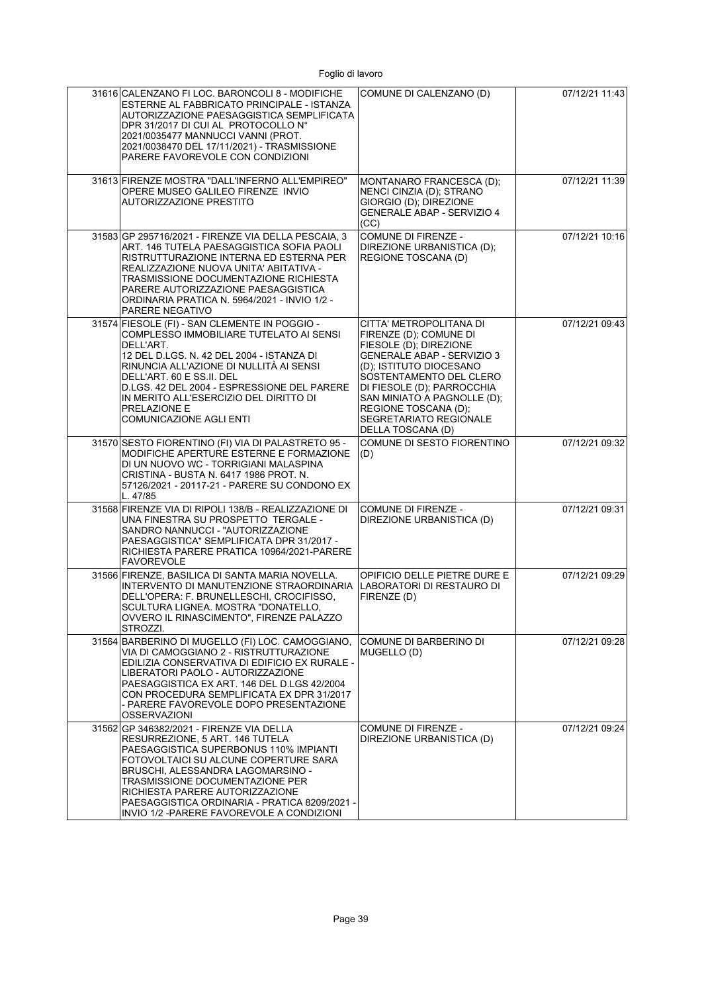| 31616 CALENZANO FI LOC. BARONCOLI 8 - MODIFICHE<br>ESTERNE AL FABBRICATO PRINCIPALE - ISTANZA<br>AUTORIZZAZIONE PAESAGGISTICA SEMPLIFICATA<br>DPR 31/2017 DI CUI AL PROTOCOLLO N°<br>2021/0035477 MANNUCCI VANNI (PROT.<br>2021/0038470 DEL 17/11/2021) - TRASMISSIONE<br>PARERE FAVOREVOLE CON CONDIZIONI                                                               | COMUNE DI CALENZANO (D)                                                                                                                                                                                                                                                                                    | 07/12/21 11:43 |
|--------------------------------------------------------------------------------------------------------------------------------------------------------------------------------------------------------------------------------------------------------------------------------------------------------------------------------------------------------------------------|------------------------------------------------------------------------------------------------------------------------------------------------------------------------------------------------------------------------------------------------------------------------------------------------------------|----------------|
| 31613 FIRENZE MOSTRA "DALL'INFERNO ALL'EMPIREO"<br>OPERE MUSEO GALILEO FIRENZE INVIO<br><b>AUTORIZZAZIONE PRESTITO</b>                                                                                                                                                                                                                                                   | MONTANARO FRANCESCA (D);<br>NENCI CINZIA (D); STRANO<br>GIORGIO (D); DIREZIONE<br>GENERALE ABAP - SERVIZIO 4<br>(CC)                                                                                                                                                                                       | 07/12/21 11:39 |
| 31583 GP 295716/2021 - FIRENZE VIA DELLA PESCAIA, 3<br>ART. 146 TUTELA PAESAGGISTICA SOFIA PAOLI<br>RISTRUTTURAZIONE INTERNA ED ESTERNA PER<br>REALIZZAZIONE NUOVA UNITA' ABITATIVA -<br>TRASMISSIONE DOCUMENTAZIONE RICHIESTA<br>PARERE AUTORIZZAZIONE PAESAGGISTICA<br>ORDINARIA PRATICA N. 5964/2021 - INVIO 1/2 -<br>PARERE NEGATIVO                                 | COMUNE DI FIRENZE -<br>DIREZIONE URBANISTICA (D);<br>REGIONE TOSCANA (D)                                                                                                                                                                                                                                   | 07/12/21 10:16 |
| 31574 FIESOLE (FI) - SAN CLEMENTE IN POGGIO -<br>COMPLESSO IMMOBILIARE TUTELATO AI SENSI<br>DELL'ART.<br>12 DEL D.LGS. N. 42 DEL 2004 - ISTANZA DI<br>RINUNCIA ALL'AZIONE DI NULLITÀ AI SENSI<br>DELL'ART. 60 E SS.II. DEL<br>D.LGS. 42 DEL 2004 - ESPRESSIONE DEL PARERE<br>IN MERITO ALL'ESERCIZIO DEL DIRITTO DI<br>PRELAZIONE E<br>COMUNICAZIONE AGLI ENTI           | CITTA' METROPOLITANA DI<br>FIRENZE (D); COMUNE DI<br>FIESOLE (D); DIREZIONE<br><b>GENERALE ABAP - SERVIZIO 3</b><br>(D); ISTITUTO DIOCESANO<br>SOSTENTAMENTO DEL CLERO<br>DI FIESOLE (D); PARROCCHIA<br>SAN MINIATO A PAGNOLLE (D);<br>REGIONE TOSCANA (D);<br>SEGRETARIATO REGIONALE<br>DELLA TOSCANA (D) | 07/12/21 09:43 |
| 31570 SESTO FIORENTINO (FI) VIA DI PALASTRETO 95 -<br>MODIFICHE APERTURE ESTERNE E FORMAZIONE<br>DI UN NUOVO WC - TORRIGIANI MALASPINA<br>CRISTINA - BUSTA N. 6417 1986 PROT. N.<br>57126/2021 - 20117-21 - PARERE SU CONDONO EX<br>L. 47/85                                                                                                                             | COMUNE DI SESTO FIORENTINO<br>(D)                                                                                                                                                                                                                                                                          | 07/12/21 09:32 |
| 31568 FIRENZE VIA DI RIPOLI 138/B - REALIZZAZIONE DI<br>UNA FINESTRA SU PROSPETTO TERGALE -<br>SANDRO NANNUCCI - "AUTORIZZAZIONE<br>PAESAGGISTICA" SEMPLIFICATA DPR 31/2017 -<br>RICHIESTA PARERE PRATICA 10964/2021-PARERE<br><b>FAVOREVOLE</b>                                                                                                                         | COMUNE DI FIRENZE -<br>DIREZIONE URBANISTICA (D)                                                                                                                                                                                                                                                           | 07/12/21 09:31 |
| 31566 FIRENZE, BASILICA DI SANTA MARIA NOVELLA.<br>INTERVENTO DI MANUTENZIONE STRAORDINARIA<br>DELL'OPERA: F. BRUNELLESCHI, CROCIFISSO,<br>SCULTURA LIGNEA. MOSTRA "DONATELLO,<br>OVVERO IL RINASCIMENTO", FIRENZE PALAZZO<br>STROZZI.                                                                                                                                   | OPIFICIO DELLE PIETRE DURE E<br>LABORATORI DI RESTAURO DI<br>FIRENZE (D)                                                                                                                                                                                                                                   | 07/12/21 09:29 |
| 31564 BARBERINO DI MUGELLO (FI) LOC. CAMOGGIANO,<br>VIA DI CAMOGGIANO 2 - RISTRUTTURAZIONE<br>EDILIZIA CONSERVATIVA DI EDIFICIO EX RURALE -<br>LIBERATORI PAOLO - AUTORIZZAZIONE<br>PAESAGGISTICA EX ART. 146 DEL D.LGS 42/2004<br>CON PROCEDURA SEMPLIFICATA EX DPR 31/2017<br>- PARERE FAVOREVOLE DOPO PRESENTAZIONE<br><b>OSSERVAZIONI</b>                            | COMUNE DI BARBERINO DI<br>MUGELLO (D)                                                                                                                                                                                                                                                                      | 07/12/21 09:28 |
| 31562 GP 346382/2021 - FIRENZE VIA DELLA<br>RESURREZIONE, 5 ART. 146 TUTELA<br>PAESAGGISTICA SUPERBONUS 110% IMPIANTI<br>FOTOVOLTAICI SU ALCUNE COPERTURE SARA<br>BRUSCHI, ALESSANDRA LAGOMARSINO -<br>TRASMISSIONE DOCUMENTAZIONE PER<br>RICHIESTA PARERE AUTORIZZAZIONE<br>PAESAGGISTICA ORDINARIA - PRATICA 8209/2021 -<br>INVIO 1/2 - PARERE FAVOREVOLE A CONDIZIONI | COMUNE DI FIRENZE -<br>DIREZIONE URBANISTICA (D)                                                                                                                                                                                                                                                           | 07/12/21 09:24 |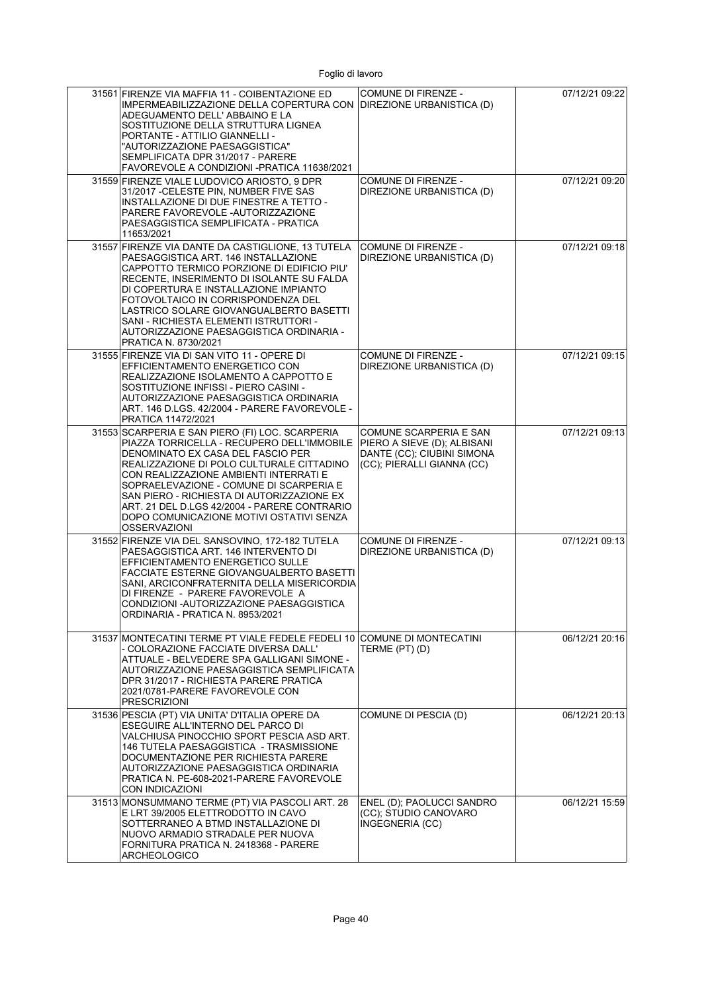| 31561 FIRENZE VIA MAFFIA 11 - COIBENTAZIONE ED<br>IMPERMEABILIZZAZIONE DELLA COPERTURA CON<br>ADEGUAMENTO DELL'ABBAINO E LA<br>SOSTITUZIONE DELLA STRUTTURA LIGNEA<br>PORTANTE - ATTILIO GIANNELLI -<br>"AUTORIZZAZIONE PAESAGGISTICA"<br>SEMPLIFICATA DPR 31/2017 - PARERE<br>FAVOREVOLE A CONDIZIONI - PRATICA 11638/2021                                                                                                           | <b>COMUNE DI FIRENZE -</b><br>DIREZIONE URBANISTICA (D)                                                           | 07/12/21 09:22 |
|---------------------------------------------------------------------------------------------------------------------------------------------------------------------------------------------------------------------------------------------------------------------------------------------------------------------------------------------------------------------------------------------------------------------------------------|-------------------------------------------------------------------------------------------------------------------|----------------|
| 31559 FIRENZE VIALE LUDOVICO ARIOSTO, 9 DPR<br>31/2017 - CELESTE PIN, NUMBER FIVE SAS<br>INSTALLAZIONE DI DUE FINESTRE A TETTO -<br>PARERE FAVOREVOLE - AUTORIZZAZIONE<br>PAESAGGISTICA SEMPLIFICATA - PRATICA<br>11653/2021                                                                                                                                                                                                          | COMUNE DI FIRENZE -<br>DIREZIONE URBANISTICA (D)                                                                  | 07/12/21 09:20 |
| 31557 FIRENZE VIA DANTE DA CASTIGLIONE, 13 TUTELA<br>PAESAGGISTICA ART. 146 INSTALLAZIONE<br>CAPPOTTO TERMICO PORZIONE DI EDIFICIO PIU'<br>RECENTE, INSERIMENTO DI ISOLANTE SU FALDA<br>DI COPERTURA E INSTALLAZIONE IMPIANTO<br>FOTOVOLTAICO IN CORRISPONDENZA DEL<br>LASTRICO SOLARE GIOVANGUALBERTO BASETTI<br>SANI - RICHIESTA ELEMENTI ISTRUTTORI -<br>AUTORIZZAZIONE PAESAGGISTICA ORDINARIA -<br>PRATICA N. 8730/2021          | <b>COMUNE DI FIRENZE -</b><br>DIREZIONE URBANISTICA (D)                                                           | 07/12/21 09:18 |
| 31555 FIRENZE VIA DI SAN VITO 11 - OPERE DI<br>EFFICIENTAMENTO ENERGETICO CON<br>REALIZZAZIONE ISOLAMENTO A CAPPOTTO E<br>SOSTITUZIONE INFISSI - PIERO CASINI -<br>AUTORIZZAZIONE PAESAGGISTICA ORDINARIA<br>ART. 146 D.LGS. 42/2004 - PARERE FAVOREVOLE -<br>PRATICA 11472/2021                                                                                                                                                      | <b>COMUNE DI FIRENZE -</b><br>DIREZIONE URBANISTICA (D)                                                           | 07/12/21 09:15 |
| 31553 SCARPERIA E SAN PIERO (FI) LOC. SCARPERIA<br>PIAZZA TORRICELLA - RECUPERO DELL'IMMOBILE<br>DENOMINATO EX CASA DEL FASCIO PER<br>REALIZZAZIONE DI POLO CULTURALE CITTADINO<br>CON REALIZZAZIONE AMBIENTI INTERRATI E<br>SOPRAELEVAZIONE - COMUNE DI SCARPERIA E<br>SAN PIERO - RICHIESTA DI AUTORIZZAZIONE EX<br>ART. 21 DEL D.LGS 42/2004 - PARERE CONTRARIO<br>DOPO COMUNICAZIONE MOTIVI OSTATIVI SENZA<br><b>OSSERVAZIONI</b> | COMUNE SCARPERIA E SAN<br>PIERO A SIEVE (D); ALBISANI<br>DANTE (CC); CIUBINI SIMONA<br>(CC); PIERALLI GIANNA (CC) | 07/12/21 09:13 |
| 31552 FIRENZE VIA DEL SANSOVINO, 172-182 TUTELA<br>PAESAGGISTICA ART. 146 INTERVENTO DI<br>EFFICIENTAMENTO ENERGETICO SULLE<br>FACCIATE ESTERNE GIOVANGUALBERTO BASETTI<br>SANI, ARCICONFRATERNITA DELLA MISERICORDIA<br>DI FIRENZE - PARERE FAVOREVOLE A<br>CONDIZIONI -AUTORIZZAZIONE PAESAGGISTICA<br>ORDINARIA - PRATICA N. 8953/2021                                                                                             | <b>COMUNE DI FIRENZE -</b><br>DIREZIONE URBANISTICA (D)                                                           | 07/12/21 09:13 |
| 31537 MONTECATINI TERME PT VIALE FEDELE FEDELI 10<br>- COLORAZIONE FACCIATE DIVERSA DALL'<br>ATTUALE - BELVEDERE SPA GALLIGANI SIMONE -<br>AUTORIZZAZIONE PAESAGGISTICA SEMPLIFICATA<br>DPR 31/2017 - RICHIESTA PARERE PRATICA<br>2021/0781-PARERE FAVOREVOLE CON<br><b>PRESCRIZIONI</b>                                                                                                                                              | COMUNE DI MONTECATINI<br>TERME (PT) (D)                                                                           | 06/12/21 20:16 |
| 31536 PESCIA (PT) VIA UNITA' D'ITALIA OPERE DA<br>ESEGUIRE ALL'INTERNO DEL PARCO DI<br>VALCHIUSA PINOCCHIO SPORT PESCIA ASD ART.<br>146 TUTELA PAESAGGISTICA - TRASMISSIONE<br>DOCUMENTAZIONE PER RICHIESTA PARERE<br>AUTORIZZAZIONE PAESAGGISTICA ORDINARIA<br>PRATICA N. PE-608-2021-PARERE FAVOREVOLE<br>CON INDICAZIONI                                                                                                           | COMUNE DI PESCIA (D)                                                                                              | 06/12/21 20:13 |
| 31513 MONSUMMANO TERME (PT) VIA PASCOLI ART. 28<br>E LRT 39/2005 ELETTRODOTTO IN CAVO<br>SOTTERRANEO A BTMD INSTALLAZIONE DI<br>NUOVO ARMADIO STRADALE PER NUOVA<br>FORNITURA PRATICA N. 2418368 - PARERE<br><b>ARCHEOLOGICO</b>                                                                                                                                                                                                      | ENEL (D); PAOLUCCI SANDRO<br>(CC), STUDIO CANOVARO<br>INGEGNERIA (CC)                                             | 06/12/21 15:59 |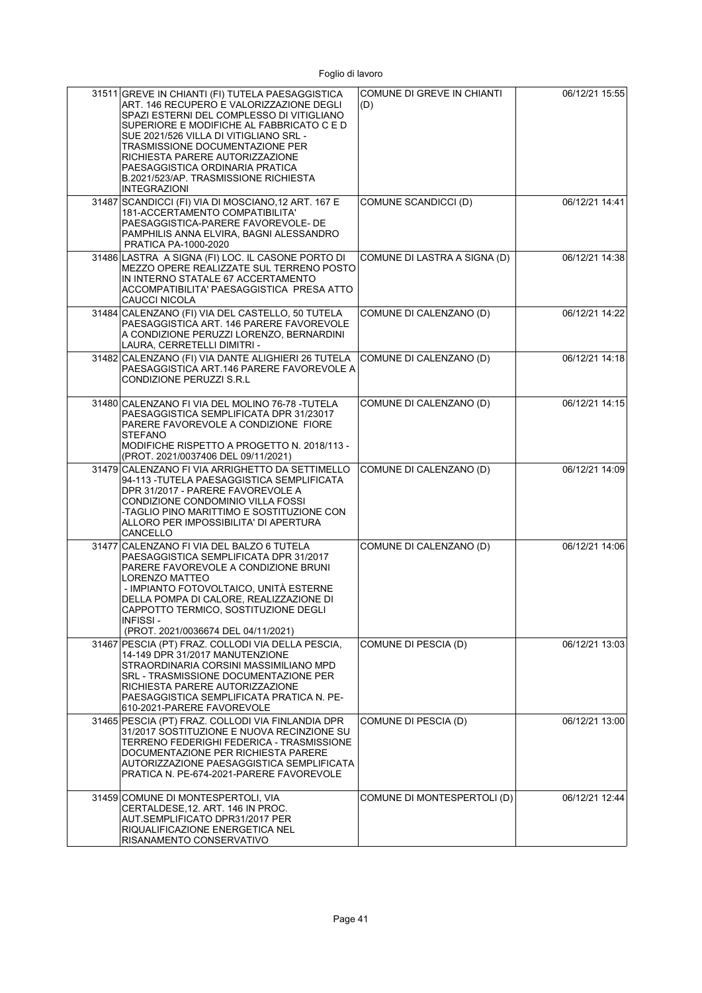| 31511 GREVE IN CHIANTI (FI) TUTELA PAESAGGISTICA<br>ART. 146 RECUPERO E VALORIZZAZIONE DEGLI<br>SPAZI ESTERNI DEL COMPLESSO DI VITIGLIANO<br>SUPERIORE E MODIFICHE AL FABBRICATO C E D<br>SUE 2021/526 VILLA DI VITIGLIANO SRL -<br>TRASMISSIONE DOCUMENTAZIONE PER<br>RICHIESTA PARERE AUTORIZZAZIONE<br>PAESAGGISTICA ORDINARIA PRATICA<br>B.2021/523/AP. TRASMISSIONE RICHIESTA<br><b>INTEGRAZIONI</b> | COMUNE DI GREVE IN CHIANTI<br>(D) | 06/12/21 15:55 |
|-----------------------------------------------------------------------------------------------------------------------------------------------------------------------------------------------------------------------------------------------------------------------------------------------------------------------------------------------------------------------------------------------------------|-----------------------------------|----------------|
| 31487 SCANDICCI (FI) VIA DI MOSCIANO, 12 ART. 167 E<br>181-ACCERTAMENTO COMPATIBILITA'<br>PAESAGGISTICA-PARERE FAVOREVOLE- DE<br>PAMPHILIS ANNA ELVIRA, BAGNI ALESSANDRO<br>PRATICA PA-1000-2020                                                                                                                                                                                                          | COMUNE SCANDICCI (D)              | 06/12/21 14:41 |
| 31486 LASTRA A SIGNA (FI) LOC. IL CASONE PORTO DI<br>MEZZO OPERE REALIZZATE SUL TERRENO POSTO<br>IN INTERNO STATALE 67 ACCERTAMENTO<br>ACCOMPATIBILITA' PAESAGGISTICA PRESA ATTO<br>CAUCCI NICOLA                                                                                                                                                                                                         | COMUNE DI LASTRA A SIGNA (D)      | 06/12/21 14:38 |
| 31484 CALENZANO (FI) VIA DEL CASTELLO, 50 TUTELA<br>PAESAGGISTICA ART. 146 PARERE FAVOREVOLE<br>A CONDIZIONE PERUZZI LORENZO, BERNARDINI<br>LAURA, CERRETELLI DIMITRI -                                                                                                                                                                                                                                   | COMUNE DI CALENZANO (D)           | 06/12/21 14:22 |
| 31482 CALENZANO (FI) VIA DANTE ALIGHIERI 26 TUTELA<br>PAESAGGISTICA ART.146 PARERE FAVOREVOLE A<br><b>CONDIZIONE PERUZZI S.R.L</b>                                                                                                                                                                                                                                                                        | COMUNE DI CALENZANO (D)           | 06/12/21 14:18 |
| 31480 CALENZANO FI VIA DEL MOLINO 76-78 - TUTELA<br>PAESAGGISTICA SEMPLIFICATA DPR 31/23017<br>PARERE FAVOREVOLE A CONDIZIONE FIORE<br>STEFANO<br>MODIFICHE RISPETTO A PROGETTO N. 2018/113 -<br>(PROT. 2021/0037406 DEL 09/11/2021)                                                                                                                                                                      | COMUNE DI CALENZANO (D)           | 06/12/21 14:15 |
| 31479 CALENZANO FI VIA ARRIGHETTO DA SETTIMELLO<br>94-113 -TUTELA PAESAGGISTICA SEMPLIFICATA<br>DPR 31/2017 - PARERE FAVOREVOLE A<br>CONDIZIONE CONDOMINIO VILLA FOSSI<br>-TAGLIO PINO MARITTIMO E SOSTITUZIONE CON<br>ALLORO PER IMPOSSIBILITA' DI APERTURA<br>CANCELLO                                                                                                                                  | COMUNE DI CALENZANO (D)           | 06/12/21 14:09 |
| 31477 CALENZANO FI VIA DEL BALZO 6 TUTELA<br>PAESAGGISTICA SEMPLIFICATA DPR 31/2017<br>PARERE FAVOREVOLE A CONDIZIONE BRUNI<br>LORENZO MATTEO<br>- IMPIANTO FOTOVOLTAICO, UNITÀ ESTERNE<br>DELLA POMPA DI CALORE, REALIZZAZIONE DI<br>CAPPOTTO TERMICO, SOSTITUZIONE DEGLI<br><b>INFISSI-</b><br>(PROT. 2021/0036674 DEL 04/11/2021)                                                                      | COMUNE DI CALENZANO (D)           | 06/12/21 14:06 |
| 31467 PESCIA (PT) FRAZ. COLLODI VIA DELLA PESCIA,<br>14-149 DPR 31/2017 MANUTENZIONE<br>STRAORDINARIA CORSINI MASSIMILIANO MPD<br>SRL - TRASMISSIONE DOCUMENTAZIONE PER<br>RICHIESTA PARERE AUTORIZZAZIONE<br>PAESAGGISTICA SEMPLIFICATA PRATICA N. PE-<br>610-2021-PARERE FAVOREVOLE                                                                                                                     | COMUNE DI PESCIA (D)              | 06/12/21 13:03 |
| 31465 PESCIA (PT) FRAZ. COLLODI VIA FINLANDIA DPR<br>31/2017 SOSTITUZIONE E NUOVA RECINZIONE SU<br>TERRENO FEDERIGHI FEDERICA - TRASMISSIONE<br>DOCUMENTAZIONE PER RICHIESTA PARERE<br>AUTORIZZAZIONE PAESAGGISTICA SEMPLIFICATA<br>PRATICA N. PE-674-2021-PARERE FAVOREVOLE                                                                                                                              | COMUNE DI PESCIA (D)              | 06/12/21 13:00 |
| 31459 COMUNE DI MONTESPERTOLI, VIA<br>CERTALDESE, 12. ART. 146 IN PROC.<br>AUT.SEMPLIFICATO DPR31/2017 PER<br>RIQUALIFICAZIONE ENERGETICA NEL<br>RISANAMENTO CONSERVATIVO                                                                                                                                                                                                                                 | COMUNE DI MONTESPERTOLI (D)       | 06/12/21 12:44 |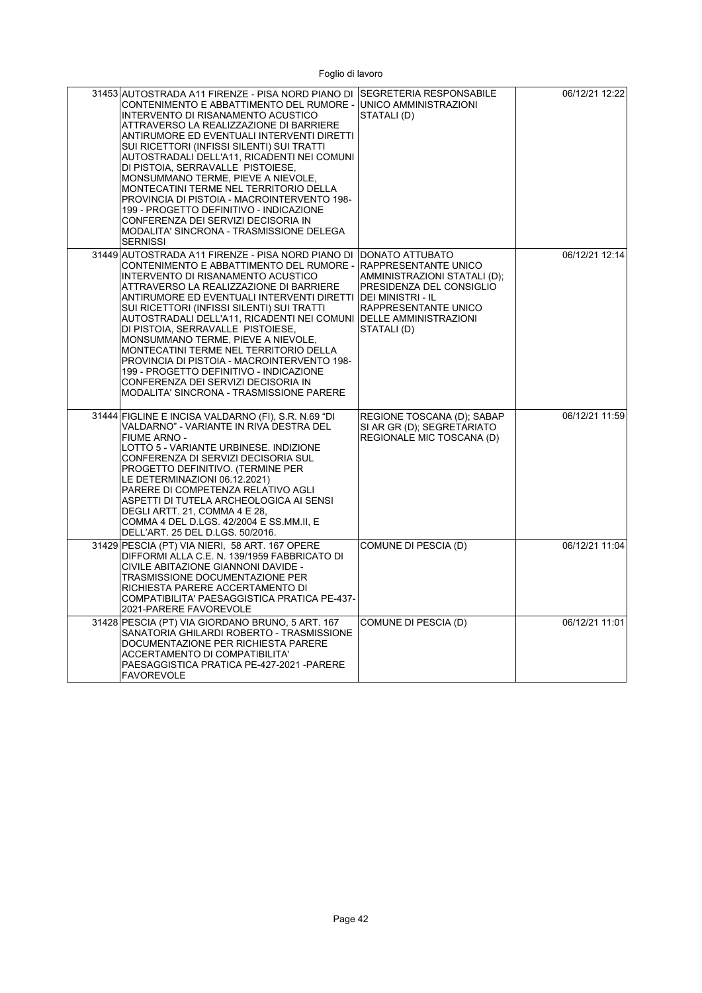| 31453 AUTOSTRADA A11 FIRENZE - PISA NORD PIANO DI SEGRETERIA RESPONSABILE<br>CONTENIMENTO E ABBATTIMENTO DEL RUMORE - UNICO AMMINISTRAZIONI<br>INTERVENTO DI RISANAMENTO ACUSTICO<br>ATTRAVERSO LA REALIZZAZIONE DI BARRIERE<br>ANTIRUMORE ED EVENTUALI INTERVENTI DIRETTI<br>SUI RICETTORI (INFISSI SILENTI) SUI TRATTI<br>AUTOSTRADALI DELL'A11, RICADENTI NEI COMUNI<br>DI PISTOIA, SERRAVALLE PISTOIESE,<br>MONSUMMANO TERME, PIEVE A NIEVOLE,<br>MONTECATINI TERME NEL TERRITORIO DELLA<br>PROVINCIA DI PISTOIA - MACROINTERVENTO 198-<br>199 - PROGETTO DEFINITIVO - INDICAZIONE<br>CONFERENZA DEI SERVIZI DECISORIA IN<br>MODALITA' SINCRONA - TRASMISSIONE DELEGA<br><b>SERNISSI</b> | STATALI(D)                                                                                                                                                                                            | 06/12/21 12:22 |
|----------------------------------------------------------------------------------------------------------------------------------------------------------------------------------------------------------------------------------------------------------------------------------------------------------------------------------------------------------------------------------------------------------------------------------------------------------------------------------------------------------------------------------------------------------------------------------------------------------------------------------------------------------------------------------------------|-------------------------------------------------------------------------------------------------------------------------------------------------------------------------------------------------------|----------------|
| 31449 AUTOSTRADA A11 FIRENZE - PISA NORD PIANO DI<br>CONTENIMENTO E ABBATTIMENTO DEL RUMORE -<br>INTERVENTO DI RISANAMENTO ACUSTICO<br>ATTRAVERSO LA REALIZZAZIONE DI BARRIERE<br>ANTIRUMORE ED EVENTUALI INTERVENTI DIRETTI<br>SUI RICETTORI (INFISSI SILENTI) SUI TRATTI<br>AUTOSTRADALI DELL'A11, RICADENTI NEI COMUNI<br>DI PISTOIA, SERRAVALLE PISTOIESE,<br>MONSUMMANO TERME, PIEVE A NIEVOLE,<br>MONTECATINI TERME NEL TERRITORIO DELLA<br>PROVINCIA DI PISTOIA - MACROINTERVENTO 198-<br>199 - PROGETTO DEFINITIVO - INDICAZIONE<br>CONFERENZA DEI SERVIZI DECISORIA IN<br>MODALITA' SINCRONA - TRASMISSIONE PARERE                                                                  | DONATO ATTUBATO<br><b>RAPPRESENTANTE UNICO</b><br>AMMINISTRAZIONI STATALI (D);<br>PRESIDENZA DEL CONSIGLIO<br><b>DEI MINISTRI - IL</b><br>RAPPRESENTANTE UNICO<br>DELLE AMMINISTRAZIONI<br>STATALI(D) | 06/12/21 12:14 |
| 31444 FIGLINE E INCISA VALDARNO (FI), S.R. N.69 "DI<br>VALDARNO" - VARIANTE IN RIVA DESTRA DEL<br><b>FIUME ARNO -</b><br>LOTTO 5 - VARIANTE URBINESE. INDIZIONE<br>CONFERENZA DI SERVIZI DECISORIA SUL<br>PROGETTO DEFINITIVO. (TERMINE PER<br>LE DETERMINAZIONI 06.12.2021)<br>PARERE DI COMPETENZA RELATIVO AGLI<br>ASPETTI DI TUTELA ARCHEOLOGICA AI SENSI<br>DEGLI ARTT. 21, COMMA 4 E 28,<br>COMMA 4 DEL D.LGS. 42/2004 E SS.MM.II, E<br>DELL'ART. 25 DEL D.LGS. 50/2016.                                                                                                                                                                                                               | REGIONE TOSCANA (D); SABAP<br>SI AR GR (D); SEGRETARIATO<br>REGIONALE MIC TOSCANA (D)                                                                                                                 | 06/12/21 11:59 |
| 31429 PESCIA (PT) VIA NIERI, 58 ART. 167 OPERE<br>DIFFORMI ALLA C.E. N. 139/1959 FABBRICATO DI<br>CIVILE ABITAZIONE GIANNONI DAVIDE -<br>TRASMISSIONE DOCUMENTAZIONE PER<br>RICHIESTA PARERE ACCERTAMENTO DI<br>COMPATIBILITA' PAESAGGISTICA PRATICA PE-437-<br>2021-PARERE FAVOREVOLE                                                                                                                                                                                                                                                                                                                                                                                                       | COMUNE DI PESCIA (D)                                                                                                                                                                                  | 06/12/21 11:04 |
| 31428 PESCIA (PT) VIA GIORDANO BRUNO, 5 ART. 167<br>SANATORIA GHILARDI ROBERTO - TRASMISSIONE<br>DOCUMENTAZIONE PER RICHIESTA PARERE<br>ACCERTAMENTO DI COMPATIBILITA'<br>PAESAGGISTICA PRATICA PE-427-2021 - PARERE<br>FAVOREVOLE                                                                                                                                                                                                                                                                                                                                                                                                                                                           | COMUNE DI PESCIA (D)                                                                                                                                                                                  | 06/12/21 11:01 |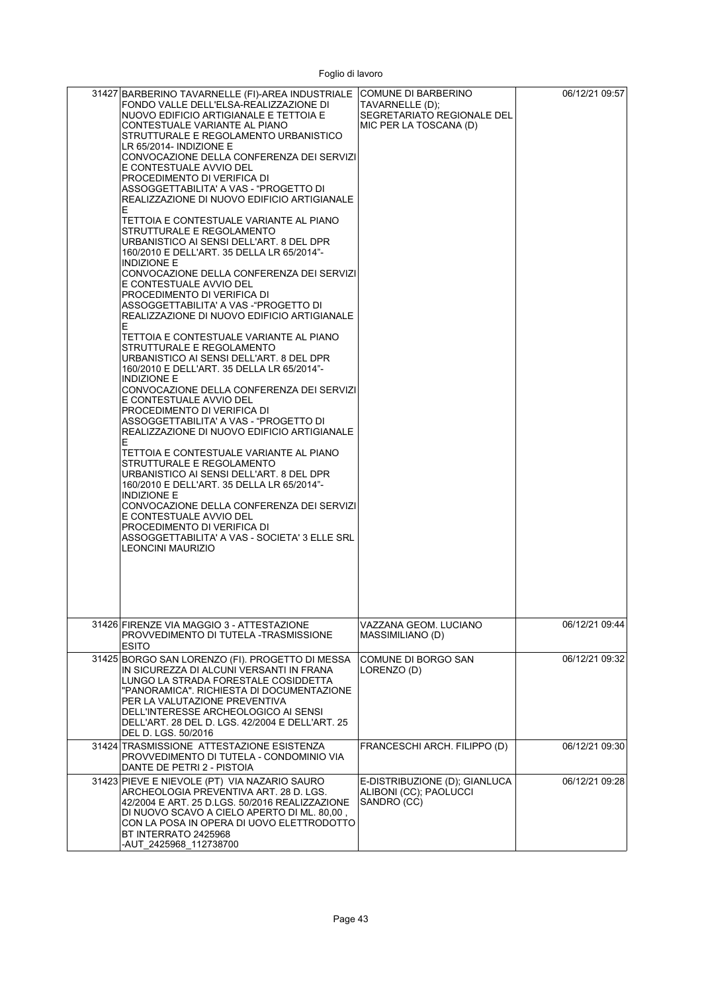| 31427 BARBERINO TAVARNELLE (FI)-AREA INDUSTRIALE COMUNE DI BARBERINO<br>FONDO VALLE DELL'ELSA-REALIZZAZIONE DI<br>NUOVO EDIFICIO ARTIGIANALE E TETTOIA E<br>CONTESTUALE VARIANTE AL PIANO<br>STRUTTURALE E REGOLAMENTO URBANISTICO<br>LR 65/2014- INDIZIONE E<br>CONVOCAZIONE DELLA CONFERENZA DEI SERVIZI<br>E CONTESTUALE AVVIO DEL<br>PROCEDIMENTO DI VERIFICA DI<br>ASSOGGETTABILITA' A VAS - "PROGETTO DI<br>REALIZZAZIONE DI NUOVO EDIFICIO ARTIGIANALE<br>E.<br>TETTOIA E CONTESTUALE VARIANTE AL PIANO<br>STRUTTURALE E REGOLAMENTO<br>URBANISTICO AI SENSI DELL'ART. 8 DEL DPR<br>160/2010 E DELL'ART. 35 DELLA LR 65/2014"-<br>INDIZIONE E<br>CONVOCAZIONE DELLA CONFERENZA DEI SERVIZI<br>E CONTESTUALE AVVIO DEL<br>PROCEDIMENTO DI VERIFICA DI<br>ASSOGGETTABILITA' A VAS -"PROGETTO DI<br>REALIZZAZIONE DI NUOVO EDIFICIO ARTIGIANALE<br>E.<br>TETTOIA E CONTESTUALE VARIANTE AL PIANO<br>STRUTTURALE E REGOLAMENTO<br>URBANISTICO AI SENSI DELL'ART. 8 DEL DPR<br>160/2010 E DELL'ART. 35 DELLA LR 65/2014"-<br>INDIZIONE E<br>CONVOCAZIONE DELLA CONFERENZA DEI SERVIZI<br>E CONTESTUALE AVVIO DEL<br>PROCEDIMENTO DI VERIFICA DI<br>ASSOGGETTABILITA' A VAS - "PROGETTO DI<br>REALIZZAZIONE DI NUOVO EDIFICIO ARTIGIANALE<br>E.<br>TETTOIA E CONTESTUALE VARIANTE AL PIANO<br>STRUTTURALE E REGOLAMENTO<br>URBANISTICO AI SENSI DELL'ART. 8 DEL DPR<br>160/2010 E DELL'ART. 35 DELLA LR 65/2014"-<br><b>INDIZIONE E</b><br>CONVOCAZIONE DELLA CONFERENZA DEI SERVIZI<br>E CONTESTUALE AVVIO DEL<br>PROCEDIMENTO DI VERIFICA DI<br>ASSOGGETTABILITA' A VAS - SOCIETA' 3 ELLE SRL<br>LEONCINI MAURIZIO | TAVARNELLE (D);<br>SEGRETARIATO REGIONALE DEL<br>MIC PER LA TOSCANA (D) | 06/12/21 09:57 |
|-----------------------------------------------------------------------------------------------------------------------------------------------------------------------------------------------------------------------------------------------------------------------------------------------------------------------------------------------------------------------------------------------------------------------------------------------------------------------------------------------------------------------------------------------------------------------------------------------------------------------------------------------------------------------------------------------------------------------------------------------------------------------------------------------------------------------------------------------------------------------------------------------------------------------------------------------------------------------------------------------------------------------------------------------------------------------------------------------------------------------------------------------------------------------------------------------------------------------------------------------------------------------------------------------------------------------------------------------------------------------------------------------------------------------------------------------------------------------------------------------------------------------------------------------------------------------------------------------------------------------|-------------------------------------------------------------------------|----------------|
| 31426 FIRENZE VIA MAGGIO 3 - ATTESTAZIONE<br>PROVVEDIMENTO DI TUTELA -TRASMISSIONE<br>ESITO                                                                                                                                                                                                                                                                                                                                                                                                                                                                                                                                                                                                                                                                                                                                                                                                                                                                                                                                                                                                                                                                                                                                                                                                                                                                                                                                                                                                                                                                                                                           | VAZZANA GEOM. LUCIANO<br>MASSIMILIANO (D)                               | 06/12/21 09:44 |
| 31425 BORGO SAN LORENZO (FI). PROGETTO DI MESSA<br>IN SICUREZZA DI ALCUNI VERSANTI IN FRANA<br>LUNGO LA STRADA FORESTALE COSIDDETTA<br>"PANORAMICA". RICHIESTA DI DOCUMENTAZIONE<br>PER LA VALUTAZIONE PREVENTIVA<br>DELL'INTERESSE ARCHEOLOGICO AI SENSI<br>DELL'ART. 28 DEL D. LGS. 42/2004 E DELL'ART. 25<br>DEL D. LGS. 50/2016                                                                                                                                                                                                                                                                                                                                                                                                                                                                                                                                                                                                                                                                                                                                                                                                                                                                                                                                                                                                                                                                                                                                                                                                                                                                                   | COMUNE DI BORGO SAN<br>LORENZO (D)                                      | 06/12/21 09:32 |
| 31424 TRASMISSIONE ATTESTAZIONE ESISTENZA<br>PROVVEDIMENTO DI TUTELA - CONDOMINIO VIA<br>DANTE DE PETRI 2 - PISTOIA                                                                                                                                                                                                                                                                                                                                                                                                                                                                                                                                                                                                                                                                                                                                                                                                                                                                                                                                                                                                                                                                                                                                                                                                                                                                                                                                                                                                                                                                                                   | FRANCESCHI ARCH. FILIPPO (D)                                            | 06/12/21 09:30 |
| 31423 PIEVE E NIEVOLE (PT) VIA NAZARIO SAURO<br>ARCHEOLOGIA PREVENTIVA ART. 28 D. LGS.<br>42/2004 E ART. 25 D.LGS. 50/2016 REALIZZAZIONE<br>DI NUOVO SCAVO A CIELO APERTO DI ML. 80.00 .<br>CON LA POSA IN OPERA DI UOVO ELETTRODOTTO<br>BT INTERRATO 2425968<br>-AUT 2425968 112738700                                                                                                                                                                                                                                                                                                                                                                                                                                                                                                                                                                                                                                                                                                                                                                                                                                                                                                                                                                                                                                                                                                                                                                                                                                                                                                                               | E-DISTRIBUZIONE (D); GIANLUCA<br>ALIBONI (CC); PAOLUCCI<br>SANDRO (CC)  | 06/12/21 09:28 |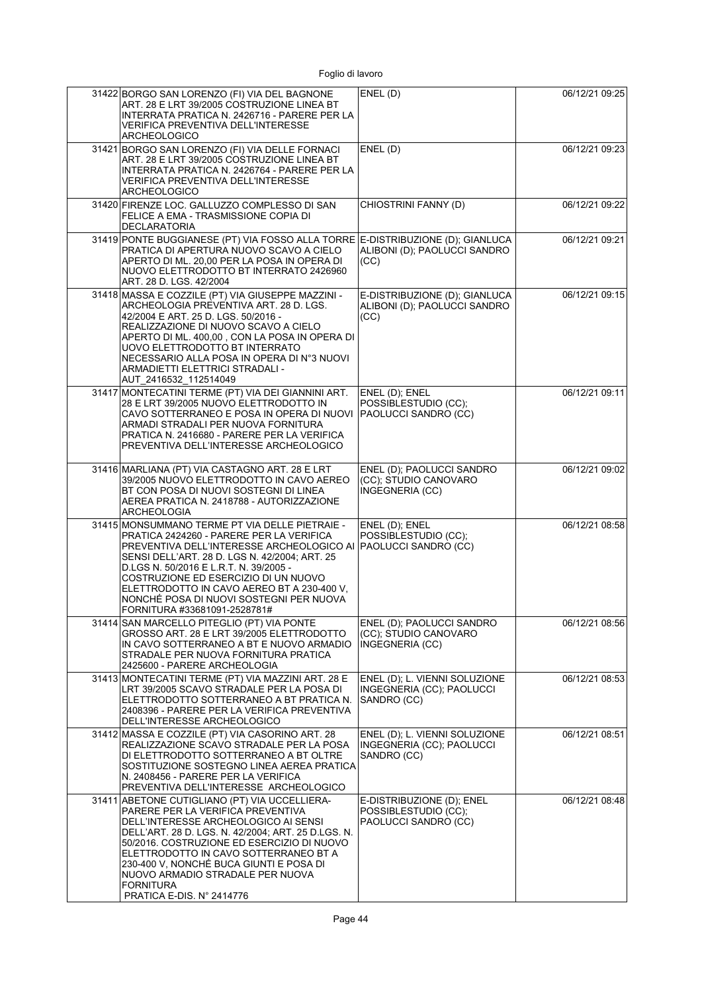| 31422 BORGO SAN LORENZO (FI) VIA DEL BAGNONE<br>ART. 28 E LRT 39/2005 COSTRUZIONE LINEA BT<br>INTERRATA PRATICA N. 2426716 - PARERE PER LA<br><b>VERIFICA PREVENTIVA DELL'INTERESSE</b><br><b>ARCHEOLOGICO</b>                                                                                                                                                                                          | ENEL(D)                                                                   | 06/12/21 09:25 |
|---------------------------------------------------------------------------------------------------------------------------------------------------------------------------------------------------------------------------------------------------------------------------------------------------------------------------------------------------------------------------------------------------------|---------------------------------------------------------------------------|----------------|
| 31421 BORGO SAN LORENZO (FI) VIA DELLE FORNACI<br>ART. 28 E LRT 39/2005 COSTRUZIONE LINEA BT<br>INTERRATA PRATICA N. 2426764 - PARERE PER LA<br>VERIFICA PREVENTIVA DELL'INTERESSE<br><b>ARCHEOLOGICO</b>                                                                                                                                                                                               | ENEL(D)                                                                   | 06/12/21 09:23 |
| 31420 FIRENZE LOC. GALLUZZO COMPLESSO DI SAN<br>FELICE A EMA - TRASMISSIONE COPIA DI<br><b>DECLARATORIA</b>                                                                                                                                                                                                                                                                                             | CHIOSTRINI FANNY (D)                                                      | 06/12/21 09:22 |
| 31419 PONTE BUGGIANESE (PT) VIA FOSSO ALLA TORRE E-DISTRIBUZIONE (D); GIANLUCA<br>PRATICA DI APERTURA NUOVO SCAVO A CIELO<br>APERTO DI ML. 20,00 PER LA POSA IN OPERA DI<br>NUOVO ELETTRODOTTO BT INTERRATO 2426960<br>ART. 28 D. LGS. 42/2004                                                                                                                                                          | ALIBONI (D); PAOLUCCI SANDRO<br>(CC)                                      | 06/12/21 09:21 |
| 31418 MASSA E COZZILE (PT) VIA GIUSEPPE MAZZINI -<br>ARCHEOLOGIA PREVENTIVA ART. 28 D. LGS.<br>42/2004 E ART. 25 D. LGS. 50/2016 -<br>REALIZZAZIONE DI NUOVO SCAVO A CIELO<br>APERTO DI ML. 400,00, CON LA POSA IN OPERA DI<br>UOVO ELETTRODOTTO BT INTERRATO<br>NECESSARIO ALLA POSA IN OPERA DI N°3 NUOVI<br>ARMADIETTI ELETTRICI STRADALI -<br>AUT 2416532 112514049                                 | E-DISTRIBUZIONE (D); GIANLUCA<br>ALIBONI (D); PAOLUCCI SANDRO<br>(CC)     | 06/12/21 09:15 |
| 31417 MONTECATINI TERME (PT) VIA DEI GIANNINI ART.<br>28 E LRT 39/2005 NUOVO ELETTRODOTTO IN<br>CAVO SOTTERRANEO E POSA IN OPERA DI NUOVI<br>ARMADI STRADALI PER NUOVA FORNITURA<br>PRATICA N. 2416680 - PARERE PER LA VERIFICA<br>PREVENTIVA DELL'INTERESSE ARCHEOLOGICO                                                                                                                               | ENEL (D); ENEL<br>POSSIBLESTUDIO (CC);<br>PAOLUCCI SANDRO (CC)            | 06/12/21 09:11 |
| 31416 MARLIANA (PT) VIA CASTAGNO ART. 28 E LRT<br>39/2005 NUOVO ELETTRODOTTO IN CAVO AEREO<br>BT CON POSA DI NUOVI SOSTEGNI DI LINEA<br>AEREA PRATICA N. 2418788 - AUTORIZZAZIONE<br><b>ARCHEOLOGIA</b>                                                                                                                                                                                                 | ENEL (D); PAOLUCCI SANDRO<br>(CC); STUDIO CANOVARO<br>INGEGNERIA (CC)     | 06/12/21 09:02 |
| 31415 MONSUMMANO TERME PT VIA DELLE PIETRAIE -<br>PRATICA 2424260 - PARERE PER LA VERIFICA<br>PREVENTIVA DELL'INTERESSE ARCHEOLOGICO AI<br>SENSI DELL'ART. 28 D. LGS N. 42/2004, ART. 25<br>D.LGS N. 50/2016 E L.R.T. N. 39/2005 -<br>COSTRUZIONE ED ESERCIZIO DI UN NUOVO<br>ELETTRODOTTO IN CAVO AEREO BT A 230-400 V,<br>NONCHÉ POSA DI NUOVI SOSTEGNI PER NUOVA<br>FORNITURA #33681091-2528781#     | ENEL (D); ENEL<br>POSSIBLESTUDIO (CC);<br>PAOLUCCI SANDRO (CC)            | 06/12/21 08:58 |
| 31414 SAN MARCELLO PITEGLIO (PT) VIA PONTE<br>GROSSO ART. 28 E LRT 39/2005 ELETTRODOTTO<br>IN CAVO SOTTERRANEO A BT E NUOVO ARMADIO<br>STRADALE PER NUOVA FORNITURA PRATICA<br>2425600 - PARERE ARCHEOLOGIA                                                                                                                                                                                             | ENEL (D); PAOLUCCI SANDRO<br>(CC); STUDIO CANOVARO<br>INGEGNERIA (CC)     | 06/12/21 08:56 |
| 31413 MONTECATINI TERME (PT) VIA MAZZINI ART. 28 E<br>LRT 39/2005 SCAVO STRADALE PER LA POSA DI<br>ELETTRODOTTO SOTTERRANEO A BT PRATICA N.<br>2408396 - PARERE PER LA VERIFICA PREVENTIVA<br>DELL'INTERESSE ARCHEOLOGICO                                                                                                                                                                               | ENEL (D); L. VIENNI SOLUZIONE<br>INGEGNERIA (CC); PAOLUCCI<br>SANDRO (CC) | 06/12/21 08:53 |
| 31412 MASSA E COZZILE (PT) VIA CASORINO ART. 28<br>REALIZZAZIONE SCAVO STRADALE PER LA POSA<br>DI ELETTRODOTTO SOTTERRANEO A BT OLTRE<br>SOSTITUZIONE SOSTEGNO LINEA AEREA PRATICA<br>N. 2408456 - PARERE PER LA VERIFICA<br>PREVENTIVA DELL'INTERESSE ARCHEOLOGICO                                                                                                                                     | ENEL (D); L. VIENNI SOLUZIONE<br>INGEGNERIA (CC); PAOLUCCI<br>SANDRO (CC) | 06/12/21 08:51 |
| 31411 ABETONE CUTIGLIANO (PT) VIA UCCELLIERA-<br>PARERE PER LA VERIFICA PREVENTIVA<br>DELL'INTERESSE ARCHEOLOGICO AI SENSI<br>DELL'ART. 28 D. LGS. N. 42/2004; ART. 25 D.LGS. N.<br>50/2016. COSTRUZIONE ED ESERCIZIO DI NUOVO<br>ELETTRODOTTO IN CAVO SOTTERRANEO BT A<br>230-400 V, NONCHÉ BUCA GIUNTI E POSA DI<br>NUOVO ARMADIO STRADALE PER NUOVA<br><b>FORNITURA</b><br>PRATICA E-DIS. N° 2414776 | E-DISTRIBUZIONE (D); ENEL<br>POSSIBLESTUDIO (CC);<br>PAOLUCCI SANDRO (CC) | 06/12/21 08:48 |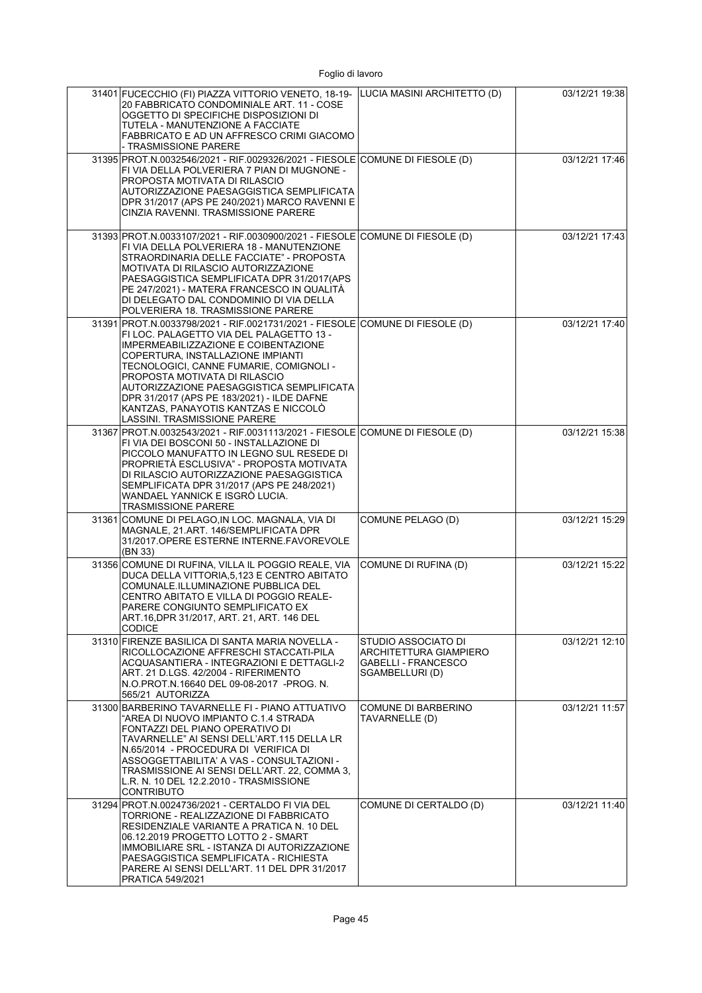| 31401 FUCECCHIO (FI) PIAZZA VITTORIO VENETO, 18-19-<br>20 FABBRICATO CONDOMINIALE ART. 11 - COSE<br>OGGETTO DI SPECIFICHE DISPOSIZIONI DI<br>TUTELA - MANUTENZIONE A FACCIATE<br>FABBRICATO E AD UN AFFRESCO CRIMI GIACOMO<br>- TRASMISSIONE PARERE                                                                                                                                                                                                  | LUCIA MASINI ARCHITETTO (D)                                                                           | 03/12/21 19:38 |
|------------------------------------------------------------------------------------------------------------------------------------------------------------------------------------------------------------------------------------------------------------------------------------------------------------------------------------------------------------------------------------------------------------------------------------------------------|-------------------------------------------------------------------------------------------------------|----------------|
| 31395 PROT.N.0032546/2021 - RIF.0029326/2021 - FIESOLE COMUNE DI FIESOLE (D)<br>FI VIA DELLA POLVERIERA 7 PIAN DI MUGNONE -<br>PROPOSTA MOTIVATA DI RILASCIO<br>AUTORIZZAZIONE PAESAGGISTICA SEMPLIFICATA<br>DPR 31/2017 (APS PE 240/2021) MARCO RAVENNI E<br>CINZIA RAVENNI. TRASMISSIONE PARERE                                                                                                                                                    |                                                                                                       | 03/12/21 17:46 |
| 31393 PROT.N.0033107/2021 - RIF.0030900/2021 - FIESOLE COMUNE DI FIESOLE (D)<br>FI VIA DELLA POLVERIERA 18 - MANUTENZIONE<br>STRAORDINARIA DELLE FACCIATE" - PROPOSTA<br>MOTIVATA DI RILASCIO AUTORIZZAZIONE<br>PAESAGGISTICA SEMPLIFICATA DPR 31/2017(APS<br>PE 247/2021) - MATERA FRANCESCO IN QUALITÀ<br>DI DELEGATO DAL CONDOMINIO DI VIA DELLA<br>POLVERIERA 18. TRASMISSIONE PARERE                                                            |                                                                                                       | 03/12/21 17:43 |
| 31391 PROT.N.0033798/2021 - RIF.0021731/2021 - FIESOLE COMUNE DI FIESOLE (D)<br>FI LOC. PALAGETTO VIA DEL PALAGETTO 13 -<br>IMPERMEABILIZZAZIONE E COIBENTAZIONE<br>COPERTURA, INSTALLAZIONE IMPIANTI<br>TECNOLOGICI, CANNE FUMARIE, COMIGNOLI -<br>PROPOSTA MOTIVATA DI RILASCIO<br>AUTORIZZAZIONE PAESAGGISTICA SEMPLIFICATA<br>DPR 31/2017 (APS PE 183/2021) - ILDE DAFNE<br>KANTZAS, PANAYOTIS KANTZAS E NICCOLÓ<br>LASSINI. TRASMISSIONE PARERE |                                                                                                       | 03/12/21 17:40 |
| 31367 PROT N.0032543/2021 - RIF.0031113/2021 - FIESOLE COMUNE DI FIESOLE (D)<br>FI VIA DEI BOSCONI 50 - INSTALLAZIONE DI<br>PICCOLO MANUFATTO IN LEGNO SUL RESEDE DI<br>PROPRIETÁ ESCLUSIVA" - PROPOSTA MOTIVATA<br>DI RILASCIO AUTORIZZAZIONE PAESAGGISTICA<br>SEMPLIFICATA DPR 31/2017 (APS PE 248/2021)<br>WANDAEL YANNICK E ISGRÒ LUCIA.<br>TRASMISSIONE PARERE                                                                                  |                                                                                                       | 03/12/21 15:38 |
| 31361 COMUNE DI PELAGO, IN LOC. MAGNALA, VIA DI<br>MAGNALE, 21.ART. 146/SEMPLIFICATA DPR<br>31/2017.OPERE ESTERNE INTERNE FAVOREVOLE<br>(BN 33)                                                                                                                                                                                                                                                                                                      | COMUNE PELAGO (D)                                                                                     | 03/12/21 15:29 |
| 31356 COMUNE DI RUFINA, VILLA IL POGGIO REALE, VIA<br>DUCA DELLA VITTORIA, 5, 123 E CENTRO ABITATO<br>COMUNALE.ILLUMINAZIONE PUBBLICA DEL<br>CENTRO ABITATO E VILLA DI POGGIO REALE-<br>PARERE CONGIUNTO SEMPLIFICATO EX<br>ART.16, DPR 31/2017, ART. 21, ART. 146 DEL<br><b>CODICE</b>                                                                                                                                                              | COMUNE DI RUFINA (D)                                                                                  | 03/12/21 15:22 |
| 31310 FIRENZE BASILICA DI SANTA MARIA NOVELLA -<br>RICOLLOCAZIONE AFFRESCHI STACCATI-PILA<br>ACQUASANTIERA - INTEGRAZIONI E DETTAGLI-2<br>ART. 21 D.LGS. 42/2004 - RIFERIMENTO<br>N.O.PROT N.16640 DEL 09-08-2017 -PROG. N.<br>565/21 AUTORIZZA                                                                                                                                                                                                      | STUDIO ASSOCIATO DI<br><b>ARCHITETTURA GIAMPIERO</b><br><b>GABELLI - FRANCESCO</b><br>SGAMBELLURI (D) | 03/12/21 12:10 |
| 31300 BARBERINO TAVARNELLE FI - PIANO ATTUATIVO<br>"AREA DI NUOVO IMPIANTO C.1.4 STRADA<br>FONTAZZI DEL PIANO OPERATIVO DI<br>TAVARNELLE" AI SENSI DELL'ART.115 DELLA LR<br>N.65/2014 - PROCEDURA DI VERIFICA DI<br>ASSOGGETTABILITA' A VAS - CONSULTAZIONI -<br>TRASMISSIONE AI SENSI DELL'ART. 22, COMMA 3,<br>L.R. N. 10 DEL 12.2.2010 - TRASMISSIONE<br><b>CONTRIBUTO</b>                                                                        | <b>COMUNE DI BARBERINO</b><br>TAVARNELLE (D)                                                          | 03/12/21 11:57 |
| 31294 PROT.N.0024736/2021 - CERTALDO FI VIA DEL<br>TORRIONE - REALIZZAZIONE DI FABBRICATO<br>RESIDENZIALE VARIANTE A PRATICA N. 10 DEL<br>06.12.2019 PROGETTO LOTTO 2 - SMART<br>IMMOBILIARE SRL - ISTANZA DI AUTORIZZAZIONE<br>PAESAGGISTICA SEMPLIFICATA - RICHIESTA<br>PARERE AI SENSI DELL'ART. 11 DEL DPR 31/2017<br>PRATICA 549/2021                                                                                                           | COMUNE DI CERTALDO (D)                                                                                | 03/12/21 11:40 |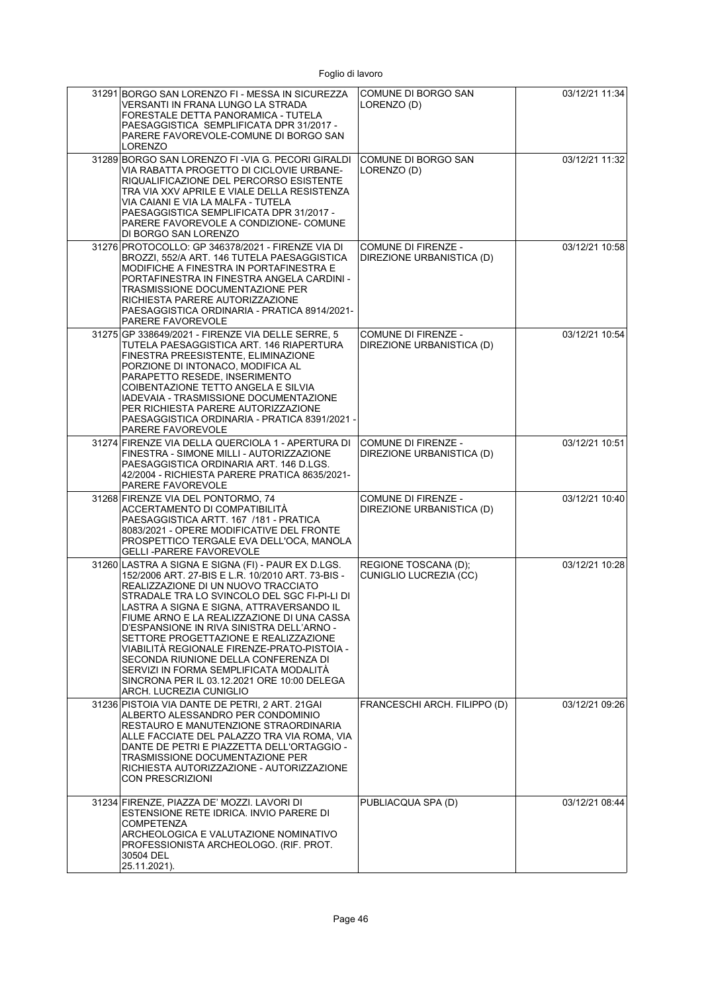| 31291 BORGO SAN LORENZO FI - MESSA IN SICUREZZA<br>VERSANTI IN FRANA LUNGO LA STRADA<br>FORESTALE DETTA PANORAMICA - TUTELA<br>PAESAGGISTICA SEMPLIFICATA DPR 31/2017 -<br>PARERE FAVOREVOLE-COMUNE DI BORGO SAN<br>LORENZO                                                                                                                                                                                                                                                                                                                                                               | COMUNE DI BORGO SAN<br>LORENZO (D)                      | 03/12/21 11:34 |
|-------------------------------------------------------------------------------------------------------------------------------------------------------------------------------------------------------------------------------------------------------------------------------------------------------------------------------------------------------------------------------------------------------------------------------------------------------------------------------------------------------------------------------------------------------------------------------------------|---------------------------------------------------------|----------------|
| 31289 BORGO SAN LORENZO FI - VIA G. PECORI GIRALDI<br>VIA RABATTA PROGETTO DI CICLOVIE URBANE-<br>RIQUALIFICAZIONE DEL PERCORSO ESISTENTE<br>TRA VIA XXV APRILE E VIALE DELLA RESISTENZA<br>VIA CAIANI E VIA LA MALFA - TUTELA<br>PAESAGGISTICA SEMPLIFICATA DPR 31/2017 -<br>PARERE FAVOREVOLE A CONDIZIONE- COMUNE<br>DI BORGO SAN LORENZO                                                                                                                                                                                                                                              | COMUNE DI BORGO SAN<br>LORENZO (D)                      | 03/12/21 11:32 |
| 31276 PROTOCOLLO: GP 346378/2021 - FIRENZE VIA DI<br>BROZZI, 552/A ART. 146 TUTELA PAESAGGISTICA<br>MODIFICHE A FINESTRA IN PORTAFINESTRA E<br>PORTAFINESTRA IN FINESTRA ANGELA CARDINI -<br>TRASMISSIONE DOCUMENTAZIONE PER<br>RICHIESTA PARERE AUTORIZZAZIONE<br>PAESAGGISTICA ORDINARIA - PRATICA 8914/2021-<br><b>PARERE FAVOREVOLE</b>                                                                                                                                                                                                                                               | COMUNE DI FIRENZE -<br>DIREZIONE URBANISTICA (D)        | 03/12/21 10:58 |
| 31275 GP 338649/2021 - FIRENZE VIA DELLE SERRE, 5<br>TUTELA PAESAGGISTICA ART. 146 RIAPERTURA<br>FINESTRA PREESISTENTE, ELIMINAZIONE<br>PORZIONE DI INTONACO, MODIFICA AL<br>PARAPETTO RESEDE, INSERIMENTO<br>COIBENTAZIONE TETTO ANGELA E SILVIA<br>IADEVAIA - TRASMISSIONE DOCUMENTAZIONE<br>PER RICHIESTA PARERE AUTORIZZAZIONE<br>PAESAGGISTICA ORDINARIA - PRATICA 8391/2021 -<br><b>PARERE FAVOREVOLE</b>                                                                                                                                                                           | COMUNE DI FIRENZE -<br>DIREZIONE URBANISTICA (D)        | 03/12/21 10:54 |
| 31274 FIRENZE VIA DELLA QUERCIOLA 1 - APERTURA DI<br>FINESTRA - SIMONE MILLI - AUTORIZZAZIONE<br>PAESAGGISTICA ORDINARIA ART. 146 D.LGS.<br>42/2004 - RICHIESTA PARERE PRATICA 8635/2021-<br>PARERE FAVOREVOLE                                                                                                                                                                                                                                                                                                                                                                            | <b>COMUNE DI FIRENZE -</b><br>DIREZIONE URBANISTICA (D) | 03/12/21 10:51 |
| 31268 FIRENZE VIA DEL PONTORMO, 74<br>ACCERTAMENTO DI COMPATIBILITÀ<br>PAESAGGISTICA ARTT. 167 /181 - PRATICA<br>8083/2021 - OPERE MODIFICATIVE DEL FRONTE<br>PROSPETTICO TERGALE EVA DELL'OCA, MANOLA<br><b>GELLI-PARERE FAVOREVOLE</b>                                                                                                                                                                                                                                                                                                                                                  | COMUNE DI FIRENZE -<br>DIREZIONE URBANISTICA (D)        | 03/12/21 10:40 |
| 31260 LASTRA A SIGNA E SIGNA (FI) - PAUR EX D.LGS.<br>152/2006 ART. 27-BIS E L.R. 10/2010 ART. 73-BIS -<br>REALIZZAZIONE DI UN NUOVO TRACCIATO<br>STRADALE TRA LO SVINCOLO DEL SGC FI-PI-LI DI<br>LASTRA A SIGNA E SIGNA, ATTRAVERSANDO IL<br>FIUME ARNO E LA REALIZZAZIONE DI UNA CASSA<br>D'ESPANSIONE IN RIVA SINISTRA DELL'ARNO -<br>SETTORE PROGETTAZIONE E REALIZZAZIONE<br>VIABILITÁ REGIONALE FIRENZE-PRATO-PISTOIA -<br>SECONDA RIUNIONE DELLA CONFERENZA DI<br>SERVIZI IN FORMA SEMPLIFICATA MODALITA<br>SINCRONA PER IL 03.12.2021 ORE 10:00 DELEGA<br>ARCH. LUCREZIA CUNIGLIO | REGIONE TOSCANA (D);<br>CUNIGLIO LUCREZIA (CC)          | 03/12/21 10:28 |
| 31236 PISTOIA VIA DANTE DE PETRI. 2 ART. 21GAI<br>ALBERTO ALESSANDRO PER CONDOMINIO<br>RESTAURO E MANUTENZIONE STRAORDINARIA<br>ALLE FACCIATE DEL PALAZZO TRA VIA ROMA, VIA<br>DANTE DE PETRI E PIAZZETTA DELL'ORTAGGIO -<br><b>TRASMISSIONE DOCUMENTAZIONE PER</b><br>RICHIESTA AUTORIZZAZIONE - AUTORIZZAZIONE<br>CON PRESCRIZIONI                                                                                                                                                                                                                                                      | FRANCESCHI ARCH. FILIPPO (D)                            | 03/12/21 09:26 |
| 31234 FIRENZE, PIAZZA DE' MOZZI. LAVORI DI<br>ESTENSIONE RETE IDRICA. INVIO PARERE DI<br><b>COMPETENZA</b><br>ARCHEOLOGICA E VALUTAZIONE NOMINATIVO<br>PROFESSIONISTA ARCHEOLOGO. (RIF. PROT.<br>30504 DEL<br>25.11.2021).                                                                                                                                                                                                                                                                                                                                                                | PUBLIACQUA SPA (D)                                      | 03/12/21 08:44 |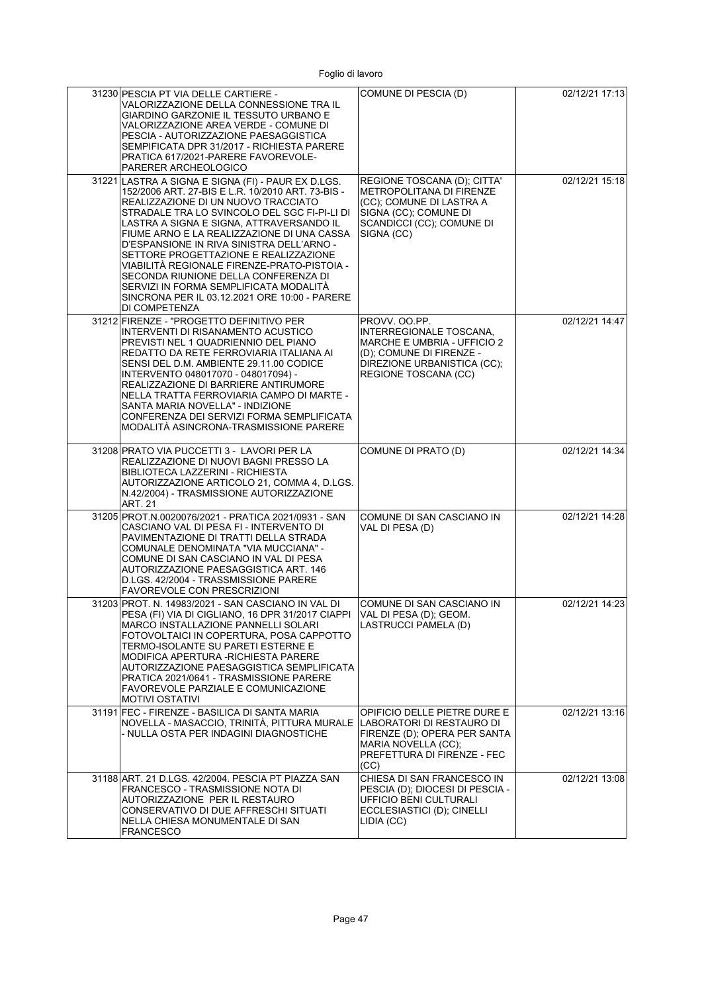|  | Foglio di lavoro |
|--|------------------|
|  |                  |

| 31230 PESCIA PT VIA DELLE CARTIERE -<br>VALORIZZAZIONE DELLA CONNESSIONE TRA IL<br>GIARDINO GARZONIE IL TESSUTO URBANO E<br>VALORIZZAZIONE AREA VERDE - COMUNE DI<br>PESCIA - AUTORIZZAZIONE PAESAGGISTICA<br>SEMPIFICATA DPR 31/2017 - RICHIESTA PARERE<br>PRATICA 617/2021-PARERE FAVOREVOLE-<br>PARERER ARCHEOLOGICO                                                                                                                                                                                                                                                           | COMUNE DI PESCIA (D)                                                                                                                                              | 02/12/21 17:13 |
|-----------------------------------------------------------------------------------------------------------------------------------------------------------------------------------------------------------------------------------------------------------------------------------------------------------------------------------------------------------------------------------------------------------------------------------------------------------------------------------------------------------------------------------------------------------------------------------|-------------------------------------------------------------------------------------------------------------------------------------------------------------------|----------------|
| 31221 LASTRA A SIGNA E SIGNA (FI) - PAUR EX D.LGS.<br>152/2006 ART. 27-BIS E L.R. 10/2010 ART. 73-BIS -<br>REALIZZAZIONE DI UN NUOVO TRACCIATO<br>STRADALE TRA LO SVINCOLO DEL SGC FI-PI-LI DI<br>LASTRA A SIGNA E SIGNA, ATTRAVERSANDO IL<br>FIUME ARNO E LA REALIZZAZIONE DI UNA CASSA<br>D'ESPANSIONE IN RIVA SINISTRA DELL'ARNO -<br>SETTORE PROGETTAZIONE E REALIZZAZIONE<br>VIABILITÁ REGIONALE FIRENZE-PRATO-PISTOIA -<br>SECONDA RIUNIONE DELLA CONFERENZA DI<br>SERVIZI IN FORMA SEMPLIFICATA MODALITÁ<br>SINCRONA PER IL 03.12.2021 ORE 10:00 - PARERE<br>DI COMPETENZA | REGIONE TOSCANA (D); CITTA'<br>METROPOLITANA DI FIRENZE<br>(CC); COMUNE DI LASTRA A<br>SIGNA (CC); COMUNE DI<br>SCANDICCI (CC); COMUNE DI<br>SIGNA (CC)           | 02/12/21 15:18 |
| 31212 FIRENZE - "PROGETTO DEFINITIVO PER<br>INTERVENTI DI RISANAMENTO ACUSTICO<br>PREVISTI NEL 1 QUADRIENNIO DEL PIANO<br>REDATTO DA RETE FERROVIARIA ITALIANA AI<br>SENSI DEL D.M. AMBIENTE 29.11.00 CODICE<br>INTERVENTO 048017070 - 048017094) -<br>REALIZZAZIONE DI BARRIERE ANTIRUMORE<br>NELLA TRATTA FERROVIARIA CAMPO DI MARTE -<br>SANTA MARIA NOVELLA" - INDIZIONE<br>CONFERENZA DEI SERVIZI FORMA SEMPLIFICATA<br>MODALITÁ ASINCRONA-TRASMISSIONE PARERE                                                                                                               | PROVV. OO.PP.<br>INTERREGIONALE TOSCANA,<br><b>MARCHE E UMBRIA - UFFICIO 2</b><br>(D); COMUNE DI FIRENZE -<br>DIREZIONE URBANISTICA (CC);<br>REGIONE TOSCANA (CC) | 02/12/21 14:47 |
| 31208 PRATO VIA PUCCETTI 3 - LAVORI PER LA<br>REALIZZAZIONE DI NUOVI BAGNI PRESSO LA<br>BIBLIOTECA LAZZERINI - RICHIESTA<br>AUTORIZZAZIONE ARTICOLO 21, COMMA 4, D.LGS.<br>N.42/2004) - TRASMISSIONE AUTORIZZAZIONE<br><b>ART. 21</b>                                                                                                                                                                                                                                                                                                                                             | COMUNE DI PRATO (D)                                                                                                                                               | 02/12/21 14:34 |
| 31205 PROT.N.0020076/2021 - PRATICA 2021/0931 - SAN<br>CASCIANO VAL DI PESA FI - INTERVENTO DI<br>PAVIMENTAZIONE DI TRATTI DELLA STRADA<br>COMUNALE DENOMINATA "VIA MUCCIANA" -<br>COMUNE DI SAN CASCIANO IN VAL DI PESA<br>AUTORIZZAZIONE PAESAGGISTICA ART. 146<br>D.LGS. 42/2004 - TRASSMISSIONE PARERE<br><b>FAVOREVOLE CON PRESCRIZIONI</b>                                                                                                                                                                                                                                  | COMUNE DI SAN CASCIANO IN<br>VAL DI PESA (D)                                                                                                                      | 02/12/21 14:28 |
| 31203 PROT. N. 14983/2021 - SAN CASCIANO IN VAL DI<br>PESA (FI) VIA DI CIGLIANO, 16 DPR 31/2017 CIAPPI<br>MARCO INSTALLAZIONE PANNELLI SOLARI<br>FOTOVOLTAICI IN COPERTURA, POSA CAPPOTTO<br>TERMO-ISOLANTE SU PARETI ESTERNE E<br>MODIFICA APERTURA - RICHIESTA PARERE<br>AUTORIZZAZIONE PAESAGGISTICA SEMPLIFICATA<br>PRATICA 2021/0641 - TRASMISSIONE PARERE<br>FAVOREVOLE PARZIALE E COMUNICAZIONE<br><b>MOTIVI OSTATIVI</b>                                                                                                                                                  | COMUNE DI SAN CASCIANO IN<br>VAL DI PESA (D); GEOM.<br>LASTRUCCI PAMELA (D)                                                                                       | 02/12/21 14:23 |
| 31191 FEC - FIRENZE - BASILICA DI SANTA MARIA<br>NOVELLA - MASACCIO, TRINITÀ, PITTURA MURALE<br>- NULLA OSTA PER INDAGINI DIAGNOSTICHE                                                                                                                                                                                                                                                                                                                                                                                                                                            | OPIFICIO DELLE PIETRE DURE E<br>LABORATORI DI RESTAURO DI<br>FIRENZE (D); OPERA PER SANTA<br>MARIA NOVELLA (CC);<br>PREFETTURA DI FIRENZE - FEC<br>(CC)           | 02/12/21 13:16 |
| 31188 ART. 21 D.LGS. 42/2004. PESCIA PT PIAZZA SAN<br>FRANCESCO - TRASMISSIONE NOTA DI<br>AUTORIZZAZIONE PER IL RESTAURO<br>CONSERVATIVO DI DUE AFFRESCHI SITUATI<br>NELLA CHIESA MONUMENTALE DI SAN<br><b>FRANCESCO</b>                                                                                                                                                                                                                                                                                                                                                          | CHIESA DI SAN FRANCESCO IN<br>PESCIA (D); DIOCESI DI PESCIA -<br>UFFICIO BENI CULTURALI<br>ECCLESIASTICI (D); CINELLI<br>LIDIA (CC)                               | 02/12/21 13:08 |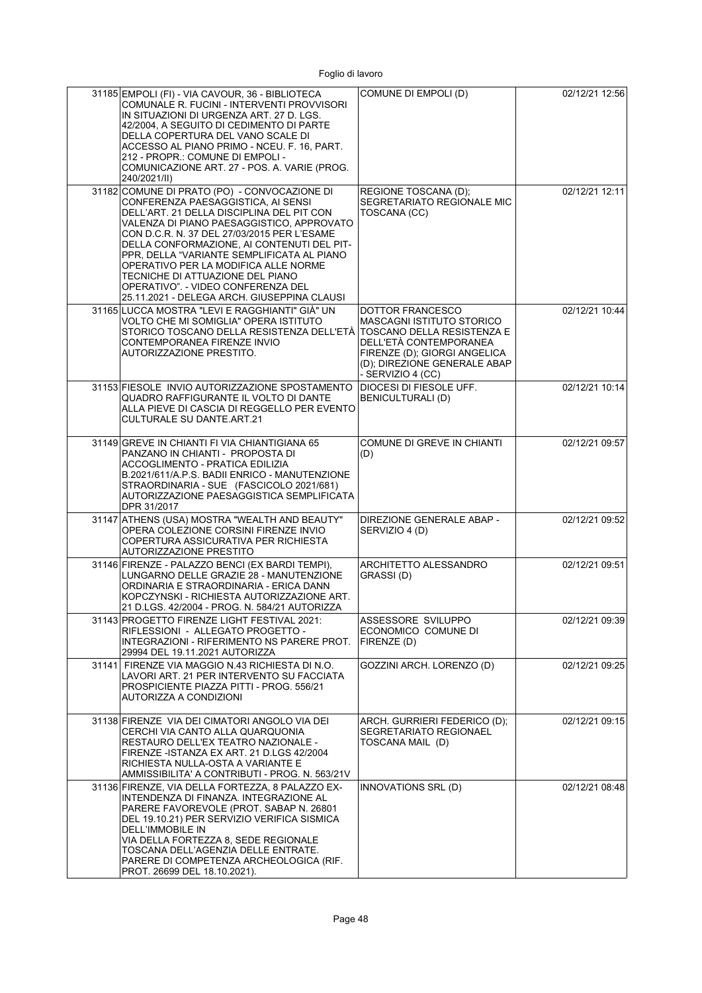| 31185 EMPOLI (FI) - VIA CAVOUR, 36 - BIBLIOTECA<br>COMUNALE R. FUCINI - INTERVENTI PROVVISORI<br>IN SITUAZIONI DI URGENZA ART. 27 D. LGS.<br>42/2004, A SEGUITO DI CEDIMENTO DI PARTE<br>DELLA COPERTURA DEL VANO SCALE DI<br>ACCESSO AL PIANO PRIMO - NCEU. F. 16, PART.<br>212 - PROPR.: COMUNE DI EMPOLI -<br>COMUNICAZIONE ART. 27 - POS. A. VARIE (PROG.<br>240/2021/II)                                                                                                            | COMUNE DI EMPOLI (D)                                                                                                                                                | 02/12/21 12:56 |
|------------------------------------------------------------------------------------------------------------------------------------------------------------------------------------------------------------------------------------------------------------------------------------------------------------------------------------------------------------------------------------------------------------------------------------------------------------------------------------------|---------------------------------------------------------------------------------------------------------------------------------------------------------------------|----------------|
| 31182 COMUNE DI PRATO (PO) - CONVOCAZIONE DI<br>CONFERENZA PAESAGGISTICA. AI SENSI<br>DELL'ART. 21 DELLA DISCIPLINA DEL PIT CON<br>VALENZA DI PIANO PAESAGGISTICO, APPROVATO<br>CON D.C.R. N. 37 DEL 27/03/2015 PER L'ESAME<br>DELLA CONFORMAZIONE, AI CONTENUTI DEL PIT-<br>PPR, DELLA "VARIANTE SEMPLIFICATA AL PIANO<br>OPERATIVO PER LA MODIFICA ALLE NORME<br>TECNICHE DI ATTUAZIONE DEL PIANO<br>OPERATIVO". - VIDEO CONFERENZA DEL<br>25.11.2021 - DELEGA ARCH. GIUSEPPINA CLAUSI | REGIONE TOSCANA (D);<br>SEGRETARIATO REGIONALE MIC<br>TOSCANA (CC)                                                                                                  | 02/12/21 12:11 |
| 31165 LUCCA MOSTRA "LEVI E RAGGHIANTI" GIÀ" UN<br>VOLTO CHE MI SOMIGLIA" OPERA ISTITUTO<br>STORICO TOSCANO DELLA RESISTENZA DELL'ETÀ TOSCANO DELLA RESISTENZA E<br>CONTEMPORANEA FIRENZE INVIO<br>AUTORIZZAZIONE PRESTITO.                                                                                                                                                                                                                                                               | DOTTOR FRANCESCO<br><b>MASCAGNI ISTITUTO STORICO</b><br>DELL'ETÀ CONTEMPORANEA<br>FIRENZE (D); GIORGI ANGELICA<br>(D); DIREZIONE GENERALE ABAP<br>- SERVIZIO 4 (CC) | 02/12/21 10:44 |
| 31153 FIESOLE INVIO AUTORIZZAZIONE SPOSTAMENTO<br>QUADRO RAFFIGURANTE IL VOLTO DI DANTE<br>ALLA PIEVE DI CASCIA DI REGGELLO PER EVENTO<br>CULTURALE SU DANTE ART.21                                                                                                                                                                                                                                                                                                                      | DIOCESI DI FIESOLE UFF.<br><b>BENICULTURALI (D)</b>                                                                                                                 | 02/12/21 10:14 |
| 31149 GREVE IN CHIANTI FI VIA CHIANTIGIANA 65<br>PANZANO IN CHIANTI - PROPOSTA DI<br>ACCOGLIMENTO - PRATICA EDILIZIA<br>B.2021/611/A.P.S. BADII ENRICO - MANUTENZIONE<br>STRAORDINARIA - SUE (FASCICOLO 2021/681)<br>AUTORIZZAZIONE PAESAGGISTICA SEMPLIFICATA<br>DPR 31/2017                                                                                                                                                                                                            | COMUNE DI GREVE IN CHIANTI<br>(D)                                                                                                                                   | 02/12/21 09:57 |
| 31147 ATHENS (USA) MOSTRA "WEALTH AND BEAUTY"<br>OPERA COLEZIONE CORSINI FIRENZE INVIO<br>COPERTURA ASSICURATIVA PER RICHIESTA<br><b>AUTORIZZAZIONE PRESTITO</b>                                                                                                                                                                                                                                                                                                                         | DIREZIONE GENERALE ABAP -<br>SERVIZIO 4 (D)                                                                                                                         | 02/12/21 09:52 |
| 31146 FIRENZE - PALAZZO BENCI (EX BARDI TEMPI),<br>LUNGARNO DELLE GRAZIE 28 - MANUTENZIONE<br>ORDINARIA E STRAORDINARIA - ERICA DANN<br>KOPCZYNSKI - RICHIESTA AUTORIZZAZIONE ART.<br>21 D.LGS. 42/2004 - PROG. N. 584/21 AUTORIZZA                                                                                                                                                                                                                                                      | ARCHITETTO ALESSANDRO<br>GRASSI(D)                                                                                                                                  | 02/12/21 09:51 |
| 31143 PROGETTO FIRENZE LIGHT FESTIVAL 2021:<br>RIFLESSIONI - ALLEGATO PROGETTO -<br>INTEGRAZIONI - RIFERIMENTO NS PARERE PROT.<br>29994 DEL 19.11.2021 AUTORIZZA                                                                                                                                                                                                                                                                                                                         | ASSESSORE SVILUPPO<br>ECONOMICO COMUNE DI<br>FIRENZE (D)                                                                                                            | 02/12/21 09:39 |
| 31141 FIRENZE VIA MAGGIO N.43 RICHIESTA DI N.O.<br>LAVORI ART. 21 PER INTERVENTO SU FACCIATA<br>PROSPICIENTE PIAZZA PITTI - PROG. 556/21<br>AUTORIZZA A CONDIZIONI                                                                                                                                                                                                                                                                                                                       | GOZZINI ARCH. LORENZO (D)                                                                                                                                           | 02/12/21 09:25 |
| 31138 FIRENZE VIA DEI CIMATORI ANGOLO VIA DEI<br>CERCHI VIA CANTO ALLA QUARQUONIA<br>RESTAURO DELL'EX TEATRO NAZIONALE -<br>FIRENZE -ISTANZA EX ART. 21 D.LGS 42/2004<br>RICHIESTA NULLA-OSTA A VARIANTE E<br>AMMISSIBILITA' A CONTRIBUTI - PROG. N. 563/21V                                                                                                                                                                                                                             | ARCH. GURRIERI FEDERICO (D);<br><b>SEGRETARIATO REGIONAEL</b><br>TOSCANA MAIL (D)                                                                                   | 02/12/21 09:15 |
| 31136 FIRENZE, VIA DELLA FORTEZZA, 8 PALAZZO EX-<br>INTENDENZA DI FINANZA. INTEGRAZIONE AL<br>PARERE FAVOREVOLE (PROT. SABAP N. 26801<br>DEL 19.10.21) PER SERVIZIO VERIFICA SISMICA<br>DELL'IMMOBILE IN<br>VIA DELLA FORTEZZA 8, SEDE REGIONALE<br>TOSCANA DELL'AGENZIA DELLE ENTRATE.<br>PARERE DI COMPETENZA ARCHEOLOGICA (RIF.<br>PROT. 26699 DEL 18.10.2021).                                                                                                                       | INNOVATIONS SRL (D)                                                                                                                                                 | 02/12/21 08:48 |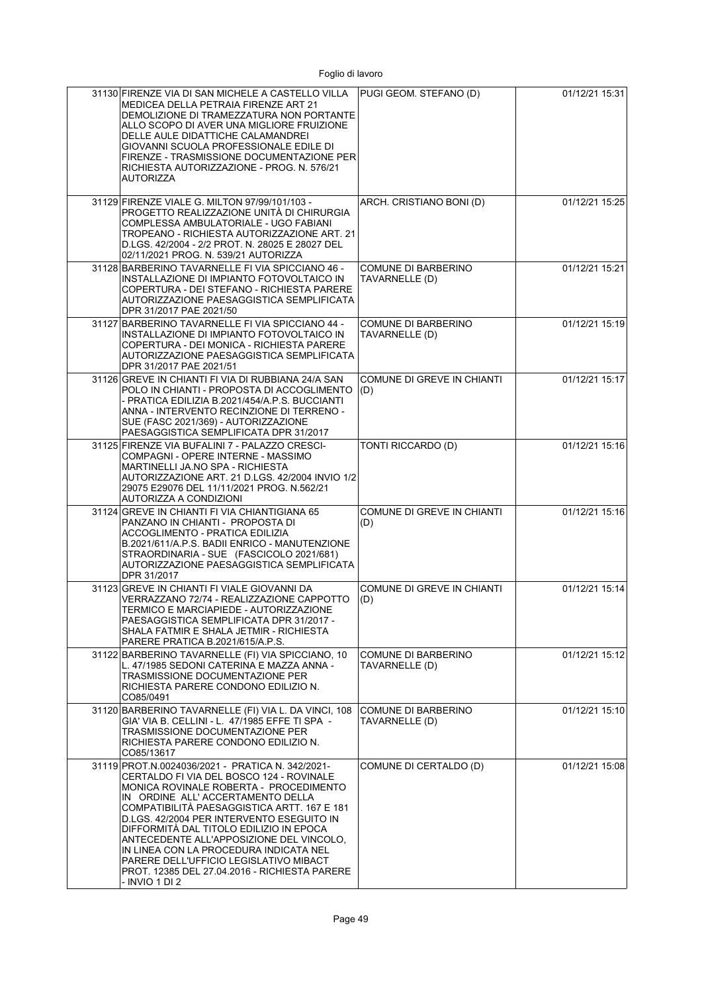| 31130 FIRENZE VIA DI SAN MICHELE A CASTELLO VILLA<br>MEDICEA DELLA PETRAIA FIRENZE ART 21<br>DEMOLIZIONE DI TRAMEZZATURA NON PORTANTE<br>ALLO SCOPO DI AVER UNA MIGLIORE FRUIZIONE<br>DELLE AULE DIDATTICHE CALAMANDREI<br>GIOVANNI SCUOLA PROFESSIONALE EDILE DI<br>FIRENZE - TRASMISSIONE DOCUMENTAZIONE PER<br>RICHIESTA AUTORIZZAZIONE - PROG. N. 576/21<br><b>AUTORIZZA</b>                                                                                                                                     | PUGI GEOM. STEFANO (D)                       | 01/12/21 15:31 |
|----------------------------------------------------------------------------------------------------------------------------------------------------------------------------------------------------------------------------------------------------------------------------------------------------------------------------------------------------------------------------------------------------------------------------------------------------------------------------------------------------------------------|----------------------------------------------|----------------|
| 31129 FIRENZE VIALE G. MILTON 97/99/101/103 -<br>PROGETTO REALIZZAZIONE UNITÁ DI CHIRURGIA<br>COMPLESSA AMBULATORIALE - UGO FABIANI<br>TROPEANO - RICHIESTA AUTORIZZAZIONE ART. 21<br>D.LGS. 42/2004 - 2/2 PROT. N. 28025 E 28027 DEL<br>02/11/2021 PROG. N. 539/21 AUTORIZZA                                                                                                                                                                                                                                        | ARCH. CRISTIANO BONI (D)                     | 01/12/21 15:25 |
| 31128 BARBERINO TAVARNELLE FI VIA SPICCIANO 46 -<br>INSTALLAZIONE DI IMPIANTO FOTOVOLTAICO IN<br>COPERTURA - DEI STEFANO - RICHIESTA PARERE<br>AUTORIZZAZIONE PAESAGGISTICA SEMPLIFICATA<br>DPR 31/2017 PAE 2021/50                                                                                                                                                                                                                                                                                                  | <b>COMUNE DI BARBERINO</b><br>TAVARNELLE (D) | 01/12/21 15:21 |
| 31127 BARBERINO TAVARNELLE FI VIA SPICCIANO 44 -<br>INSTALLAZIONE DI IMPIANTO FOTOVOLTAICO IN<br>COPERTURA - DEI MONICA - RICHIESTA PARERE<br>AUTORIZZAZIONE PAESAGGISTICA SEMPLIFICATA<br>DPR 31/2017 PAE 2021/51                                                                                                                                                                                                                                                                                                   | <b>COMUNE DI BARBERINO</b><br>TAVARNELLE (D) | 01/12/21 15:19 |
| 31126 GREVE IN CHIANTI FI VIA DI RUBBIANA 24/A SAN<br>POLO IN CHIANTI - PROPOSTA DI ACCOGLIMENTO<br>- PRATICA EDILIZIA B.2021/454/A.P.S. BUCCIANTI<br>ANNA - INTERVENTO RECINZIONE DI TERRENO -<br>SUE (FASC 2021/369) - AUTORIZZAZIONE<br>PAESAGGISTICA SEMPLIFICATA DPR 31/2017                                                                                                                                                                                                                                    | <b>COMUNE DI GREVE IN CHIANTI</b><br>(D)     | 01/12/21 15:17 |
| 31125 FIRENZE VIA BUFALINI 7 - PALAZZO CRESCI-<br>COMPAGNI - OPERE INTERNE - MASSIMO<br>MARTINELLI JA.NO SPA - RICHIESTA<br>AUTORIZZAZIONE ART. 21 D.LGS. 42/2004 INVIO 1/2<br>29075 E29076 DEL 11/11/2021 PROG. N.562/21<br>AUTORIZZA A CONDIZIONI                                                                                                                                                                                                                                                                  | TONTI RICCARDO (D)                           | 01/12/21 15:16 |
| 31124 GREVE IN CHIANTI FI VIA CHIANTIGIANA 65<br>PANZANO IN CHIANTI - PROPOSTA DI<br>ACCOGLIMENTO - PRATICA EDILIZIA<br>B.2021/611/A.P.S. BADII ENRICO - MANUTENZIONE<br>STRAORDINARIA - SUE (FASCICOLO 2021/681)<br>AUTORIZZAZIONE PAESAGGISTICA SEMPLIFICATA<br>DPR 31/2017                                                                                                                                                                                                                                        | COMUNE DI GREVE IN CHIANTI<br>(D)            | 01/12/21 15:16 |
| 31123 GREVE IN CHIANTI FI VIALE GIOVANNI DA<br>VERRAZZANO 72/74 - REALIZZAZIONE CAPPOTTO<br>TERMICO E MARCIAPIEDE - AUTORIZZAZIONE<br>PAESAGGISTICA SEMPLIFICATA DPR 31/2017 -<br>SHALA FATMIR E SHALA JETMIR - RICHIESTA<br>PARERE PRATICA B.2021/615/A.P.S.                                                                                                                                                                                                                                                        | COMUNE DI GREVE IN CHIANTI<br>(D)            | 01/12/21 15:14 |
| 31122 BARBERINO TAVARNELLE (FI) VIA SPICCIANO, 10<br>L. 47/1985 SEDONI CATERINA E MAZZA ANNA -<br>TRASMISSIONE DOCUMENTAZIONE PER<br>RICHIESTA PARERE CONDONO EDILIZIO N.<br>CO85/0491                                                                                                                                                                                                                                                                                                                               | COMUNE DI BARBERINO<br>TAVARNELLE (D)        | 01/12/21 15:12 |
| 31120 BARBERINO TAVARNELLE (FI) VIA L. DA VINCI, 108<br>GIA' VIA B. CELLINI - L. 47/1985 EFFE TI SPA -<br>TRASMISSIONE DOCUMENTAZIONE PER<br>RICHIESTA PARERE CONDONO EDILIZIO N.<br>CO85/13617                                                                                                                                                                                                                                                                                                                      | <b>COMUNE DI BARBERINO</b><br>TAVARNELLE (D) | 01/12/21 15:10 |
| 31119 PROT.N.0024036/2021 - PRATICA N. 342/2021-<br>CERTALDO FI VIA DEL BOSCO 124 - ROVINALE<br>MONICA ROVINALE ROBERTA - PROCEDIMENTO<br>IN ORDINE ALL'ACCERTAMENTO DELLA<br>COMPATIBILITÁ PAESAGGISTICA ARTT. 167 E 181<br>D.LGS. 42/2004 PER INTERVENTO ESEGUITO IN<br>DIFFORMITÁ DAL TITOLO EDILIZIO IN EPOCA<br>ANTECEDENTE ALL'APPOSIZIONE DEL VINCOLO,<br>IN LINEA CON LA PROCEDURA INDICATA NEL<br>PARERE DELL'UFFICIO LEGISLATIVO MIBACT<br>PROT. 12385 DEL 27.04.2016 - RICHIESTA PARERE<br>- INVIO 1 DI 2 | COMUNE DI CERTALDO (D)                       | 01/12/21 15:08 |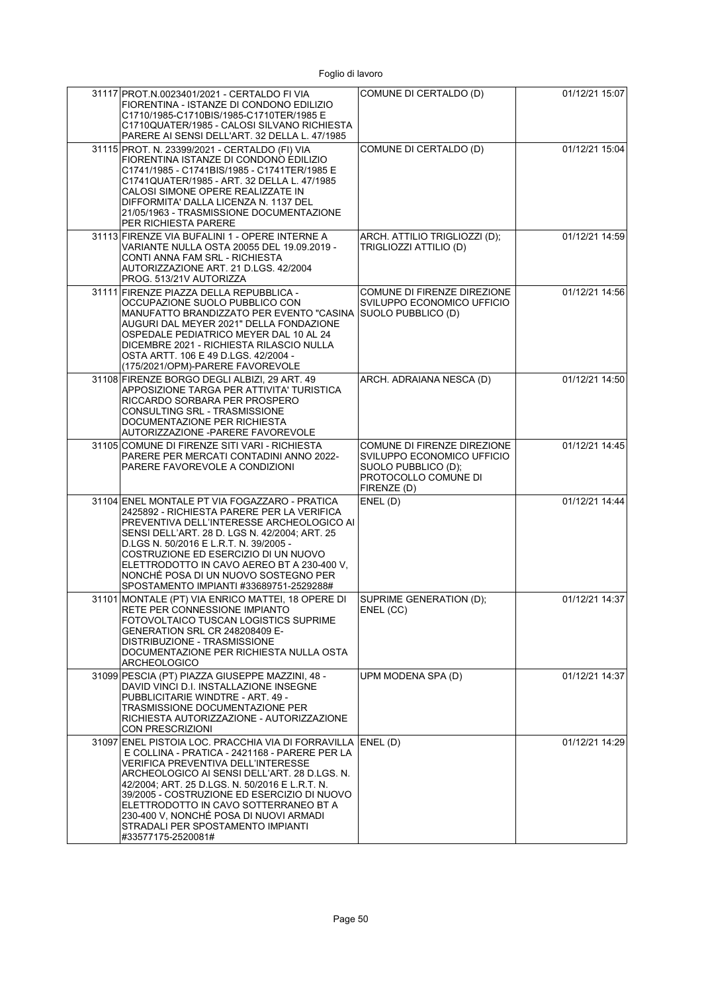| 31117 PROT.N.0023401/2021 - CERTALDO FI VIA<br>FIORENTINA - ISTANZE DI CONDONO EDILIZIO<br>C1710/1985-C1710BIS/1985-C1710TER/1985 E<br>C1710QUATER/1985 - CALOSI SILVANO RICHIESTA<br>PARERE AI SENSI DELL'ART. 32 DELLA L. 47/1985                                                                                                                                                                                                               | COMUNE DI CERTALDO (D)                                                                                                  | 01/12/21 15:07 |
|---------------------------------------------------------------------------------------------------------------------------------------------------------------------------------------------------------------------------------------------------------------------------------------------------------------------------------------------------------------------------------------------------------------------------------------------------|-------------------------------------------------------------------------------------------------------------------------|----------------|
| 31115 PROT. N. 23399/2021 - CERTALDO (FI) VIA<br>FIORENTINA ISTANZE DI CONDONO EDILIZIO<br>C1741/1985 - C1741BIS/1985 - C1741TER/1985 E<br>C1741QUATER/1985 - ART. 32 DELLA L. 47/1985<br>CALOSI SIMONE OPERE REALIZZATE IN<br>DIFFORMITA' DALLA LICENZA N. 1137 DEL<br>21/05/1963 - TRASMISSIONE DOCUMENTAZIONE<br><b>PER RICHIESTA PARERE</b>                                                                                                   | COMUNE DI CERTALDO (D)                                                                                                  | 01/12/21 15:04 |
| 31113 FIRENZE VIA BUFALINI 1 - OPERE INTERNE A<br>VARIANTE NULLA OSTA 20055 DEL 19.09.2019 -<br>CONTI ANNA FAM SRL - RICHIESTA<br>AUTORIZZAZIONE ART. 21 D.LGS. 42/2004<br>PROG. 513/21V AUTORIZZA                                                                                                                                                                                                                                                | ARCH. ATTILIO TRIGLIOZZI (D);<br>TRIGLIOZZI ATTILIO (D)                                                                 | 01/12/21 14:59 |
| 31111 FIRENZE PIAZZA DELLA REPUBBLICA -<br>OCCUPAZIONE SUOLO PUBBLICO CON<br>MANUFATTO BRANDIZZATO PER EVENTO "CASINA SUOLO PUBBLICO (D)<br>AUGURI DAL MEYER 2021" DELLA FONDAZIONE<br>OSPEDALE PEDIATRICO MEYER DAL 10 AL 24<br>DICEMBRE 2021 - RICHIESTA RILASCIO NULLA<br>OSTA ARTT. 106 E 49 D.LGS. 42/2004 -<br>(175/2021/OPM)-PARERE FAVOREVOLE                                                                                             | COMUNE DI FIRENZE DIREZIONE<br>SVILUPPO ECONOMICO UFFICIO                                                               | 01/12/21 14:56 |
| 31108 FIRENZE BORGO DEGLI ALBIZI, 29 ART, 49<br>APPOSIZIONE TARGA PER ATTIVITA' TURISTICA<br>RICCARDO SORBARA PER PROSPERO<br>CONSULTING SRL - TRASMISSIONE<br>DOCUMENTAZIONE PER RICHIESTA<br>AUTORIZZAZIONE -PARERE FAVOREVOLE                                                                                                                                                                                                                  | ARCH. ADRAIANA NESCA (D)                                                                                                | 01/12/21 14:50 |
| 31105 COMUNE DI FIRENZE SITI VARI - RICHIESTA<br>PARERE PER MERCATI CONTADINI ANNO 2022-<br>PARERE FAVOREVOLE A CONDIZIONI                                                                                                                                                                                                                                                                                                                        | COMUNE DI FIRENZE DIREZIONE<br>SVILUPPO ECONOMICO UFFICIO<br>SUOLO PUBBLICO (D);<br>PROTOCOLLO COMUNE DI<br>FIRENZE (D) | 01/12/21 14:45 |
| 31104 ENEL MONTALE PT VIA FOGAZZARO - PRATICA<br>2425892 - RICHIESTA PARERE PER LA VERIFICA<br>PREVENTIVA DELL'INTERESSE ARCHEOLOGICO AI<br>SENSI DELL'ART. 28 D. LGS N. 42/2004; ART. 25<br>D.LGS N. 50/2016 E L.R.T. N. 39/2005 -<br>COSTRUZIONE ED ESERCIZIO DI UN NUOVO<br>ELETTRODOTTO IN CAVO AEREO BT A 230-400 V.<br>NONCHÉ POSA DI UN NUOVO SOSTEGNO PER<br>SPOSTAMENTO IMPIANTI #33689751-2529288#                                      | ENEL(D)                                                                                                                 | 01/12/21 14:44 |
| 31101 MONTALE (PT) VIA ENRICO MATTEI, 18 OPERE DI<br>RFTF PFR CONNESSIONE IMPIANTO<br>FOTOVOLTAICO TUSCAN LOGISTICS SUPRIME<br>GENERATION SRL CR 248208409 E-<br>DISTRIBUZIONE - TRASMISSIONE<br>DOCUMENTAZIONE PER RICHIESTA NULLA OSTA<br><b>ARCHEOLOGICO</b>                                                                                                                                                                                   | SUPRIME GENERATION (D);<br>ENEL (CC)                                                                                    | 01/12/21 14:37 |
| 31099 PESCIA (PT) PIAZZA GIUSEPPE MAZZINI, 48 -<br>DAVID VINCI D.I. INSTALLAZIONE INSEGNE<br>PUBBLICITARIE WINDTRE - ART. 49 -<br>TRASMISSIONE DOCUMENTAZIONE PER<br>RICHIESTA AUTORIZZAZIONE - AUTORIZZAZIONE<br><b>CON PRESCRIZIONI</b>                                                                                                                                                                                                         | UPM MODENA SPA (D)                                                                                                      | 01/12/21 14:37 |
| 31097 ENEL PISTOIA LOC. PRACCHIA VIA DI FORRAVILLA ENEL (D)<br>E COLLINA - PRATICA - 2421168 - PARERE PER LA<br>VERIFICA PREVENTIVA DELL'INTERESSE<br>ARCHEOLOGICO AI SENSI DELL'ART. 28 D.LGS. N.<br>42/2004; ART. 25 D.LGS. N. 50/2016 E L.R.T. N.<br>39/2005 - COSTRUZIONE ED ESERCIZIO DI NUOVO<br>ELETTRODOTTO IN CAVO SOTTERRANEO BT A<br>230-400 V, NONCHÉ POSA DI NUOVI ARMADI<br>STRADALI PER SPOSTAMENTO IMPIANTI<br>#33577175-2520081# |                                                                                                                         | 01/12/21 14:29 |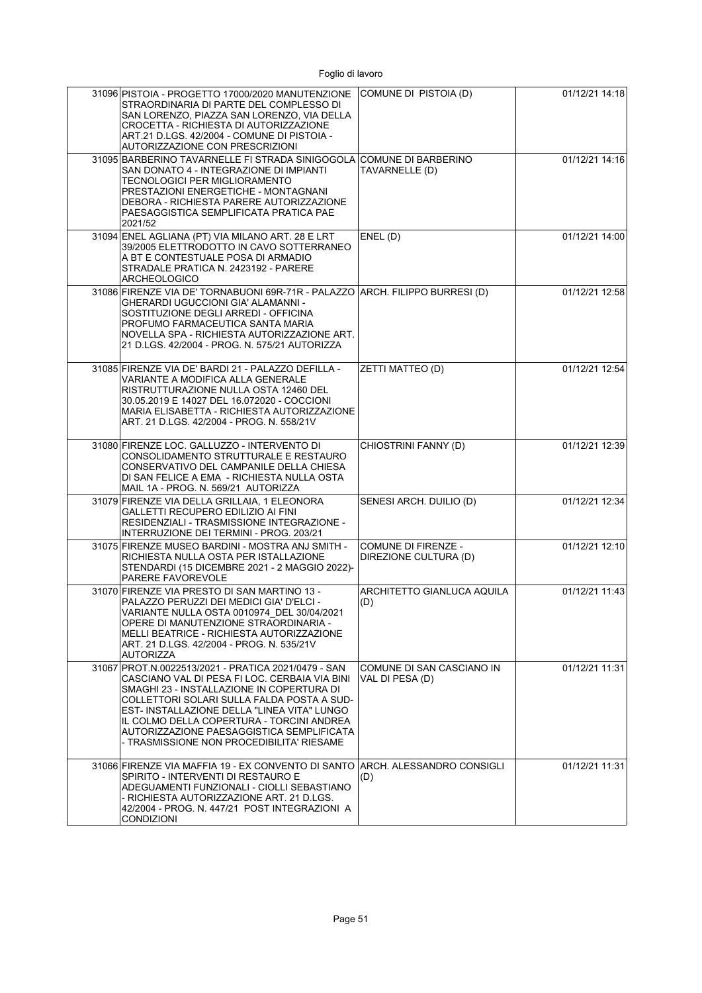| 31096 PISTOIA - PROGETTO 17000/2020 MANUTENZIONE<br>STRAORDINARIA DI PARTE DEL COMPLESSO DI<br>SAN LORENZO, PIAZZA SAN LORENZO, VIA DELLA<br>CROCETTA - RICHIESTA DI AUTORIZZAZIONE<br>ART.21 D.LGS. 42/2004 - COMUNE DI PISTOIA -<br><b>AUTORIZZAZIONE CON PRESCRIZIONI</b>                                                                                                          | COMUNE DI PISTOIA (D)                        | 01/12/21 14:18 |
|---------------------------------------------------------------------------------------------------------------------------------------------------------------------------------------------------------------------------------------------------------------------------------------------------------------------------------------------------------------------------------------|----------------------------------------------|----------------|
| 31095 BARBERINO TAVARNELLE FI STRADA SINIGOGOLA<br>SAN DONATO 4 - INTEGRAZIONE DI IMPIANTI<br>TECNOLOGICI PER MIGLIORAMENTO<br>PRESTAZIONI ENERGETICHE - MONTAGNANI<br>DEBORA - RICHIESTA PARERE AUTORIZZAZIONE<br>PAESAGGISTICA SEMPLIFICATA PRATICA PAE<br>2021/52                                                                                                                  | <b>COMUNE DI BARBERINO</b><br>TAVARNELLE (D) | 01/12/21 14:16 |
| 31094 ENEL AGLIANA (PT) VIA MILANO ART. 28 E LRT<br>39/2005 ELETTRODOTTO IN CAVO SOTTERRANEO<br>A BT E CONTESTUALE POSA DI ARMADIO<br>STRADALE PRATICA N. 2423192 - PARERE<br><b>ARCHEOLOGICO</b>                                                                                                                                                                                     | ENEL (D)                                     | 01/12/21 14:00 |
| 31086 FIRENZE VIA DE' TORNABUONI 69R-71R - PALAZZO ARCH. FILIPPO BURRESI (D)<br>GHERARDI UGUCCIONI GIA' ALAMANNI -<br>SOSTITUZIONE DEGLI ARREDI - OFFICINA<br>PROFUMO FARMACEUTICA SANTA MARIA<br>NOVELLA SPA - RICHIESTA AUTORIZZAZIONE ART.<br>21 D.LGS. 42/2004 - PROG. N. 575/21 AUTORIZZA                                                                                        |                                              | 01/12/21 12:58 |
| 31085 FIRENZE VIA DE' BARDI 21 - PALAZZO DEFILLA -<br>VARIANTE A MODIFICA ALLA GENERALE<br>RISTRUTTURAZIONE NULLA OSTA 12460 DEL<br>30.05.2019 E 14027 DEL 16.072020 - COCCIONI<br>MARIA ELISABETTA - RICHIESTA AUTORIZZAZIONE<br>ART. 21 D.LGS. 42/2004 - PROG. N. 558/21V                                                                                                           | ZETTI MATTEO (D)                             | 01/12/21 12:54 |
| 31080 FIRENZE LOC. GALLUZZO - INTERVENTO DI<br>CONSOLIDAMENTO STRUTTURALE E RESTAURO<br>CONSERVATIVO DEL CAMPANILE DELLA CHIESA<br>DI SAN FELICE A EMA - RICHIESTA NULLA OSTA<br>MAIL 1A - PROG. N. 569/21 AUTORIZZA                                                                                                                                                                  | CHIOSTRINI FANNY (D)                         | 01/12/21 12:39 |
| 31079 FIRENZE VIA DELLA GRILLAIA, 1 ELEONORA<br>GALLETTI RECUPERO EDILIZIO AI FINI<br>RESIDENZIALI - TRASMISSIONE INTEGRAZIONE -<br>INTERRUZIONE DEI TERMINI - PROG. 203/21                                                                                                                                                                                                           | SENESI ARCH. DUILIO (D)                      | 01/12/21 12:34 |
| 31075 FIRENZE MUSEO BARDINI - MOSTRA ANJ SMITH -<br>RICHIESTA NULLA OSTA PER ISTALLAZIONE<br>STENDARDI (15 DICEMBRE 2021 - 2 MAGGIO 2022)-<br>PARERE FAVOREVOLE                                                                                                                                                                                                                       | COMUNE DI FIRENZE -<br>DIREZIONE CULTURA (D) | 01/12/21 12:10 |
| 31070 FIRENZE VIA PRESTO DI SAN MARTINO 13 -<br>PALAZZO PERUZZI DEI MEDICI GIA' D'ELCI -<br>VARIANTE NULLA OSTA 0010974 DEL 30/04/2021<br>OPERE DI MANUTENZIONE STRAORDINARIA -<br>MELLI BEATRICE - RICHIESTA AUTORIZZAZIONE<br>ART. 21 D LGS. 42/2004 - PROG. N. 535/21V<br><b>AUTORIZZA</b>                                                                                         | ARCHITETTO GIANLUCA AQUILA<br>(D)            | 01/12/21 11:43 |
| 31067 PROT.N.0022513/2021 - PRATICA 2021/0479 - SAN<br>CASCIANO VAL DI PESA FI LOC. CERBAIA VIA BINI<br>SMAGHI 23 - INSTALLAZIONE IN COPERTURA DI<br>COLLETTORI SOLARI SULLA FALDA POSTA A SUD-<br>EST- INSTALLAZIONE DELLA "LINEA VITA" LUNGO<br>IL COLMO DELLA COPERTURA - TORCINI ANDREA<br>AUTORIZZAZIONE PAESAGGISTICA SEMPLIFICATA<br>- TRASMISSIONE NON PROCEDIBILITA' RIESAME | COMUNE DI SAN CASCIANO IN<br>VAL DI PESA (D) | 01/12/21 11:31 |
| 31066 FIRENZE VIA MAFFIA 19 - EX CONVENTO DI SANTO<br>SPIRITO - INTERVENTI DI RESTAURO E<br>ADEGUAMENTI FUNZIONALI - CIOLLI SEBASTIANO<br>- RICHIESTA AUTORIZZAZIONE ART. 21 D.LGS.<br>42/2004 - PROG. N. 447/21 POST INTEGRAZIONI A<br><b>CONDIZIONI</b>                                                                                                                             | ARCH. ALESSANDRO CONSIGLI<br>(D)             | 01/12/21 11:31 |